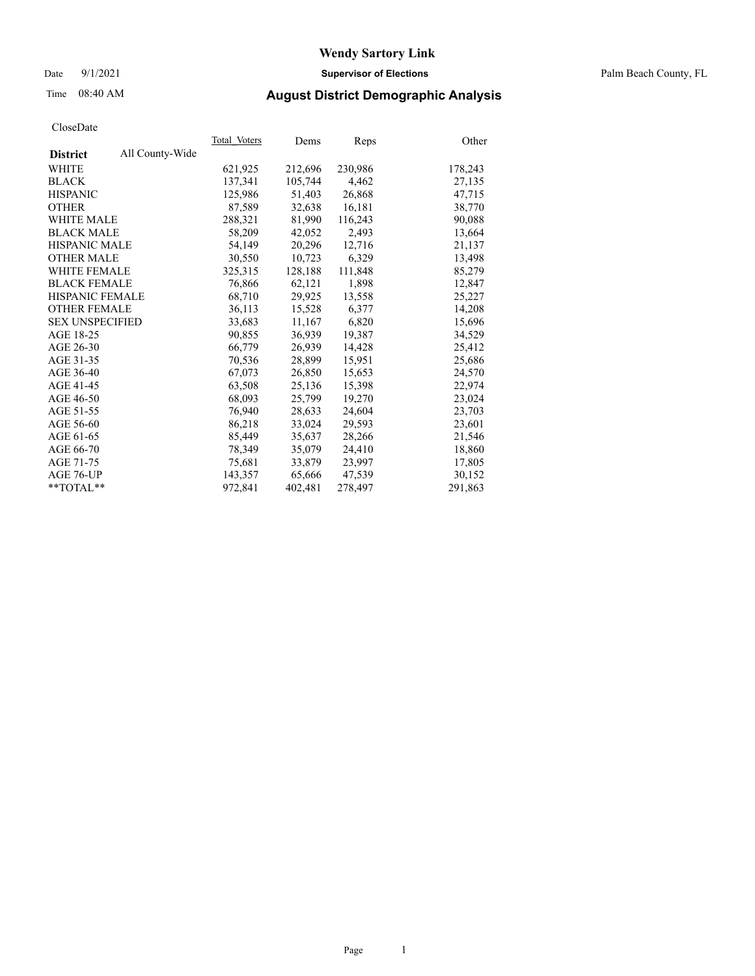## Date 9/1/2021 **Supervisor of Elections** Palm Beach County, FL

# Time 08:40 AM **August District Demographic Analysis**

| Cioscizato             |                 |              |         |         |         |
|------------------------|-----------------|--------------|---------|---------|---------|
|                        |                 | Total Voters | Dems    | Reps    | Other   |
| <b>District</b>        | All County-Wide |              |         |         |         |
| WHITE                  |                 | 621,925      | 212,696 | 230,986 | 178,243 |
| <b>BLACK</b>           |                 | 137,341      | 105,744 | 4,462   | 27,135  |
| <b>HISPANIC</b>        |                 | 125,986      | 51,403  | 26,868  | 47.715  |
| <b>OTHER</b>           |                 | 87,589       | 32,638  | 16,181  | 38,770  |
| <b>WHITE MALE</b>      |                 | 288,321      | 81,990  | 116,243 | 90,088  |
| <b>BLACK MALE</b>      |                 | 58,209       | 42,052  | 2,493   | 13,664  |
| <b>HISPANIC MALE</b>   |                 | 54,149       | 20,296  | 12,716  | 21,137  |
| <b>OTHER MALE</b>      |                 | 30,550       | 10,723  | 6,329   | 13,498  |
| <b>WHITE FEMALE</b>    |                 | 325, 315     | 128,188 | 111,848 | 85,279  |
| <b>BLACK FEMALE</b>    |                 | 76,866       | 62,121  | 1,898   | 12,847  |
| <b>HISPANIC FEMALE</b> |                 | 68,710       | 29,925  | 13,558  | 25,227  |
| <b>OTHER FEMALE</b>    |                 | 36,113       | 15,528  | 6,377   | 14,208  |
| <b>SEX UNSPECIFIED</b> |                 | 33,683       | 11,167  | 6,820   | 15,696  |
| AGE 18-25              |                 | 90,855       | 36,939  | 19,387  | 34,529  |
| AGE 26-30              |                 | 66,779       | 26,939  | 14,428  | 25,412  |
| AGE 31-35              |                 | 70,536       | 28,899  | 15,951  | 25,686  |
| AGE 36-40              |                 | 67,073       | 26,850  | 15.653  | 24,570  |
| AGE 41-45              |                 | 63,508       | 25,136  | 15,398  | 22,974  |
| AGE 46-50              |                 | 68,093       | 25,799  | 19,270  | 23,024  |
| AGE 51-55              |                 | 76,940       | 28,633  | 24,604  | 23,703  |
| AGE 56-60              |                 | 86,218       | 33,024  | 29,593  | 23,601  |
| AGE 61-65              |                 | 85,449       | 35,637  | 28,266  | 21,546  |
| AGE 66-70              |                 | 78,349       | 35,079  | 24,410  | 18,860  |
| AGE 71-75              |                 | 75,681       | 33,879  | 23,997  | 17,805  |
| AGE 76-UP              |                 | 143,357      | 65,666  | 47,539  | 30,152  |
| $*$ $TOTAL**$          |                 | 972,841      | 402,481 | 278,497 | 291,863 |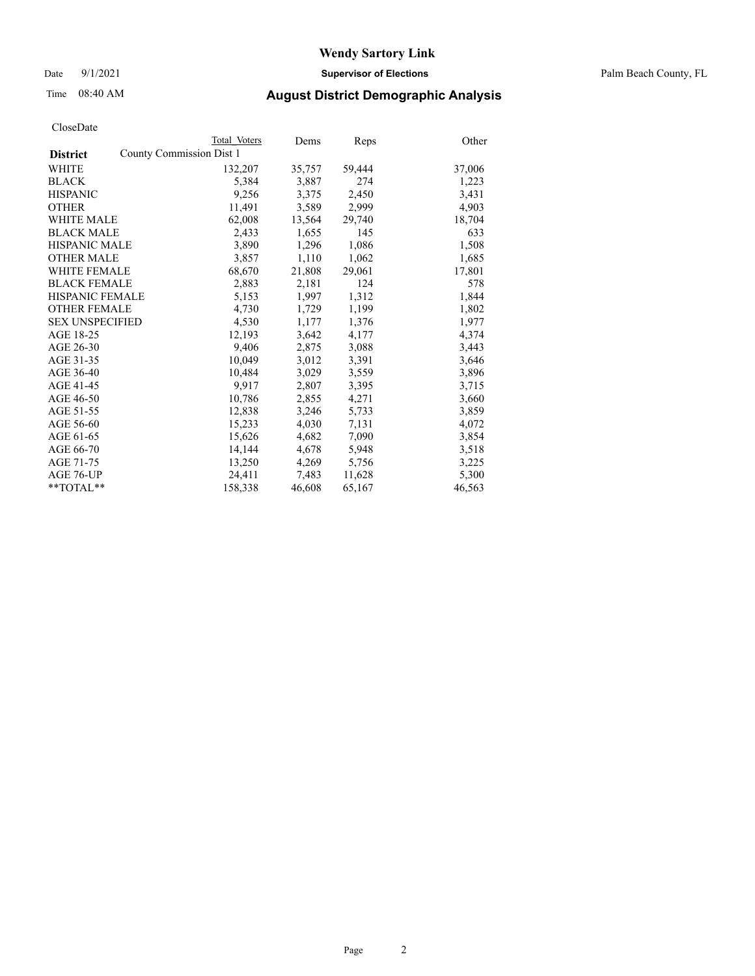Date 9/1/2021 **Supervisor of Elections** Palm Beach County, FL

## Time 08:40 AM **August District Demographic Analysis**

|                        | Total Voters             | Dems   | <u>Reps</u> | Other  |
|------------------------|--------------------------|--------|-------------|--------|
| <b>District</b>        | County Commission Dist 1 |        |             |        |
| <b>WHITE</b>           | 132,207                  | 35,757 | 59,444      | 37,006 |
| <b>BLACK</b>           | 5,384                    | 3,887  | 274         | 1,223  |
| <b>HISPANIC</b>        | 9,256                    | 3,375  | 2,450       | 3,431  |
| <b>OTHER</b>           | 11,491                   | 3,589  | 2,999       | 4,903  |
| <b>WHITE MALE</b>      | 62,008                   | 13,564 | 29,740      | 18,704 |
| <b>BLACK MALE</b>      | 2,433                    | 1,655  | 145         | 633    |
| <b>HISPANIC MALE</b>   | 3,890                    | 1,296  | 1,086       | 1,508  |
| <b>OTHER MALE</b>      | 3,857                    | 1,110  | 1,062       | 1,685  |
| <b>WHITE FEMALE</b>    | 68,670                   | 21,808 | 29,061      | 17,801 |
| <b>BLACK FEMALE</b>    | 2,883                    | 2,181  | 124         | 578    |
| HISPANIC FEMALE        | 5,153                    | 1,997  | 1,312       | 1,844  |
| <b>OTHER FEMALE</b>    | 4,730                    | 1,729  | 1,199       | 1,802  |
| <b>SEX UNSPECIFIED</b> | 4,530                    | 1,177  | 1,376       | 1,977  |
| AGE 18-25              | 12,193                   | 3,642  | 4,177       | 4,374  |
| AGE 26-30              | 9,406                    | 2,875  | 3,088       | 3,443  |
| AGE 31-35              | 10,049                   | 3,012  | 3,391       | 3,646  |
| AGE 36-40              | 10,484                   | 3,029  | 3,559       | 3,896  |
| AGE 41-45              | 9,917                    | 2,807  | 3,395       | 3,715  |
| AGE 46-50              | 10,786                   | 2,855  | 4,271       | 3,660  |
| AGE 51-55              | 12,838                   | 3,246  | 5,733       | 3,859  |
| AGE 56-60              | 15,233                   | 4,030  | 7,131       | 4,072  |
| AGE 61-65              | 15,626                   | 4,682  | 7,090       | 3,854  |
| AGE 66-70              | 14,144                   | 4,678  | 5,948       | 3,518  |
| AGE 71-75              | 13,250                   | 4,269  | 5,756       | 3,225  |
| AGE 76-UP              | 24,411                   | 7,483  | 11,628      | 5,300  |
| $*$ $TOTAL**$          | 158,338                  | 46,608 | 65,167      | 46,563 |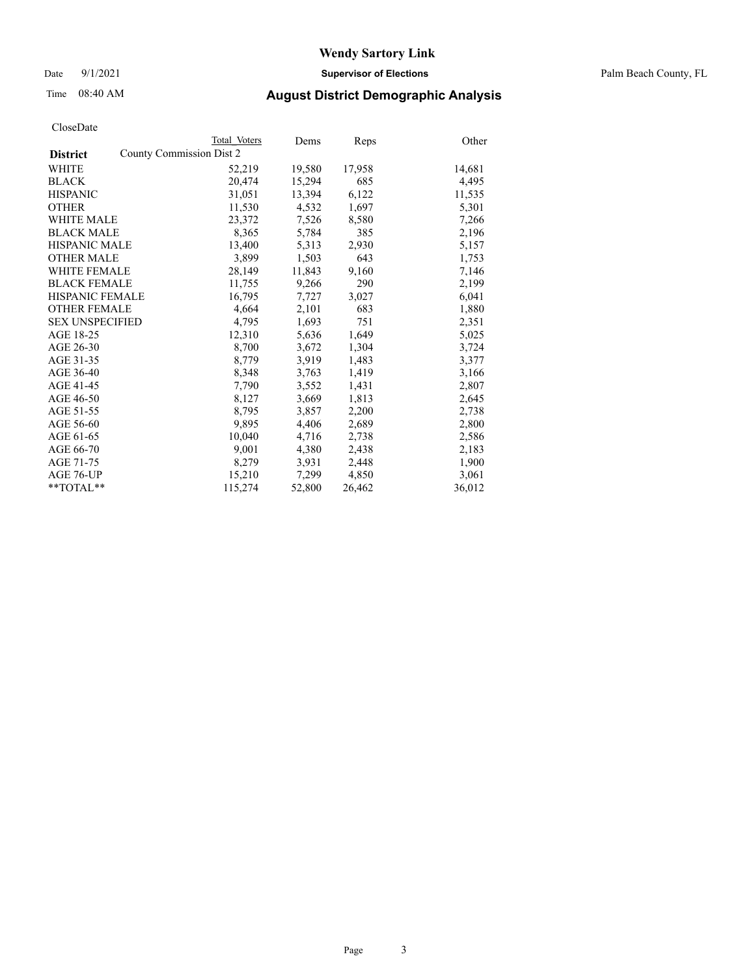Date 9/1/2021 **Supervisor of Elections** Palm Beach County, FL

## Time 08:40 AM **August District Demographic Analysis**

|                        | Total Voters             | Dems   | <b>Reps</b> | Other  |
|------------------------|--------------------------|--------|-------------|--------|
| <b>District</b>        | County Commission Dist 2 |        |             |        |
| WHITE                  | 52,219                   | 19,580 | 17,958      | 14,681 |
| <b>BLACK</b>           | 20.474                   | 15,294 | 685         | 4,495  |
| <b>HISPANIC</b>        | 31,051                   | 13,394 | 6,122       | 11,535 |
| <b>OTHER</b>           | 11,530                   | 4,532  | 1,697       | 5,301  |
| <b>WHITE MALE</b>      | 23,372                   | 7,526  | 8,580       | 7,266  |
| <b>BLACK MALE</b>      | 8,365                    | 5,784  | 385         | 2,196  |
| <b>HISPANIC MALE</b>   | 13,400                   | 5,313  | 2,930       | 5,157  |
| <b>OTHER MALE</b>      | 3,899                    | 1,503  | 643         | 1,753  |
| <b>WHITE FEMALE</b>    | 28,149                   | 11,843 | 9,160       | 7,146  |
| <b>BLACK FEMALE</b>    | 11,755                   | 9,266  | 290         | 2,199  |
| <b>HISPANIC FEMALE</b> | 16,795                   | 7,727  | 3,027       | 6,041  |
| <b>OTHER FEMALE</b>    | 4,664                    | 2,101  | 683         | 1,880  |
| <b>SEX UNSPECIFIED</b> | 4.795                    | 1,693  | 751         | 2,351  |
| AGE 18-25              | 12,310                   | 5,636  | 1,649       | 5,025  |
| AGE 26-30              | 8,700                    | 3,672  | 1,304       | 3,724  |
| AGE 31-35              | 8,779                    | 3,919  | 1,483       | 3,377  |
| AGE 36-40              | 8,348                    | 3,763  | 1,419       | 3,166  |
| AGE 41-45              | 7,790                    | 3,552  | 1,431       | 2,807  |
| AGE 46-50              | 8,127                    | 3,669  | 1,813       | 2,645  |
| AGE 51-55              | 8,795                    | 3,857  | 2,200       | 2,738  |
| AGE 56-60              | 9,895                    | 4,406  | 2,689       | 2,800  |
| AGE 61-65              | 10,040                   | 4,716  | 2,738       | 2,586  |
| AGE 66-70              | 9,001                    | 4,380  | 2,438       | 2,183  |
| AGE 71-75              | 8,279                    | 3,931  | 2,448       | 1,900  |
| AGE 76-UP              | 15,210                   | 7,299  | 4,850       | 3,061  |
| $*$ $TOTAL**$          | 115,274                  | 52,800 | 26,462      | 36,012 |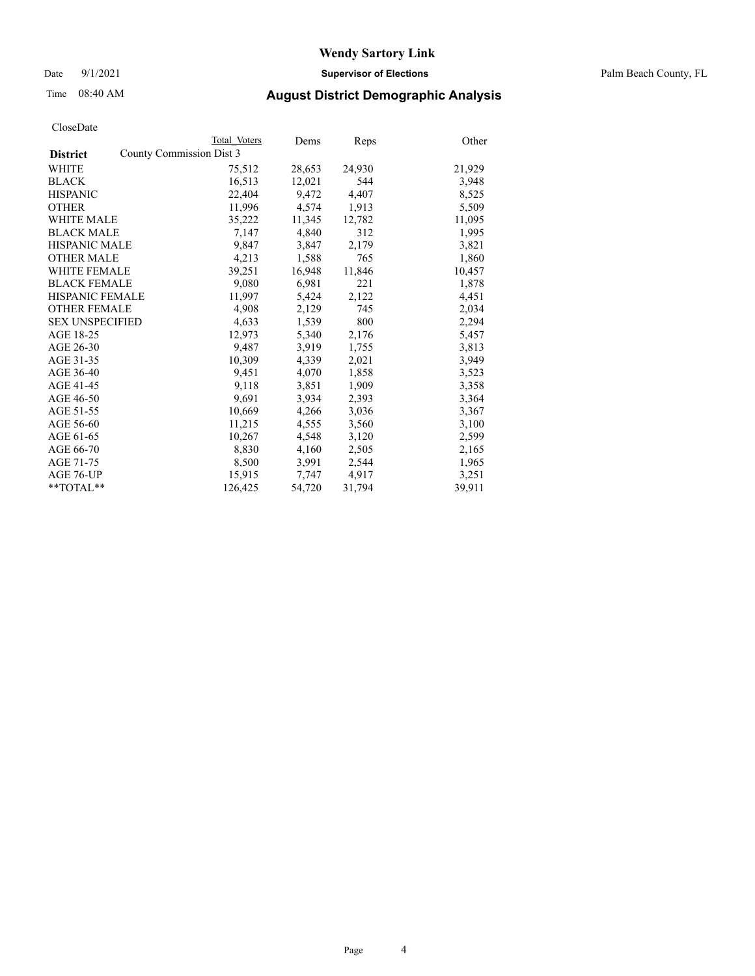Date 9/1/2021 **Supervisor of Elections** Palm Beach County, FL

# Time 08:40 AM **August District Demographic Analysis**

|                        |                          | Total Voters | Dems   | Reps   | Other  |
|------------------------|--------------------------|--------------|--------|--------|--------|
| <b>District</b>        | County Commission Dist 3 |              |        |        |        |
| <b>WHITE</b>           |                          | 75,512       | 28,653 | 24,930 | 21,929 |
| <b>BLACK</b>           |                          | 16,513       | 12,021 | 544    | 3,948  |
| <b>HISPANIC</b>        |                          | 22,404       | 9,472  | 4,407  | 8,525  |
| <b>OTHER</b>           |                          | 11,996       | 4,574  | 1,913  | 5,509  |
| <b>WHITE MALE</b>      |                          | 35,222       | 11,345 | 12,782 | 11,095 |
| <b>BLACK MALE</b>      |                          | 7,147        | 4,840  | 312    | 1,995  |
| <b>HISPANIC MALE</b>   |                          | 9,847        | 3,847  | 2,179  | 3,821  |
| <b>OTHER MALE</b>      |                          | 4,213        | 1,588  | 765    | 1,860  |
| <b>WHITE FEMALE</b>    |                          | 39,251       | 16,948 | 11,846 | 10,457 |
| <b>BLACK FEMALE</b>    |                          | 9,080        | 6,981  | 221    | 1,878  |
| HISPANIC FEMALE        |                          | 11,997       | 5,424  | 2,122  | 4,451  |
| <b>OTHER FEMALE</b>    |                          | 4,908        | 2,129  | 745    | 2,034  |
| <b>SEX UNSPECIFIED</b> |                          | 4,633        | 1,539  | 800    | 2,294  |
| AGE 18-25              |                          | 12,973       | 5,340  | 2,176  | 5,457  |
| AGE 26-30              |                          | 9,487        | 3,919  | 1,755  | 3,813  |
| AGE 31-35              |                          | 10,309       | 4,339  | 2,021  | 3,949  |
| AGE 36-40              |                          | 9,451        | 4,070  | 1,858  | 3,523  |
| AGE 41-45              |                          | 9,118        | 3,851  | 1,909  | 3,358  |
| AGE 46-50              |                          | 9,691        | 3,934  | 2,393  | 3,364  |
| AGE 51-55              |                          | 10,669       | 4,266  | 3,036  | 3,367  |
| AGE 56-60              |                          | 11,215       | 4,555  | 3,560  | 3,100  |
| AGE 61-65              |                          | 10,267       | 4,548  | 3,120  | 2,599  |
| AGE 66-70              |                          | 8,830        | 4,160  | 2,505  | 2,165  |
| AGE 71-75              |                          | 8,500        | 3,991  | 2,544  | 1,965  |
| AGE 76-UP              |                          | 15,915       | 7,747  | 4,917  | 3,251  |
| $*$ $TOTAL**$          |                          | 126,425      | 54,720 | 31,794 | 39,911 |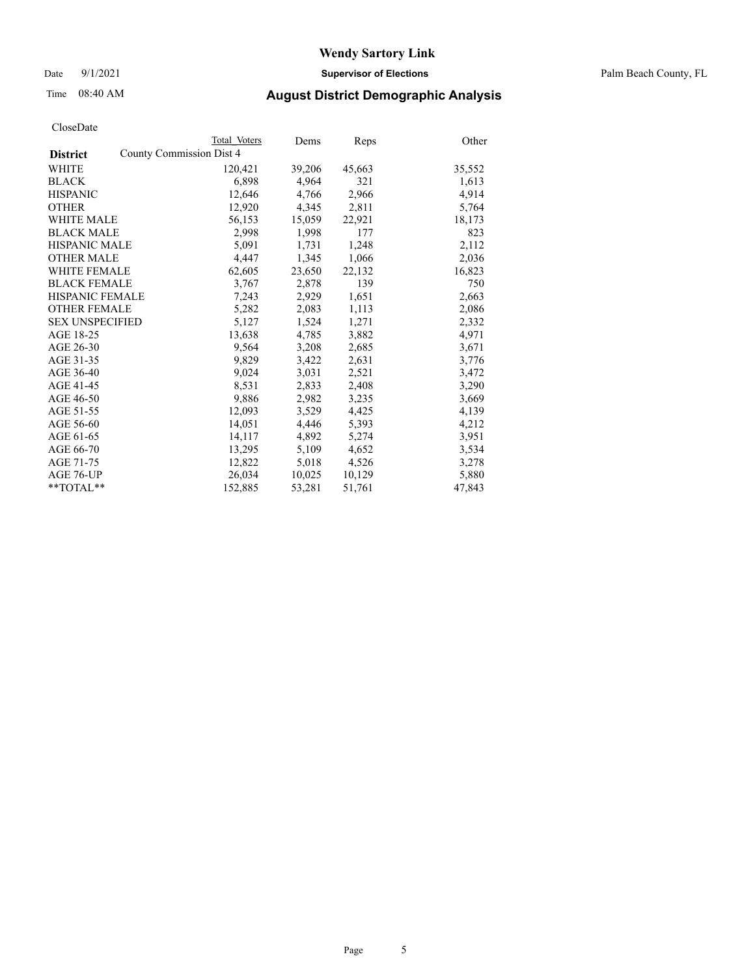Date 9/1/2021 **Supervisor of Elections** Palm Beach County, FL

## Time 08:40 AM **August District Demographic Analysis**

|                                             | Total Voters | Dems   | Reps   | Other  |
|---------------------------------------------|--------------|--------|--------|--------|
| County Commission Dist 4<br><b>District</b> |              |        |        |        |
| WHITE                                       | 120,421      | 39,206 | 45,663 | 35,552 |
| <b>BLACK</b>                                | 6,898        | 4,964  | 321    | 1,613  |
| <b>HISPANIC</b>                             | 12,646       | 4,766  | 2,966  | 4,914  |
| <b>OTHER</b>                                | 12,920       | 4,345  | 2,811  | 5,764  |
| <b>WHITE MALE</b>                           | 56,153       | 15,059 | 22,921 | 18,173 |
| <b>BLACK MALE</b>                           | 2,998        | 1,998  | 177    | 823    |
| <b>HISPANIC MALE</b>                        | 5,091        | 1,731  | 1,248  | 2,112  |
| <b>OTHER MALE</b>                           | 4,447        | 1,345  | 1,066  | 2,036  |
| <b>WHITE FEMALE</b>                         | 62,605       | 23,650 | 22,132 | 16,823 |
| <b>BLACK FEMALE</b>                         | 3.767        | 2.878  | 139    | 750    |
| HISPANIC FEMALE                             | 7,243        | 2,929  | 1,651  | 2,663  |
| <b>OTHER FEMALE</b>                         | 5,282        | 2,083  | 1,113  | 2,086  |
| <b>SEX UNSPECIFIED</b>                      | 5,127        | 1,524  | 1,271  | 2,332  |
| AGE 18-25                                   | 13,638       | 4,785  | 3,882  | 4,971  |
| AGE 26-30                                   | 9,564        | 3,208  | 2,685  | 3,671  |
| AGE 31-35                                   | 9,829        | 3,422  | 2,631  | 3,776  |
| AGE 36-40                                   | 9,024        | 3,031  | 2,521  | 3,472  |
| AGE 41-45                                   | 8,531        | 2,833  | 2,408  | 3,290  |
| AGE 46-50                                   | 9,886        | 2,982  | 3,235  | 3,669  |
| AGE 51-55                                   | 12,093       | 3,529  | 4,425  | 4,139  |
| AGE 56-60                                   | 14,051       | 4,446  | 5,393  | 4,212  |
| AGE 61-65                                   | 14,117       | 4,892  | 5,274  | 3,951  |
| AGE 66-70                                   | 13,295       | 5,109  | 4,652  | 3,534  |
| AGE 71-75                                   | 12,822       | 5,018  | 4,526  | 3,278  |
| AGE 76-UP                                   | 26,034       | 10,025 | 10,129 | 5,880  |
| $*$ $TOTAL**$                               | 152,885      | 53,281 | 51,761 | 47,843 |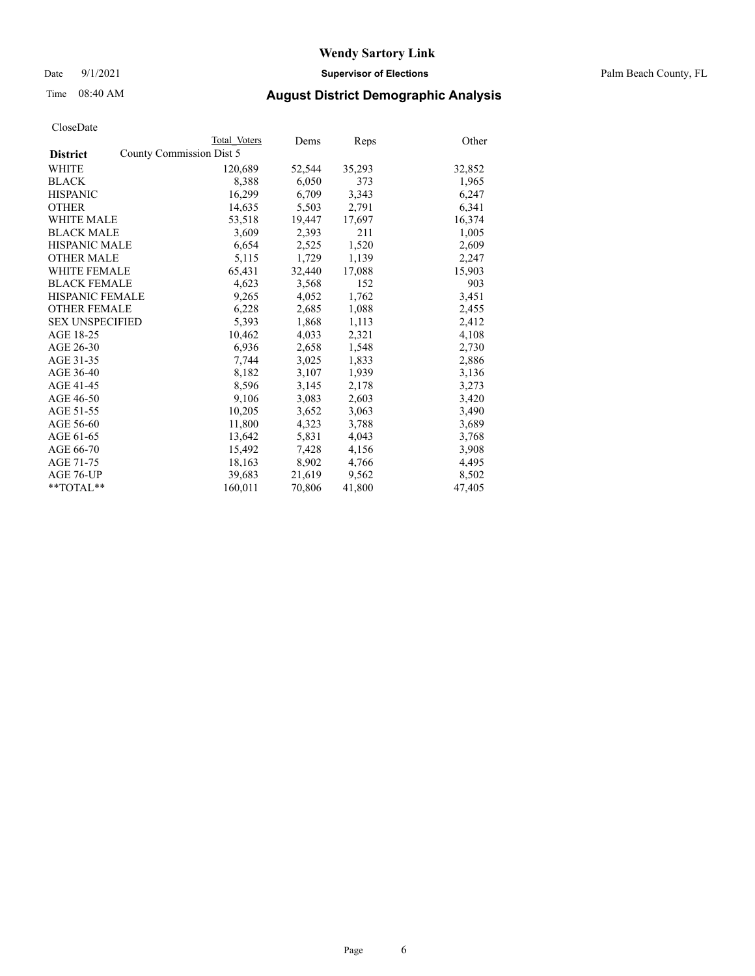Date 9/1/2021 **Supervisor of Elections** Palm Beach County, FL

## Time 08:40 AM **August District Demographic Analysis**

|                        | Total Voters             | Dems   | Reps   | Other  |
|------------------------|--------------------------|--------|--------|--------|
| <b>District</b>        | County Commission Dist 5 |        |        |        |
| <b>WHITE</b>           | 120,689                  | 52,544 | 35,293 | 32,852 |
| <b>BLACK</b>           | 8,388                    | 6,050  | 373    | 1,965  |
| <b>HISPANIC</b>        | 16,299                   | 6,709  | 3,343  | 6,247  |
| <b>OTHER</b>           | 14,635                   | 5,503  | 2,791  | 6,341  |
| <b>WHITE MALE</b>      | 53,518                   | 19,447 | 17,697 | 16,374 |
| <b>BLACK MALE</b>      | 3,609                    | 2,393  | 211    | 1,005  |
| <b>HISPANIC MALE</b>   | 6,654                    | 2,525  | 1,520  | 2,609  |
| <b>OTHER MALE</b>      | 5,115                    | 1,729  | 1,139  | 2,247  |
| <b>WHITE FEMALE</b>    | 65,431                   | 32,440 | 17,088 | 15,903 |
| <b>BLACK FEMALE</b>    | 4,623                    | 3,568  | 152    | 903    |
| <b>HISPANIC FEMALE</b> | 9,265                    | 4,052  | 1,762  | 3,451  |
| <b>OTHER FEMALE</b>    | 6,228                    | 2,685  | 1,088  | 2,455  |
| <b>SEX UNSPECIFIED</b> | 5,393                    | 1,868  | 1,113  | 2,412  |
| AGE 18-25              | 10,462                   | 4,033  | 2,321  | 4,108  |
| AGE 26-30              | 6,936                    | 2,658  | 1,548  | 2,730  |
| AGE 31-35              | 7,744                    | 3,025  | 1,833  | 2,886  |
| AGE 36-40              | 8,182                    | 3,107  | 1,939  | 3,136  |
| AGE 41-45              | 8,596                    | 3,145  | 2,178  | 3,273  |
| AGE 46-50              | 9,106                    | 3,083  | 2,603  | 3,420  |
| AGE 51-55              | 10,205                   | 3,652  | 3,063  | 3,490  |
| AGE 56-60              | 11,800                   | 4,323  | 3,788  | 3,689  |
| AGE 61-65              | 13,642                   | 5,831  | 4,043  | 3,768  |
| AGE 66-70              | 15,492                   | 7,428  | 4,156  | 3,908  |
| AGE 71-75              | 18,163                   | 8,902  | 4,766  | 4,495  |
| AGE 76-UP              | 39,683                   | 21,619 | 9,562  | 8,502  |
| $*$ $TOTAL**$          | 160,011                  | 70,806 | 41,800 | 47,405 |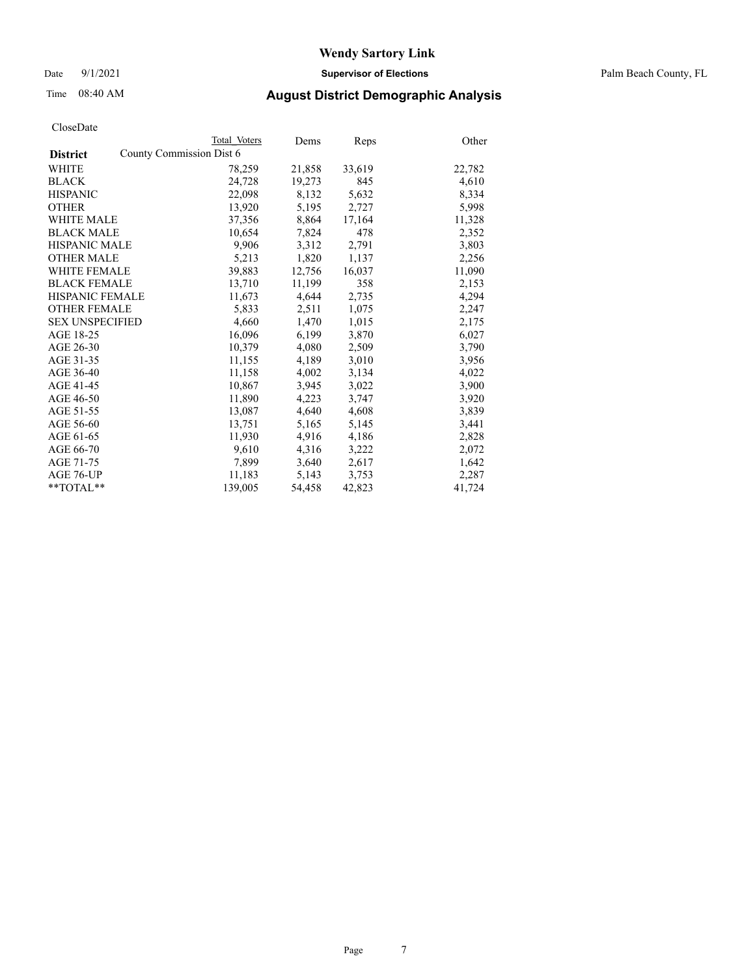Date 9/1/2021 **Supervisor of Elections** Palm Beach County, FL

# Time 08:40 AM **August District Demographic Analysis**

|                        | Total Voters             | Dems   | Reps   | Other  |
|------------------------|--------------------------|--------|--------|--------|
| <b>District</b>        | County Commission Dist 6 |        |        |        |
| <b>WHITE</b>           | 78,259                   | 21,858 | 33,619 | 22,782 |
| <b>BLACK</b>           | 24,728                   | 19,273 | 845    | 4,610  |
| <b>HISPANIC</b>        | 22,098                   | 8,132  | 5,632  | 8,334  |
| <b>OTHER</b>           | 13,920                   | 5,195  | 2,727  | 5,998  |
| <b>WHITE MALE</b>      | 37,356                   | 8,864  | 17,164 | 11,328 |
| <b>BLACK MALE</b>      | 10,654                   | 7,824  | 478    | 2,352  |
| <b>HISPANIC MALE</b>   | 9,906                    | 3,312  | 2,791  | 3,803  |
| <b>OTHER MALE</b>      | 5,213                    | 1,820  | 1,137  | 2,256  |
| <b>WHITE FEMALE</b>    | 39,883                   | 12,756 | 16,037 | 11,090 |
| <b>BLACK FEMALE</b>    | 13,710                   | 11,199 | 358    | 2,153  |
| HISPANIC FEMALE        | 11,673                   | 4,644  | 2,735  | 4,294  |
| <b>OTHER FEMALE</b>    | 5,833                    | 2,511  | 1,075  | 2,247  |
| <b>SEX UNSPECIFIED</b> | 4,660                    | 1,470  | 1,015  | 2,175  |
| AGE 18-25              | 16,096                   | 6,199  | 3,870  | 6,027  |
| AGE 26-30              | 10,379                   | 4,080  | 2,509  | 3,790  |
| AGE 31-35              | 11,155                   | 4,189  | 3,010  | 3,956  |
| AGE 36-40              | 11,158                   | 4,002  | 3,134  | 4,022  |
| AGE 41-45              | 10,867                   | 3,945  | 3,022  | 3,900  |
| AGE 46-50              | 11,890                   | 4,223  | 3,747  | 3,920  |
| AGE 51-55              | 13,087                   | 4,640  | 4,608  | 3,839  |
| AGE 56-60              | 13,751                   | 5,165  | 5,145  | 3,441  |
| AGE 61-65              | 11,930                   | 4,916  | 4,186  | 2,828  |
| AGE 66-70              | 9,610                    | 4,316  | 3,222  | 2,072  |
| AGE 71-75              | 7,899                    | 3,640  | 2,617  | 1,642  |
| AGE 76-UP              | 11,183                   | 5,143  | 3,753  | 2,287  |
| $*$ $TOTAL**$          | 139,005                  | 54,458 | 42,823 | 41,724 |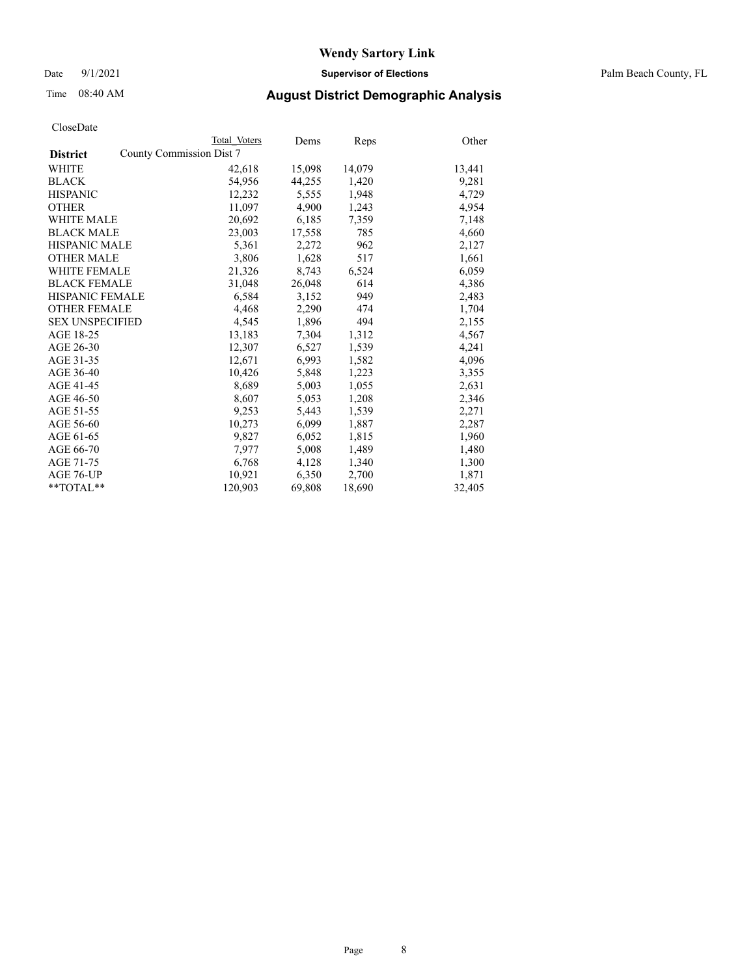Date 9/1/2021 **Supervisor of Elections** Palm Beach County, FL

## Time 08:40 AM **August District Demographic Analysis**

|                        |                          | Total Voters | Dems   | Reps   | Other  |
|------------------------|--------------------------|--------------|--------|--------|--------|
| <b>District</b>        | County Commission Dist 7 |              |        |        |        |
| WHITE                  |                          | 42,618       | 15,098 | 14,079 | 13,441 |
| <b>BLACK</b>           |                          | 54,956       | 44,255 | 1,420  | 9,281  |
| <b>HISPANIC</b>        |                          | 12,232       | 5,555  | 1,948  | 4,729  |
| <b>OTHER</b>           |                          | 11,097       | 4,900  | 1,243  | 4,954  |
| <b>WHITE MALE</b>      |                          | 20,692       | 6,185  | 7,359  | 7,148  |
| <b>BLACK MALE</b>      |                          | 23,003       | 17,558 | 785    | 4,660  |
| <b>HISPANIC MALE</b>   |                          | 5,361        | 2,272  | 962    | 2,127  |
| <b>OTHER MALE</b>      |                          | 3,806        | 1,628  | 517    | 1,661  |
| <b>WHITE FEMALE</b>    |                          | 21,326       | 8,743  | 6,524  | 6,059  |
| <b>BLACK FEMALE</b>    |                          | 31,048       | 26,048 | 614    | 4,386  |
| <b>HISPANIC FEMALE</b> |                          | 6,584        | 3,152  | 949    | 2,483  |
| <b>OTHER FEMALE</b>    |                          | 4,468        | 2,290  | 474    | 1,704  |
| <b>SEX UNSPECIFIED</b> |                          | 4,545        | 1,896  | 494    | 2,155  |
| AGE 18-25              |                          | 13,183       | 7,304  | 1,312  | 4,567  |
| AGE 26-30              |                          | 12,307       | 6,527  | 1,539  | 4,241  |
| AGE 31-35              |                          | 12,671       | 6,993  | 1,582  | 4,096  |
| AGE 36-40              |                          | 10,426       | 5,848  | 1,223  | 3,355  |
| AGE 41-45              |                          | 8,689        | 5,003  | 1,055  | 2,631  |
| AGE 46-50              |                          | 8,607        | 5,053  | 1,208  | 2,346  |
| AGE 51-55              |                          | 9,253        | 5,443  | 1,539  | 2,271  |
| AGE 56-60              |                          | 10,273       | 6,099  | 1,887  | 2,287  |
| AGE 61-65              |                          | 9,827        | 6,052  | 1,815  | 1,960  |
| AGE 66-70              |                          | 7,977        | 5,008  | 1,489  | 1,480  |
| AGE 71-75              |                          | 6,768        | 4,128  | 1,340  | 1,300  |
| AGE 76-UP              |                          | 10.921       | 6,350  | 2,700  | 1,871  |
| $*$ $TOTAL**$          |                          | 120.903      | 69,808 | 18,690 | 32,405 |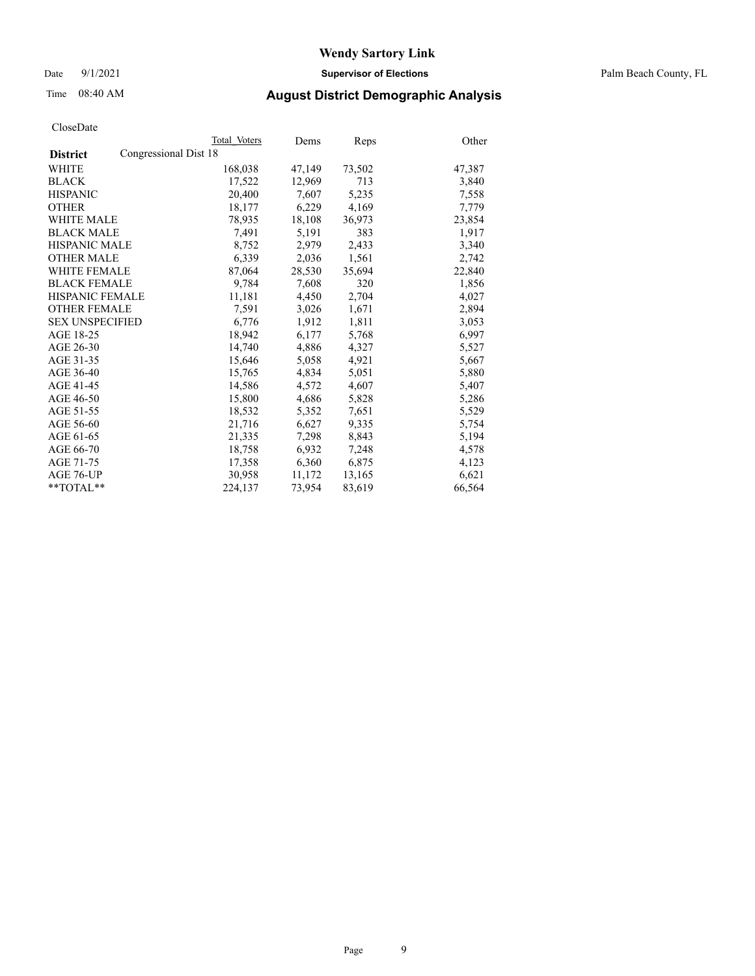Date 9/1/2021 **Supervisor of Elections** Palm Beach County, FL

## Time 08:40 AM **August District Demographic Analysis**

|                                          | Total Voters | Dems   | <b>Reps</b> | Other  |
|------------------------------------------|--------------|--------|-------------|--------|
| Congressional Dist 18<br><b>District</b> |              |        |             |        |
| WHITE                                    | 168,038      | 47,149 | 73,502      | 47,387 |
| <b>BLACK</b>                             | 17,522       | 12,969 | 713         | 3,840  |
| <b>HISPANIC</b>                          | 20,400       | 7.607  | 5,235       | 7,558  |
| <b>OTHER</b>                             | 18,177       | 6,229  | 4,169       | 7,779  |
| <b>WHITE MALE</b>                        | 78,935       | 18,108 | 36,973      | 23,854 |
| <b>BLACK MALE</b>                        | 7,491        | 5,191  | 383         | 1,917  |
| <b>HISPANIC MALE</b>                     | 8,752        | 2,979  | 2,433       | 3,340  |
| <b>OTHER MALE</b>                        | 6,339        | 2,036  | 1,561       | 2,742  |
| <b>WHITE FEMALE</b>                      | 87,064       | 28,530 | 35,694      | 22,840 |
| <b>BLACK FEMALE</b>                      | 9,784        | 7,608  | 320         | 1,856  |
| <b>HISPANIC FEMALE</b>                   | 11,181       | 4,450  | 2,704       | 4,027  |
| <b>OTHER FEMALE</b>                      | 7,591        | 3,026  | 1,671       | 2,894  |
| <b>SEX UNSPECIFIED</b>                   | 6,776        | 1,912  | 1,811       | 3,053  |
| AGE 18-25                                | 18,942       | 6,177  | 5,768       | 6,997  |
| AGE 26-30                                | 14.740       | 4,886  | 4,327       | 5,527  |
| AGE 31-35                                | 15,646       | 5,058  | 4,921       | 5,667  |
| AGE 36-40                                | 15,765       | 4,834  | 5,051       | 5,880  |
| AGE 41-45                                | 14,586       | 4,572  | 4,607       | 5,407  |
| AGE 46-50                                | 15,800       | 4,686  | 5,828       | 5,286  |
| AGE 51-55                                | 18,532       | 5,352  | 7,651       | 5,529  |
| AGE 56-60                                | 21,716       | 6,627  | 9,335       | 5,754  |
| AGE 61-65                                | 21,335       | 7,298  | 8,843       | 5,194  |
| AGE 66-70                                | 18,758       | 6,932  | 7,248       | 4,578  |
| AGE 71-75                                | 17,358       | 6,360  | 6,875       | 4,123  |
| AGE 76-UP                                | 30,958       | 11,172 | 13,165      | 6,621  |
| $*$ TOTAL $*$                            | 224,137      | 73,954 | 83,619      | 66,564 |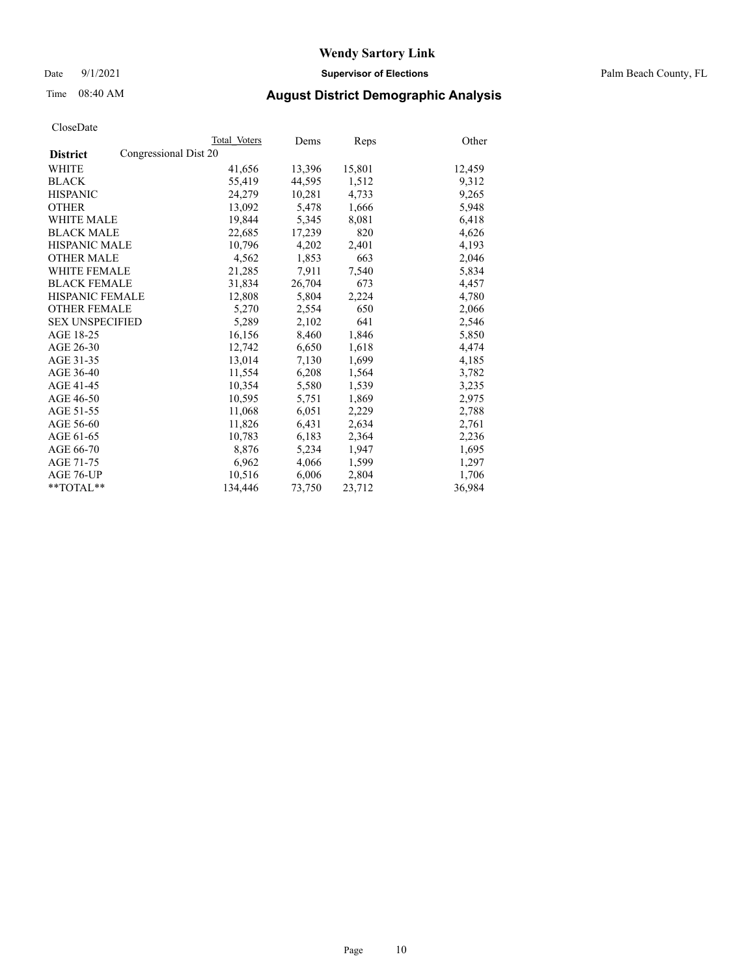Date 9/1/2021 **Supervisor of Elections** Palm Beach County, FL

## Time 08:40 AM **August District Demographic Analysis**

|                                          | Total Voters | Dems   | Reps   | Other  |
|------------------------------------------|--------------|--------|--------|--------|
| Congressional Dist 20<br><b>District</b> |              |        |        |        |
| <b>WHITE</b>                             | 41,656       | 13,396 | 15,801 | 12,459 |
| <b>BLACK</b>                             | 55,419       | 44,595 | 1,512  | 9,312  |
| <b>HISPANIC</b>                          | 24,279       | 10,281 | 4,733  | 9,265  |
| <b>OTHER</b>                             | 13,092       | 5,478  | 1,666  | 5,948  |
| <b>WHITE MALE</b>                        | 19,844       | 5,345  | 8,081  | 6,418  |
| <b>BLACK MALE</b>                        | 22,685       | 17,239 | 820    | 4,626  |
| <b>HISPANIC MALE</b>                     | 10,796       | 4,202  | 2,401  | 4,193  |
| <b>OTHER MALE</b>                        | 4,562        | 1,853  | 663    | 2,046  |
| <b>WHITE FEMALE</b>                      | 21,285       | 7,911  | 7,540  | 5,834  |
| <b>BLACK FEMALE</b>                      | 31,834       | 26,704 | 673    | 4,457  |
| HISPANIC FEMALE                          | 12,808       | 5,804  | 2,224  | 4,780  |
| <b>OTHER FEMALE</b>                      | 5,270        | 2,554  | 650    | 2,066  |
| <b>SEX UNSPECIFIED</b>                   | 5,289        | 2,102  | 641    | 2,546  |
| AGE 18-25                                | 16,156       | 8,460  | 1,846  | 5,850  |
| AGE 26-30                                | 12,742       | 6,650  | 1,618  | 4,474  |
| AGE 31-35                                | 13,014       | 7,130  | 1,699  | 4,185  |
| AGE 36-40                                | 11,554       | 6,208  | 1,564  | 3,782  |
| AGE 41-45                                | 10,354       | 5,580  | 1,539  | 3,235  |
| AGE 46-50                                | 10,595       | 5,751  | 1,869  | 2,975  |
| AGE 51-55                                | 11,068       | 6,051  | 2,229  | 2,788  |
| AGE 56-60                                | 11,826       | 6,431  | 2,634  | 2,761  |
| AGE 61-65                                | 10,783       | 6,183  | 2,364  | 2,236  |
| AGE 66-70                                | 8,876        | 5,234  | 1,947  | 1,695  |
| AGE 71-75                                | 6,962        | 4,066  | 1,599  | 1,297  |
| AGE 76-UP                                | 10,516       | 6,006  | 2,804  | 1,706  |
| $*$ $TOTAL**$                            | 134,446      | 73,750 | 23,712 | 36,984 |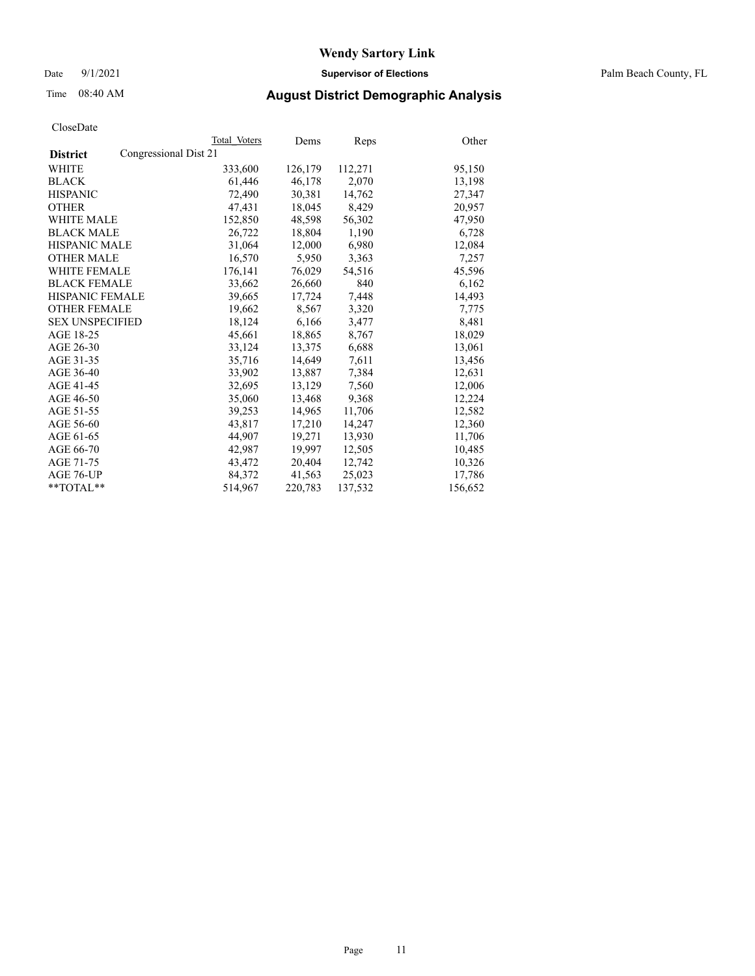Date 9/1/2021 **Supervisor of Elections** Palm Beach County, FL

## Time 08:40 AM **August District Demographic Analysis**

|                                          | Total Voters | Dems    | Reps    | Other   |
|------------------------------------------|--------------|---------|---------|---------|
| Congressional Dist 21<br><b>District</b> |              |         |         |         |
| WHITE                                    | 333,600      | 126,179 | 112,271 | 95,150  |
| <b>BLACK</b>                             | 61,446       | 46,178  | 2,070   | 13,198  |
| <b>HISPANIC</b>                          | 72,490       | 30.381  | 14,762  | 27,347  |
| <b>OTHER</b>                             | 47,431       | 18,045  | 8,429   | 20,957  |
| <b>WHITE MALE</b>                        | 152,850      | 48,598  | 56,302  | 47,950  |
| <b>BLACK MALE</b>                        | 26,722       | 18,804  | 1,190   | 6,728   |
| <b>HISPANIC MALE</b>                     | 31,064       | 12,000  | 6,980   | 12,084  |
| <b>OTHER MALE</b>                        | 16,570       | 5,950   | 3,363   | 7,257   |
| <b>WHITE FEMALE</b>                      | 176,141      | 76,029  | 54,516  | 45,596  |
| <b>BLACK FEMALE</b>                      | 33,662       | 26,660  | 840     | 6,162   |
| <b>HISPANIC FEMALE</b>                   | 39,665       | 17,724  | 7,448   | 14,493  |
| <b>OTHER FEMALE</b>                      | 19,662       | 8,567   | 3,320   | 7,775   |
| <b>SEX UNSPECIFIED</b>                   | 18,124       | 6,166   | 3,477   | 8,481   |
| AGE 18-25                                | 45,661       | 18,865  | 8,767   | 18,029  |
| AGE 26-30                                | 33,124       | 13,375  | 6,688   | 13,061  |
| AGE 31-35                                | 35,716       | 14,649  | 7,611   | 13,456  |
| AGE 36-40                                | 33,902       | 13,887  | 7,384   | 12,631  |
| AGE 41-45                                | 32,695       | 13,129  | 7,560   | 12,006  |
| AGE 46-50                                | 35,060       | 13,468  | 9,368   | 12,224  |
| AGE 51-55                                | 39,253       | 14,965  | 11,706  | 12,582  |
| AGE 56-60                                | 43,817       | 17,210  | 14,247  | 12,360  |
| AGE 61-65                                | 44,907       | 19,271  | 13,930  | 11,706  |
| AGE 66-70                                | 42,987       | 19,997  | 12,505  | 10,485  |
| AGE 71-75                                | 43,472       | 20,404  | 12,742  | 10,326  |
| AGE 76-UP                                | 84,372       | 41,563  | 25,023  | 17,786  |
| $*$ $TOTAL**$                            | 514,967      | 220,783 | 137,532 | 156,652 |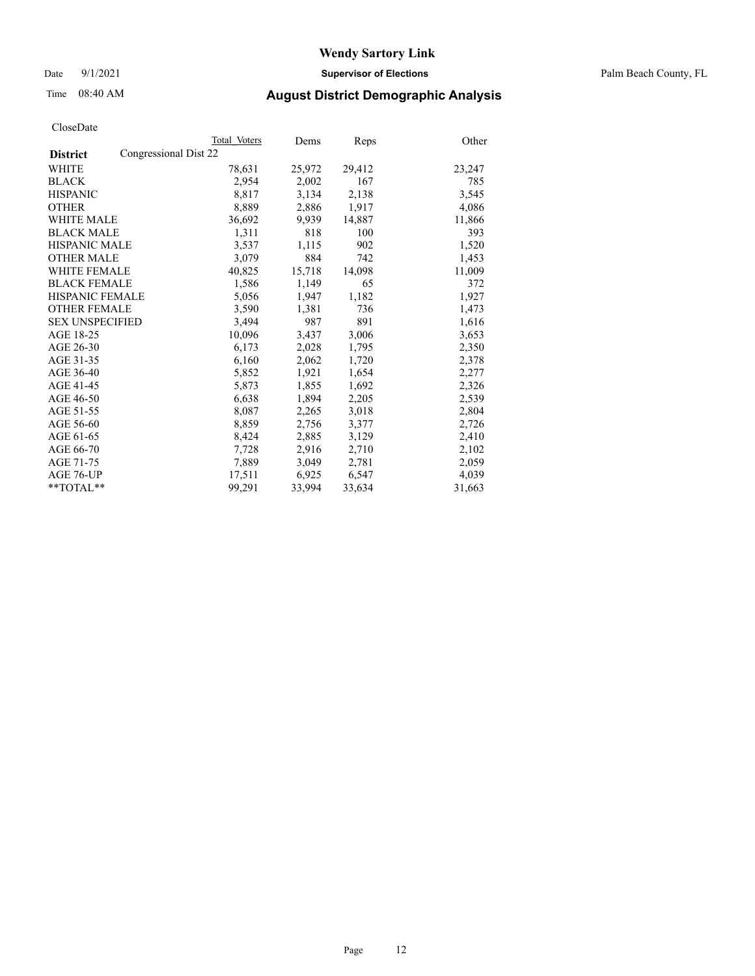Date 9/1/2021 **Supervisor of Elections** Palm Beach County, FL

## Time 08:40 AM **August District Demographic Analysis**

|                                          | Total Voters | Dems   | <b>Reps</b> | Other  |
|------------------------------------------|--------------|--------|-------------|--------|
| Congressional Dist 22<br><b>District</b> |              |        |             |        |
| WHITE                                    | 78,631       | 25,972 | 29,412      | 23,247 |
| <b>BLACK</b>                             | 2,954        | 2,002  | 167         | 785    |
| <b>HISPANIC</b>                          | 8,817        | 3,134  | 2,138       | 3,545  |
| <b>OTHER</b>                             | 8,889        | 2,886  | 1,917       | 4,086  |
| <b>WHITE MALE</b>                        | 36,692       | 9,939  | 14,887      | 11,866 |
| <b>BLACK MALE</b>                        | 1,311        | 818    | 100         | 393    |
| <b>HISPANIC MALE</b>                     | 3,537        | 1,115  | 902         | 1,520  |
| <b>OTHER MALE</b>                        | 3,079        | 884    | 742         | 1,453  |
| <b>WHITE FEMALE</b>                      | 40,825       | 15,718 | 14,098      | 11,009 |
| <b>BLACK FEMALE</b>                      | 1,586        | 1,149  | 65          | 372    |
| <b>HISPANIC FEMALE</b>                   | 5,056        | 1,947  | 1,182       | 1,927  |
| <b>OTHER FEMALE</b>                      | 3,590        | 1,381  | 736         | 1,473  |
| <b>SEX UNSPECIFIED</b>                   | 3,494        | 987    | 891         | 1,616  |
| AGE 18-25                                | 10,096       | 3,437  | 3,006       | 3,653  |
| AGE 26-30                                | 6,173        | 2,028  | 1,795       | 2,350  |
| AGE 31-35                                | 6,160        | 2,062  | 1,720       | 2,378  |
| AGE 36-40                                | 5,852        | 1,921  | 1,654       | 2,277  |
| AGE 41-45                                | 5,873        | 1,855  | 1,692       | 2,326  |
| AGE 46-50                                | 6,638        | 1,894  | 2,205       | 2,539  |
| AGE 51-55                                | 8,087        | 2,265  | 3,018       | 2,804  |
| AGE 56-60                                | 8,859        | 2,756  | 3,377       | 2,726  |
| AGE 61-65                                | 8,424        | 2,885  | 3,129       | 2,410  |
| AGE 66-70                                | 7,728        | 2,916  | 2,710       | 2,102  |
| AGE 71-75                                | 7,889        | 3,049  | 2,781       | 2,059  |
| AGE 76-UP                                | 17,511       | 6,925  | 6,547       | 4,039  |
| $*$ $TOTAL**$                            | 99.291       | 33,994 | 33,634      | 31,663 |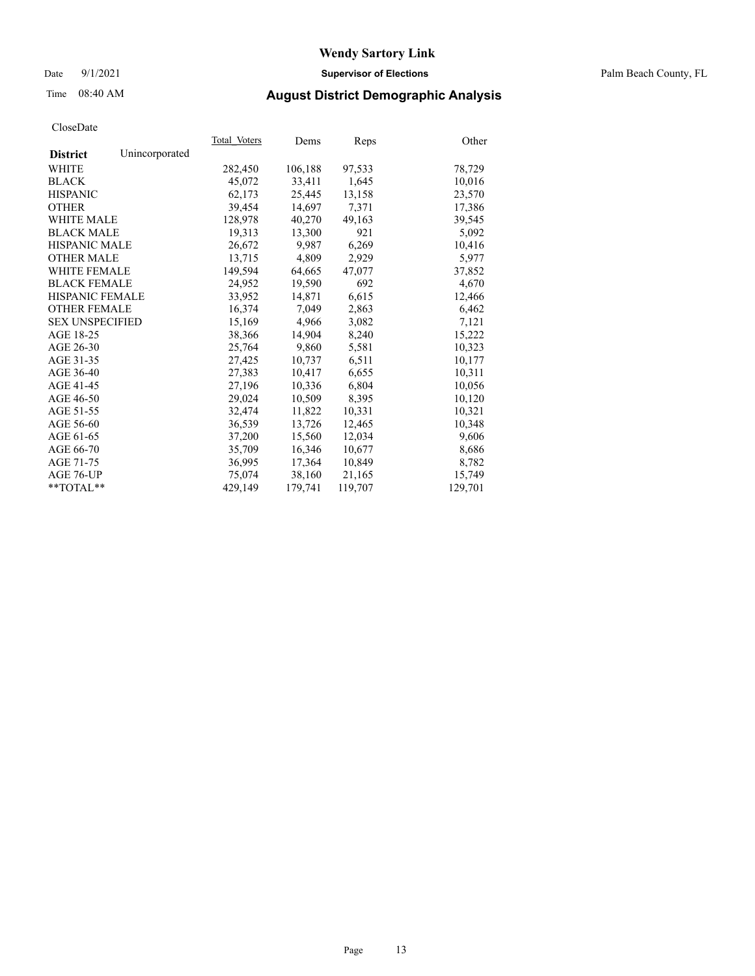## Date 9/1/2021 **Supervisor of Elections** Palm Beach County, FL

# Time 08:40 AM **August District Demographic Analysis**

|                        |                | Total Voters | Dems    | Reps    | Other   |
|------------------------|----------------|--------------|---------|---------|---------|
| <b>District</b>        | Unincorporated |              |         |         |         |
| WHITE                  |                | 282,450      | 106,188 | 97,533  | 78,729  |
| <b>BLACK</b>           |                | 45,072       | 33,411  | 1,645   | 10,016  |
| <b>HISPANIC</b>        |                | 62.173       | 25.445  | 13,158  | 23,570  |
| <b>OTHER</b>           |                | 39,454       | 14,697  | 7,371   | 17,386  |
| <b>WHITE MALE</b>      |                | 128,978      | 40,270  | 49,163  | 39,545  |
| <b>BLACK MALE</b>      |                | 19,313       | 13,300  | 921     | 5,092   |
| <b>HISPANIC MALE</b>   |                | 26,672       | 9,987   | 6,269   | 10,416  |
| <b>OTHER MALE</b>      |                | 13,715       | 4,809   | 2,929   | 5,977   |
| <b>WHITE FEMALE</b>    |                | 149,594      | 64,665  | 47,077  | 37,852  |
| <b>BLACK FEMALE</b>    |                | 24,952       | 19,590  | 692     | 4,670   |
| <b>HISPANIC FEMALE</b> |                | 33,952       | 14,871  | 6,615   | 12,466  |
| <b>OTHER FEMALE</b>    |                | 16,374       | 7,049   | 2,863   | 6,462   |
| <b>SEX UNSPECIFIED</b> |                | 15,169       | 4,966   | 3,082   | 7,121   |
| AGE 18-25              |                | 38,366       | 14,904  | 8,240   | 15,222  |
| AGE 26-30              |                | 25,764       | 9.860   | 5,581   | 10,323  |
| AGE 31-35              |                | 27,425       | 10,737  | 6,511   | 10,177  |
| AGE 36-40              |                | 27,383       | 10,417  | 6,655   | 10,311  |
| AGE 41-45              |                | 27,196       | 10,336  | 6,804   | 10,056  |
| AGE 46-50              |                | 29,024       | 10,509  | 8,395   | 10,120  |
| AGE 51-55              |                | 32,474       | 11,822  | 10,331  | 10,321  |
| AGE 56-60              |                | 36,539       | 13,726  | 12,465  | 10,348  |
| AGE 61-65              |                | 37,200       | 15,560  | 12,034  | 9,606   |
| AGE 66-70              |                | 35,709       | 16,346  | 10,677  | 8,686   |
| AGE 71-75              |                | 36,995       | 17,364  | 10,849  | 8,782   |
| AGE 76-UP              |                | 75,074       | 38,160  | 21,165  | 15,749  |
| $*$ $TOTAL**$          |                | 429,149      | 179,741 | 119,707 | 129,701 |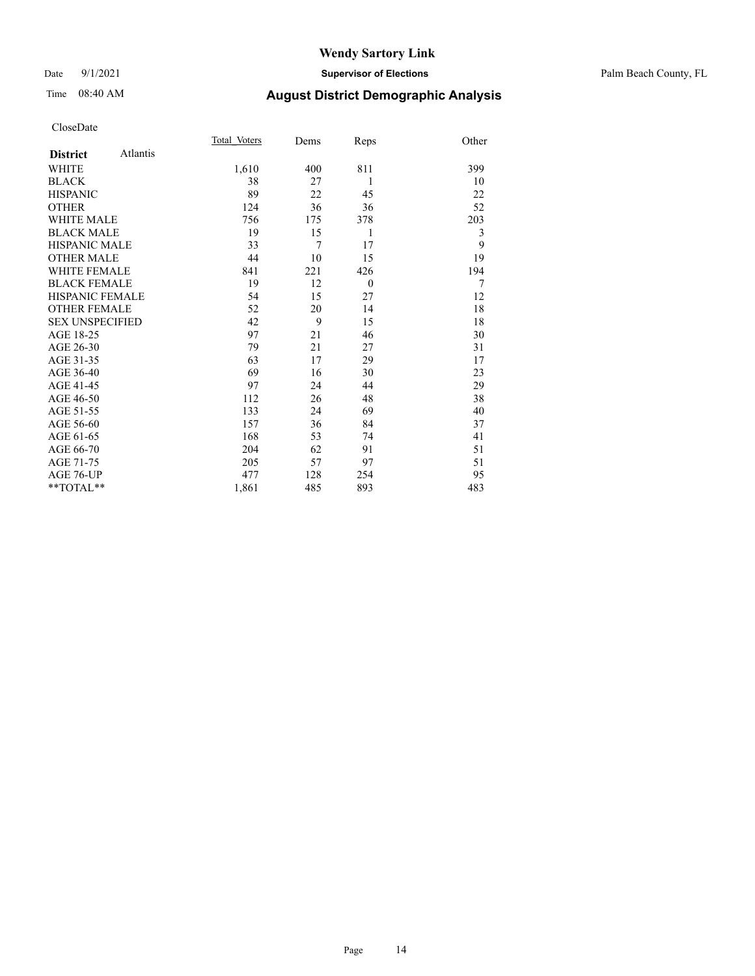## Date 9/1/2021 **Supervisor of Elections** Palm Beach County, FL

## Time 08:40 AM **August District Demographic Analysis**

|                        |          | Total Voters | Dems | Reps         | Other |
|------------------------|----------|--------------|------|--------------|-------|
| <b>District</b>        | Atlantis |              |      |              |       |
| WHITE                  |          | 1,610        | 400  | 811          | 399   |
| <b>BLACK</b>           |          | 38           | 27   | 1            | 10    |
| <b>HISPANIC</b>        |          | 89           | 22   | 45           | 22    |
| <b>OTHER</b>           |          | 124          | 36   | 36           | 52    |
| <b>WHITE MALE</b>      |          | 756          | 175  | 378          | 203   |
| <b>BLACK MALE</b>      |          | 19           | 15   | 1            | 3     |
| <b>HISPANIC MALE</b>   |          | 33           | 7    | 17           | 9     |
| <b>OTHER MALE</b>      |          | 44           | 10   | 15           | 19    |
| <b>WHITE FEMALE</b>    |          | 841          | 221  | 426          | 194   |
| <b>BLACK FEMALE</b>    |          | 19           | 12   | $\mathbf{0}$ | 7     |
| <b>HISPANIC FEMALE</b> |          | 54           | 15   | 27           | 12    |
| <b>OTHER FEMALE</b>    |          | 52           | 20   | 14           | 18    |
| <b>SEX UNSPECIFIED</b> |          | 42           | 9    | 15           | 18    |
| AGE 18-25              |          | 97           | 21   | 46           | 30    |
| AGE 26-30              |          | 79           | 21   | 27           | 31    |
| AGE 31-35              |          | 63           | 17   | 29           | 17    |
| AGE 36-40              |          | 69           | 16   | 30           | 23    |
| AGE 41-45              |          | 97           | 24   | 44           | 29    |
| AGE 46-50              |          | 112          | 26   | 48           | 38    |
| AGE 51-55              |          | 133          | 24   | 69           | 40    |
| AGE 56-60              |          | 157          | 36   | 84           | 37    |
| AGE 61-65              |          | 168          | 53   | 74           | 41    |
| AGE 66-70              |          | 204          | 62   | 91           | 51    |
| AGE 71-75              |          | 205          | 57   | 97           | 51    |
| AGE 76-UP              |          | 477          | 128  | 254          | 95    |
| **TOTAL**              |          | 1,861        | 485  | 893          | 483   |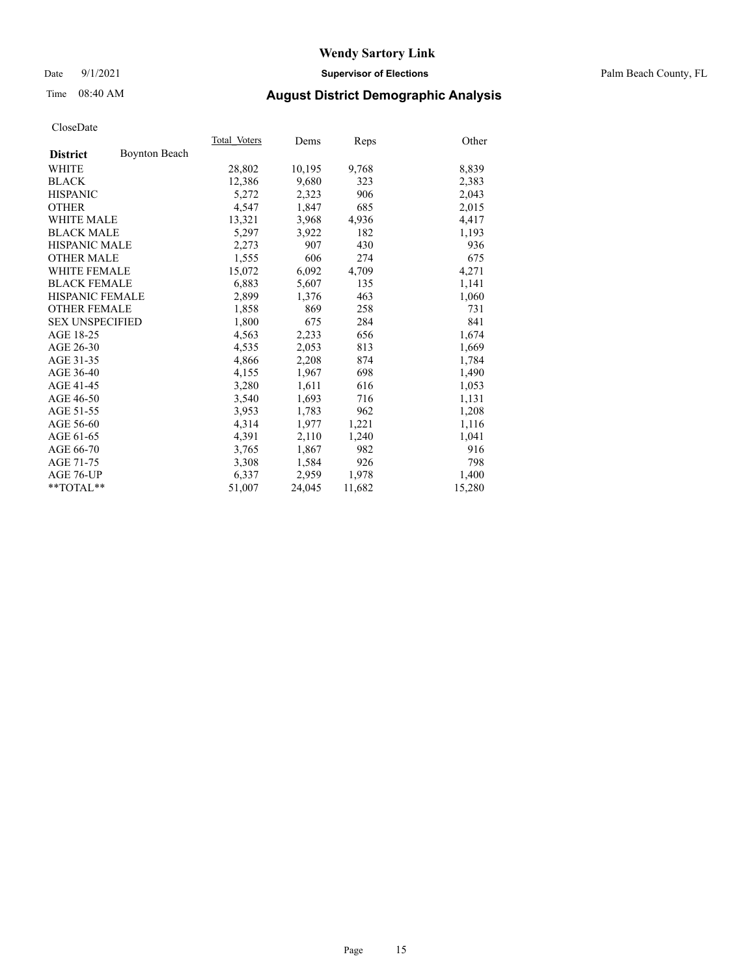## Date 9/1/2021 **Supervisor of Elections** Palm Beach County, FL

# Time 08:40 AM **August District Demographic Analysis**

|                        |                      | Total Voters | Dems   | <b>Reps</b> | Other  |
|------------------------|----------------------|--------------|--------|-------------|--------|
| <b>District</b>        | <b>Boynton Beach</b> |              |        |             |        |
| <b>WHITE</b>           |                      | 28,802       | 10,195 | 9,768       | 8,839  |
| <b>BLACK</b>           |                      | 12,386       | 9,680  | 323         | 2,383  |
| <b>HISPANIC</b>        |                      | 5,272        | 2,323  | 906         | 2,043  |
| <b>OTHER</b>           |                      | 4,547        | 1,847  | 685         | 2,015  |
| <b>WHITE MALE</b>      |                      | 13,321       | 3,968  | 4,936       | 4,417  |
| <b>BLACK MALE</b>      |                      | 5,297        | 3,922  | 182         | 1,193  |
| <b>HISPANIC MALE</b>   |                      | 2,273        | 907    | 430         | 936    |
| <b>OTHER MALE</b>      |                      | 1,555        | 606    | 274         | 675    |
| <b>WHITE FEMALE</b>    |                      | 15,072       | 6,092  | 4,709       | 4,271  |
| <b>BLACK FEMALE</b>    |                      | 6,883        | 5,607  | 135         | 1,141  |
| <b>HISPANIC FEMALE</b> |                      | 2,899        | 1,376  | 463         | 1,060  |
| <b>OTHER FEMALE</b>    |                      | 1,858        | 869    | 258         | 731    |
| <b>SEX UNSPECIFIED</b> |                      | 1,800        | 675    | 284         | 841    |
| AGE 18-25              |                      | 4,563        | 2,233  | 656         | 1,674  |
| AGE 26-30              |                      | 4,535        | 2,053  | 813         | 1,669  |
| AGE 31-35              |                      | 4,866        | 2,208  | 874         | 1,784  |
| AGE 36-40              |                      | 4,155        | 1,967  | 698         | 1,490  |
| AGE 41-45              |                      | 3,280        | 1,611  | 616         | 1,053  |
| AGE 46-50              |                      | 3,540        | 1,693  | 716         | 1,131  |
| AGE 51-55              |                      | 3,953        | 1,783  | 962         | 1,208  |
| AGE 56-60              |                      | 4,314        | 1,977  | 1,221       | 1,116  |
| AGE 61-65              |                      | 4,391        | 2,110  | 1,240       | 1,041  |
| AGE 66-70              |                      | 3,765        | 1,867  | 982         | 916    |
| AGE 71-75              |                      | 3,308        | 1,584  | 926         | 798    |
| AGE 76-UP              |                      | 6,337        | 2,959  | 1,978       | 1,400  |
| $*$ TOTAL $*$          |                      | 51,007       | 24,045 | 11,682      | 15,280 |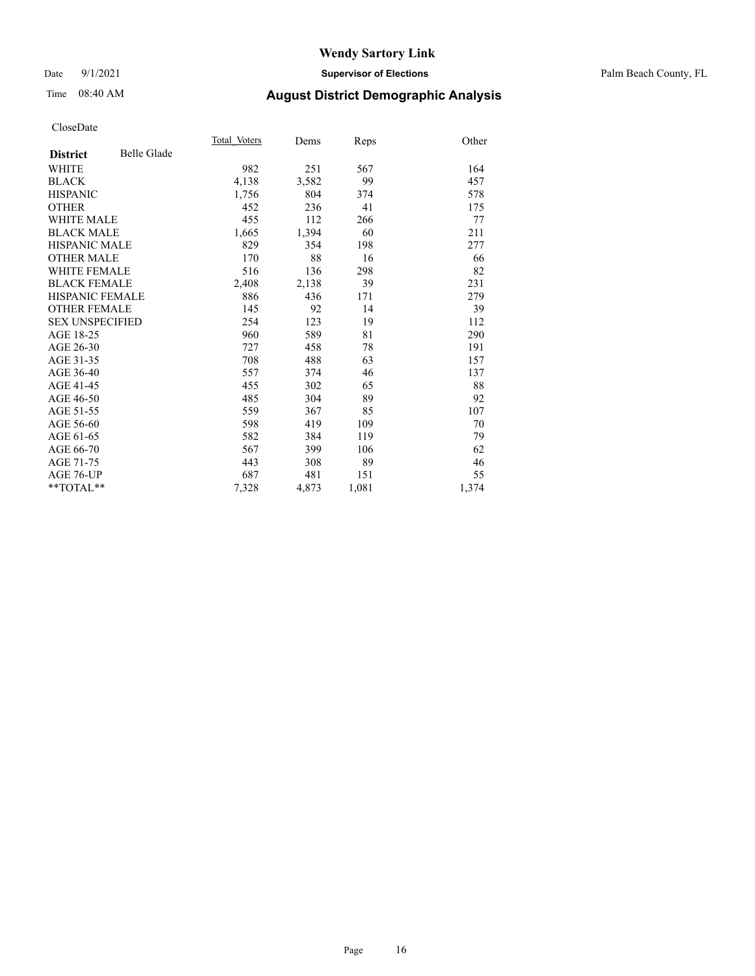## Date 9/1/2021 **Supervisor of Elections** Palm Beach County, FL

# Time 08:40 AM **August District Demographic Analysis**

|                        |                    | Total Voters | Dems  | Reps  | Other |
|------------------------|--------------------|--------------|-------|-------|-------|
| <b>District</b>        | <b>Belle Glade</b> |              |       |       |       |
| <b>WHITE</b>           |                    | 982          | 251   | 567   | 164   |
| <b>BLACK</b>           |                    | 4,138        | 3,582 | 99    | 457   |
| <b>HISPANIC</b>        |                    | 1,756        | 804   | 374   | 578   |
| <b>OTHER</b>           |                    | 452          | 236   | 41    | 175   |
| <b>WHITE MALE</b>      |                    | 455          | 112   | 266   | 77    |
| <b>BLACK MALE</b>      |                    | 1,665        | 1,394 | 60    | 211   |
| <b>HISPANIC MALE</b>   |                    | 829          | 354   | 198   | 277   |
| <b>OTHER MALE</b>      |                    | 170          | 88    | 16    | 66    |
| <b>WHITE FEMALE</b>    |                    | 516          | 136   | 298   | 82    |
| <b>BLACK FEMALE</b>    |                    | 2,408        | 2,138 | 39    | 231   |
| <b>HISPANIC FEMALE</b> |                    | 886          | 436   | 171   | 279   |
| <b>OTHER FEMALE</b>    |                    | 145          | 92    | 14    | 39    |
| <b>SEX UNSPECIFIED</b> |                    | 254          | 123   | 19    | 112   |
| AGE 18-25              |                    | 960          | 589   | 81    | 290   |
| AGE 26-30              |                    | 727          | 458   | 78    | 191   |
| AGE 31-35              |                    | 708          | 488   | 63    | 157   |
| AGE 36-40              |                    | 557          | 374   | 46    | 137   |
| AGE 41-45              |                    | 455          | 302   | 65    | 88    |
| AGE 46-50              |                    | 485          | 304   | 89    | 92    |
| AGE 51-55              |                    | 559          | 367   | 85    | 107   |
| AGE 56-60              |                    | 598          | 419   | 109   | 70    |
| AGE 61-65              |                    | 582          | 384   | 119   | 79    |
| AGE 66-70              |                    | 567          | 399   | 106   | 62    |
| AGE 71-75              |                    | 443          | 308   | 89    | 46    |
| AGE 76-UP              |                    | 687          | 481   | 151   | 55    |
| $*$ $TOTAL**$          |                    | 7,328        | 4,873 | 1,081 | 1,374 |
|                        |                    |              |       |       |       |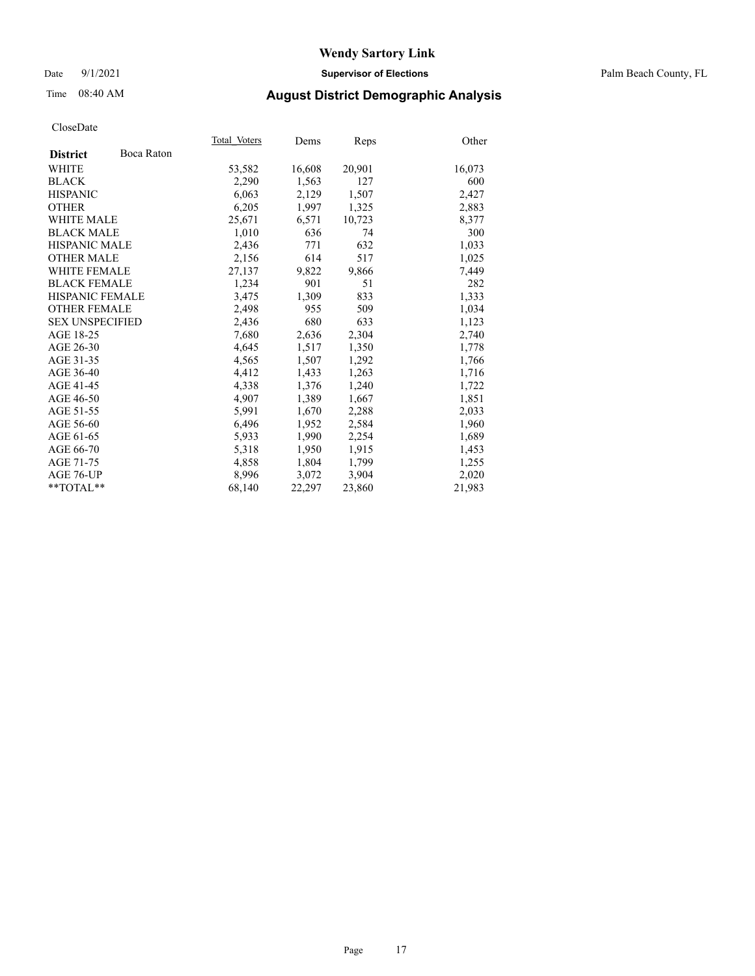## Date 9/1/2021 **Supervisor of Elections** Palm Beach County, FL

## Time 08:40 AM **August District Demographic Analysis**

|                        |            | Total Voters | Dems   | <b>Reps</b> | Other  |
|------------------------|------------|--------------|--------|-------------|--------|
| <b>District</b>        | Boca Raton |              |        |             |        |
| WHITE                  |            | 53,582       | 16,608 | 20,901      | 16,073 |
| <b>BLACK</b>           |            | 2,290        | 1,563  | 127         | 600    |
| <b>HISPANIC</b>        |            | 6,063        | 2,129  | 1,507       | 2,427  |
| <b>OTHER</b>           |            | 6,205        | 1,997  | 1,325       | 2,883  |
| <b>WHITE MALE</b>      |            | 25,671       | 6,571  | 10,723      | 8,377  |
| <b>BLACK MALE</b>      |            | 1,010        | 636    | 74          | 300    |
| <b>HISPANIC MALE</b>   |            | 2,436        | 771    | 632         | 1,033  |
| <b>OTHER MALE</b>      |            | 2,156        | 614    | 517         | 1,025  |
| <b>WHITE FEMALE</b>    |            | 27,137       | 9,822  | 9,866       | 7,449  |
| <b>BLACK FEMALE</b>    |            | 1,234        | 901    | 51          | 282    |
| <b>HISPANIC FEMALE</b> |            | 3,475        | 1,309  | 833         | 1,333  |
| <b>OTHER FEMALE</b>    |            | 2,498        | 955    | 509         | 1,034  |
| <b>SEX UNSPECIFIED</b> |            | 2,436        | 680    | 633         | 1,123  |
| AGE 18-25              |            | 7,680        | 2,636  | 2,304       | 2,740  |
| AGE 26-30              |            | 4,645        | 1,517  | 1,350       | 1,778  |
| AGE 31-35              |            | 4,565        | 1,507  | 1,292       | 1,766  |
| AGE 36-40              |            | 4,412        | 1,433  | 1,263       | 1,716  |
| AGE 41-45              |            | 4,338        | 1,376  | 1,240       | 1,722  |
| AGE 46-50              |            | 4,907        | 1,389  | 1,667       | 1,851  |
| AGE 51-55              |            | 5,991        | 1,670  | 2,288       | 2,033  |
| AGE 56-60              |            | 6,496        | 1,952  | 2,584       | 1,960  |
| AGE 61-65              |            | 5,933        | 1,990  | 2,254       | 1,689  |
| AGE 66-70              |            | 5,318        | 1,950  | 1,915       | 1,453  |
| AGE 71-75              |            | 4,858        | 1,804  | 1,799       | 1,255  |
| AGE 76-UP              |            | 8,996        | 3,072  | 3,904       | 2,020  |
| $*$ $TOTAL**$          |            | 68,140       | 22,297 | 23,860      | 21,983 |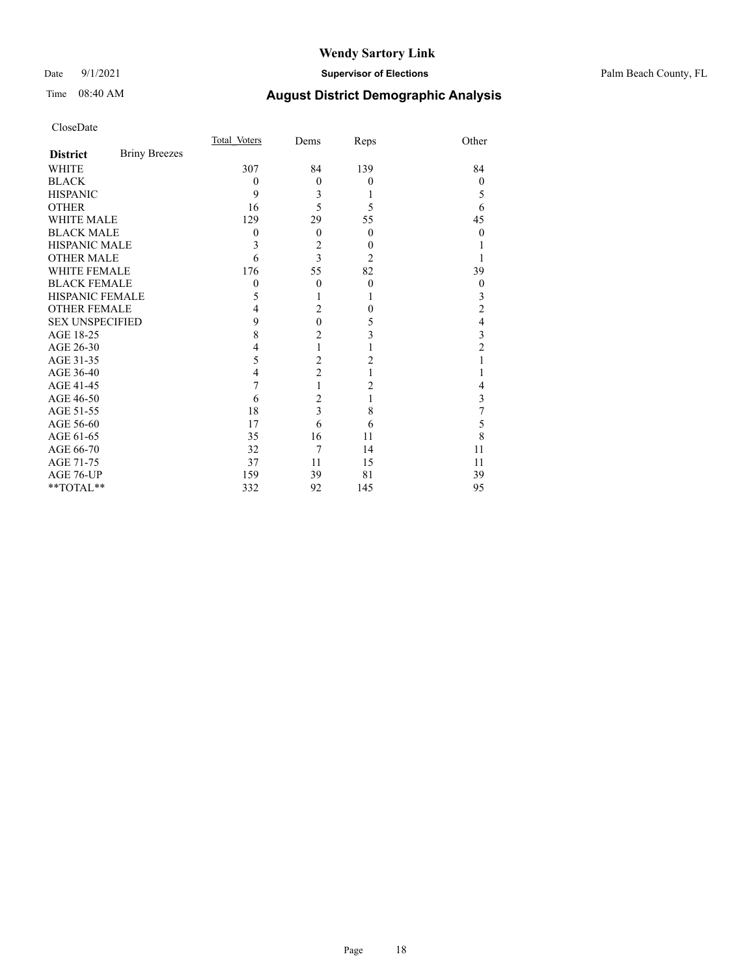## Date 9/1/2021 **Supervisor of Elections** Palm Beach County, FL

# Time 08:40 AM **August District Demographic Analysis**

|                        |                      | Total Voters | Dems           | Reps           | Other          |
|------------------------|----------------------|--------------|----------------|----------------|----------------|
| <b>District</b>        | <b>Briny Breezes</b> |              |                |                |                |
| WHITE                  |                      | 307          | 84             | 139            | 84             |
| <b>BLACK</b>           |                      | 0            | $\theta$       | $\overline{0}$ | $\theta$       |
| <b>HISPANIC</b>        |                      | 9            | 3              | 1              | 5              |
| <b>OTHER</b>           |                      | 16           | 5              | 5              | 6              |
| <b>WHITE MALE</b>      |                      | 129          | 29             | 55             | 45             |
| <b>BLACK MALE</b>      |                      | 0            | $\theta$       | $\overline{0}$ | 0              |
| <b>HISPANIC MALE</b>   |                      | 3            | $\overline{c}$ | $\theta$       |                |
| <b>OTHER MALE</b>      |                      | 6            | 3              | 2              |                |
| <b>WHITE FEMALE</b>    |                      | 176          | 55             | 82             | 39             |
| <b>BLACK FEMALE</b>    |                      | $\theta$     | $\theta$       | $\theta$       | $\theta$       |
| HISPANIC FEMALE        |                      | 5            |                | 1              | 3              |
| <b>OTHER FEMALE</b>    |                      | 4            | $\overline{2}$ | $\theta$       | 2              |
| <b>SEX UNSPECIFIED</b> |                      | 9            | $\mathbf{0}$   | 5              | 4              |
| AGE 18-25              |                      | 8            | $\overline{c}$ | 3              | 3              |
| AGE 26-30              |                      | 4            | $\mathbf{1}$   |                | $\overline{c}$ |
| AGE 31-35              |                      | 5            | $\overline{c}$ | 2              |                |
| AGE 36-40              |                      | 4            | $\overline{c}$ | 1              |                |
| AGE 41-45              |                      | 7            | 1              | 2              | 4              |
| AGE 46-50              |                      | 6            | $\overline{c}$ | 1              | 3              |
| AGE 51-55              |                      | 18           | 3              | 8              | 7              |
| AGE 56-60              |                      | 17           | 6              | 6              | 5              |
| AGE 61-65              |                      | 35           | 16             | 11             | 8              |
| AGE 66-70              |                      | 32           | 7              | 14             | 11             |
| AGE 71-75              |                      | 37           | 11             | 15             | 11             |
| AGE 76-UP              |                      | 159          | 39             | 81             | 39             |
| **TOTAL**              |                      | 332          | 92             | 145            | 95             |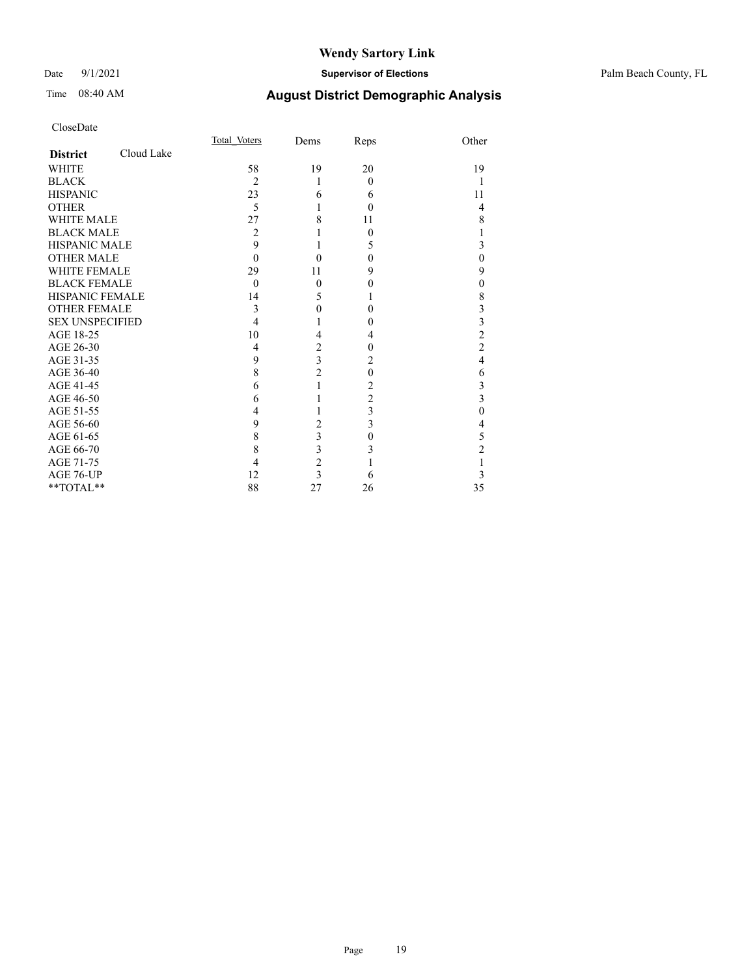## Date 9/1/2021 **Supervisor of Elections** Palm Beach County, FL

# Time 08:40 AM **August District Demographic Analysis**

|                        |            | Total Voters   | Dems                    | Reps     | Other          |
|------------------------|------------|----------------|-------------------------|----------|----------------|
| <b>District</b>        | Cloud Lake |                |                         |          |                |
| <b>WHITE</b>           |            | 58             | 19                      | 20       | 19             |
| <b>BLACK</b>           |            | $\overline{c}$ | 1                       | $\theta$ |                |
| <b>HISPANIC</b>        |            | 23             | 6                       | 6        | 11             |
| <b>OTHER</b>           |            | 5              | 1                       | $\theta$ | 4              |
| WHITE MALE             |            | 27             | 8                       | 11       | 8              |
| <b>BLACK MALE</b>      |            | 2              |                         | $\Omega$ | 1              |
| <b>HISPANIC MALE</b>   |            | 9              |                         | 5        | 3              |
| <b>OTHER MALE</b>      |            | 0              | $\theta$                | $\theta$ | $\mathbf{0}$   |
| <b>WHITE FEMALE</b>    |            | 29             | 11                      | 9        | 9              |
| <b>BLACK FEMALE</b>    |            | $\theta$       | $\mathbf{0}$            | 0        | $\mathbf{0}$   |
| <b>HISPANIC FEMALE</b> |            | 14             | 5                       |          | 8              |
| <b>OTHER FEMALE</b>    |            | 3              | 0                       | $\Omega$ | 3              |
| <b>SEX UNSPECIFIED</b> |            | 4              |                         | $\theta$ | 3              |
| AGE 18-25              |            | 10             | 4                       | 4        | $\overline{c}$ |
| AGE 26-30              |            | 4              | $\overline{c}$          | $\theta$ | $\overline{c}$ |
| AGE 31-35              |            | 9              | $\overline{\mathbf{3}}$ | 2        | $\overline{4}$ |
| AGE 36-40              |            | 8              | $\overline{c}$          | $\theta$ | 6              |
| AGE 41-45              |            | 6              | $\mathbf{1}$            | 2        | 3              |
| AGE 46-50              |            | 6              |                         | 2        | $\overline{3}$ |
| AGE 51-55              |            | 4              |                         | 3        | $\theta$       |
| AGE 56-60              |            | 9              | $\overline{c}$          | 3        | 4              |
| AGE 61-65              |            | 8              | 3                       | $\theta$ | 5              |
| AGE 66-70              |            | 8              | 3                       | 3        | $\overline{2}$ |
| AGE 71-75              |            | 4              | $\overline{c}$          |          | 1              |
| AGE 76-UP              |            | 12             | $\overline{\mathbf{3}}$ | 6        | 3              |
| **TOTAL**              |            | 88             | 27                      | 26       | 35             |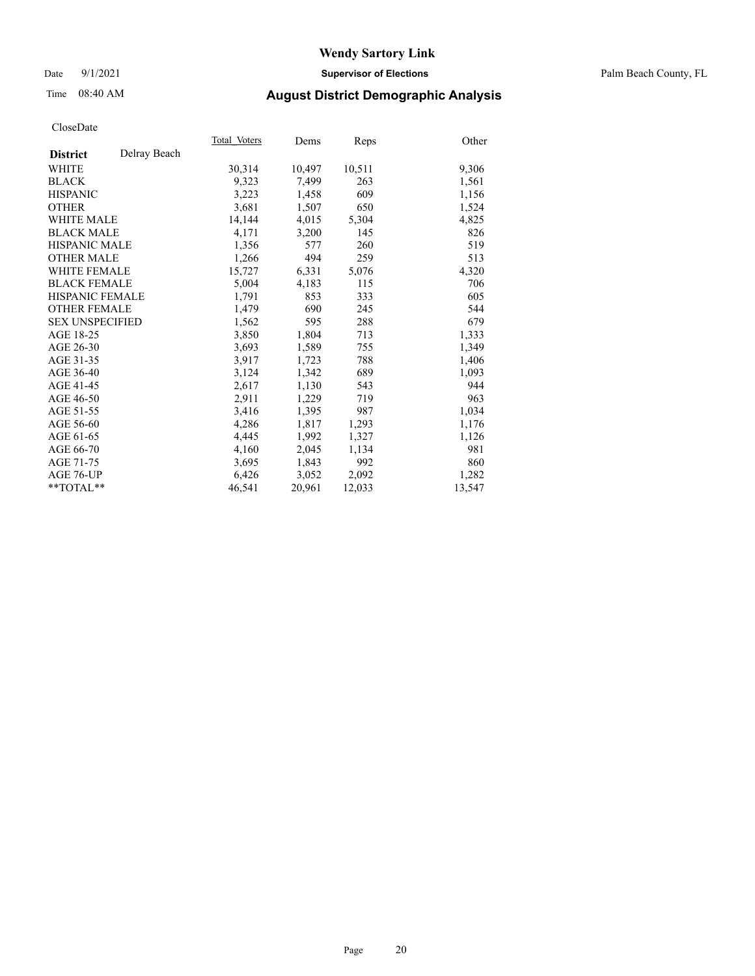## Date 9/1/2021 **Supervisor of Elections** Palm Beach County, FL

## Time 08:40 AM **August District Demographic Analysis**

|                        |              | Total Voters | Dems   | Reps   | Other  |
|------------------------|--------------|--------------|--------|--------|--------|
| <b>District</b>        | Delray Beach |              |        |        |        |
| WHITE                  |              | 30,314       | 10,497 | 10,511 | 9,306  |
| <b>BLACK</b>           |              | 9,323        | 7,499  | 263    | 1,561  |
| <b>HISPANIC</b>        |              | 3,223        | 1,458  | 609    | 1,156  |
| <b>OTHER</b>           |              | 3,681        | 1,507  | 650    | 1,524  |
| <b>WHITE MALE</b>      |              | 14,144       | 4,015  | 5,304  | 4,825  |
| <b>BLACK MALE</b>      |              | 4,171        | 3,200  | 145    | 826    |
| <b>HISPANIC MALE</b>   |              | 1,356        | 577    | 260    | 519    |
| <b>OTHER MALE</b>      |              | 1,266        | 494    | 259    | 513    |
| <b>WHITE FEMALE</b>    |              | 15,727       | 6,331  | 5,076  | 4,320  |
| <b>BLACK FEMALE</b>    |              | 5,004        | 4,183  | 115    | 706    |
| <b>HISPANIC FEMALE</b> |              | 1,791        | 853    | 333    | 605    |
| <b>OTHER FEMALE</b>    |              | 1,479        | 690    | 245    | 544    |
| <b>SEX UNSPECIFIED</b> |              | 1,562        | 595    | 288    | 679    |
| AGE 18-25              |              | 3,850        | 1,804  | 713    | 1,333  |
| AGE 26-30              |              | 3,693        | 1,589  | 755    | 1,349  |
| AGE 31-35              |              | 3,917        | 1,723  | 788    | 1,406  |
| AGE 36-40              |              | 3,124        | 1,342  | 689    | 1,093  |
| AGE 41-45              |              | 2,617        | 1,130  | 543    | 944    |
| AGE 46-50              |              | 2,911        | 1,229  | 719    | 963    |
| AGE 51-55              |              | 3,416        | 1,395  | 987    | 1,034  |
| AGE 56-60              |              | 4,286        | 1,817  | 1,293  | 1,176  |
| AGE 61-65              |              | 4,445        | 1,992  | 1,327  | 1,126  |
| AGE 66-70              |              | 4,160        | 2,045  | 1,134  | 981    |
| AGE 71-75              |              | 3,695        | 1,843  | 992    | 860    |
| AGE 76-UP              |              | 6,426        | 3,052  | 2,092  | 1,282  |
| $*$ $TOTAL**$          |              | 46,541       | 20,961 | 12,033 | 13,547 |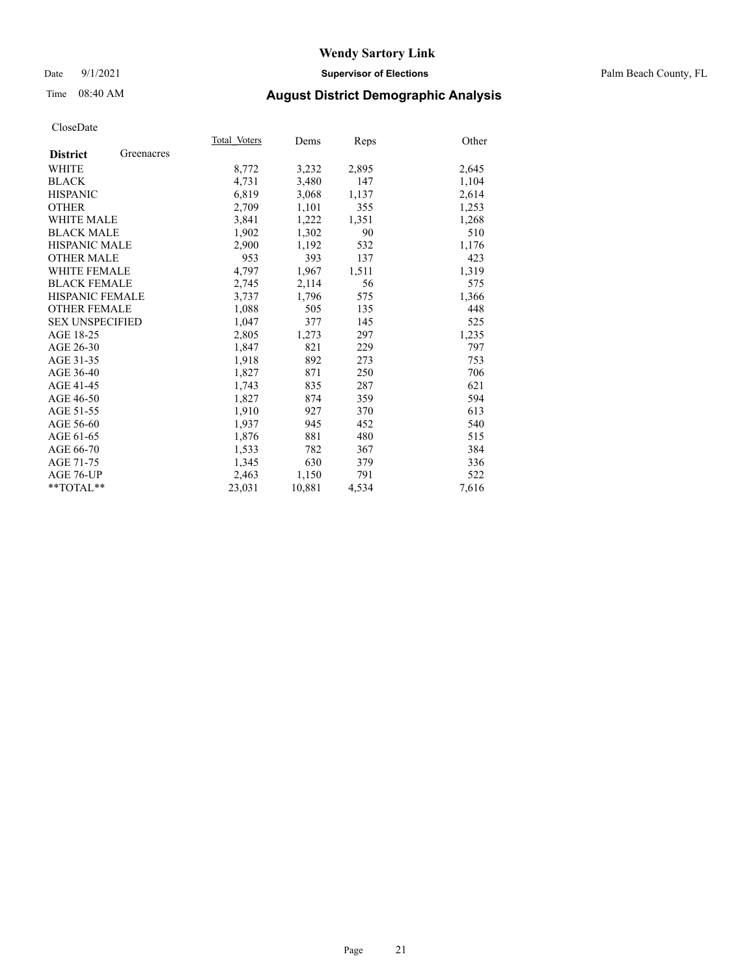## Date 9/1/2021 **Supervisor of Elections** Palm Beach County, FL

## Time 08:40 AM **August District Demographic Analysis**

|                        |            | Total Voters | Dems   | Reps  | Other |
|------------------------|------------|--------------|--------|-------|-------|
| <b>District</b>        | Greenacres |              |        |       |       |
| WHITE                  |            | 8,772        | 3,232  | 2,895 | 2,645 |
| <b>BLACK</b>           |            | 4,731        | 3,480  | 147   | 1,104 |
| <b>HISPANIC</b>        |            | 6,819        | 3,068  | 1,137 | 2,614 |
| <b>OTHER</b>           |            | 2,709        | 1,101  | 355   | 1,253 |
| <b>WHITE MALE</b>      |            | 3,841        | 1,222  | 1,351 | 1,268 |
| <b>BLACK MALE</b>      |            | 1,902        | 1,302  | 90    | 510   |
| <b>HISPANIC MALE</b>   |            | 2,900        | 1,192  | 532   | 1,176 |
| <b>OTHER MALE</b>      |            | 953          | 393    | 137   | 423   |
| <b>WHITE FEMALE</b>    |            | 4,797        | 1,967  | 1,511 | 1,319 |
| <b>BLACK FEMALE</b>    |            | 2,745        | 2,114  | 56    | 575   |
| <b>HISPANIC FEMALE</b> |            | 3,737        | 1,796  | 575   | 1,366 |
| <b>OTHER FEMALE</b>    |            | 1,088        | 505    | 135   | 448   |
| <b>SEX UNSPECIFIED</b> |            | 1.047        | 377    | 145   | 525   |
| AGE 18-25              |            | 2,805        | 1,273  | 297   | 1,235 |
| AGE 26-30              |            | 1,847        | 821    | 229   | 797   |
| AGE 31-35              |            | 1,918        | 892    | 273   | 753   |
| AGE 36-40              |            | 1,827        | 871    | 250   | 706   |
| AGE 41-45              |            | 1,743        | 835    | 287   | 621   |
| AGE 46-50              |            | 1,827        | 874    | 359   | 594   |
| AGE 51-55              |            | 1,910        | 927    | 370   | 613   |
| AGE 56-60              |            | 1,937        | 945    | 452   | 540   |
| AGE 61-65              |            | 1,876        | 881    | 480   | 515   |
| AGE 66-70              |            | 1,533        | 782    | 367   | 384   |
| AGE 71-75              |            | 1,345        | 630    | 379   | 336   |
| AGE 76-UP              |            | 2,463        | 1,150  | 791   | 522   |
| $*$ $TOTAL**$          |            | 23,031       | 10,881 | 4,534 | 7,616 |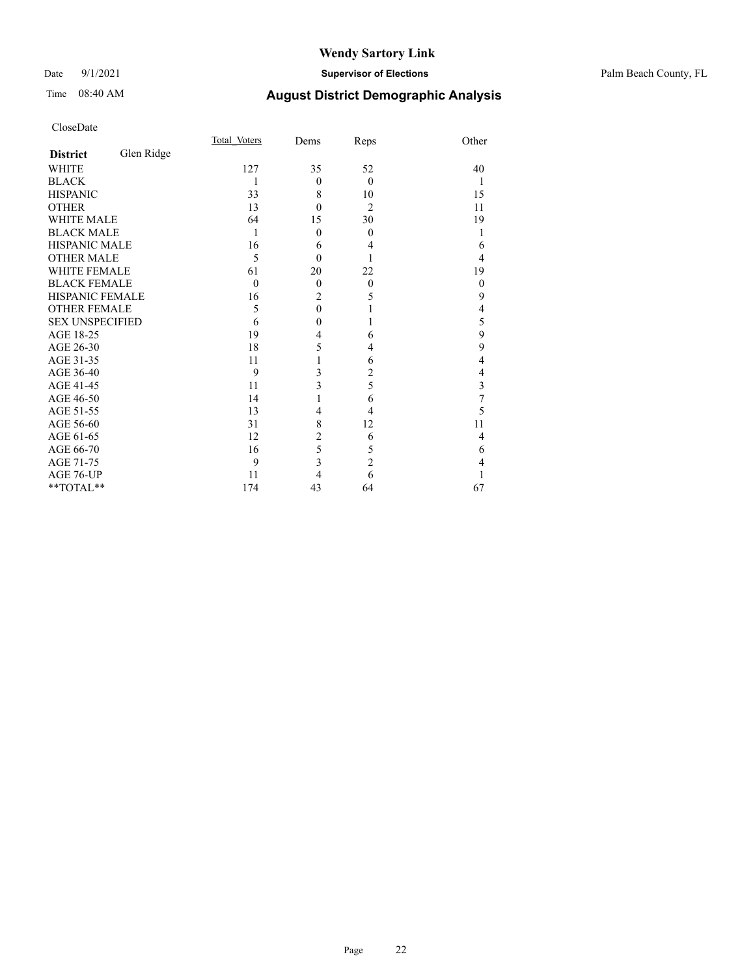## Date 9/1/2021 **Supervisor of Elections** Palm Beach County, FL

# Time 08:40 AM **August District Demographic Analysis**

|                        |            | Total Voters | Dems           | Reps           | Other    |
|------------------------|------------|--------------|----------------|----------------|----------|
| <b>District</b>        | Glen Ridge |              |                |                |          |
| <b>WHITE</b>           |            | 127          | 35             | 52             | 40       |
| <b>BLACK</b>           |            | 1            | $\theta$       | $\theta$       | 1        |
| <b>HISPANIC</b>        |            | 33           | 8              | 10             | 15       |
| <b>OTHER</b>           |            | 13           | $\theta$       | $\overline{2}$ | 11       |
| <b>WHITE MALE</b>      |            | 64           | 15             | 30             | 19       |
| <b>BLACK MALE</b>      |            | 1            | $\theta$       | $\theta$       |          |
| HISPANIC MALE          |            | 16           | 6              | 4              | 6        |
| <b>OTHER MALE</b>      |            | 5            | $\theta$       |                | 4        |
| <b>WHITE FEMALE</b>    |            | 61           | 20             | 22             | 19       |
| <b>BLACK FEMALE</b>    |            | $\theta$     | $\theta$       | $\theta$       | $\theta$ |
| HISPANIC FEMALE        |            | 16           | $\overline{c}$ | 5              | 9        |
| <b>OTHER FEMALE</b>    |            | 5            | $\overline{0}$ | 1              | 4        |
| <b>SEX UNSPECIFIED</b> |            | 6            | $\theta$       |                | 5        |
| AGE 18-25              |            | 19           | $\overline{4}$ | 6              | 9        |
| AGE 26-30              |            | 18           | 5              | 4              | 9        |
| AGE 31-35              |            | 11           | 1              | 6              | 4        |
| AGE 36-40              |            | 9            | 3              | 2              | 4        |
| AGE 41-45              |            | 11           | 3              | 5              | 3        |
| AGE 46-50              |            | 14           | $\mathbf{1}$   | 6              | 7        |
| AGE 51-55              |            | 13           | $\overline{4}$ | 4              | 5        |
| AGE 56-60              |            | 31           | 8              | 12             | 11       |
| AGE 61-65              |            | 12           | $\overline{2}$ | 6              | 4        |
| AGE 66-70              |            | 16           | 5              | 5              | 6        |
| AGE 71-75              |            | 9            | 3              | $\overline{c}$ | 4        |
| AGE 76-UP              |            | 11           | 4              | 6              |          |
| **TOTAL**              |            | 174          | 43             | 64             | 67       |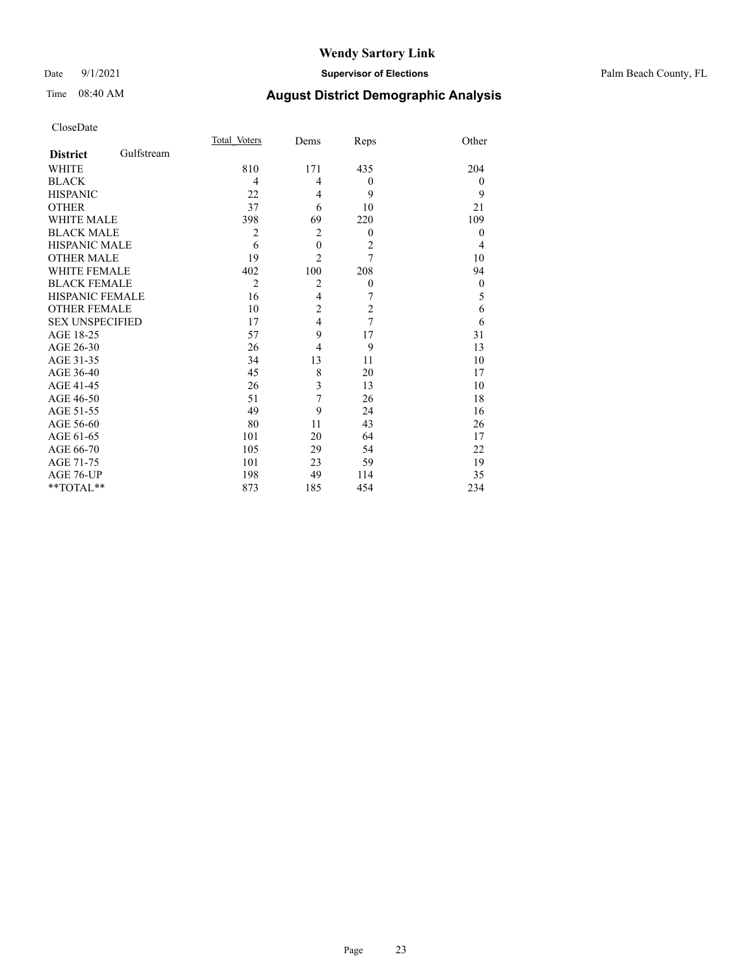## Date 9/1/2021 **Supervisor of Elections** Palm Beach County, FL

# Time 08:40 AM **August District Demographic Analysis**

|                        |            | Total Voters   | Dems                    | Reps             | Other        |
|------------------------|------------|----------------|-------------------------|------------------|--------------|
| <b>District</b>        | Gulfstream |                |                         |                  |              |
| WHITE                  |            | 810            | 171                     | 435              | 204          |
| <b>BLACK</b>           |            | 4              | 4                       | $\boldsymbol{0}$ | $\theta$     |
| <b>HISPANIC</b>        |            | 22             | 4                       | 9                | 9            |
| <b>OTHER</b>           |            | 37             | 6                       | 10               | 21           |
| <b>WHITE MALE</b>      |            | 398            | 69                      | 220              | 109          |
| <b>BLACK MALE</b>      |            | $\overline{2}$ | $\overline{2}$          | $\overline{0}$   | $\theta$     |
| <b>HISPANIC MALE</b>   |            | 6              | $\boldsymbol{0}$        | $\overline{c}$   | 4            |
| <b>OTHER MALE</b>      |            | 19             | $\overline{2}$          | $\overline{7}$   | 10           |
| <b>WHITE FEMALE</b>    |            | 402            | 100                     | 208              | 94           |
| <b>BLACK FEMALE</b>    |            | $\overline{2}$ | $\overline{2}$          | $\boldsymbol{0}$ | $\mathbf{0}$ |
| <b>HISPANIC FEMALE</b> |            | 16             | $\overline{4}$          | 7                | 5            |
| <b>OTHER FEMALE</b>    |            | 10             | $\overline{c}$          | $\overline{c}$   | 6            |
| <b>SEX UNSPECIFIED</b> |            | 17             | $\overline{4}$          | 7                | 6            |
| AGE 18-25              |            | 57             | 9                       | 17               | 31           |
| AGE 26-30              |            | 26             | $\overline{4}$          | 9                | 13           |
| AGE 31-35              |            | 34             | 13                      | 11               | 10           |
| AGE 36-40              |            | 45             | 8                       | 20               | 17           |
| AGE 41-45              |            | 26             | $\overline{\mathbf{3}}$ | 13               | 10           |
| AGE 46-50              |            | 51             | 7                       | 26               | 18           |
| AGE 51-55              |            | 49             | 9                       | 24               | 16           |
| AGE 56-60              |            | 80             | 11                      | 43               | 26           |
| AGE 61-65              |            | 101            | 20                      | 64               | 17           |
| AGE 66-70              |            | 105            | 29                      | 54               | 22           |
| AGE 71-75              |            | 101            | 23                      | 59               | 19           |
| AGE 76-UP              |            | 198            | 49                      | 114              | 35           |
| **TOTAL**              |            | 873            | 185                     | 454              | 234          |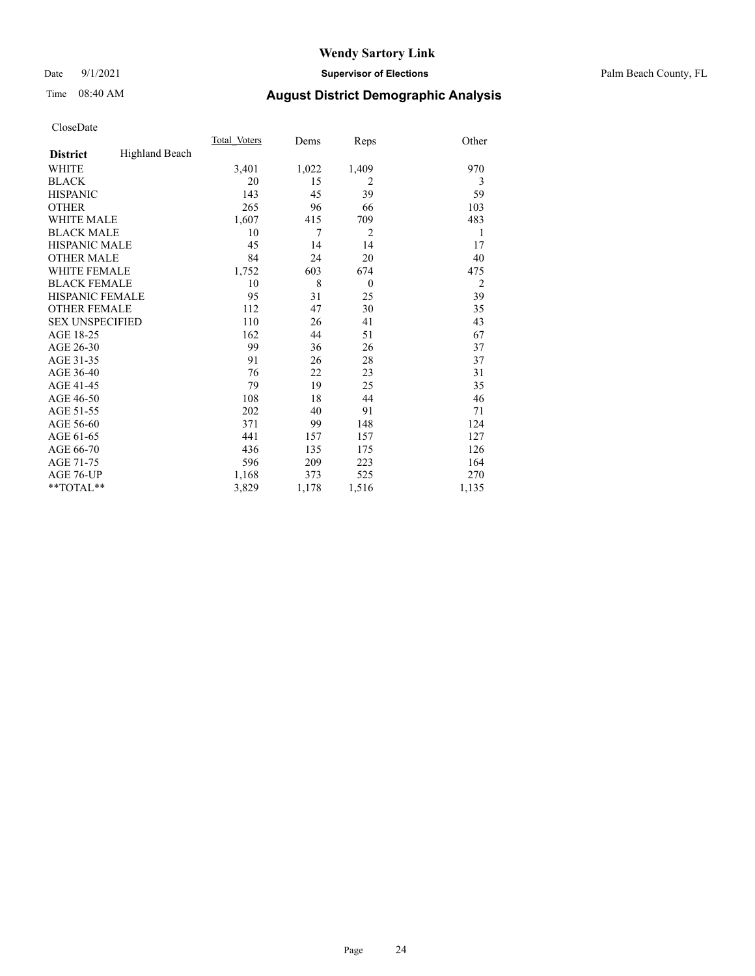Date 9/1/2021 **Supervisor of Elections** Palm Beach County, FL

# Time 08:40 AM **August District Demographic Analysis**

|                        |                | Total Voters | Dems  | Reps           | Other          |
|------------------------|----------------|--------------|-------|----------------|----------------|
| <b>District</b>        | Highland Beach |              |       |                |                |
| <b>WHITE</b>           |                | 3,401        | 1,022 | 1,409          | 970            |
| <b>BLACK</b>           |                | 20           | 15    | $\overline{2}$ | 3              |
| <b>HISPANIC</b>        |                | 143          | 45    | 39             | 59             |
| <b>OTHER</b>           |                | 265          | 96    | 66             | 103            |
| WHITE MALE             |                | 1,607        | 415   | 709            | 483            |
| <b>BLACK MALE</b>      |                | 10           | 7     | $\overline{2}$ | 1              |
| <b>HISPANIC MALE</b>   |                | 45           | 14    | 14             | 17             |
| <b>OTHER MALE</b>      |                | 84           | 24    | 20             | 40             |
| WHITE FEMALE           |                | 1,752        | 603   | 674            | 475            |
| <b>BLACK FEMALE</b>    |                | 10           | 8     | $\mathbf{0}$   | $\overline{2}$ |
| <b>HISPANIC FEMALE</b> |                | 95           | 31    | 25             | 39             |
| <b>OTHER FEMALE</b>    |                | 112          | 47    | 30             | 35             |
| <b>SEX UNSPECIFIED</b> |                | 110          | 26    | 41             | 43             |
| AGE 18-25              |                | 162          | 44    | 51             | 67             |
| AGE 26-30              |                | 99           | 36    | 26             | 37             |
| AGE 31-35              |                | 91           | 26    | 28             | 37             |
| AGE 36-40              |                | 76           | 22    | 23             | 31             |
| AGE 41-45              |                | 79           | 19    | 25             | 35             |
| AGE 46-50              |                | 108          | 18    | 44             | 46             |
| AGE 51-55              |                | 202          | 40    | 91             | 71             |
| AGE 56-60              |                | 371          | 99    | 148            | 124            |
| AGE 61-65              |                | 441          | 157   | 157            | 127            |
| AGE 66-70              |                | 436          | 135   | 175            | 126            |
| AGE 71-75              |                | 596          | 209   | 223            | 164            |
| AGE 76-UP              |                | 1.168        | 373   | 525            | 270            |
| $*$ $TOTAL**$          |                | 3,829        | 1,178 | 1,516          | 1,135          |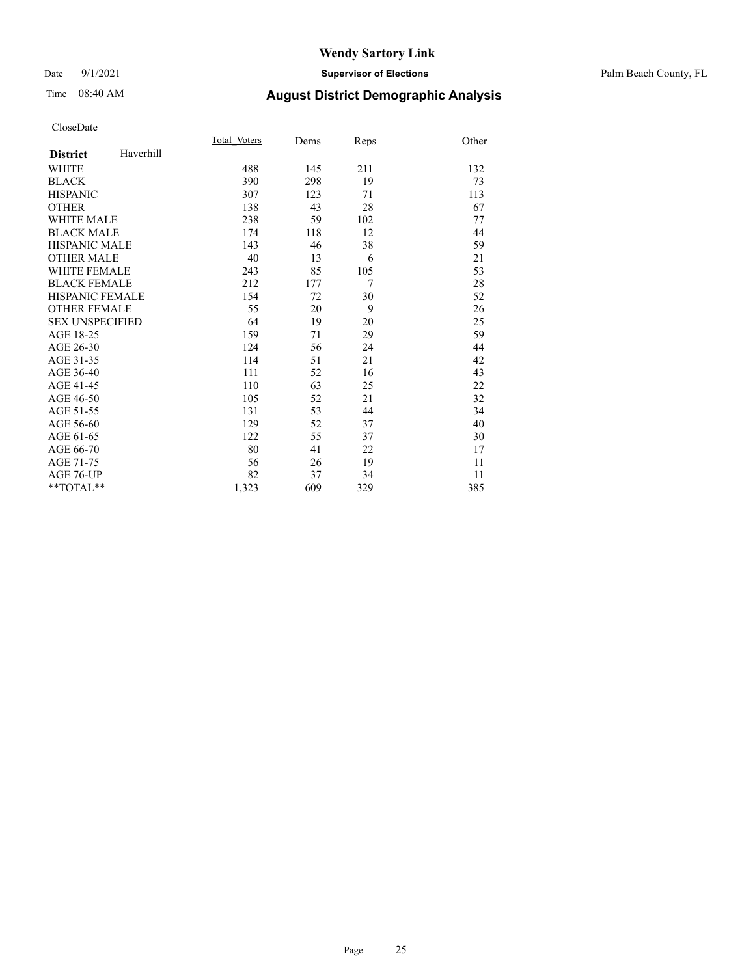## Date 9/1/2021 **Supervisor of Elections** Palm Beach County, FL

## Time 08:40 AM **August District Demographic Analysis**

| Total Voters | Dems | Reps | Other |
|--------------|------|------|-------|
|              |      |      |       |
| 488          | 145  | 211  | 132   |
| 390          | 298  | 19   | 73    |
| 307          | 123  | 71   | 113   |
| 138          | 43   | 28   | 67    |
| 238          | 59   | 102  | 77    |
| 174          | 118  | 12   | 44    |
| 143          | 46   | 38   | 59    |
| 40           | 13   | 6    | 21    |
| 243          | 85   | 105  | 53    |
| 212          | 177  | 7    | 28    |
| 154          | 72   | 30   | 52    |
| 55           | 20   | 9    | 26    |
| 64           | 19   | 20   | 25    |
| 159          | 71   | 29   | 59    |
| 124          | 56   | 24   | 44    |
| 114          | 51   | 21   | 42    |
| 111          | 52   | 16   | 43    |
| 110          | 63   | 25   | 22    |
| 105          | 52   | 21   | 32    |
| 131          | 53   | 44   | 34    |
| 129          | 52   | 37   | 40    |
| 122          | 55   | 37   | 30    |
| 80           | 41   | 22   | 17    |
| 56           | 26   | 19   | 11    |
| 82           | 37   | 34   | 11    |
| 1,323        | 609  | 329  | 385   |
|              |      |      |       |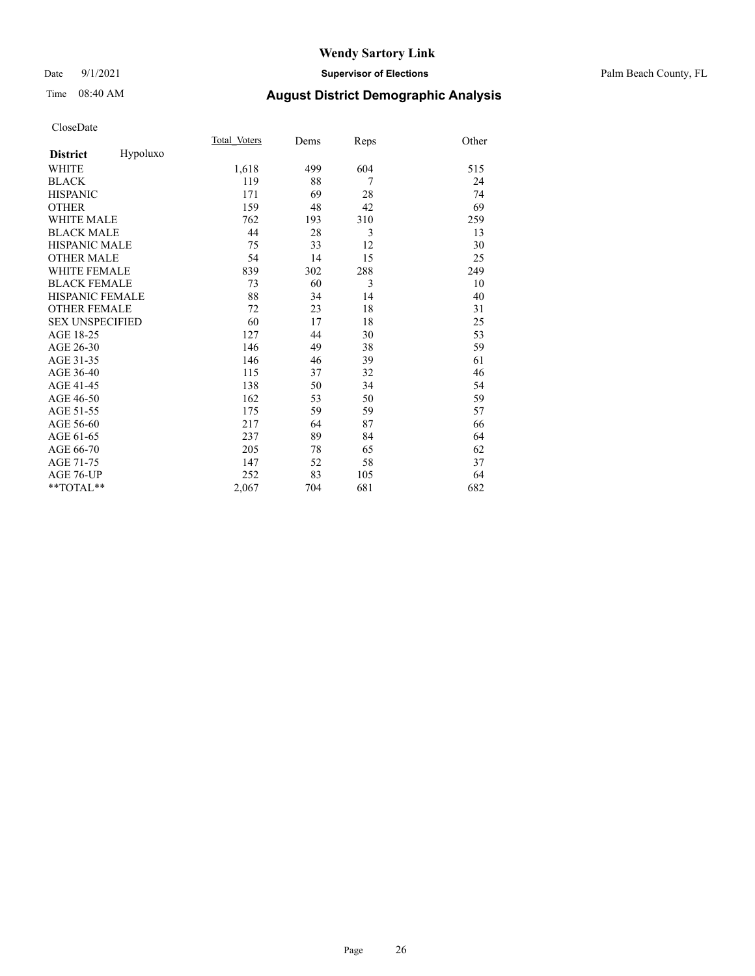## Date 9/1/2021 **Supervisor of Elections** Palm Beach County, FL

# Time 08:40 AM **August District Demographic Analysis**

|                        |          | Total Voters | Dems | Reps | Other |
|------------------------|----------|--------------|------|------|-------|
| <b>District</b>        | Hypoluxo |              |      |      |       |
| WHITE                  |          | 1,618        | 499  | 604  | 515   |
| <b>BLACK</b>           |          | 119          | 88   | 7    | 24    |
| <b>HISPANIC</b>        |          | 171          | 69   | 28   | 74    |
| <b>OTHER</b>           |          | 159          | 48   | 42   | 69    |
| <b>WHITE MALE</b>      |          | 762          | 193  | 310  | 259   |
| <b>BLACK MALE</b>      |          | 44           | 28   | 3    | 13    |
| <b>HISPANIC MALE</b>   |          | 75           | 33   | 12   | 30    |
| <b>OTHER MALE</b>      |          | 54           | 14   | 15   | 25    |
| WHITE FEMALE           |          | 839          | 302  | 288  | 249   |
| <b>BLACK FEMALE</b>    |          | 73           | 60   | 3    | 10    |
| HISPANIC FEMALE        |          | 88           | 34   | 14   | 40    |
| <b>OTHER FEMALE</b>    |          | 72           | 23   | 18   | 31    |
| <b>SEX UNSPECIFIED</b> |          | 60           | 17   | 18   | 25    |
| AGE 18-25              |          | 127          | 44   | 30   | 53    |
| AGE 26-30              |          | 146          | 49   | 38   | 59    |
| AGE 31-35              |          | 146          | 46   | 39   | 61    |
| AGE 36-40              |          | 115          | 37   | 32   | 46    |
| AGE 41-45              |          | 138          | 50   | 34   | 54    |
| AGE 46-50              |          | 162          | 53   | 50   | 59    |
| AGE 51-55              |          | 175          | 59   | 59   | 57    |
| AGE 56-60              |          | 217          | 64   | 87   | 66    |
| AGE 61-65              |          | 237          | 89   | 84   | 64    |
| AGE 66-70              |          | 205          | 78   | 65   | 62    |
| AGE 71-75              |          | 147          | 52   | 58   | 37    |
| AGE 76-UP              |          | 252          | 83   | 105  | 64    |
| **TOTAL**              |          | 2,067        | 704  | 681  | 682   |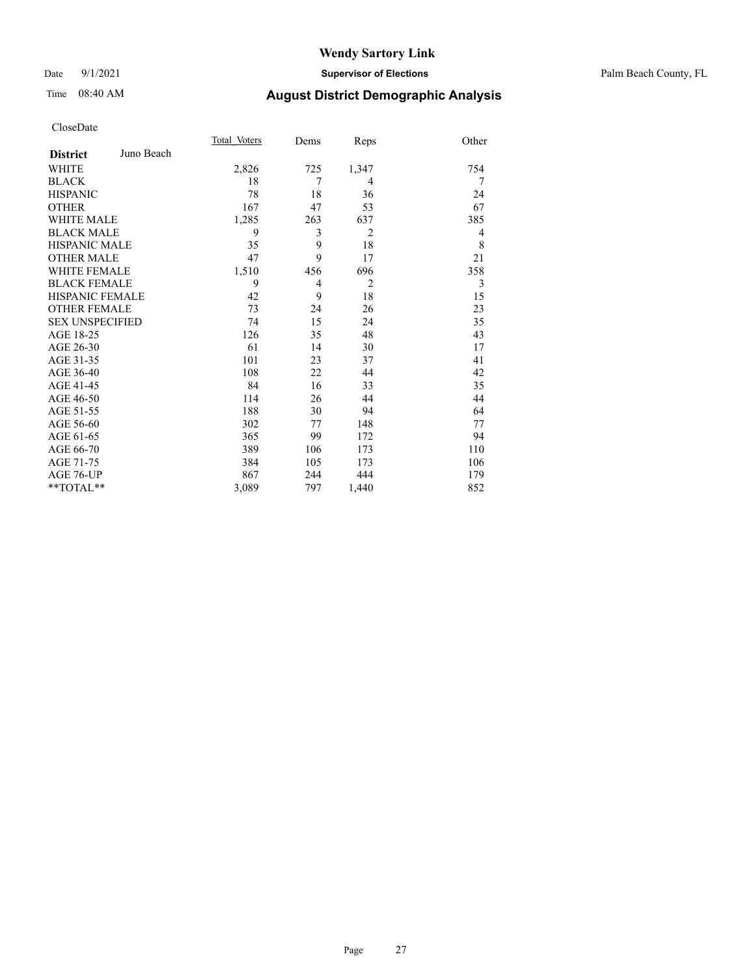## Date 9/1/2021 **Supervisor of Elections** Palm Beach County, FL

# Time 08:40 AM **August District Demographic Analysis**

|                        |            | Total Voters | Dems | Reps           | Other |
|------------------------|------------|--------------|------|----------------|-------|
| <b>District</b>        | Juno Beach |              |      |                |       |
| WHITE                  |            | 2,826        | 725  | 1,347          | 754   |
| <b>BLACK</b>           |            | 18           | 7    | $\overline{4}$ | 7     |
| <b>HISPANIC</b>        |            | 78           | 18   | 36             | 24    |
| <b>OTHER</b>           |            | 167          | 47   | 53             | 67    |
| <b>WHITE MALE</b>      |            | 1,285        | 263  | 637            | 385   |
| <b>BLACK MALE</b>      |            | 9            | 3    | $\overline{2}$ | 4     |
| <b>HISPANIC MALE</b>   |            | 35           | 9    | 18             | 8     |
| <b>OTHER MALE</b>      |            | 47           | 9    | 17             | 21    |
| <b>WHITE FEMALE</b>    |            | 1,510        | 456  | 696            | 358   |
| <b>BLACK FEMALE</b>    |            | 9            | 4    | 2              | 3     |
| <b>HISPANIC FEMALE</b> |            | 42           | 9    | 18             | 15    |
| <b>OTHER FEMALE</b>    |            | 73           | 24   | 26             | 23    |
| <b>SEX UNSPECIFIED</b> |            | 74           | 15   | 24             | 35    |
| AGE 18-25              |            | 126          | 35   | 48             | 43    |
| AGE 26-30              |            | 61           | 14   | 30             | 17    |
| AGE 31-35              |            | 101          | 23   | 37             | 41    |
| AGE 36-40              |            | 108          | 22   | 44             | 42    |
| AGE 41-45              |            | 84           | 16   | 33             | 35    |
| AGE 46-50              |            | 114          | 26   | 44             | 44    |
| AGE 51-55              |            | 188          | 30   | 94             | 64    |
| AGE 56-60              |            | 302          | 77   | 148            | 77    |
| AGE 61-65              |            | 365          | 99   | 172            | 94    |
| AGE 66-70              |            | 389          | 106  | 173            | 110   |
| AGE 71-75              |            | 384          | 105  | 173            | 106   |
| AGE 76-UP              |            | 867          | 244  | 444            | 179   |
| $*$ $TOTAL**$          |            | 3,089        | 797  | 1,440          | 852   |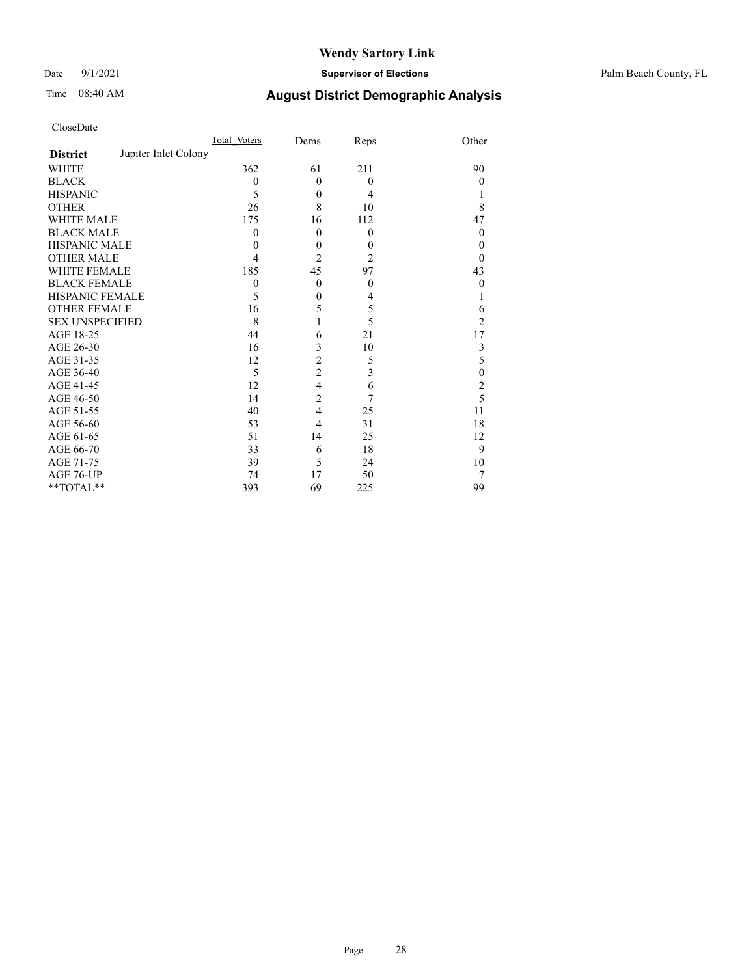Date 9/1/2021 **Supervisor of Elections** Palm Beach County, FL

# Time 08:40 AM **August District Demographic Analysis**

|                                         | Total Voters | Dems                     | Reps             | Other          |
|-----------------------------------------|--------------|--------------------------|------------------|----------------|
| Jupiter Inlet Colony<br><b>District</b> |              |                          |                  |                |
| WHITE                                   | 362          | 61                       | 211              | 90             |
| <b>BLACK</b>                            | $\theta$     | $\theta$                 | $\theta$         | $\overline{0}$ |
| <b>HISPANIC</b>                         | 5            | $\theta$                 | 4                |                |
| <b>OTHER</b>                            | 26           | 8                        | 10               | 8              |
| <b>WHITE MALE</b>                       | 175          | 16                       | 112              | 47             |
| <b>BLACK MALE</b>                       | $\theta$     | $\theta$                 | $\mathbf{0}$     | $\Omega$       |
| <b>HISPANIC MALE</b>                    | 0            | $\theta$                 | $\boldsymbol{0}$ | $\Omega$       |
| <b>OTHER MALE</b>                       | 4            | $\overline{2}$           | $\overline{2}$   | $\Omega$       |
| WHITE FEMALE                            | 185          | 45                       | 97               | 43             |
| <b>BLACK FEMALE</b>                     | 0            | $\theta$                 | $\mathbf{0}$     | $\overline{0}$ |
| <b>HISPANIC FEMALE</b>                  | 5            | $\theta$                 | $\overline{4}$   |                |
| <b>OTHER FEMALE</b>                     | 16           | 5                        | 5                | 6              |
| <b>SEX UNSPECIFIED</b>                  | 8            |                          | 5                | 2              |
| AGE 18-25                               | 44           | 6                        | 21               | 17             |
| AGE 26-30                               | 16           | 3                        | 10               | 3              |
| AGE 31-35                               | 12           | $\overline{c}$           | 5                | 5              |
| AGE 36-40                               | 5            | $\overline{c}$           | 3                | $\theta$       |
| AGE 41-45                               | 12           | $\overline{\mathcal{L}}$ | 6                | $\overline{2}$ |
| AGE 46-50                               | 14           | $\overline{2}$           | 7                | 5              |
| AGE 51-55                               | 40           | $\overline{4}$           | 25               | 11             |
| AGE 56-60                               | 53           | 4                        | 31               | 18             |
| AGE 61-65                               | 51           | 14                       | 25               | 12             |
| AGE 66-70                               | 33           | 6                        | 18               | 9              |
| AGE 71-75                               | 39           | 5                        | 24               | 10             |
| AGE 76-UP                               | 74           | 17                       | 50               |                |
| **TOTAL**                               | 393          | 69                       | 225              | 99             |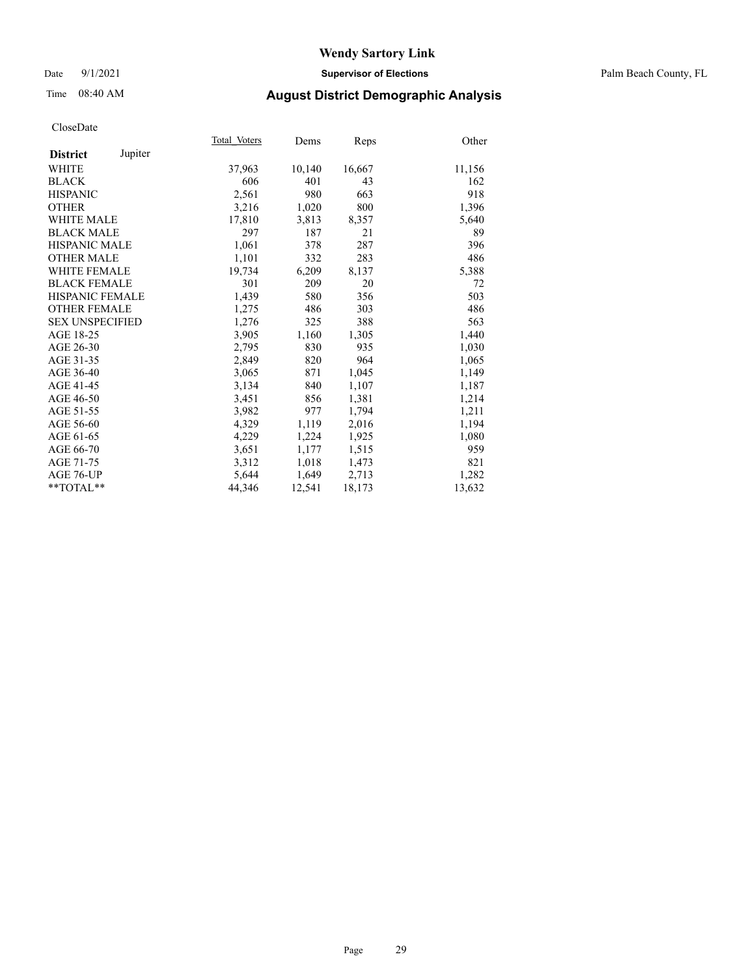## Date 9/1/2021 **Supervisor of Elections** Palm Beach County, FL

## Time 08:40 AM **August District Demographic Analysis**

|                        |         | Total Voters | Dems   | <b>Reps</b> | Other  |
|------------------------|---------|--------------|--------|-------------|--------|
| <b>District</b>        | Jupiter |              |        |             |        |
| WHITE                  |         | 37,963       | 10,140 | 16,667      | 11,156 |
| <b>BLACK</b>           |         | 606          | 401    | 43          | 162    |
| <b>HISPANIC</b>        |         | 2,561        | 980    | 663         | 918    |
| <b>OTHER</b>           |         | 3,216        | 1,020  | 800         | 1,396  |
| <b>WHITE MALE</b>      |         | 17,810       | 3,813  | 8,357       | 5,640  |
| <b>BLACK MALE</b>      |         | 297          | 187    | 21          | 89     |
| <b>HISPANIC MALE</b>   |         | 1,061        | 378    | 287         | 396    |
| <b>OTHER MALE</b>      |         | 1,101        | 332    | 283         | 486    |
| <b>WHITE FEMALE</b>    |         | 19,734       | 6,209  | 8,137       | 5,388  |
| <b>BLACK FEMALE</b>    |         | 301          | 209    | 20          | 72     |
| <b>HISPANIC FEMALE</b> |         | 1,439        | 580    | 356         | 503    |
| <b>OTHER FEMALE</b>    |         | 1,275        | 486    | 303         | 486    |
| <b>SEX UNSPECIFIED</b> |         | 1,276        | 325    | 388         | 563    |
| AGE 18-25              |         | 3,905        | 1,160  | 1,305       | 1,440  |
| AGE 26-30              |         | 2,795        | 830    | 935         | 1,030  |
| AGE 31-35              |         | 2,849        | 820    | 964         | 1,065  |
| AGE 36-40              |         | 3,065        | 871    | 1,045       | 1,149  |
| AGE 41-45              |         | 3,134        | 840    | 1,107       | 1,187  |
| AGE 46-50              |         | 3,451        | 856    | 1,381       | 1,214  |
| AGE 51-55              |         | 3,982        | 977    | 1,794       | 1,211  |
| AGE 56-60              |         | 4,329        | 1,119  | 2,016       | 1,194  |
| AGE 61-65              |         | 4,229        | 1,224  | 1,925       | 1,080  |
| AGE 66-70              |         | 3,651        | 1,177  | 1,515       | 959    |
| AGE 71-75              |         | 3,312        | 1,018  | 1,473       | 821    |
| AGE 76-UP              |         | 5,644        | 1,649  | 2,713       | 1,282  |
| $*$ $TOTAL**$          |         | 44,346       | 12,541 | 18,173      | 13,632 |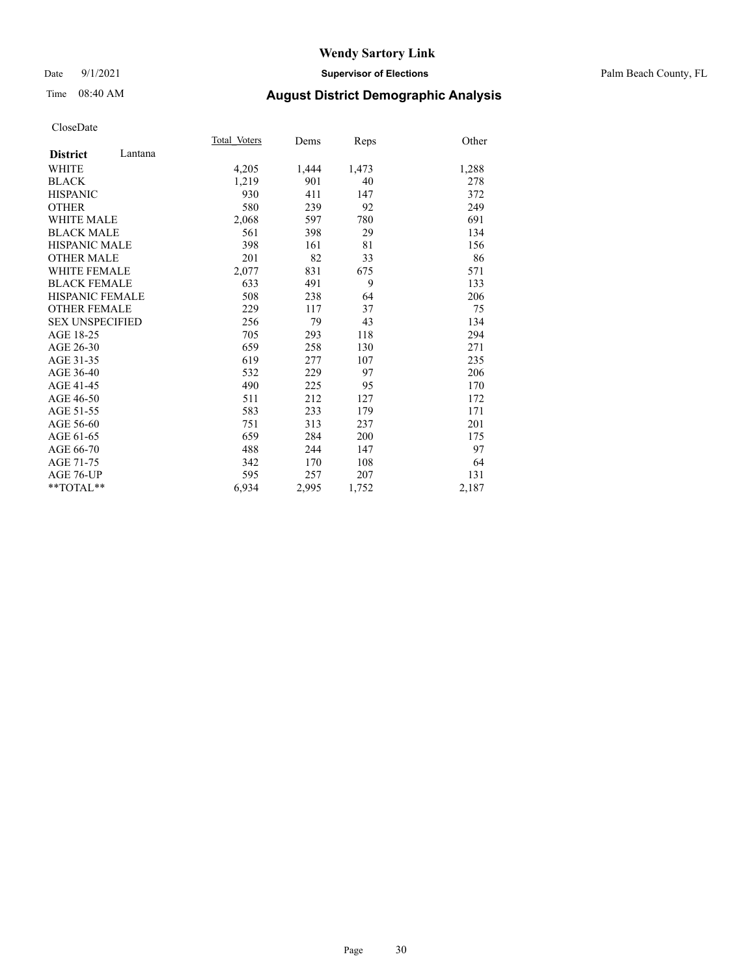## Date 9/1/2021 **Supervisor of Elections** Palm Beach County, FL

## Time 08:40 AM **August District Demographic Analysis**

|                        |         | Total Voters | Dems  | Reps  | Other |
|------------------------|---------|--------------|-------|-------|-------|
| <b>District</b>        | Lantana |              |       |       |       |
| <b>WHITE</b>           |         | 4,205        | 1,444 | 1,473 | 1,288 |
| <b>BLACK</b>           |         | 1,219        | 901   | 40    | 278   |
| <b>HISPANIC</b>        |         | 930          | 411   | 147   | 372   |
| <b>OTHER</b>           |         | 580          | 239   | 92    | 249   |
| <b>WHITE MALE</b>      |         | 2,068        | 597   | 780   | 691   |
| <b>BLACK MALE</b>      |         | 561          | 398   | 29    | 134   |
| <b>HISPANIC MALE</b>   |         | 398          | 161   | 81    | 156   |
| <b>OTHER MALE</b>      |         | 201          | 82    | 33    | 86    |
| <b>WHITE FEMALE</b>    |         | 2,077        | 831   | 675   | 571   |
| <b>BLACK FEMALE</b>    |         | 633          | 491   | 9     | 133   |
| HISPANIC FEMALE        |         | 508          | 238   | 64    | 206   |
| <b>OTHER FEMALE</b>    |         | 229          | 117   | 37    | 75    |
| <b>SEX UNSPECIFIED</b> |         | 256          | 79    | 43    | 134   |
| AGE 18-25              |         | 705          | 293   | 118   | 294   |
| AGE 26-30              |         | 659          | 258   | 130   | 271   |
| AGE 31-35              |         | 619          | 277   | 107   | 235   |
| AGE 36-40              |         | 532          | 229   | 97    | 206   |
| AGE 41-45              |         | 490          | 225   | 95    | 170   |
| AGE 46-50              |         | 511          | 212   | 127   | 172   |
| AGE 51-55              |         | 583          | 233   | 179   | 171   |
| AGE 56-60              |         | 751          | 313   | 237   | 201   |
| AGE 61-65              |         | 659          | 284   | 200   | 175   |
| AGE 66-70              |         | 488          | 244   | 147   | 97    |
| AGE 71-75              |         | 342          | 170   | 108   | 64    |
| AGE 76-UP              |         | 595          | 257   | 207   | 131   |
| $*$ $TOTAL**$          |         | 6,934        | 2,995 | 1,752 | 2,187 |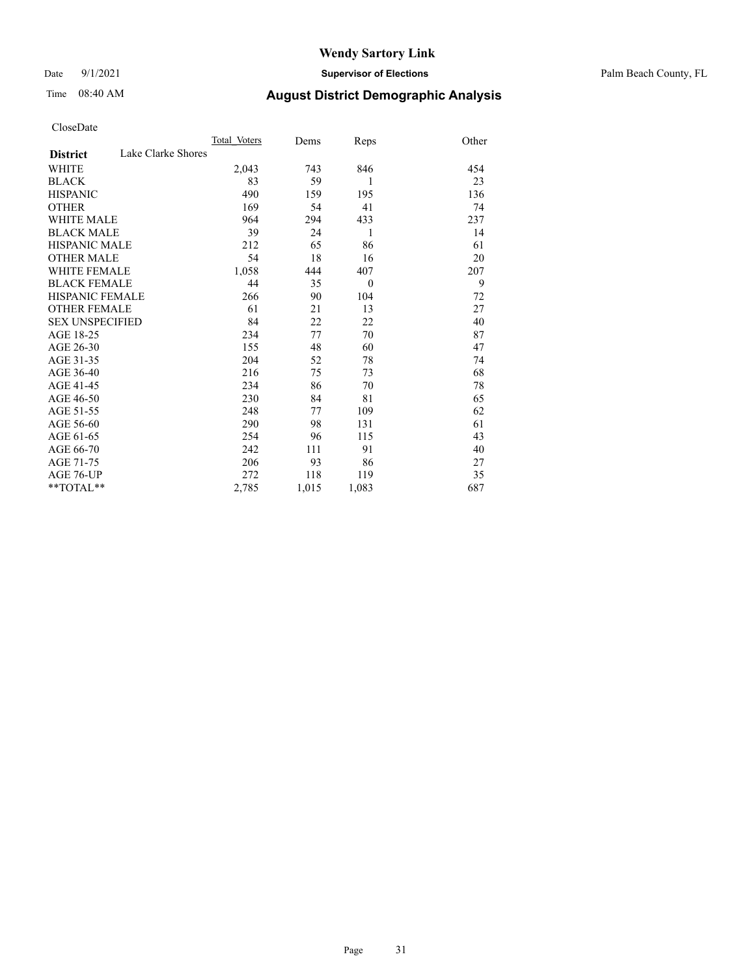Date 9/1/2021 **Supervisor of Elections** Palm Beach County, FL

# Time 08:40 AM **August District Demographic Analysis**

|                                       | Total Voters | Dems  | Reps     | Other |
|---------------------------------------|--------------|-------|----------|-------|
| Lake Clarke Shores<br><b>District</b> |              |       |          |       |
| <b>WHITE</b>                          | 2,043        | 743   | 846      | 454   |
| <b>BLACK</b>                          | 83           | 59    | 1        | 23    |
| <b>HISPANIC</b>                       | 490          | 159   | 195      | 136   |
| <b>OTHER</b>                          | 169          | 54    | 41       | 74    |
| <b>WHITE MALE</b>                     | 964          | 294   | 433      | 237   |
| <b>BLACK MALE</b>                     | 39           | 24    | 1        | 14    |
| HISPANIC MALE                         | 212          | 65    | 86       | 61    |
| <b>OTHER MALE</b>                     | 54           | 18    | 16       | 20    |
| <b>WHITE FEMALE</b>                   | 1,058        | 444   | 407      | 207   |
| <b>BLACK FEMALE</b>                   | 44           | 35    | $\theta$ | 9     |
| <b>HISPANIC FEMALE</b>                | 266          | 90    | 104      | 72    |
| <b>OTHER FEMALE</b>                   | 61           | 21    | 13       | 27    |
| <b>SEX UNSPECIFIED</b>                | 84           | 22    | 22       | 40    |
| AGE 18-25                             | 234          | 77    | 70       | 87    |
| AGE 26-30                             | 155          | 48    | 60       | 47    |
| AGE 31-35                             | 204          | 52    | 78       | 74    |
| AGE 36-40                             | 216          | 75    | 73       | 68    |
| AGE 41-45                             | 234          | 86    | 70       | 78    |
| AGE 46-50                             | 230          | 84    | 81       | 65    |
| AGE 51-55                             | 248          | 77    | 109      | 62    |
| AGE 56-60                             | 290          | 98    | 131      | 61    |
| AGE 61-65                             | 254          | 96    | 115      | 43    |
| AGE 66-70                             | 242          | 111   | 91       | 40    |
| AGE 71-75                             | 206          | 93    | 86       | 27    |
| AGE 76-UP                             | 272          | 118   | 119      | 35    |
| $*$ $TOTAL**$                         | 2,785        | 1,015 | 1,083    | 687   |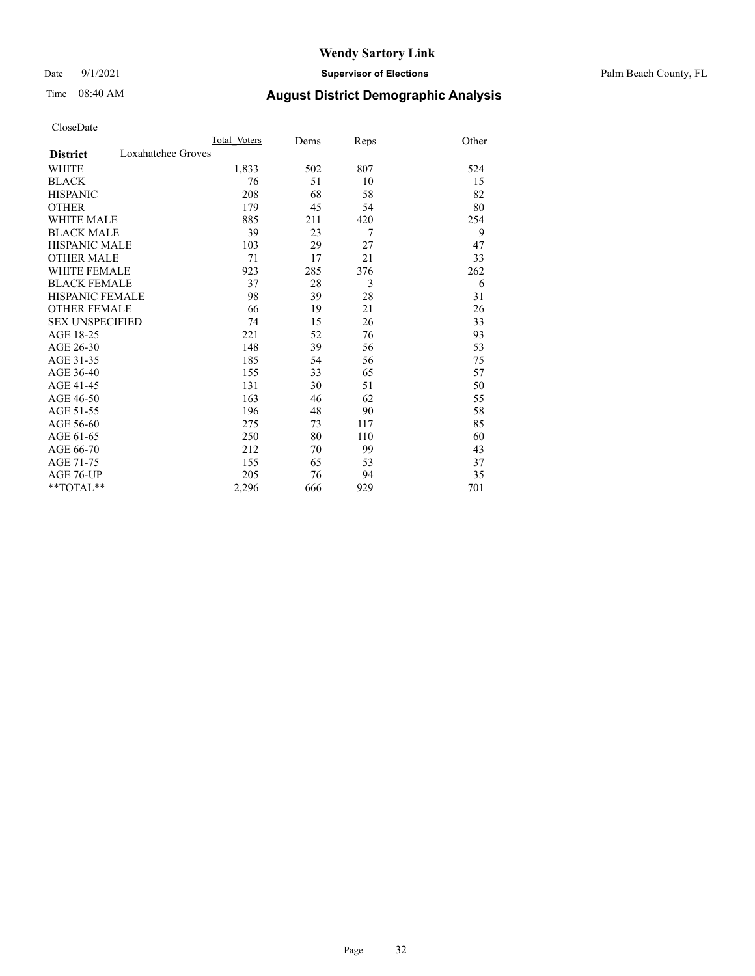## Date 9/1/2021 **Supervisor of Elections** Palm Beach County, FL

# Time 08:40 AM **August District Demographic Analysis**

|                                       | Total Voters | Dems | Reps | Other |
|---------------------------------------|--------------|------|------|-------|
| Loxahatchee Groves<br><b>District</b> |              |      |      |       |
| WHITE                                 | 1,833        | 502  | 807  | 524   |
| <b>BLACK</b>                          | 76           | 51   | 10   | 15    |
| <b>HISPANIC</b>                       | 208          | 68   | 58   | 82    |
| <b>OTHER</b>                          | 179          | 45   | 54   | 80    |
| <b>WHITE MALE</b>                     | 885          | 211  | 420  | 254   |
| <b>BLACK MALE</b>                     | 39           | 23   | 7    | 9     |
| <b>HISPANIC MALE</b>                  | 103          | 29   | 27   | 47    |
| <b>OTHER MALE</b>                     | 71           | 17   | 21   | 33    |
| <b>WHITE FEMALE</b>                   | 923          | 285  | 376  | 262   |
| <b>BLACK FEMALE</b>                   | 37           | 28   | 3    | 6     |
| <b>HISPANIC FEMALE</b>                | 98           | 39   | 28   | 31    |
| <b>OTHER FEMALE</b>                   | 66           | 19   | 21   | 26    |
| <b>SEX UNSPECIFIED</b>                | 74           | 15   | 26   | 33    |
| AGE 18-25                             | 221          | 52   | 76   | 93    |
| AGE 26-30                             | 148          | 39   | 56   | 53    |
| AGE 31-35                             | 185          | 54   | 56   | 75    |
| AGE 36-40                             | 155          | 33   | 65   | 57    |
| AGE 41-45                             | 131          | 30   | 51   | 50    |
| AGE 46-50                             | 163          | 46   | 62   | 55    |
| AGE 51-55                             | 196          | 48   | 90   | 58    |
| AGE 56-60                             | 275          | 73   | 117  | 85    |
| AGE 61-65                             | 250          | 80   | 110  | 60    |
| AGE 66-70                             | 212          | 70   | 99   | 43    |
| AGE 71-75                             | 155          | 65   | 53   | 37    |
| <b>AGE 76-UP</b>                      | 205          | 76   | 94   | 35    |
| **TOTAL**                             | 2,296        | 666  | 929  | 701   |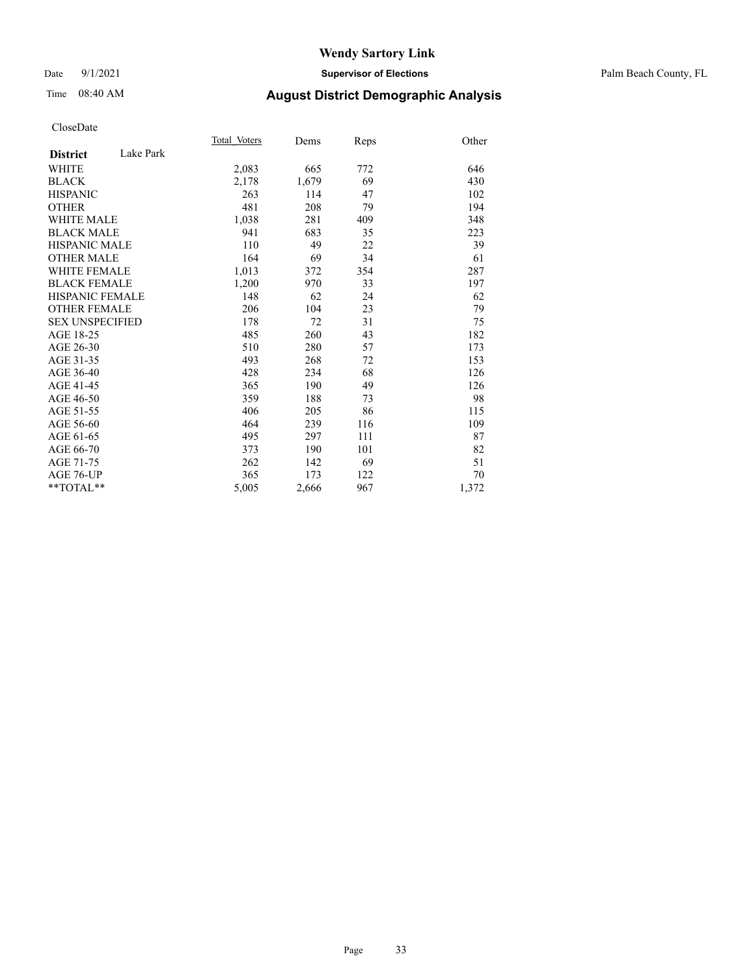## Date 9/1/2021 **Supervisor of Elections** Palm Beach County, FL

## Time 08:40 AM **August District Demographic Analysis**

|                        |           | Total Voters | Dems  | <b>Reps</b> | Other |
|------------------------|-----------|--------------|-------|-------------|-------|
| <b>District</b>        | Lake Park |              |       |             |       |
| WHITE                  |           | 2,083        | 665   | 772         | 646   |
| <b>BLACK</b>           |           | 2,178        | 1,679 | 69          | 430   |
| <b>HISPANIC</b>        |           | 263          | 114   | 47          | 102   |
| <b>OTHER</b>           |           | 481          | 208   | 79          | 194   |
| WHITE MALE             |           | 1,038        | 281   | 409         | 348   |
| <b>BLACK MALE</b>      |           | 941          | 683   | 35          | 223   |
| <b>HISPANIC MALE</b>   |           | 110          | 49    | 22          | 39    |
| <b>OTHER MALE</b>      |           | 164          | 69    | 34          | 61    |
| WHITE FEMALE           |           | 1,013        | 372   | 354         | 287   |
| <b>BLACK FEMALE</b>    |           | 1,200        | 970   | 33          | 197   |
| HISPANIC FEMALE        |           | 148          | 62    | 24          | 62    |
| <b>OTHER FEMALE</b>    |           | 206          | 104   | 23          | 79    |
| <b>SEX UNSPECIFIED</b> |           | 178          | 72    | 31          | 75    |
| AGE 18-25              |           | 485          | 260   | 43          | 182   |
| AGE 26-30              |           | 510          | 280   | 57          | 173   |
| AGE 31-35              |           | 493          | 268   | 72          | 153   |
| AGE 36-40              |           | 428          | 234   | 68          | 126   |
| AGE 41-45              |           | 365          | 190   | 49          | 126   |
| AGE 46-50              |           | 359          | 188   | 73          | 98    |
| AGE 51-55              |           | 406          | 205   | 86          | 115   |
| AGE 56-60              |           | 464          | 239   | 116         | 109   |
| AGE 61-65              |           | 495          | 297   | 111         | 87    |
| AGE 66-70              |           | 373          | 190   | 101         | 82    |
| AGE 71-75              |           | 262          | 142   | 69          | 51    |
| AGE 76-UP              |           | 365          | 173   | 122         | 70    |
| $*$ $TOTAL**$          |           | 5,005        | 2,666 | 967         | 1,372 |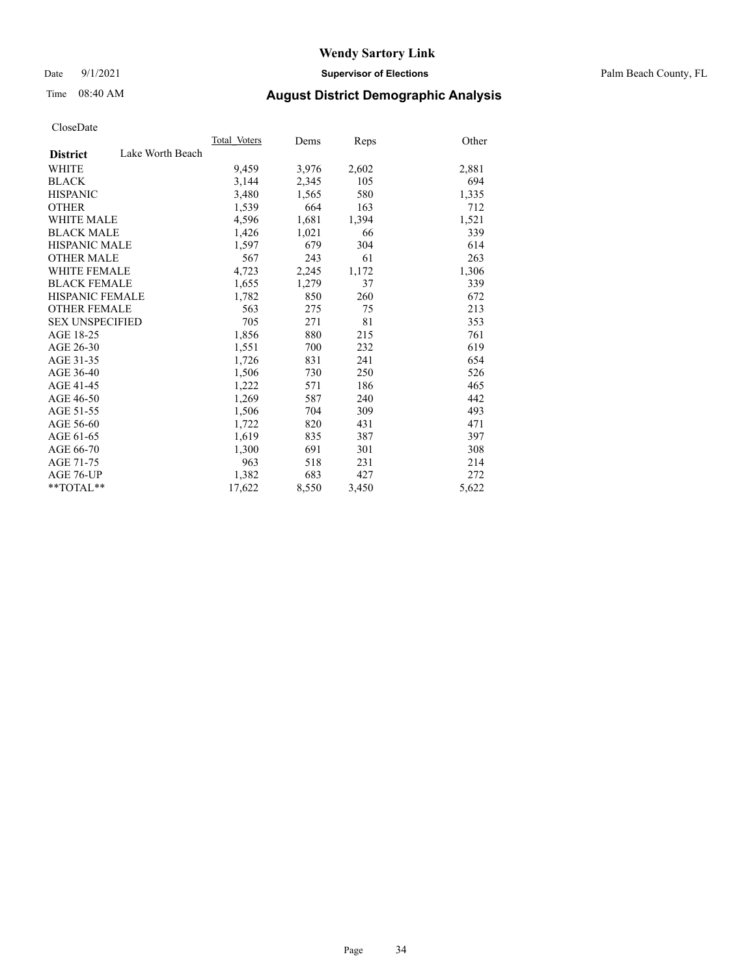Date 9/1/2021 **Supervisor of Elections** Palm Beach County, FL

## Time 08:40 AM **August District Demographic Analysis**

|                        |                  | Total Voters | Dems  | <b>Reps</b> | Other |
|------------------------|------------------|--------------|-------|-------------|-------|
| <b>District</b>        | Lake Worth Beach |              |       |             |       |
| WHITE                  |                  | 9,459        | 3,976 | 2,602       | 2,881 |
| <b>BLACK</b>           |                  | 3,144        | 2,345 | 105         | 694   |
| <b>HISPANIC</b>        |                  | 3,480        | 1,565 | 580         | 1,335 |
| <b>OTHER</b>           |                  | 1,539        | 664   | 163         | 712   |
| <b>WHITE MALE</b>      |                  | 4,596        | 1,681 | 1,394       | 1,521 |
| <b>BLACK MALE</b>      |                  | 1,426        | 1,021 | 66          | 339   |
| <b>HISPANIC MALE</b>   |                  | 1,597        | 679   | 304         | 614   |
| <b>OTHER MALE</b>      |                  | 567          | 243   | 61          | 263   |
| <b>WHITE FEMALE</b>    |                  | 4,723        | 2,245 | 1,172       | 1,306 |
| <b>BLACK FEMALE</b>    |                  | 1,655        | 1,279 | 37          | 339   |
| <b>HISPANIC FEMALE</b> |                  | 1,782        | 850   | 260         | 672   |
| <b>OTHER FEMALE</b>    |                  | 563          | 275   | 75          | 213   |
| <b>SEX UNSPECIFIED</b> |                  | 705          | 271   | 81          | 353   |
| AGE 18-25              |                  | 1,856        | 880   | 215         | 761   |
| AGE 26-30              |                  | 1,551        | 700   | 232         | 619   |
| AGE 31-35              |                  | 1,726        | 831   | 241         | 654   |
| AGE 36-40              |                  | 1,506        | 730   | 250         | 526   |
| AGE 41-45              |                  | 1,222        | 571   | 186         | 465   |
| AGE 46-50              |                  | 1,269        | 587   | 240         | 442   |
| AGE 51-55              |                  | 1,506        | 704   | 309         | 493   |
| AGE 56-60              |                  | 1,722        | 820   | 431         | 471   |
| AGE 61-65              |                  | 1,619        | 835   | 387         | 397   |
| AGE 66-70              |                  | 1,300        | 691   | 301         | 308   |
| AGE 71-75              |                  | 963          | 518   | 231         | 214   |
| AGE 76-UP              |                  | 1,382        | 683   | 427         | 272   |
| $*$ $TOTAL**$          |                  | 17,622       | 8,550 | 3,450       | 5,622 |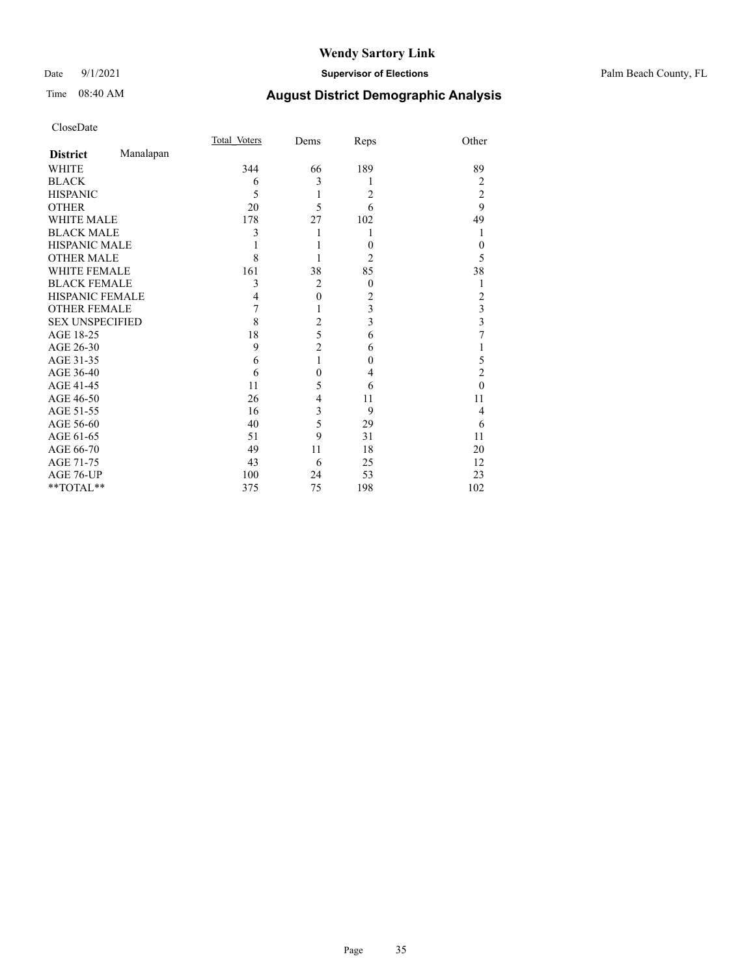## Date 9/1/2021 **Supervisor of Elections** Palm Beach County, FL

# Time 08:40 AM **August District Demographic Analysis**

|                        |           | Total Voters | Dems           | Reps             | Other          |
|------------------------|-----------|--------------|----------------|------------------|----------------|
| <b>District</b>        | Manalapan |              |                |                  |                |
| WHITE                  |           | 344          | 66             | 189              | 89             |
| <b>BLACK</b>           |           | 6            | 3              | 1                | 2              |
| <b>HISPANIC</b>        |           | 5            | 1              | 2                | $\overline{2}$ |
| <b>OTHER</b>           |           | 20           | 5              | 6                | 9              |
| <b>WHITE MALE</b>      |           | 178          | 27             | 102              | 49             |
| <b>BLACK MALE</b>      |           | 3            | 1              | 1                | 1              |
| <b>HISPANIC MALE</b>   |           |              |                | $\boldsymbol{0}$ | $\theta$       |
| <b>OTHER MALE</b>      |           | 8            |                | 2                | 5              |
| <b>WHITE FEMALE</b>    |           | 161          | 38             | 85               | 38             |
| <b>BLACK FEMALE</b>    |           | 3            | $\overline{c}$ | $\boldsymbol{0}$ |                |
| HISPANIC FEMALE        |           | 4            | $\mathbf{0}$   | $\overline{c}$   | 2              |
| <b>OTHER FEMALE</b>    |           | 7            | 1              | 3                | 3              |
| <b>SEX UNSPECIFIED</b> |           | 8            | $\overline{c}$ | 3                | 3              |
| AGE 18-25              |           | 18           | 5              | 6                | 7              |
| AGE 26-30              |           | 9            | $\overline{c}$ | 6                |                |
| AGE 31-35              |           | 6            | $\mathbf{1}$   | $\mathbf{0}$     | 5              |
| AGE 36-40              |           | 6            | $\overline{0}$ | 4                | $\overline{2}$ |
| AGE 41-45              |           | 11           | 5              | 6                | $\theta$       |
| AGE 46-50              |           | 26           | 4              | 11               | 11             |
| AGE 51-55              |           | 16           | 3              | 9                | 4              |
| AGE 56-60              |           | 40           | 5              | 29               | 6              |
| AGE 61-65              |           | 51           | 9              | 31               | 11             |
| AGE 66-70              |           | 49           | 11             | 18               | 20             |
| AGE 71-75              |           | 43           | 6              | 25               | 12             |
| AGE 76-UP              |           | 100          | 24             | 53               | 23             |
| **TOTAL**              |           | 375          | 75             | 198              | 102            |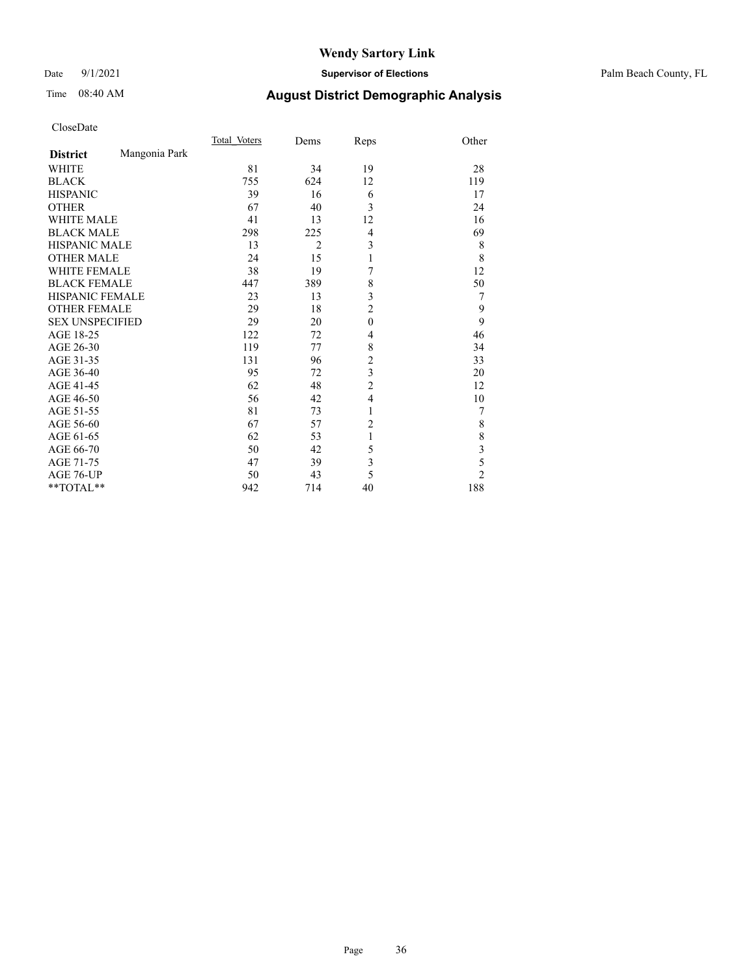## Date 9/1/2021 **Supervisor of Elections** Palm Beach County, FL

# Time 08:40 AM **August District Demographic Analysis**

| CloseDate |
|-----------|
|-----------|

|                        |               | Total Voters | Dems           | Reps                    | Other                   |
|------------------------|---------------|--------------|----------------|-------------------------|-------------------------|
| <b>District</b>        | Mangonia Park |              |                |                         |                         |
| <b>WHITE</b>           |               | 81           | 34             | 19                      | 28                      |
| <b>BLACK</b>           |               | 755          | 624            | 12                      | 119                     |
| <b>HISPANIC</b>        |               | 39           | 16             | 6                       | 17                      |
| <b>OTHER</b>           |               | 67           | 40             | 3                       | 24                      |
| <b>WHITE MALE</b>      |               | 41           | 13             | 12                      | 16                      |
| <b>BLACK MALE</b>      |               | 298          | 225            | 4                       | 69                      |
| <b>HISPANIC MALE</b>   |               | 13           | $\overline{2}$ | 3                       | 8                       |
| <b>OTHER MALE</b>      |               | 24           | 15             | 1                       | 8                       |
| <b>WHITE FEMALE</b>    |               | 38           | 19             | 7                       | 12                      |
| <b>BLACK FEMALE</b>    |               | 447          | 389            | 8                       | 50                      |
| HISPANIC FEMALE        |               | 23           | 13             | 3                       | 7                       |
| <b>OTHER FEMALE</b>    |               | 29           | 18             | $\overline{c}$          | 9                       |
| <b>SEX UNSPECIFIED</b> |               | 29           | 20             | $\mathbf{0}$            | 9                       |
| AGE 18-25              |               | 122          | 72             | 4                       | 46                      |
| AGE 26-30              |               | 119          | 77             | 8                       | 34                      |
| AGE 31-35              |               | 131          | 96             | $\overline{c}$          | 33                      |
| AGE 36-40              |               | 95           | 72             | 3                       | 20                      |
| AGE 41-45              |               | 62           | 48             | $\overline{c}$          | 12                      |
| AGE 46-50              |               | 56           | 42             | 4                       | 10                      |
| AGE 51-55              |               | 81           | 73             | 1                       | 7                       |
| AGE 56-60              |               | 67           | 57             | $\overline{2}$          | 8                       |
| AGE 61-65              |               | 62           | 53             | 1                       | 8                       |
| AGE 66-70              |               | 50           | 42             | 5                       | $\overline{\mathbf{3}}$ |
| AGE 71-75              |               | 47           | 39             | $\overline{\mathbf{3}}$ | 5                       |
| AGE 76-UP              |               | 50           | 43             | 5                       | $\overline{c}$          |
| **TOTAL**              |               | 942          | 714            | 40                      | 188                     |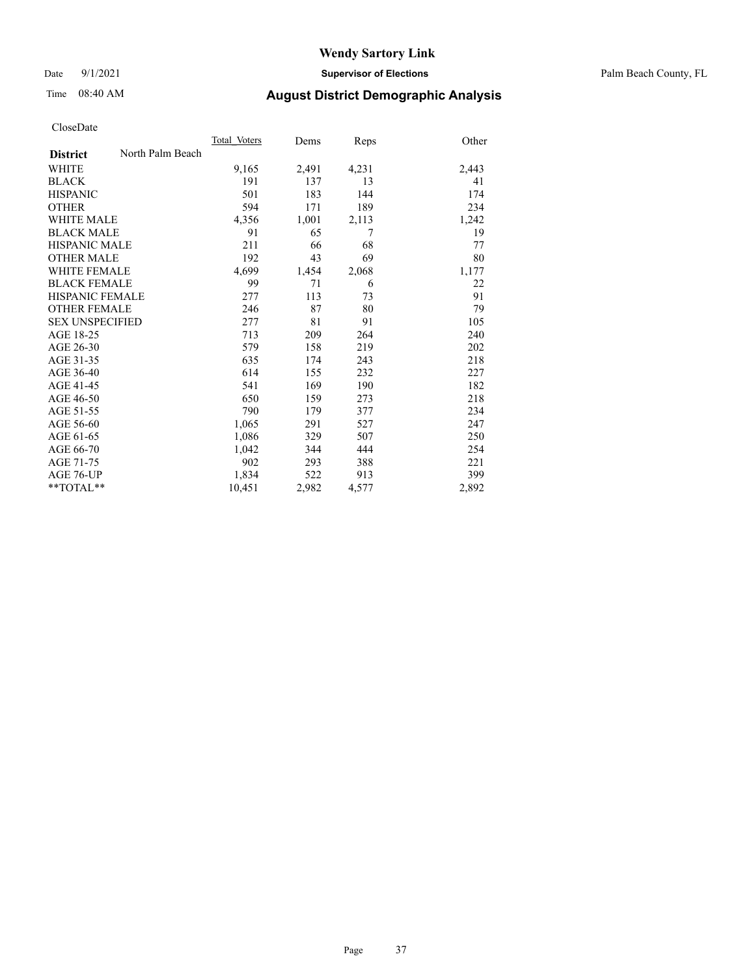Date 9/1/2021 **Supervisor of Elections** Palm Beach County, FL

## Time 08:40 AM **August District Demographic Analysis**

|                        |                  | Total Voters | Dems  | Reps  | Other |
|------------------------|------------------|--------------|-------|-------|-------|
| <b>District</b>        | North Palm Beach |              |       |       |       |
| WHITE                  |                  | 9,165        | 2,491 | 4,231 | 2,443 |
| <b>BLACK</b>           |                  | 191          | 137   | 13    | 41    |
| <b>HISPANIC</b>        |                  | 501          | 183   | 144   | 174   |
| <b>OTHER</b>           |                  | 594          | 171   | 189   | 234   |
| WHITE MALE             |                  | 4,356        | 1,001 | 2,113 | 1,242 |
| <b>BLACK MALE</b>      |                  | 91           | 65    | 7     | 19    |
| <b>HISPANIC MALE</b>   |                  | 211          | 66    | 68    | 77    |
| <b>OTHER MALE</b>      |                  | 192          | 43    | 69    | 80    |
| <b>WHITE FEMALE</b>    |                  | 4,699        | 1,454 | 2,068 | 1,177 |
| <b>BLACK FEMALE</b>    |                  | 99           | 71    | 6     | 22    |
| HISPANIC FEMALE        |                  | 277          | 113   | 73    | 91    |
| <b>OTHER FEMALE</b>    |                  | 246          | 87    | 80    | 79    |
| <b>SEX UNSPECIFIED</b> |                  | 277          | 81    | 91    | 105   |
| AGE 18-25              |                  | 713          | 209   | 264   | 240   |
| AGE 26-30              |                  | 579          | 158   | 219   | 202   |
| AGE 31-35              |                  | 635          | 174   | 243   | 218   |
| AGE 36-40              |                  | 614          | 155   | 232   | 227   |
| AGE 41-45              |                  | 541          | 169   | 190   | 182   |
| AGE 46-50              |                  | 650          | 159   | 273   | 218   |
| AGE 51-55              |                  | 790          | 179   | 377   | 234   |
| AGE 56-60              |                  | 1,065        | 291   | 527   | 247   |
| AGE 61-65              |                  | 1,086        | 329   | 507   | 250   |
| AGE 66-70              |                  | 1,042        | 344   | 444   | 254   |
| AGE 71-75              |                  | 902          | 293   | 388   | 221   |
| AGE 76-UP              |                  | 1,834        | 522   | 913   | 399   |
| $*$ $TOTAL**$          |                  | 10,451       | 2,982 | 4,577 | 2,892 |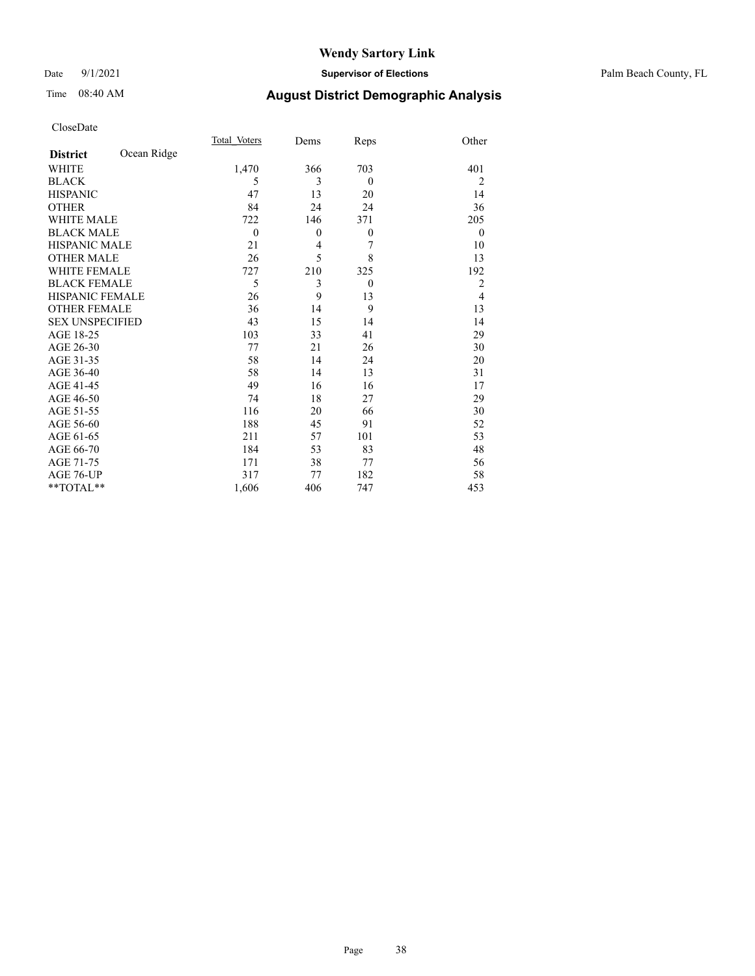#### Date 9/1/2021 **Supervisor of Elections** Palm Beach County, FL

# Time 08:40 AM **August District Demographic Analysis**

|                        |             | Total Voters | Dems           | Reps     | Other          |
|------------------------|-------------|--------------|----------------|----------|----------------|
| <b>District</b>        | Ocean Ridge |              |                |          |                |
| WHITE                  |             | 1,470        | 366            | 703      | 401            |
| <b>BLACK</b>           |             | 5            | 3              | $\theta$ | $\overline{2}$ |
| <b>HISPANIC</b>        |             | 47           | 13             | 20       | 14             |
| <b>OTHER</b>           |             | 84           | 24             | 24       | 36             |
| <b>WHITE MALE</b>      |             | 722          | 146            | 371      | 205            |
| <b>BLACK MALE</b>      |             | $\theta$     | $\theta$       | $\theta$ | $\theta$       |
| <b>HISPANIC MALE</b>   |             | 21           | $\overline{4}$ | 7        | 10             |
| <b>OTHER MALE</b>      |             | 26           | 5              | 8        | 13             |
| WHITE FEMALE           |             | 727          | 210            | 325      | 192            |
| <b>BLACK FEMALE</b>    |             | 5            | 3              | $\theta$ | $\overline{2}$ |
| <b>HISPANIC FEMALE</b> |             | 26           | 9              | 13       | $\overline{4}$ |
| <b>OTHER FEMALE</b>    |             | 36           | 14             | 9        | 13             |
| <b>SEX UNSPECIFIED</b> |             | 43           | 15             | 14       | 14             |
| AGE 18-25              |             | 103          | 33             | 41       | 29             |
| AGE 26-30              |             | 77           | 21             | 26       | 30             |
| AGE 31-35              |             | 58           | 14             | 24       | 20             |
| AGE 36-40              |             | 58           | 14             | 13       | 31             |
| AGE 41-45              |             | 49           | 16             | 16       | 17             |
| AGE 46-50              |             | 74           | 18             | 27       | 29             |
| AGE 51-55              |             | 116          | 20             | 66       | 30             |
| AGE 56-60              |             | 188          | 45             | 91       | 52             |
| AGE 61-65              |             | 211          | 57             | 101      | 53             |
| AGE 66-70              |             | 184          | 53             | 83       | 48             |
| AGE 71-75              |             | 171          | 38             | 77       | 56             |
| AGE 76-UP              |             | 317          | 77             | 182      | 58             |
| $*$ $TOTAL**$          |             | 1,606        | 406            | 747      | 453            |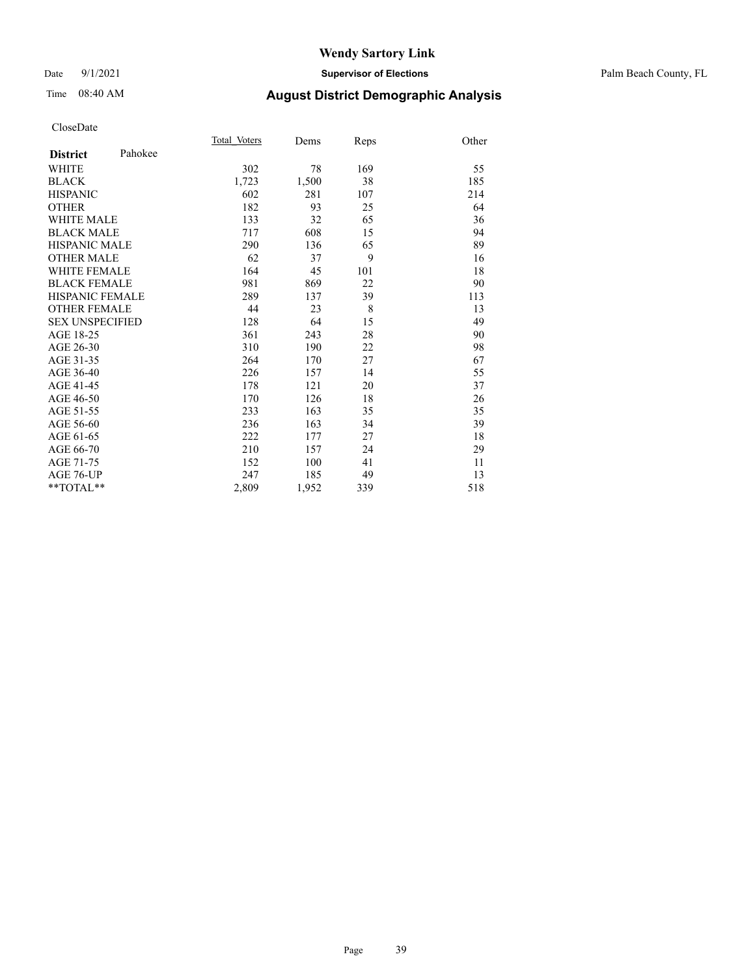#### Date 9/1/2021 **Supervisor of Elections** Palm Beach County, FL

# Time 08:40 AM **August District Demographic Analysis**

|                        |         | Total Voters | Dems  | Reps | Other |
|------------------------|---------|--------------|-------|------|-------|
| <b>District</b>        | Pahokee |              |       |      |       |
| <b>WHITE</b>           |         | 302          | 78    | 169  | 55    |
| <b>BLACK</b>           |         | 1,723        | 1,500 | 38   | 185   |
| <b>HISPANIC</b>        |         | 602          | 281   | 107  | 214   |
| <b>OTHER</b>           |         | 182          | 93    | 25   | 64    |
| WHITE MALE             |         | 133          | 32    | 65   | 36    |
| <b>BLACK MALE</b>      |         | 717          | 608   | 15   | 94    |
| <b>HISPANIC MALE</b>   |         | 290          | 136   | 65   | 89    |
| <b>OTHER MALE</b>      |         | 62           | 37    | 9    | 16    |
| <b>WHITE FEMALE</b>    |         | 164          | 45    | 101  | 18    |
| <b>BLACK FEMALE</b>    |         | 981          | 869   | 22   | 90    |
| <b>HISPANIC FEMALE</b> |         | 289          | 137   | 39   | 113   |
| <b>OTHER FEMALE</b>    |         | 44           | 23    | 8    | 13    |
| <b>SEX UNSPECIFIED</b> |         | 128          | 64    | 15   | 49    |
| AGE 18-25              |         | 361          | 243   | 28   | 90    |
| AGE 26-30              |         | 310          | 190   | 22   | 98    |
| AGE 31-35              |         | 264          | 170   | 27   | 67    |
| AGE 36-40              |         | 226          | 157   | 14   | 55    |
| AGE 41-45              |         | 178          | 121   | 20   | 37    |
| AGE 46-50              |         | 170          | 126   | 18   | 26    |
| AGE 51-55              |         | 233          | 163   | 35   | 35    |
| AGE 56-60              |         | 236          | 163   | 34   | 39    |
| AGE 61-65              |         | 222          | 177   | 27   | 18    |
| AGE 66-70              |         | 210          | 157   | 24   | 29    |
| AGE 71-75              |         | 152          | 100   | 41   | 11    |
| AGE 76-UP              |         | 247          | 185   | 49   | 13    |
| $*$ $TOTAL**$          |         | 2,809        | 1,952 | 339  | 518   |
|                        |         |              |       |      |       |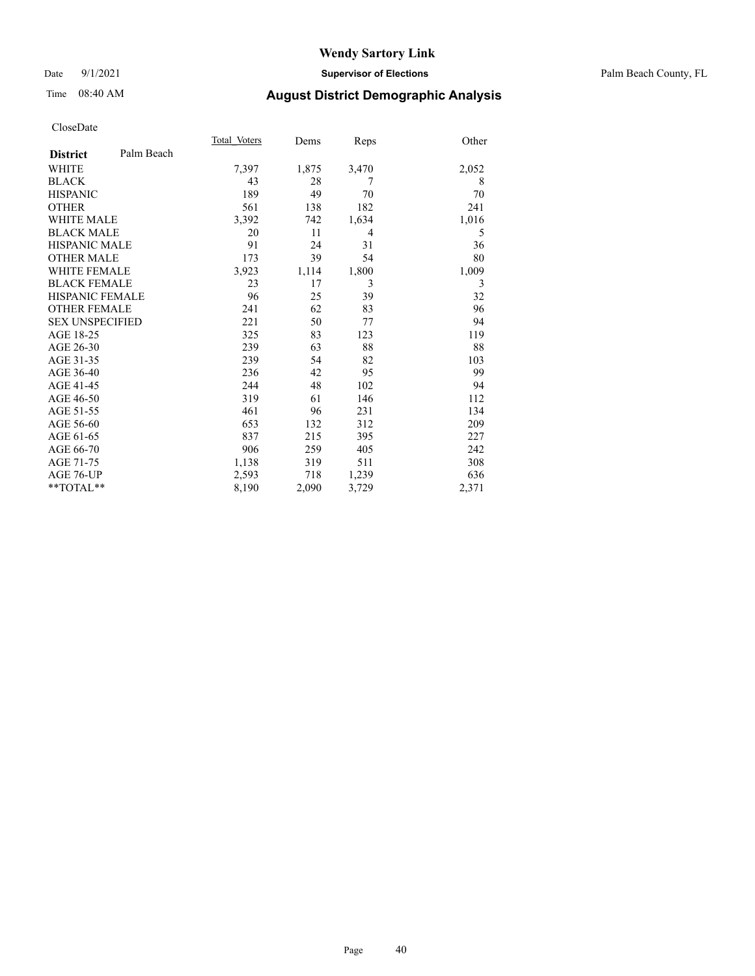#### Date 9/1/2021 **Supervisor of Elections** Palm Beach County, FL

# Time 08:40 AM **August District Demographic Analysis**

|                        | Total Voters | Dems  | Reps  | Other |
|------------------------|--------------|-------|-------|-------|
| Palm Beach             |              |       |       |       |
|                        | 7,397        | 1,875 | 3,470 | 2,052 |
|                        | 43           | 28    | 7     | 8     |
|                        | 189          | 49    | 70    | 70    |
|                        | 561          | 138   | 182   | 241   |
| WHITE MALE             | 3,392        | 742   | 1,634 | 1,016 |
| <b>BLACK MALE</b>      | 20           | 11    | 4     | 5     |
| <b>HISPANIC MALE</b>   | 91           | 24    | 31    | 36    |
| <b>OTHER MALE</b>      | 173          | 39    | 54    | 80    |
| WHITE FEMALE           | 3,923        | 1,114 | 1,800 | 1,009 |
| <b>BLACK FEMALE</b>    | 23           | 17    | 3     | 3     |
| <b>HISPANIC FEMALE</b> | 96           | 25    | 39    | 32    |
| <b>OTHER FEMALE</b>    | 241          | 62    | 83    | 96    |
| <b>SEX UNSPECIFIED</b> | 221          | 50    | 77    | 94    |
|                        | 325          | 83    | 123   | 119   |
|                        | 239          | 63    | 88    | 88    |
|                        | 239          | 54    | 82    | 103   |
|                        | 236          | 42    | 95    | 99    |
|                        | 244          | 48    | 102   | 94    |
|                        | 319          | 61    | 146   | 112   |
|                        | 461          | 96    | 231   | 134   |
|                        | 653          | 132   | 312   | 209   |
|                        | 837          | 215   | 395   | 227   |
|                        | 906          | 259   | 405   | 242   |
|                        | 1,138        | 319   | 511   | 308   |
|                        | 2,593        | 718   | 1,239 | 636   |
| $*$ $TOTAL**$          | 8,190        | 2,090 | 3,729 | 2,371 |
|                        |              |       |       |       |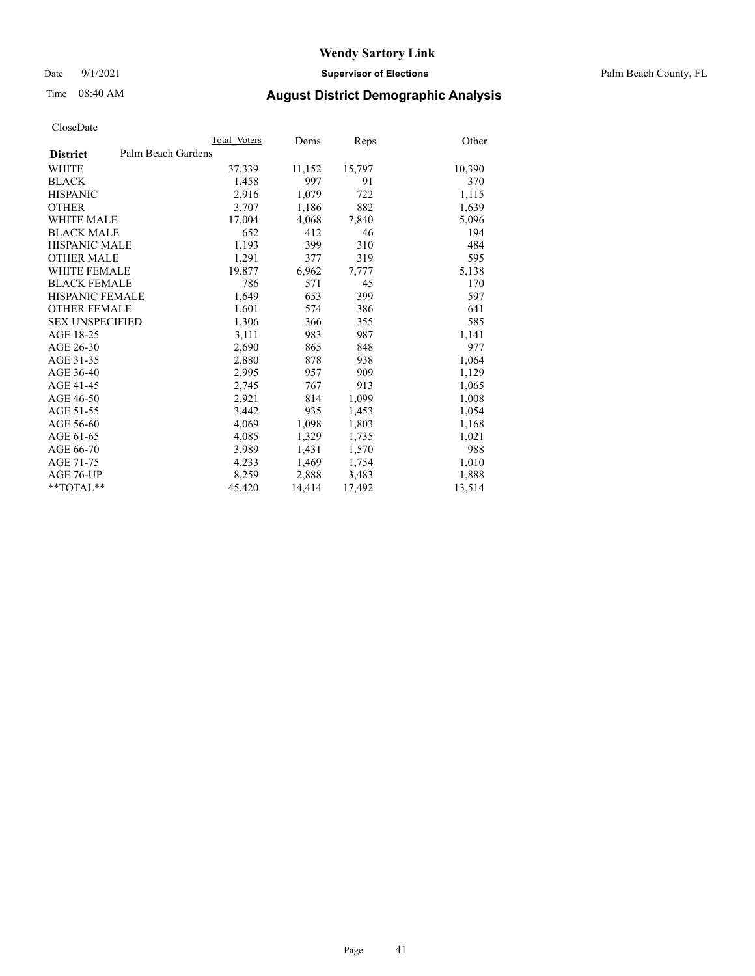Date 9/1/2021 **Supervisor of Elections** Palm Beach County, FL

## Time 08:40 AM **August District Demographic Analysis**

|                        | Total Voters       | Dems   | <b>Reps</b> | Other  |
|------------------------|--------------------|--------|-------------|--------|
| <b>District</b>        | Palm Beach Gardens |        |             |        |
| WHITE                  | 37,339             | 11,152 | 15,797      | 10,390 |
| <b>BLACK</b>           | 1,458              | 997    | 91          | 370    |
| <b>HISPANIC</b>        | 2,916              | 1,079  | 722         | 1,115  |
| <b>OTHER</b>           | 3,707              | 1,186  | 882         | 1,639  |
| <b>WHITE MALE</b>      | 17,004             | 4,068  | 7,840       | 5,096  |
| <b>BLACK MALE</b>      | 652                | 412    | 46          | 194    |
| <b>HISPANIC MALE</b>   | 1,193              | 399    | 310         | 484    |
| <b>OTHER MALE</b>      | 1,291              | 377    | 319         | 595    |
| <b>WHITE FEMALE</b>    | 19,877             | 6,962  | 7,777       | 5,138  |
| <b>BLACK FEMALE</b>    | 786                | 571    | 45          | 170    |
| <b>HISPANIC FEMALE</b> | 1,649              | 653    | 399         | 597    |
| <b>OTHER FEMALE</b>    | 1,601              | 574    | 386         | 641    |
| <b>SEX UNSPECIFIED</b> | 1,306              | 366    | 355         | 585    |
| AGE 18-25              | 3,111              | 983    | 987         | 1,141  |
| AGE 26-30              | 2,690              | 865    | 848         | 977    |
| AGE 31-35              | 2,880              | 878    | 938         | 1,064  |
| AGE 36-40              | 2,995              | 957    | 909         | 1,129  |
| AGE 41-45              | 2,745              | 767    | 913         | 1,065  |
| AGE 46-50              | 2,921              | 814    | 1,099       | 1,008  |
| AGE 51-55              | 3,442              | 935    | 1,453       | 1,054  |
| AGE 56-60              | 4,069              | 1,098  | 1,803       | 1,168  |
| AGE 61-65              | 4,085              | 1,329  | 1,735       | 1,021  |
| AGE 66-70              | 3,989              | 1,431  | 1,570       | 988    |
| AGE 71-75              | 4,233              | 1,469  | 1,754       | 1,010  |
| AGE 76-UP              | 8,259              | 2,888  | 3,483       | 1,888  |
| **TOTAL**              | 45,420             | 14,414 | 17,492      | 13,514 |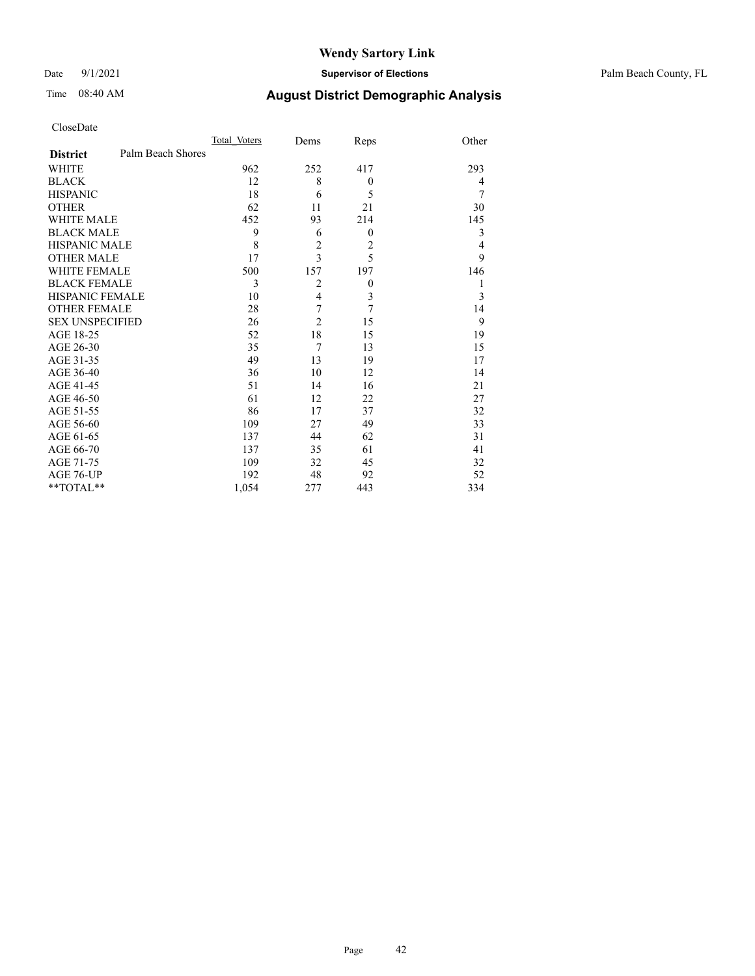Date 9/1/2021 **Supervisor of Elections** Palm Beach County, FL

# Time 08:40 AM **August District Demographic Analysis**

|                                      | Total Voters | Dems           | Reps             | Other |
|--------------------------------------|--------------|----------------|------------------|-------|
| Palm Beach Shores<br><b>District</b> |              |                |                  |       |
| <b>WHITE</b>                         | 962          | 252            | 417              | 293   |
| <b>BLACK</b>                         | 12           | 8              | $\theta$         | 4     |
| <b>HISPANIC</b>                      | 18           | 6              | 5                | 7     |
| <b>OTHER</b>                         | 62           | 11             | 21               | 30    |
| <b>WHITE MALE</b>                    | 452          | 93             | 214              | 145   |
| <b>BLACK MALE</b>                    | 9            | 6              | $\theta$         | 3     |
| <b>HISPANIC MALE</b>                 | 8            | $\overline{c}$ | $\overline{2}$   | 4     |
| <b>OTHER MALE</b>                    | 17           | 3              | 5                | 9     |
| WHITE FEMALE                         | 500          | 157            | 197              | 146   |
| <b>BLACK FEMALE</b>                  | 3            | $\overline{2}$ | $\boldsymbol{0}$ | 1     |
| <b>HISPANIC FEMALE</b>               | 10           | $\overline{4}$ | 3                | 3     |
| <b>OTHER FEMALE</b>                  | 28           | 7              | 7                | 14    |
| <b>SEX UNSPECIFIED</b>               | 26           | $\overline{c}$ | 15               | 9     |
| AGE 18-25                            | 52           | 18             | 15               | 19    |
| AGE 26-30                            | 35           | $\overline{7}$ | 13               | 15    |
| AGE 31-35                            | 49           | 13             | 19               | 17    |
| AGE 36-40                            | 36           | 10             | 12               | 14    |
| AGE 41-45                            | 51           | 14             | 16               | 21    |
| AGE 46-50                            | 61           | 12             | 22               | 27    |
| AGE 51-55                            | 86           | 17             | 37               | 32    |
| AGE 56-60                            | 109          | 27             | 49               | 33    |
| AGE 61-65                            | 137          | 44             | 62               | 31    |
| AGE 66-70                            | 137          | 35             | 61               | 41    |
| AGE 71-75                            | 109          | 32             | 45               | 32    |
| AGE 76-UP                            | 192          | 48             | 92               | 52    |
| **TOTAL**                            | 1,054        | 277            | 443              | 334   |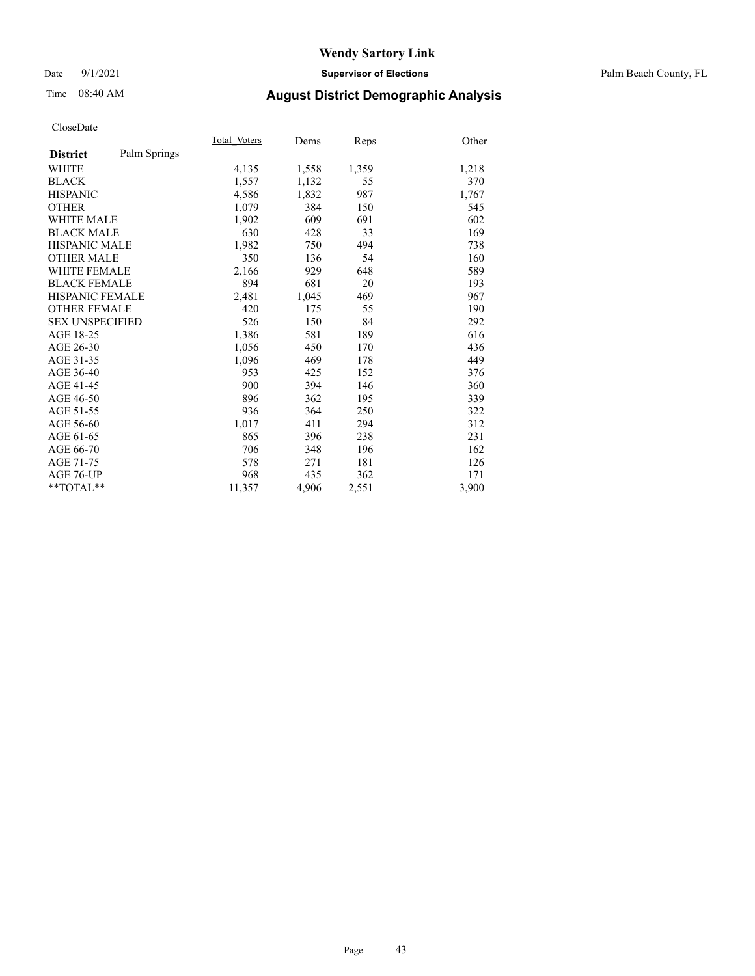#### Date 9/1/2021 **Supervisor of Elections** Palm Beach County, FL

## Time 08:40 AM **August District Demographic Analysis**

|                        |              | Total Voters | Dems  | Reps  | Other |
|------------------------|--------------|--------------|-------|-------|-------|
| <b>District</b>        | Palm Springs |              |       |       |       |
| WHITE                  |              | 4,135        | 1,558 | 1,359 | 1,218 |
| <b>BLACK</b>           |              | 1,557        | 1,132 | 55    | 370   |
| <b>HISPANIC</b>        |              | 4,586        | 1,832 | 987   | 1,767 |
| <b>OTHER</b>           |              | 1,079        | 384   | 150   | 545   |
| <b>WHITE MALE</b>      |              | 1,902        | 609   | 691   | 602   |
| <b>BLACK MALE</b>      |              | 630          | 428   | 33    | 169   |
| <b>HISPANIC MALE</b>   |              | 1,982        | 750   | 494   | 738   |
| <b>OTHER MALE</b>      |              | 350          | 136   | 54    | 160   |
| <b>WHITE FEMALE</b>    |              | 2,166        | 929   | 648   | 589   |
| <b>BLACK FEMALE</b>    |              | 894          | 681   | 20    | 193   |
| <b>HISPANIC FEMALE</b> |              | 2,481        | 1,045 | 469   | 967   |
| <b>OTHER FEMALE</b>    |              | 420          | 175   | 55    | 190   |
| <b>SEX UNSPECIFIED</b> |              | 526          | 150   | 84    | 292   |
| AGE 18-25              |              | 1,386        | 581   | 189   | 616   |
| AGE 26-30              |              | 1,056        | 450   | 170   | 436   |
| AGE 31-35              |              | 1,096        | 469   | 178   | 449   |
| AGE 36-40              |              | 953          | 425   | 152   | 376   |
| AGE 41-45              |              | 900          | 394   | 146   | 360   |
| AGE 46-50              |              | 896          | 362   | 195   | 339   |
| AGE 51-55              |              | 936          | 364   | 250   | 322   |
| AGE 56-60              |              | 1,017        | 411   | 294   | 312   |
| AGE 61-65              |              | 865          | 396   | 238   | 231   |
| AGE 66-70              |              | 706          | 348   | 196   | 162   |
| AGE 71-75              |              | 578          | 271   | 181   | 126   |
| AGE 76-UP              |              | 968          | 435   | 362   | 171   |
| $*$ $TOTAL**$          |              | 11,357       | 4,906 | 2,551 | 3,900 |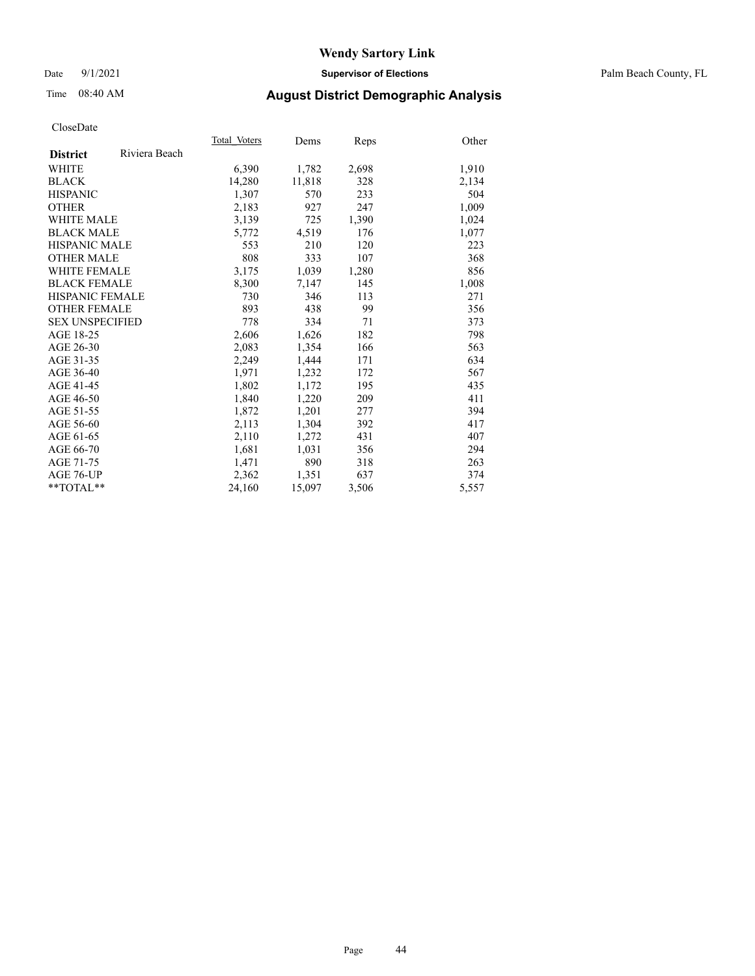#### Date 9/1/2021 **Supervisor of Elections** Palm Beach County, FL

## Time 08:40 AM **August District Demographic Analysis**

|                        |               | Total Voters | Dems   | <b>Reps</b> | Other |
|------------------------|---------------|--------------|--------|-------------|-------|
| <b>District</b>        | Riviera Beach |              |        |             |       |
| WHITE                  |               | 6,390        | 1,782  | 2,698       | 1,910 |
| <b>BLACK</b>           |               | 14,280       | 11,818 | 328         | 2,134 |
| <b>HISPANIC</b>        |               | 1.307        | 570    | 233         | 504   |
| <b>OTHER</b>           |               | 2,183        | 927    | 247         | 1,009 |
| <b>WHITE MALE</b>      |               | 3,139        | 725    | 1,390       | 1,024 |
| <b>BLACK MALE</b>      |               | 5,772        | 4,519  | 176         | 1,077 |
| <b>HISPANIC MALE</b>   |               | 553          | 210    | 120         | 223   |
| <b>OTHER MALE</b>      |               | 808          | 333    | 107         | 368   |
| <b>WHITE FEMALE</b>    |               | 3,175        | 1,039  | 1,280       | 856   |
| <b>BLACK FEMALE</b>    |               | 8,300        | 7,147  | 145         | 1,008 |
| <b>HISPANIC FEMALE</b> |               | 730          | 346    | 113         | 271   |
| <b>OTHER FEMALE</b>    |               | 893          | 438    | 99          | 356   |
| <b>SEX UNSPECIFIED</b> |               | 778          | 334    | 71          | 373   |
| AGE 18-25              |               | 2,606        | 1,626  | 182         | 798   |
| AGE 26-30              |               | 2,083        | 1,354  | 166         | 563   |
| AGE 31-35              |               | 2,249        | 1,444  | 171         | 634   |
| AGE 36-40              |               | 1,971        | 1,232  | 172         | 567   |
| AGE 41-45              |               | 1,802        | 1,172  | 195         | 435   |
| AGE 46-50              |               | 1,840        | 1,220  | 209         | 411   |
| AGE 51-55              |               | 1,872        | 1,201  | 277         | 394   |
| AGE 56-60              |               | 2,113        | 1,304  | 392         | 417   |
| AGE 61-65              |               | 2,110        | 1,272  | 431         | 407   |
| AGE 66-70              |               | 1,681        | 1,031  | 356         | 294   |
| AGE 71-75              |               | 1,471        | 890    | 318         | 263   |
| AGE 76-UP              |               | 2,362        | 1,351  | 637         | 374   |
| $*$ $TOTAL**$          |               | 24,160       | 15,097 | 3,506       | 5,557 |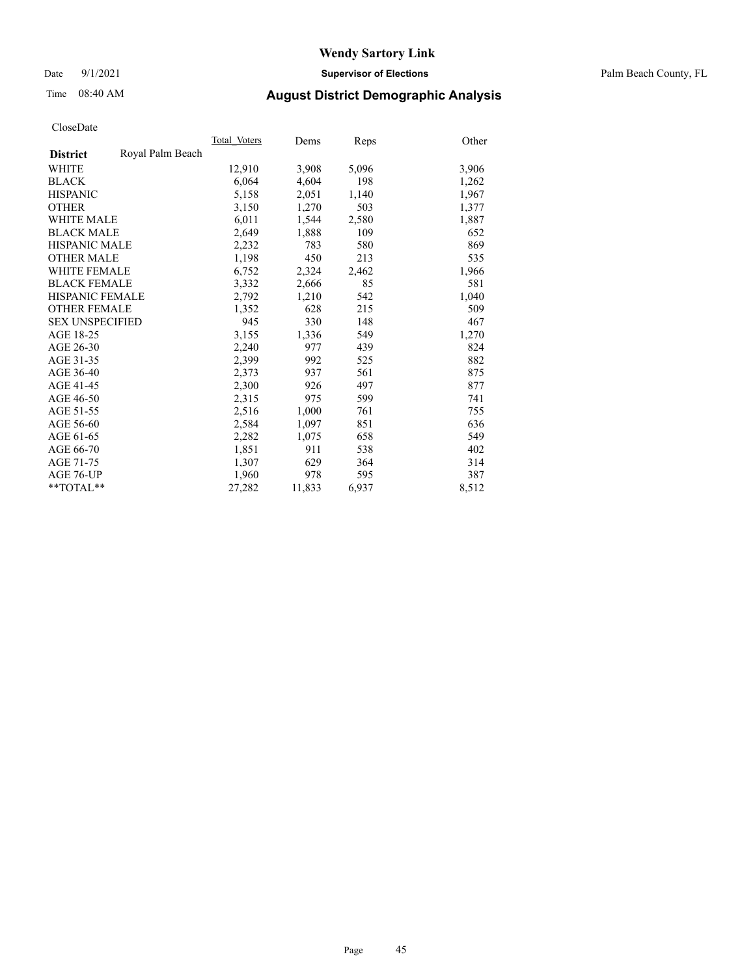Date 9/1/2021 **Supervisor of Elections** Palm Beach County, FL

# Time 08:40 AM **August District Demographic Analysis**

|                        |                  | Total Voters | Dems   | <b>Reps</b> | Other |
|------------------------|------------------|--------------|--------|-------------|-------|
| <b>District</b>        | Royal Palm Beach |              |        |             |       |
| WHITE                  |                  | 12,910       | 3,908  | 5,096       | 3,906 |
| <b>BLACK</b>           |                  | 6,064        | 4,604  | 198         | 1,262 |
| <b>HISPANIC</b>        |                  | 5,158        | 2,051  | 1,140       | 1,967 |
| <b>OTHER</b>           |                  | 3,150        | 1,270  | 503         | 1,377 |
| <b>WHITE MALE</b>      |                  | 6,011        | 1,544  | 2,580       | 1,887 |
| <b>BLACK MALE</b>      |                  | 2,649        | 1,888  | 109         | 652   |
| <b>HISPANIC MALE</b>   |                  | 2,232        | 783    | 580         | 869   |
| <b>OTHER MALE</b>      |                  | 1,198        | 450    | 213         | 535   |
| <b>WHITE FEMALE</b>    |                  | 6,752        | 2,324  | 2,462       | 1,966 |
| <b>BLACK FEMALE</b>    |                  | 3,332        | 2,666  | 85          | 581   |
| <b>HISPANIC FEMALE</b> |                  | 2,792        | 1,210  | 542         | 1,040 |
| <b>OTHER FEMALE</b>    |                  | 1,352        | 628    | 215         | 509   |
| <b>SEX UNSPECIFIED</b> |                  | 945          | 330    | 148         | 467   |
| AGE 18-25              |                  | 3,155        | 1,336  | 549         | 1,270 |
| AGE 26-30              |                  | 2,240        | 977    | 439         | 824   |
| AGE 31-35              |                  | 2,399        | 992    | 525         | 882   |
| AGE 36-40              |                  | 2,373        | 937    | 561         | 875   |
| AGE 41-45              |                  | 2,300        | 926    | 497         | 877   |
| AGE 46-50              |                  | 2,315        | 975    | 599         | 741   |
| AGE 51-55              |                  | 2,516        | 1,000  | 761         | 755   |
| AGE 56-60              |                  | 2,584        | 1,097  | 851         | 636   |
| AGE 61-65              |                  | 2,282        | 1,075  | 658         | 549   |
| AGE 66-70              |                  | 1,851        | 911    | 538         | 402   |
| AGE 71-75              |                  | 1,307        | 629    | 364         | 314   |
| AGE 76-UP              |                  | 1,960        | 978    | 595         | 387   |
| $*$ $TOTAL**$          |                  | 27,282       | 11,833 | 6,937       | 8,512 |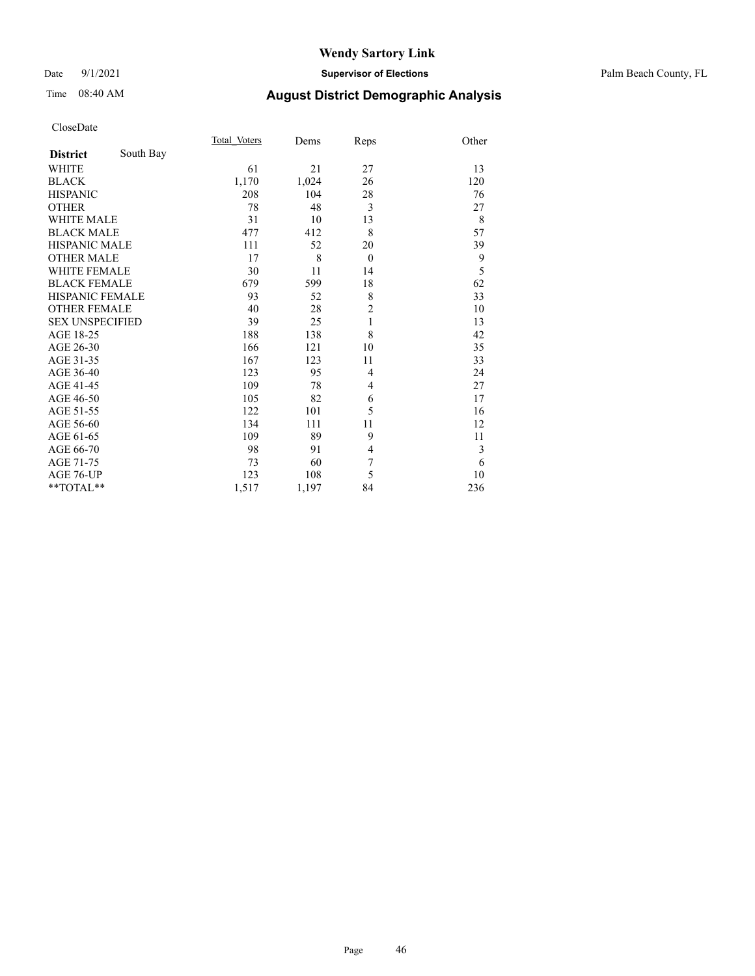#### Date 9/1/2021 **Supervisor of Elections** Palm Beach County, FL

# Time 08:40 AM **August District Demographic Analysis**

|                        |           | <b>Total Voters</b> | Dems  | Reps           | Other |
|------------------------|-----------|---------------------|-------|----------------|-------|
| <b>District</b>        | South Bay |                     |       |                |       |
| WHITE                  |           | 61                  | 21    | 27             | 13    |
| <b>BLACK</b>           |           | 1,170               | 1,024 | 26             | 120   |
| <b>HISPANIC</b>        |           | 208                 | 104   | 28             | 76    |
| <b>OTHER</b>           |           | 78                  | 48    | 3              | 27    |
| <b>WHITE MALE</b>      |           | 31                  | 10    | 13             | 8     |
| <b>BLACK MALE</b>      |           | 477                 | 412   | 8              | 57    |
| <b>HISPANIC MALE</b>   |           | 111                 | 52    | 20             | 39    |
| <b>OTHER MALE</b>      |           | 17                  | 8     | $\theta$       | 9     |
| <b>WHITE FEMALE</b>    |           | 30                  | 11    | 14             | 5     |
| <b>BLACK FEMALE</b>    |           | 679                 | 599   | 18             | 62    |
| HISPANIC FEMALE        |           | 93                  | 52    | 8              | 33    |
| <b>OTHER FEMALE</b>    |           | 40                  | 28    | $\overline{c}$ | 10    |
| <b>SEX UNSPECIFIED</b> |           | 39                  | 25    | $\mathbf{1}$   | 13    |
| AGE 18-25              |           | 188                 | 138   | 8              | 42    |
| AGE 26-30              |           | 166                 | 121   | 10             | 35    |
| AGE 31-35              |           | 167                 | 123   | 11             | 33    |
| AGE 36-40              |           | 123                 | 95    | 4              | 24    |
| AGE 41-45              |           | 109                 | 78    | 4              | 27    |
| AGE 46-50              |           | 105                 | 82    | 6              | 17    |
| AGE 51-55              |           | 122                 | 101   | 5              | 16    |
| AGE 56-60              |           | 134                 | 111   | 11             | 12    |
| AGE 61-65              |           | 109                 | 89    | 9              | 11    |
| AGE 66-70              |           | 98                  | 91    | $\overline{4}$ | 3     |
| AGE 71-75              |           | 73                  | 60    | 7              | 6     |
| AGE 76-UP              |           | 123                 | 108   | 5              | 10    |
| $*$ $TOTAL**$          |           | 1,517               | 1,197 | 84             | 236   |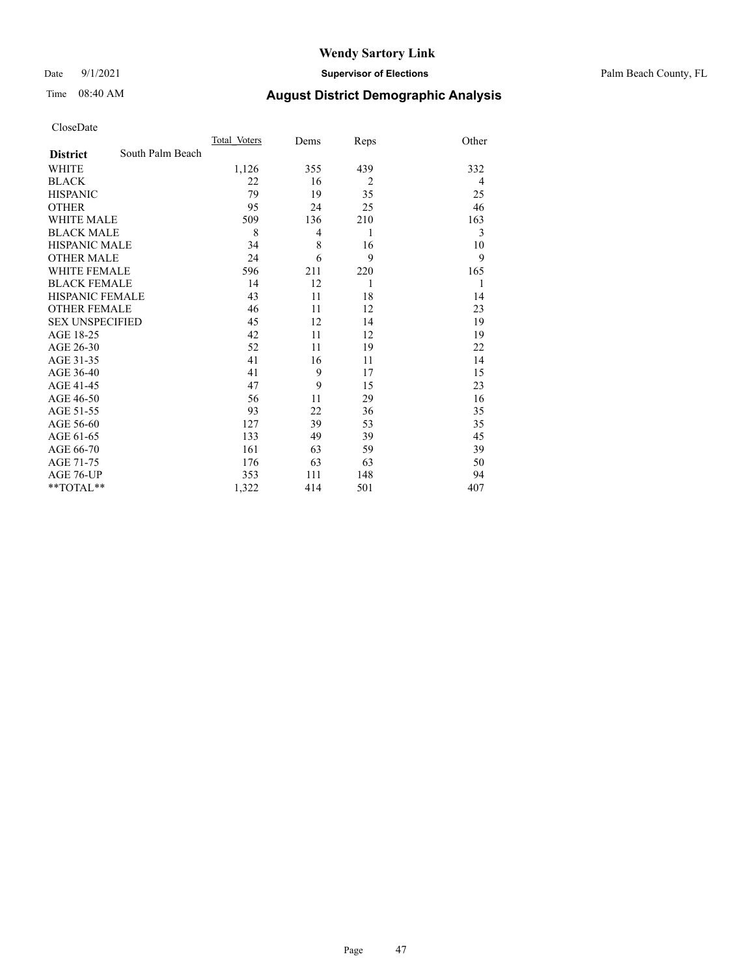Date 9/1/2021 **Supervisor of Elections** Palm Beach County, FL

# Time 08:40 AM **August District Demographic Analysis**

|                        |                  | Total Voters | Dems | Reps           | Other |
|------------------------|------------------|--------------|------|----------------|-------|
| <b>District</b>        | South Palm Beach |              |      |                |       |
| <b>WHITE</b>           |                  | 1,126        | 355  | 439            | 332   |
| <b>BLACK</b>           |                  | 22           | 16   | $\overline{2}$ | 4     |
| <b>HISPANIC</b>        |                  | 79           | 19   | 35             | 25    |
| <b>OTHER</b>           |                  | 95           | 24   | 25             | 46    |
| <b>WHITE MALE</b>      |                  | 509          | 136  | 210            | 163   |
| <b>BLACK MALE</b>      |                  | 8            | 4    | 1              | 3     |
| <b>HISPANIC MALE</b>   |                  | 34           | 8    | 16             | 10    |
| <b>OTHER MALE</b>      |                  | 24           | 6    | 9              | 9     |
| <b>WHITE FEMALE</b>    |                  | 596          | 211  | 220            | 165   |
| <b>BLACK FEMALE</b>    |                  | 14           | 12   | 1              | 1     |
| HISPANIC FEMALE        |                  | 43           | 11   | 18             | 14    |
| <b>OTHER FEMALE</b>    |                  | 46           | 11   | 12             | 23    |
| <b>SEX UNSPECIFIED</b> |                  | 45           | 12   | 14             | 19    |
| AGE 18-25              |                  | 42           | 11   | 12             | 19    |
| AGE 26-30              |                  | 52           | 11   | 19             | 22    |
| AGE 31-35              |                  | 41           | 16   | 11             | 14    |
| AGE 36-40              |                  | 41           | 9    | 17             | 15    |
| AGE 41-45              |                  | 47           | 9    | 15             | 23    |
| AGE 46-50              |                  | 56           | 11   | 29             | 16    |
| AGE 51-55              |                  | 93           | 22   | 36             | 35    |
| AGE 56-60              |                  | 127          | 39   | 53             | 35    |
| AGE 61-65              |                  | 133          | 49   | 39             | 45    |
| AGE 66-70              |                  | 161          | 63   | 59             | 39    |
| AGE 71-75              |                  | 176          | 63   | 63             | 50    |
| AGE 76-UP              |                  | 353          | 111  | 148            | 94    |
| **TOTAL**              |                  | 1,322        | 414  | 501            | 407   |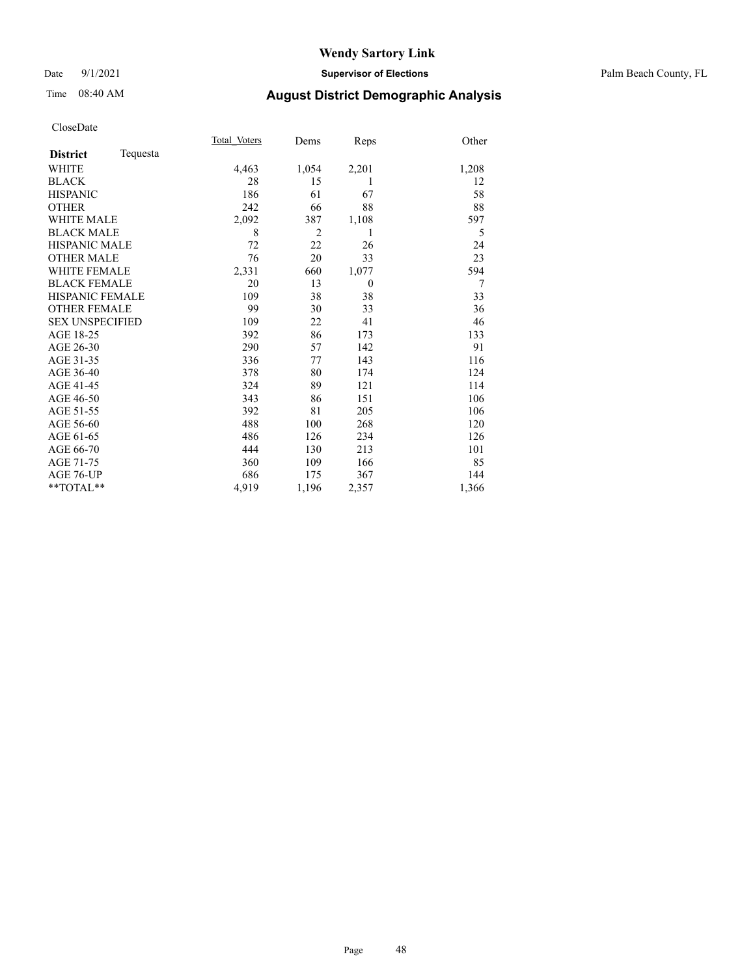#### Date 9/1/2021 **Supervisor of Elections** Palm Beach County, FL

## Time 08:40 AM **August District Demographic Analysis**

|                        | Total Voters | Dems           | Reps     | Other |
|------------------------|--------------|----------------|----------|-------|
| Tequesta               |              |                |          |       |
|                        | 4,463        | 1,054          | 2,201    | 1,208 |
|                        | 28           | 15             | 1        | 12    |
|                        | 186          | 61             | 67       | 58    |
|                        | 242          | 66             | 88       | 88    |
| <b>WHITE MALE</b>      | 2,092        | 387            | 1,108    | 597   |
| <b>BLACK MALE</b>      | 8            | $\overline{2}$ | 1        | 5     |
| <b>HISPANIC MALE</b>   | 72           | 22             | 26       | 24    |
| <b>OTHER MALE</b>      | 76           | 20             | 33       | 23    |
| <b>WHITE FEMALE</b>    | 2,331        | 660            | 1,077    | 594   |
| <b>BLACK FEMALE</b>    | 20           | 13             | $\theta$ | 7     |
| <b>HISPANIC FEMALE</b> | 109          | 38             | 38       | 33    |
| <b>OTHER FEMALE</b>    | 99           | 30             | 33       | 36    |
| <b>SEX UNSPECIFIED</b> | 109          | 22             | 41       | 46    |
|                        | 392          | 86             | 173      | 133   |
|                        | 290          | 57             | 142      | 91    |
|                        | 336          | 77             | 143      | 116   |
|                        | 378          | 80             | 174      | 124   |
|                        | 324          | 89             | 121      | 114   |
|                        | 343          | 86             | 151      | 106   |
|                        | 392          | 81             | 205      | 106   |
|                        | 488          | 100            | 268      | 120   |
|                        | 486          | 126            | 234      | 126   |
|                        | 444          | 130            | 213      | 101   |
|                        | 360          | 109            | 166      | 85    |
|                        | 686          | 175            | 367      | 144   |
|                        | 4,919        | 1,196          | 2,357    | 1,366 |
|                        |              |                |          |       |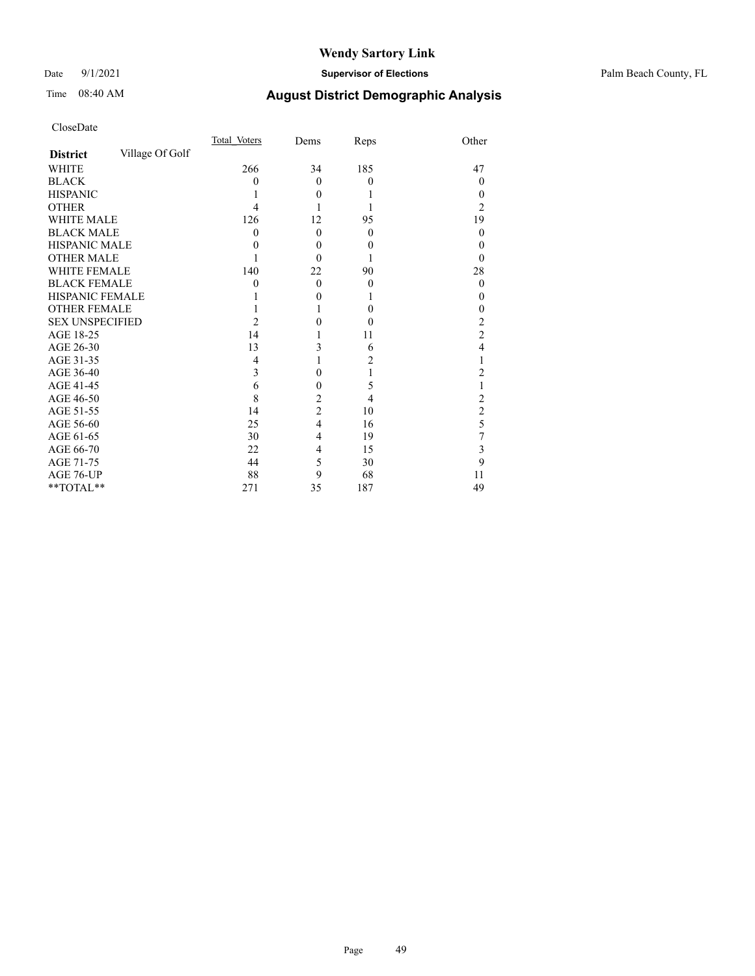#### Date 9/1/2021 **Supervisor of Elections** Palm Beach County, FL

# Time 08:40 AM **August District Demographic Analysis**

|                        |                 | Total Voters | Dems             | Reps     | Other          |
|------------------------|-----------------|--------------|------------------|----------|----------------|
| <b>District</b>        | Village Of Golf |              |                  |          |                |
| <b>WHITE</b>           |                 | 266          | 34               | 185      | 47             |
| <b>BLACK</b>           |                 | 0            | $\mathbf{0}$     | $\theta$ | 0              |
| <b>HISPANIC</b>        |                 |              | $\theta$         |          | 0              |
| <b>OTHER</b>           |                 | 4            |                  |          | 2              |
| <b>WHITE MALE</b>      |                 | 126          | 12               | 95       | 19             |
| <b>BLACK MALE</b>      |                 | 0            | $\theta$         | $\theta$ | 0              |
| <b>HISPANIC MALE</b>   |                 | 0            | $\boldsymbol{0}$ | $\theta$ | 0              |
| <b>OTHER MALE</b>      |                 |              | $\theta$         |          | 0              |
| WHITE FEMALE           |                 | 140          | 22               | 90       | 28             |
| <b>BLACK FEMALE</b>    |                 | 0            | $\mathbf{0}$     | $\theta$ | 0              |
| <b>HISPANIC FEMALE</b> |                 |              | 0                |          | 0              |
| <b>OTHER FEMALE</b>    |                 |              |                  | $\theta$ | 0              |
| <b>SEX UNSPECIFIED</b> |                 | 2            | 0                | $\theta$ | 2              |
| AGE 18-25              |                 | 14           |                  | 11       | $\overline{2}$ |
| AGE 26-30              |                 | 13           | 3                | 6        | 4              |
| AGE 31-35              |                 | 4            |                  | 2        |                |
| AGE 36-40              |                 | 3            | 0                | 1        | 2              |
| AGE 41-45              |                 | 6            | 0                | 5        |                |
| AGE 46-50              |                 | 8            | $\overline{c}$   | 4        | 2              |
| AGE 51-55              |                 | 14           | $\overline{2}$   | 10       | $\overline{c}$ |
| AGE 56-60              |                 | 25           | 4                | 16       | 5              |
| AGE 61-65              |                 | 30           | 4                | 19       | 7              |
| AGE 66-70              |                 | 22           | 4                | 15       | 3              |
| AGE 71-75              |                 | 44           | 5                | 30       | 9              |
| AGE 76-UP              |                 | 88           | 9                | 68       | 11             |
| **TOTAL**              |                 | 271          | 35               | 187      | 49             |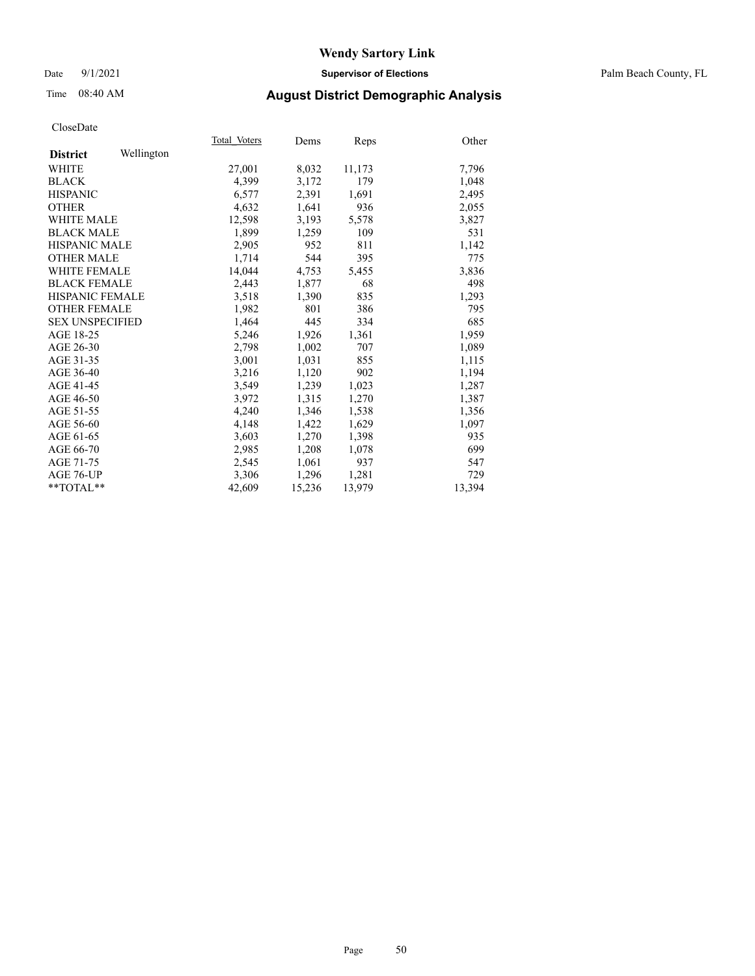#### Date 9/1/2021 **Supervisor of Elections** Palm Beach County, FL

## Time 08:40 AM **August District Demographic Analysis**

|                        |            | Total Voters | Dems   | <b>Reps</b> | Other  |
|------------------------|------------|--------------|--------|-------------|--------|
| <b>District</b>        | Wellington |              |        |             |        |
| WHITE                  |            | 27,001       | 8,032  | 11,173      | 7,796  |
| <b>BLACK</b>           |            | 4,399        | 3,172  | 179         | 1,048  |
| <b>HISPANIC</b>        |            | 6,577        | 2,391  | 1,691       | 2,495  |
| <b>OTHER</b>           |            | 4,632        | 1,641  | 936         | 2,055  |
| <b>WHITE MALE</b>      |            | 12,598       | 3,193  | 5,578       | 3,827  |
| <b>BLACK MALE</b>      |            | 1,899        | 1,259  | 109         | 531    |
| <b>HISPANIC MALE</b>   |            | 2,905        | 952    | 811         | 1,142  |
| <b>OTHER MALE</b>      |            | 1,714        | 544    | 395         | 775    |
| <b>WHITE FEMALE</b>    |            | 14,044       | 4,753  | 5,455       | 3,836  |
| <b>BLACK FEMALE</b>    |            | 2,443        | 1,877  | 68          | 498    |
| <b>HISPANIC FEMALE</b> |            | 3,518        | 1,390  | 835         | 1,293  |
| <b>OTHER FEMALE</b>    |            | 1,982        | 801    | 386         | 795    |
| <b>SEX UNSPECIFIED</b> |            | 1,464        | 445    | 334         | 685    |
| AGE 18-25              |            | 5,246        | 1,926  | 1,361       | 1,959  |
| AGE 26-30              |            | 2,798        | 1,002  | 707         | 1,089  |
| AGE 31-35              |            | 3,001        | 1,031  | 855         | 1,115  |
| AGE 36-40              |            | 3,216        | 1,120  | 902         | 1,194  |
| AGE 41-45              |            | 3,549        | 1,239  | 1,023       | 1,287  |
| AGE 46-50              |            | 3,972        | 1,315  | 1,270       | 1,387  |
| AGE 51-55              |            | 4,240        | 1,346  | 1,538       | 1,356  |
| AGE 56-60              |            | 4,148        | 1,422  | 1,629       | 1,097  |
| AGE 61-65              |            | 3,603        | 1,270  | 1,398       | 935    |
| AGE 66-70              |            | 2,985        | 1,208  | 1,078       | 699    |
| AGE 71-75              |            | 2,545        | 1,061  | 937         | 547    |
| AGE 76-UP              |            | 3,306        | 1,296  | 1,281       | 729    |
| $*$ $TOTAL**$          |            | 42,609       | 15,236 | 13,979      | 13,394 |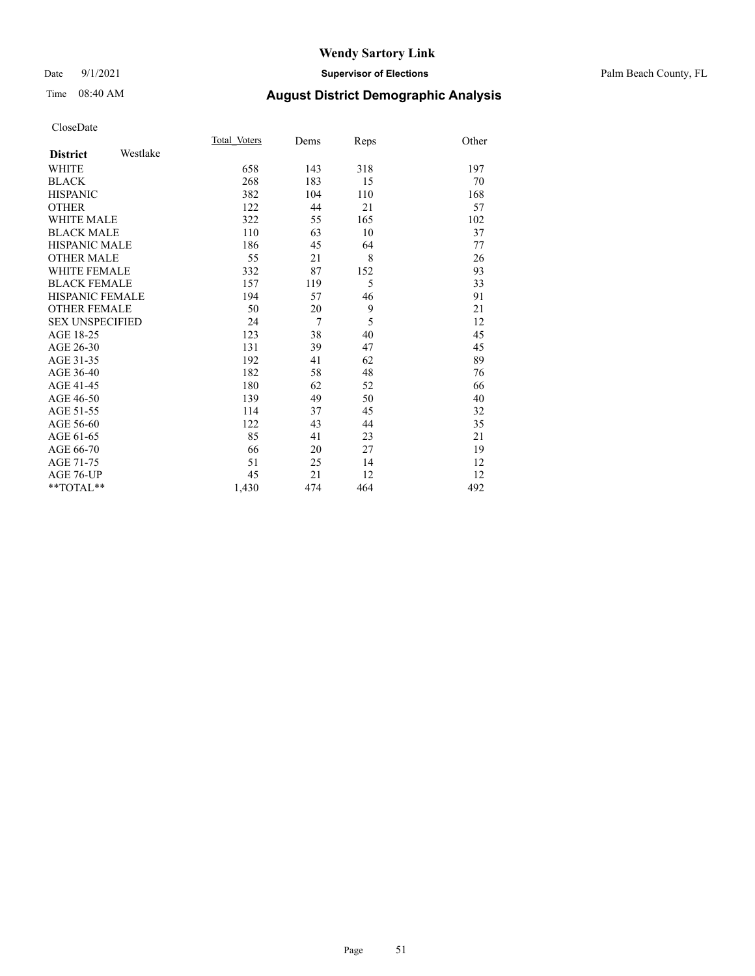#### Date 9/1/2021 **Supervisor of Elections** Palm Beach County, FL

# Time 08:40 AM **August District Demographic Analysis**

|                        |          | Total Voters | Dems           | Reps | Other |
|------------------------|----------|--------------|----------------|------|-------|
| <b>District</b>        | Westlake |              |                |      |       |
| <b>WHITE</b>           |          | 658          | 143            | 318  | 197   |
| <b>BLACK</b>           |          | 268          | 183            | 15   | 70    |
| <b>HISPANIC</b>        |          | 382          | 104            | 110  | 168   |
| <b>OTHER</b>           |          | 122          | 44             | 21   | 57    |
| <b>WHITE MALE</b>      |          | 322          | 55             | 165  | 102   |
| <b>BLACK MALE</b>      |          | 110          | 63             | 10   | 37    |
| <b>HISPANIC MALE</b>   |          | 186          | 45             | 64   | 77    |
| <b>OTHER MALE</b>      |          | 55           | 21             | 8    | 26    |
| <b>WHITE FEMALE</b>    |          | 332          | 87             | 152  | 93    |
| <b>BLACK FEMALE</b>    |          | 157          | 119            | 5    | 33    |
| <b>HISPANIC FEMALE</b> |          | 194          | 57             | 46   | 91    |
| <b>OTHER FEMALE</b>    |          | 50           | 20             | 9    | 21    |
| <b>SEX UNSPECIFIED</b> |          | 24           | $\overline{7}$ | 5    | 12    |
| AGE 18-25              |          | 123          | 38             | 40   | 45    |
| AGE 26-30              |          | 131          | 39             | 47   | 45    |
| AGE 31-35              |          | 192          | 41             | 62   | 89    |
| AGE 36-40              |          | 182          | 58             | 48   | 76    |
| AGE 41-45              |          | 180          | 62             | 52   | 66    |
| AGE 46-50              |          | 139          | 49             | 50   | 40    |
| AGE 51-55              |          | 114          | 37             | 45   | 32    |
| AGE 56-60              |          | 122          | 43             | 44   | 35    |
| AGE 61-65              |          | 85           | 41             | 23   | 21    |
| AGE 66-70              |          | 66           | 20             | 27   | 19    |
| AGE 71-75              |          | 51           | 25             | 14   | 12    |
| <b>AGE 76-UP</b>       |          | 45           | 21             | 12   | 12    |
| **TOTAL**              |          | 1,430        | 474            | 464  | 492   |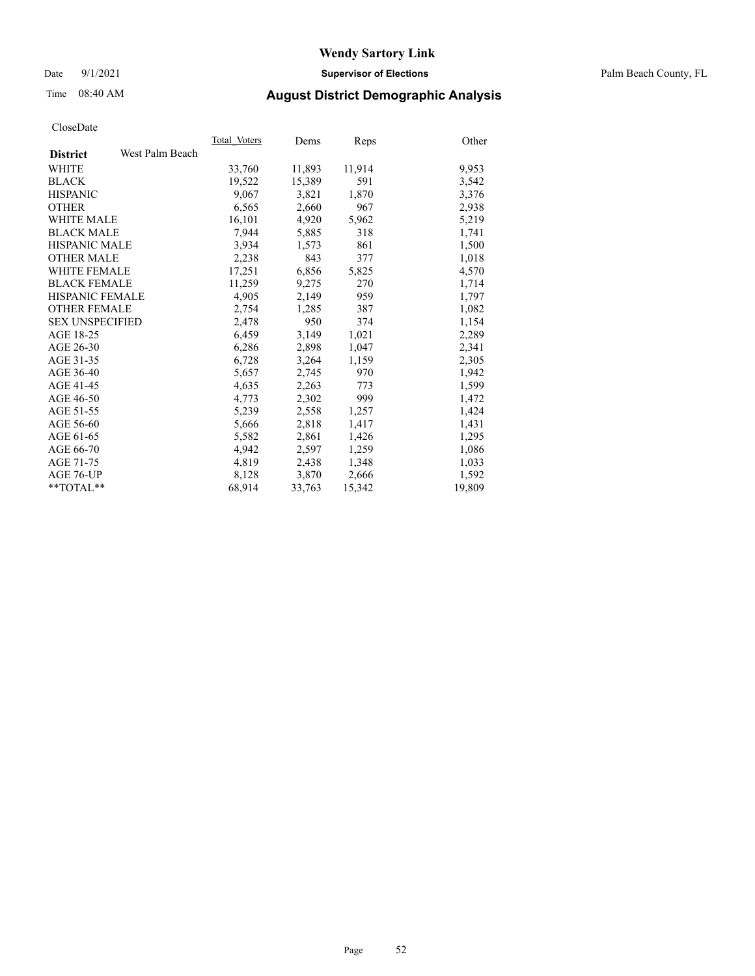Date 9/1/2021 **Supervisor of Elections** Palm Beach County, FL

## Time 08:40 AM **August District Demographic Analysis**

|                        |                 | Total Voters | Dems   | <b>Reps</b> | Other  |
|------------------------|-----------------|--------------|--------|-------------|--------|
| <b>District</b>        | West Palm Beach |              |        |             |        |
| <b>WHITE</b>           |                 | 33,760       | 11,893 | 11,914      | 9,953  |
| <b>BLACK</b>           |                 | 19,522       | 15,389 | 591         | 3,542  |
| <b>HISPANIC</b>        |                 | 9,067        | 3,821  | 1,870       | 3,376  |
| <b>OTHER</b>           |                 | 6,565        | 2,660  | 967         | 2,938  |
| <b>WHITE MALE</b>      |                 | 16,101       | 4,920  | 5,962       | 5,219  |
| <b>BLACK MALE</b>      |                 | 7,944        | 5,885  | 318         | 1,741  |
| <b>HISPANIC MALE</b>   |                 | 3,934        | 1,573  | 861         | 1,500  |
| <b>OTHER MALE</b>      |                 | 2,238        | 843    | 377         | 1,018  |
| <b>WHITE FEMALE</b>    |                 | 17,251       | 6,856  | 5,825       | 4,570  |
| <b>BLACK FEMALE</b>    |                 | 11,259       | 9,275  | 270         | 1,714  |
| <b>HISPANIC FEMALE</b> |                 | 4,905        | 2,149  | 959         | 1,797  |
| <b>OTHER FEMALE</b>    |                 | 2,754        | 1,285  | 387         | 1,082  |
| <b>SEX UNSPECIFIED</b> |                 | 2,478        | 950    | 374         | 1,154  |
| AGE 18-25              |                 | 6,459        | 3,149  | 1,021       | 2,289  |
| AGE 26-30              |                 | 6,286        | 2,898  | 1,047       | 2,341  |
| AGE 31-35              |                 | 6,728        | 3,264  | 1,159       | 2,305  |
| AGE 36-40              |                 | 5,657        | 2,745  | 970         | 1,942  |
| AGE 41-45              |                 | 4,635        | 2,263  | 773         | 1,599  |
| AGE 46-50              |                 | 4,773        | 2,302  | 999         | 1,472  |
| AGE 51-55              |                 | 5,239        | 2,558  | 1,257       | 1,424  |
| AGE 56-60              |                 | 5,666        | 2,818  | 1,417       | 1,431  |
| AGE 61-65              |                 | 5,582        | 2,861  | 1,426       | 1,295  |
| AGE 66-70              |                 | 4,942        | 2,597  | 1,259       | 1,086  |
| AGE 71-75              |                 | 4,819        | 2,438  | 1,348       | 1,033  |
| AGE 76-UP              |                 | 8,128        | 3,870  | 2,666       | 1,592  |
| $*$ $TOTAL**$          |                 | 68,914       | 33,763 | 15,342      | 19,809 |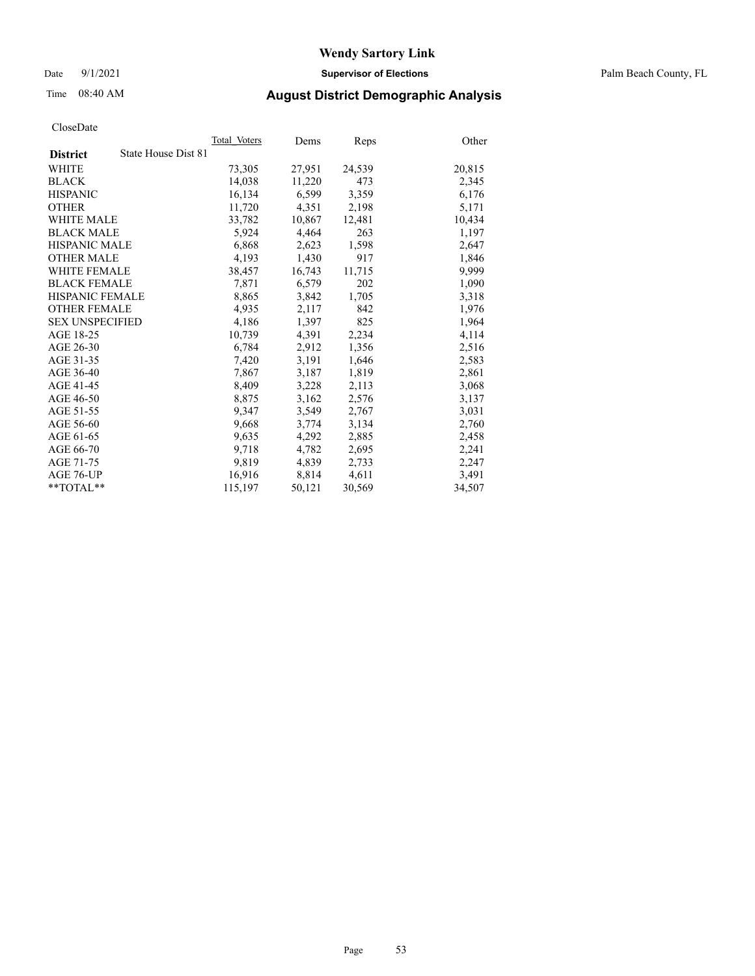Date 9/1/2021 **Supervisor of Elections** Palm Beach County, FL

## Time 08:40 AM **August District Demographic Analysis**

|                        |                     | Total Voters | Dems   | <b>Reps</b> | Other  |
|------------------------|---------------------|--------------|--------|-------------|--------|
| <b>District</b>        | State House Dist 81 |              |        |             |        |
| <b>WHITE</b>           |                     | 73,305       | 27,951 | 24,539      | 20,815 |
| <b>BLACK</b>           |                     | 14,038       | 11,220 | 473         | 2,345  |
| <b>HISPANIC</b>        |                     | 16,134       | 6,599  | 3,359       | 6,176  |
| <b>OTHER</b>           |                     | 11,720       | 4,351  | 2,198       | 5,171  |
| <b>WHITE MALE</b>      |                     | 33,782       | 10,867 | 12,481      | 10,434 |
| <b>BLACK MALE</b>      |                     | 5,924        | 4,464  | 263         | 1,197  |
| <b>HISPANIC MALE</b>   |                     | 6,868        | 2,623  | 1,598       | 2,647  |
| <b>OTHER MALE</b>      |                     | 4,193        | 1,430  | 917         | 1,846  |
| <b>WHITE FEMALE</b>    |                     | 38,457       | 16,743 | 11,715      | 9,999  |
| <b>BLACK FEMALE</b>    |                     | 7,871        | 6,579  | 202         | 1,090  |
| <b>HISPANIC FEMALE</b> |                     | 8,865        | 3,842  | 1,705       | 3,318  |
| <b>OTHER FEMALE</b>    |                     | 4,935        | 2,117  | 842         | 1,976  |
| <b>SEX UNSPECIFIED</b> |                     | 4,186        | 1,397  | 825         | 1,964  |
| AGE 18-25              |                     | 10,739       | 4,391  | 2,234       | 4,114  |
| AGE 26-30              |                     | 6,784        | 2,912  | 1,356       | 2,516  |
| AGE 31-35              |                     | 7,420        | 3,191  | 1,646       | 2,583  |
| AGE 36-40              |                     | 7,867        | 3,187  | 1,819       | 2,861  |
| AGE 41-45              |                     | 8,409        | 3,228  | 2,113       | 3,068  |
| AGE 46-50              |                     | 8,875        | 3,162  | 2,576       | 3,137  |
| AGE 51-55              |                     | 9,347        | 3,549  | 2,767       | 3,031  |
| AGE 56-60              |                     | 9,668        | 3,774  | 3,134       | 2,760  |
| AGE 61-65              |                     | 9,635        | 4,292  | 2,885       | 2,458  |
| AGE 66-70              |                     | 9,718        | 4,782  | 2,695       | 2,241  |
| AGE 71-75              |                     | 9,819        | 4,839  | 2,733       | 2,247  |
| AGE 76-UP              |                     | 16,916       | 8,814  | 4,611       | 3,491  |
| $*$ $TOTAL**$          |                     | 115,197      | 50,121 | 30,569      | 34,507 |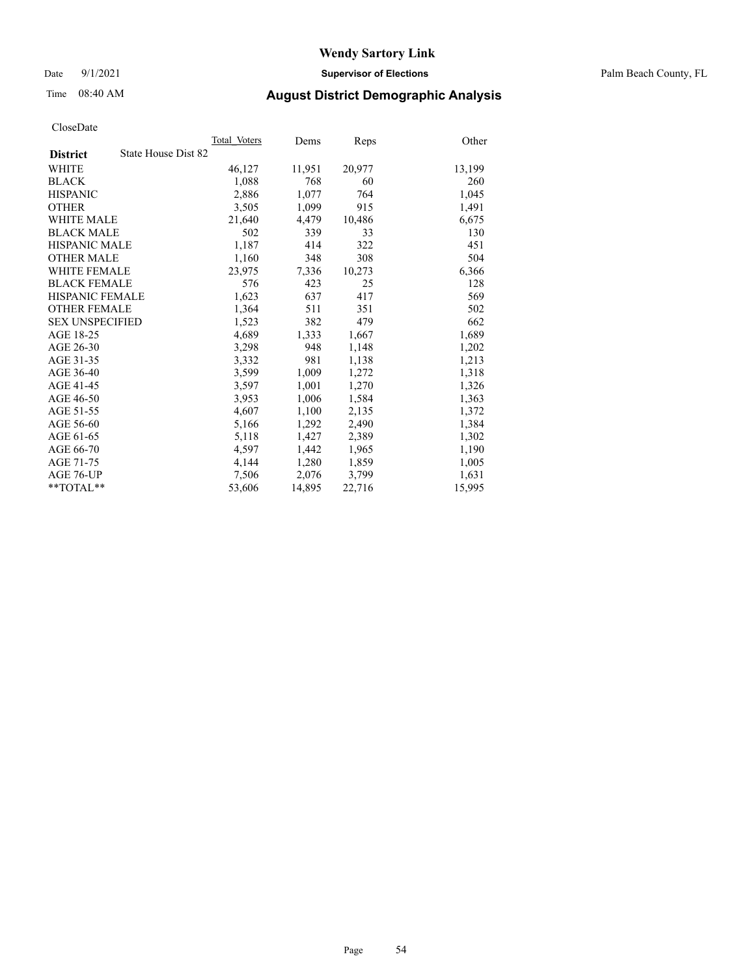Date 9/1/2021 **Supervisor of Elections** Palm Beach County, FL

## Time 08:40 AM **August District Demographic Analysis**

|                                        | Total Voters | Dems   | Reps   | Other  |
|----------------------------------------|--------------|--------|--------|--------|
| State House Dist 82<br><b>District</b> |              |        |        |        |
| <b>WHITE</b>                           | 46,127       | 11,951 | 20,977 | 13,199 |
| <b>BLACK</b>                           | 1,088        | 768    | 60     | 260    |
| <b>HISPANIC</b>                        | 2,886        | 1,077  | 764    | 1,045  |
| <b>OTHER</b>                           | 3,505        | 1,099  | 915    | 1,491  |
| <b>WHITE MALE</b>                      | 21,640       | 4,479  | 10,486 | 6,675  |
| <b>BLACK MALE</b>                      | 502          | 339    | 33     | 130    |
| <b>HISPANIC MALE</b>                   | 1,187        | 414    | 322    | 451    |
| <b>OTHER MALE</b>                      | 1,160        | 348    | 308    | 504    |
| WHITE FEMALE                           | 23,975       | 7,336  | 10,273 | 6,366  |
| <b>BLACK FEMALE</b>                    | 576          | 423    | 25     | 128    |
| HISPANIC FEMALE                        | 1,623        | 637    | 417    | 569    |
| <b>OTHER FEMALE</b>                    | 1,364        | 511    | 351    | 502    |
| <b>SEX UNSPECIFIED</b>                 | 1,523        | 382    | 479    | 662    |
| AGE 18-25                              | 4,689        | 1,333  | 1,667  | 1,689  |
| AGE 26-30                              | 3,298        | 948    | 1,148  | 1,202  |
| AGE 31-35                              | 3,332        | 981    | 1,138  | 1,213  |
| AGE 36-40                              | 3,599        | 1,009  | 1,272  | 1,318  |
| AGE 41-45                              | 3,597        | 1,001  | 1,270  | 1,326  |
| AGE 46-50                              | 3,953        | 1,006  | 1,584  | 1,363  |
| AGE 51-55                              | 4,607        | 1,100  | 2,135  | 1,372  |
| AGE 56-60                              | 5,166        | 1,292  | 2,490  | 1,384  |
| AGE 61-65                              | 5,118        | 1,427  | 2,389  | 1,302  |
| AGE 66-70                              | 4,597        | 1,442  | 1,965  | 1,190  |
| AGE 71-75                              | 4,144        | 1,280  | 1,859  | 1,005  |
| AGE 76-UP                              | 7,506        | 2,076  | 3,799  | 1,631  |
| $*$ $TOTAL**$                          | 53,606       | 14,895 | 22,716 | 15,995 |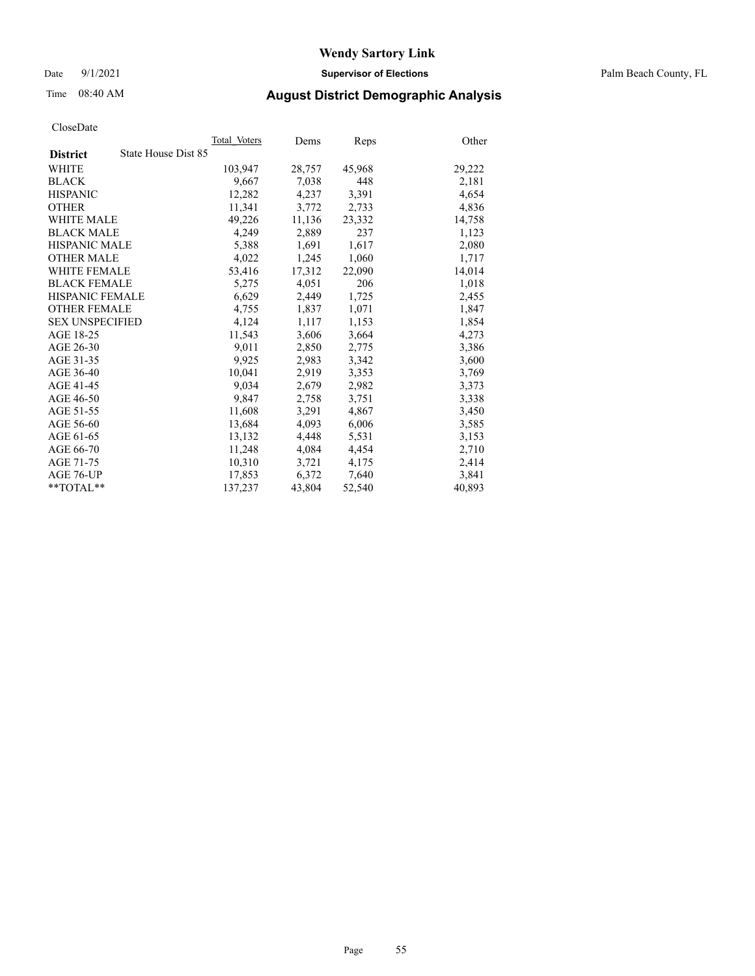Date 9/1/2021 **Supervisor of Elections** Palm Beach County, FL

## Time 08:40 AM **August District Demographic Analysis**

|                                        | Total Voters | Dems   | <b>Reps</b> | Other  |
|----------------------------------------|--------------|--------|-------------|--------|
| State House Dist 85<br><b>District</b> |              |        |             |        |
| WHITE                                  | 103,947      | 28,757 | 45,968      | 29,222 |
| <b>BLACK</b>                           | 9,667        | 7,038  | 448         | 2,181  |
| <b>HISPANIC</b>                        | 12,282       | 4,237  | 3,391       | 4,654  |
| <b>OTHER</b>                           | 11,341       | 3,772  | 2,733       | 4,836  |
| <b>WHITE MALE</b>                      | 49,226       | 11,136 | 23,332      | 14,758 |
| <b>BLACK MALE</b>                      | 4,249        | 2,889  | 237         | 1,123  |
| <b>HISPANIC MALE</b>                   | 5,388        | 1,691  | 1,617       | 2,080  |
| <b>OTHER MALE</b>                      | 4,022        | 1,245  | 1,060       | 1,717  |
| <b>WHITE FEMALE</b>                    | 53,416       | 17,312 | 22,090      | 14,014 |
| <b>BLACK FEMALE</b>                    | 5,275        | 4,051  | 206         | 1,018  |
| <b>HISPANIC FEMALE</b>                 | 6,629        | 2,449  | 1,725       | 2,455  |
| <b>OTHER FEMALE</b>                    | 4,755        | 1,837  | 1,071       | 1,847  |
| <b>SEX UNSPECIFIED</b>                 | 4,124        | 1,117  | 1,153       | 1,854  |
| AGE 18-25                              | 11,543       | 3,606  | 3,664       | 4,273  |
| AGE 26-30                              | 9,011        | 2,850  | 2,775       | 3,386  |
| AGE 31-35                              | 9,925        | 2,983  | 3,342       | 3,600  |
| AGE 36-40                              | 10,041       | 2,919  | 3,353       | 3,769  |
| AGE 41-45                              | 9,034        | 2,679  | 2,982       | 3,373  |
| AGE 46-50                              | 9,847        | 2,758  | 3,751       | 3,338  |
| AGE 51-55                              | 11,608       | 3,291  | 4,867       | 3,450  |
| AGE 56-60                              | 13,684       | 4,093  | 6,006       | 3,585  |
| AGE 61-65                              | 13,132       | 4,448  | 5,531       | 3,153  |
| AGE 66-70                              | 11.248       | 4,084  | 4,454       | 2,710  |
| AGE 71-75                              | 10,310       | 3,721  | 4,175       | 2,414  |
| AGE 76-UP                              | 17,853       | 6,372  | 7,640       | 3,841  |
| **TOTAL**                              | 137,237      | 43,804 | 52,540      | 40,893 |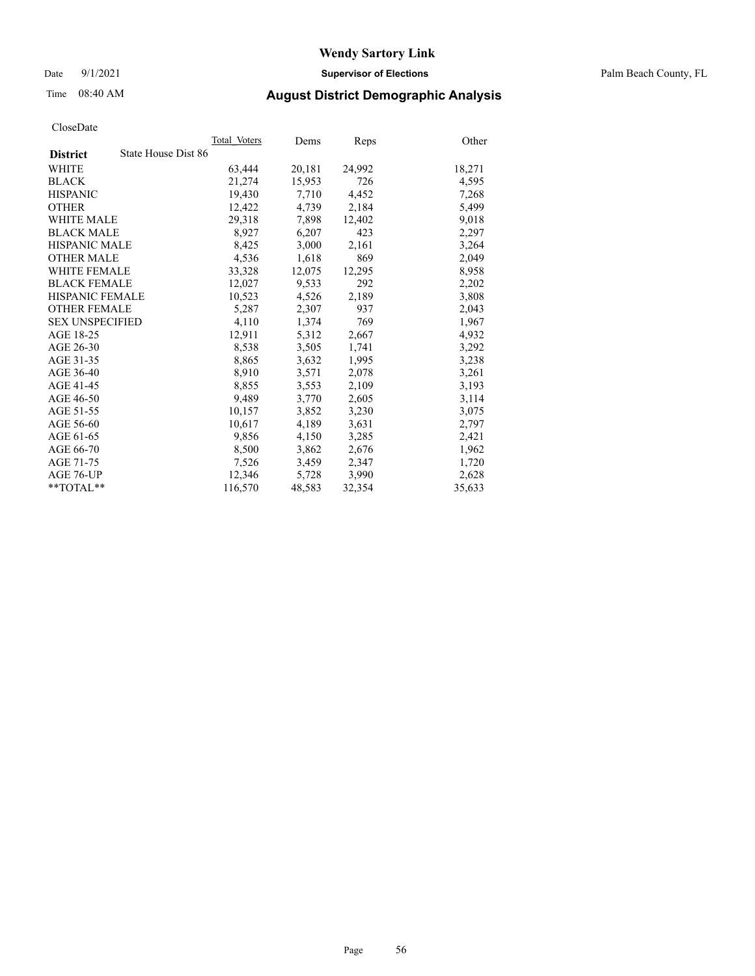Date 9/1/2021 **Supervisor of Elections** Palm Beach County, FL

## Time 08:40 AM **August District Demographic Analysis**

|                        | Total Voters        | Dems   | <b>Reps</b> | Other  |
|------------------------|---------------------|--------|-------------|--------|
| <b>District</b>        | State House Dist 86 |        |             |        |
| <b>WHITE</b>           | 63,444              | 20,181 | 24,992      | 18,271 |
| <b>BLACK</b>           | 21,274              | 15,953 | 726         | 4,595  |
| <b>HISPANIC</b>        | 19,430              | 7,710  | 4,452       | 7,268  |
| <b>OTHER</b>           | 12,422              | 4,739  | 2,184       | 5,499  |
| <b>WHITE MALE</b>      | 29,318              | 7,898  | 12,402      | 9,018  |
| <b>BLACK MALE</b>      | 8,927               | 6,207  | 423         | 2,297  |
| <b>HISPANIC MALE</b>   | 8,425               | 3,000  | 2,161       | 3,264  |
| <b>OTHER MALE</b>      | 4,536               | 1,618  | 869         | 2,049  |
| <b>WHITE FEMALE</b>    | 33,328              | 12,075 | 12,295      | 8,958  |
| <b>BLACK FEMALE</b>    | 12,027              | 9,533  | 292         | 2,202  |
| <b>HISPANIC FEMALE</b> | 10,523              | 4,526  | 2,189       | 3,808  |
| <b>OTHER FEMALE</b>    | 5,287               | 2,307  | 937         | 2,043  |
| <b>SEX UNSPECIFIED</b> | 4,110               | 1,374  | 769         | 1,967  |
| AGE 18-25              | 12,911              | 5,312  | 2,667       | 4,932  |
| AGE 26-30              | 8,538               | 3,505  | 1,741       | 3,292  |
| AGE 31-35              | 8,865               | 3,632  | 1,995       | 3,238  |
| AGE 36-40              | 8,910               | 3,571  | 2,078       | 3,261  |
| AGE 41-45              | 8,855               | 3,553  | 2,109       | 3,193  |
| AGE 46-50              | 9,489               | 3,770  | 2,605       | 3,114  |
| AGE 51-55              | 10,157              | 3,852  | 3,230       | 3,075  |
| AGE 56-60              | 10,617              | 4,189  | 3,631       | 2,797  |
| AGE 61-65              | 9,856               | 4,150  | 3,285       | 2,421  |
| AGE 66-70              | 8,500               | 3,862  | 2,676       | 1,962  |
| AGE 71-75              | 7,526               | 3,459  | 2,347       | 1,720  |
| AGE 76-UP              | 12,346              | 5,728  | 3,990       | 2,628  |
| $*$ $TOTAL**$          | 116,570             | 48,583 | 32,354      | 35,633 |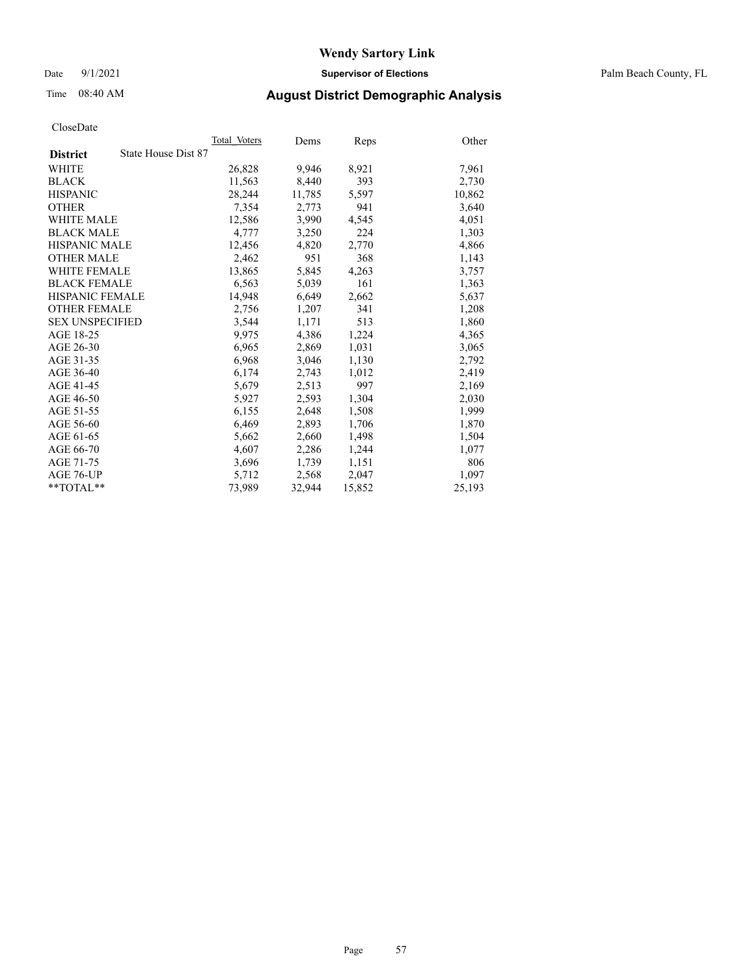Date 9/1/2021 **Supervisor of Elections** Palm Beach County, FL

## Time 08:40 AM **August District Demographic Analysis**

|                        | Total Voters        | Dems   | <b>Reps</b> | Other  |
|------------------------|---------------------|--------|-------------|--------|
| <b>District</b>        | State House Dist 87 |        |             |        |
| WHITE                  | 26,828              | 9,946  | 8,921       | 7,961  |
| <b>BLACK</b>           | 11,563              | 8,440  | 393         | 2,730  |
| <b>HISPANIC</b>        | 28,244              | 11,785 | 5,597       | 10,862 |
| <b>OTHER</b>           | 7,354               | 2,773  | 941         | 3,640  |
| <b>WHITE MALE</b>      | 12,586              | 3,990  | 4,545       | 4,051  |
| <b>BLACK MALE</b>      | 4,777               | 3,250  | 224         | 1,303  |
| <b>HISPANIC MALE</b>   | 12,456              | 4,820  | 2,770       | 4,866  |
| <b>OTHER MALE</b>      | 2,462               | 951    | 368         | 1,143  |
| <b>WHITE FEMALE</b>    | 13,865              | 5,845  | 4,263       | 3,757  |
| <b>BLACK FEMALE</b>    | 6,563               | 5,039  | 161         | 1,363  |
| <b>HISPANIC FEMALE</b> | 14,948              | 6,649  | 2,662       | 5,637  |
| <b>OTHER FEMALE</b>    | 2,756               | 1,207  | 341         | 1,208  |
| <b>SEX UNSPECIFIED</b> | 3,544               | 1,171  | 513         | 1,860  |
| AGE 18-25              | 9,975               | 4,386  | 1,224       | 4,365  |
| AGE 26-30              | 6,965               | 2,869  | 1,031       | 3,065  |
| AGE 31-35              | 6,968               | 3,046  | 1,130       | 2,792  |
| AGE 36-40              | 6,174               | 2,743  | 1,012       | 2,419  |
| AGE 41-45              | 5,679               | 2,513  | 997         | 2,169  |
| AGE 46-50              | 5,927               | 2,593  | 1,304       | 2,030  |
| AGE 51-55              | 6,155               | 2,648  | 1,508       | 1,999  |
| AGE 56-60              | 6,469               | 2,893  | 1,706       | 1,870  |
| AGE 61-65              | 5,662               | 2,660  | 1,498       | 1,504  |
| AGE 66-70              | 4,607               | 2,286  | 1,244       | 1,077  |
| AGE 71-75              | 3,696               | 1,739  | 1,151       | 806    |
| AGE 76-UP              | 5,712               | 2,568  | 2,047       | 1,097  |
| **TOTAL**              | 73,989              | 32,944 | 15,852      | 25,193 |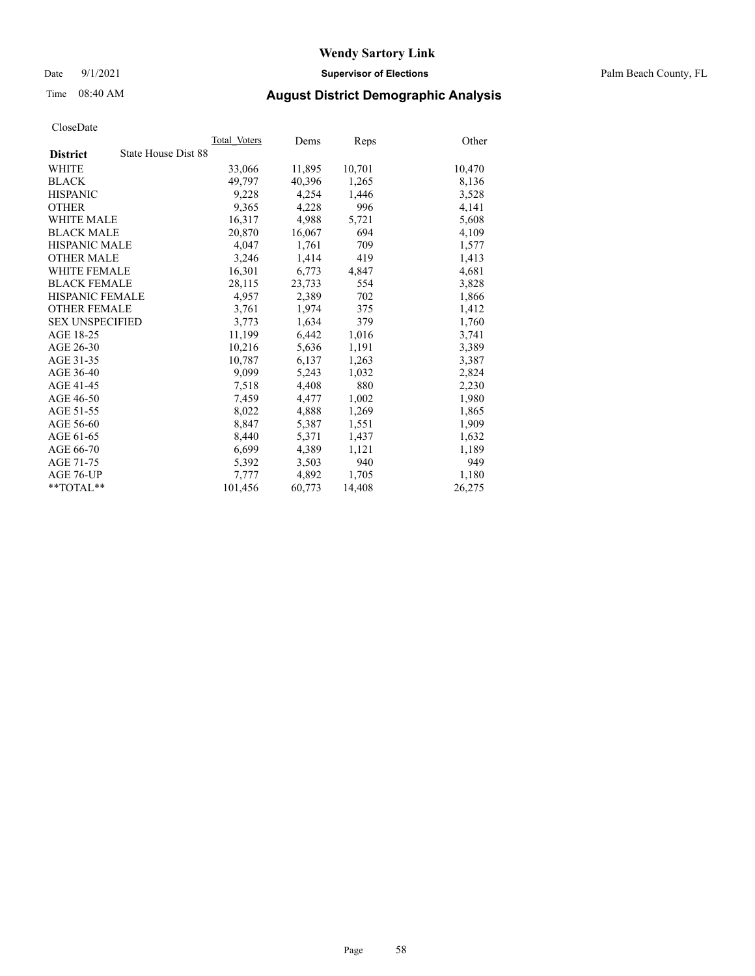Date 9/1/2021 **Supervisor of Elections** Palm Beach County, FL

## Time 08:40 AM **August District Demographic Analysis**

|                        |                     | Total Voters | Dems   | <b>Reps</b> | Other  |
|------------------------|---------------------|--------------|--------|-------------|--------|
| <b>District</b>        | State House Dist 88 |              |        |             |        |
| <b>WHITE</b>           |                     | 33,066       | 11,895 | 10,701      | 10,470 |
| <b>BLACK</b>           |                     | 49,797       | 40,396 | 1,265       | 8,136  |
| <b>HISPANIC</b>        |                     | 9,228        | 4,254  | 1,446       | 3,528  |
| <b>OTHER</b>           |                     | 9,365        | 4,228  | 996         | 4,141  |
| <b>WHITE MALE</b>      |                     | 16,317       | 4,988  | 5,721       | 5,608  |
| <b>BLACK MALE</b>      |                     | 20,870       | 16,067 | 694         | 4,109  |
| <b>HISPANIC MALE</b>   |                     | 4,047        | 1,761  | 709         | 1,577  |
| <b>OTHER MALE</b>      |                     | 3,246        | 1,414  | 419         | 1,413  |
| <b>WHITE FEMALE</b>    |                     | 16,301       | 6,773  | 4,847       | 4,681  |
| <b>BLACK FEMALE</b>    |                     | 28,115       | 23,733 | 554         | 3,828  |
| HISPANIC FEMALE        |                     | 4,957        | 2,389  | 702         | 1,866  |
| <b>OTHER FEMALE</b>    |                     | 3,761        | 1,974  | 375         | 1,412  |
| <b>SEX UNSPECIFIED</b> |                     | 3,773        | 1,634  | 379         | 1,760  |
| AGE 18-25              |                     | 11,199       | 6,442  | 1,016       | 3,741  |
| AGE 26-30              |                     | 10,216       | 5,636  | 1,191       | 3,389  |
| AGE 31-35              |                     | 10,787       | 6,137  | 1,263       | 3,387  |
| AGE 36-40              |                     | 9,099        | 5,243  | 1,032       | 2,824  |
| AGE 41-45              |                     | 7,518        | 4,408  | 880         | 2,230  |
| AGE 46-50              |                     | 7,459        | 4,477  | 1,002       | 1,980  |
| AGE 51-55              |                     | 8,022        | 4,888  | 1,269       | 1,865  |
| AGE 56-60              |                     | 8,847        | 5,387  | 1,551       | 1,909  |
| AGE 61-65              |                     | 8,440        | 5,371  | 1,437       | 1,632  |
| AGE 66-70              |                     | 6,699        | 4,389  | 1,121       | 1,189  |
| AGE 71-75              |                     | 5,392        | 3,503  | 940         | 949    |
| AGE 76-UP              |                     | 7,777        | 4,892  | 1,705       | 1,180  |
| $*$ $TOTAL**$          |                     | 101,456      | 60,773 | 14,408      | 26,275 |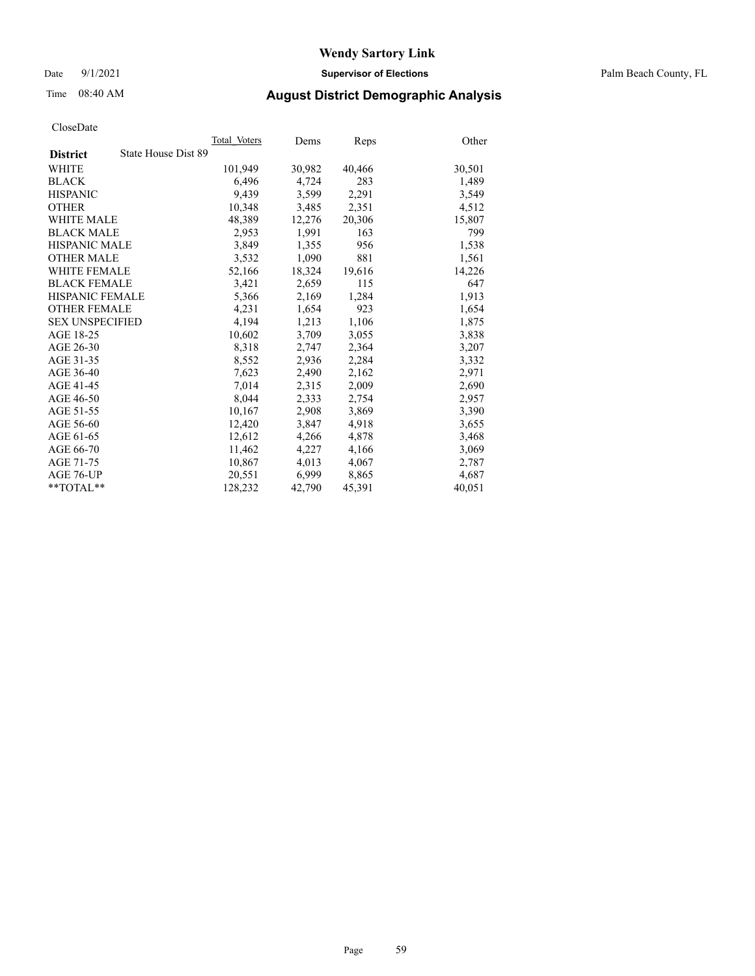Date 9/1/2021 **Supervisor of Elections** Palm Beach County, FL

## Time 08:40 AM **August District Demographic Analysis**

| Total Voters<br>State House Dist 89<br>101,949<br>6,496<br>9.439<br>10,348<br>48,389<br>2,953<br>3,849<br>3,532<br>52,166<br>3,421 | Dems<br>30,982<br>4,724<br>3,599<br>3,485<br>12,276<br>1,991<br>1,355<br>1,090<br>18,324 | Reps<br>40,466<br>283<br>2,291<br>2,351<br>20,306<br>163<br>956<br>881 | Other<br>30,501<br>1,489<br>3,549<br>4,512<br>15,807<br>799<br>1,538 |
|------------------------------------------------------------------------------------------------------------------------------------|------------------------------------------------------------------------------------------|------------------------------------------------------------------------|----------------------------------------------------------------------|
|                                                                                                                                    |                                                                                          |                                                                        |                                                                      |
|                                                                                                                                    |                                                                                          |                                                                        |                                                                      |
|                                                                                                                                    |                                                                                          |                                                                        |                                                                      |
|                                                                                                                                    |                                                                                          |                                                                        |                                                                      |
|                                                                                                                                    |                                                                                          |                                                                        |                                                                      |
|                                                                                                                                    |                                                                                          |                                                                        |                                                                      |
|                                                                                                                                    |                                                                                          |                                                                        |                                                                      |
|                                                                                                                                    |                                                                                          |                                                                        |                                                                      |
|                                                                                                                                    |                                                                                          |                                                                        |                                                                      |
|                                                                                                                                    |                                                                                          |                                                                        | 1,561                                                                |
|                                                                                                                                    |                                                                                          | 19,616                                                                 | 14,226                                                               |
|                                                                                                                                    | 2.659                                                                                    | 115                                                                    | 647                                                                  |
| 5,366                                                                                                                              | 2,169                                                                                    | 1,284                                                                  | 1,913                                                                |
| 4,231                                                                                                                              | 1,654                                                                                    | 923                                                                    | 1,654                                                                |
| 4.194                                                                                                                              | 1,213                                                                                    | 1,106                                                                  | 1,875                                                                |
| 10,602                                                                                                                             | 3,709                                                                                    | 3,055                                                                  | 3,838                                                                |
| 8,318                                                                                                                              | 2,747                                                                                    | 2,364                                                                  | 3,207                                                                |
| 8,552                                                                                                                              | 2,936                                                                                    | 2,284                                                                  | 3,332                                                                |
| 7,623                                                                                                                              | 2,490                                                                                    | 2,162                                                                  | 2,971                                                                |
| 7,014                                                                                                                              | 2,315                                                                                    | 2,009                                                                  | 2,690                                                                |
| 8,044                                                                                                                              | 2,333                                                                                    | 2,754                                                                  | 2,957                                                                |
| 10,167                                                                                                                             | 2,908                                                                                    | 3,869                                                                  | 3,390                                                                |
| 12,420                                                                                                                             | 3,847                                                                                    | 4,918                                                                  | 3,655                                                                |
| 12,612                                                                                                                             | 4,266                                                                                    | 4,878                                                                  | 3,468                                                                |
| 11,462                                                                                                                             | 4,227                                                                                    | 4,166                                                                  | 3,069                                                                |
| 10,867                                                                                                                             | 4,013                                                                                    | 4,067                                                                  | 2,787                                                                |
| 20,551                                                                                                                             | 6,999                                                                                    | 8,865                                                                  | 4,687                                                                |
|                                                                                                                                    |                                                                                          | 45,391                                                                 | 40,051                                                               |
|                                                                                                                                    |                                                                                          | 128,232<br>42,790                                                      |                                                                      |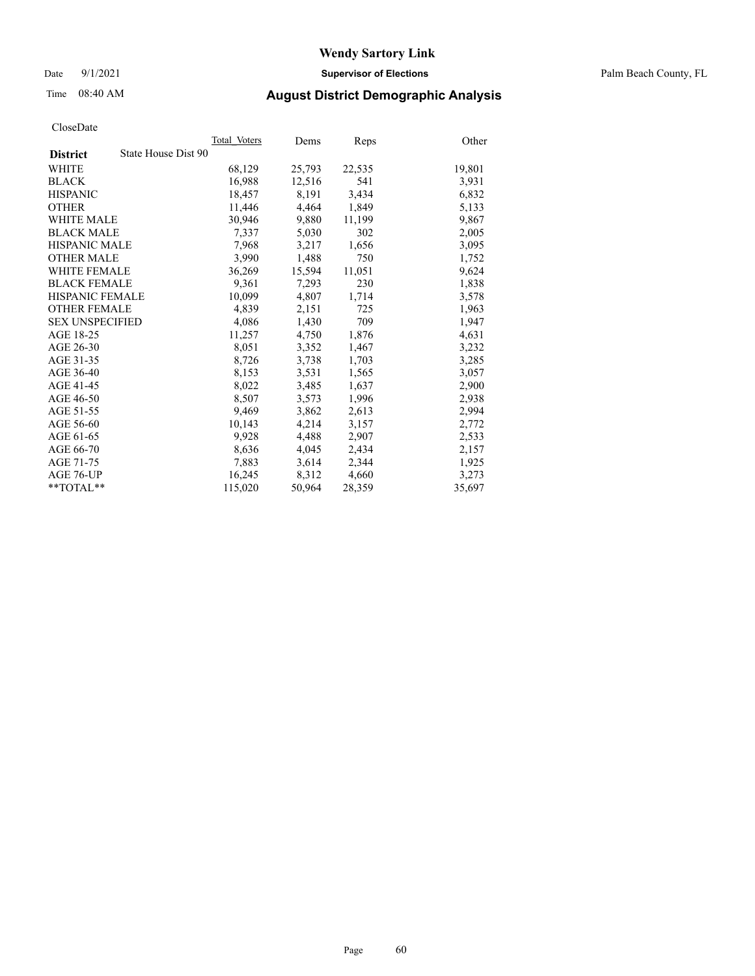Date 9/1/2021 **Supervisor of Elections** Palm Beach County, FL

## Time 08:40 AM **August District Demographic Analysis**

|                        | Total Voters        | Dems   | Reps   | Other  |
|------------------------|---------------------|--------|--------|--------|
| <b>District</b>        | State House Dist 90 |        |        |        |
| WHITE                  | 68,129              | 25,793 | 22,535 | 19,801 |
| <b>BLACK</b>           | 16,988              | 12,516 | 541    | 3,931  |
| <b>HISPANIC</b>        | 18,457              | 8,191  | 3,434  | 6,832  |
| <b>OTHER</b>           | 11,446              | 4,464  | 1,849  | 5,133  |
| <b>WHITE MALE</b>      | 30,946              | 9,880  | 11,199 | 9,867  |
| <b>BLACK MALE</b>      | 7,337               | 5,030  | 302    | 2,005  |
| <b>HISPANIC MALE</b>   | 7,968               | 3,217  | 1,656  | 3,095  |
| <b>OTHER MALE</b>      | 3,990               | 1,488  | 750    | 1,752  |
| <b>WHITE FEMALE</b>    | 36,269              | 15,594 | 11,051 | 9,624  |
| <b>BLACK FEMALE</b>    | 9,361               | 7,293  | 230    | 1,838  |
| HISPANIC FEMALE        | 10,099              | 4,807  | 1,714  | 3,578  |
| <b>OTHER FEMALE</b>    | 4,839               | 2,151  | 725    | 1,963  |
| <b>SEX UNSPECIFIED</b> | 4,086               | 1,430  | 709    | 1,947  |
| AGE 18-25              | 11,257              | 4,750  | 1,876  | 4,631  |
| AGE 26-30              | 8,051               | 3,352  | 1,467  | 3,232  |
| AGE 31-35              | 8,726               | 3,738  | 1,703  | 3,285  |
| AGE 36-40              | 8,153               | 3,531  | 1,565  | 3,057  |
| AGE 41-45              | 8,022               | 3,485  | 1,637  | 2,900  |
| AGE 46-50              | 8,507               | 3,573  | 1,996  | 2,938  |
| AGE 51-55              | 9,469               | 3,862  | 2,613  | 2,994  |
| AGE 56-60              | 10,143              | 4,214  | 3,157  | 2,772  |
| AGE 61-65              | 9,928               | 4,488  | 2,907  | 2,533  |
| AGE 66-70              | 8,636               | 4,045  | 2,434  | 2,157  |
| AGE 71-75              | 7,883               | 3,614  | 2,344  | 1,925  |
| AGE 76-UP              | 16,245              | 8,312  | 4,660  | 3,273  |
| $*$ $TOTAL**$          | 115,020             | 50,964 | 28,359 | 35,697 |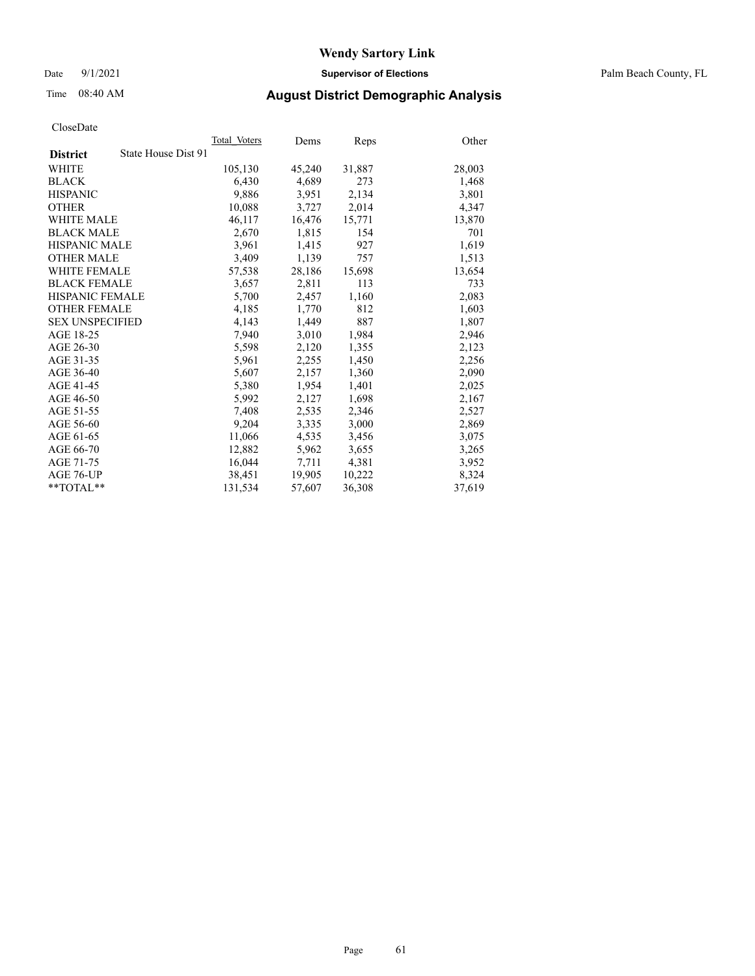Date 9/1/2021 **Supervisor of Elections** Palm Beach County, FL

## Time 08:40 AM **August District Demographic Analysis**

|                                        | Total Voters | Dems   | Reps   | Other  |
|----------------------------------------|--------------|--------|--------|--------|
| State House Dist 91<br><b>District</b> |              |        |        |        |
| WHITE                                  | 105,130      | 45,240 | 31,887 | 28,003 |
| <b>BLACK</b>                           | 6,430        | 4,689  | 273    | 1,468  |
| <b>HISPANIC</b>                        | 9,886        | 3,951  | 2,134  | 3,801  |
| <b>OTHER</b>                           | 10,088       | 3,727  | 2,014  | 4,347  |
| <b>WHITE MALE</b>                      | 46,117       | 16,476 | 15,771 | 13,870 |
| <b>BLACK MALE</b>                      | 2,670        | 1,815  | 154    | 701    |
| <b>HISPANIC MALE</b>                   | 3,961        | 1,415  | 927    | 1,619  |
| <b>OTHER MALE</b>                      | 3,409        | 1,139  | 757    | 1,513  |
| <b>WHITE FEMALE</b>                    | 57,538       | 28,186 | 15,698 | 13,654 |
| <b>BLACK FEMALE</b>                    | 3,657        | 2.811  | 113    | 733    |
| <b>HISPANIC FEMALE</b>                 | 5,700        | 2,457  | 1,160  | 2,083  |
| <b>OTHER FEMALE</b>                    | 4,185        | 1,770  | 812    | 1,603  |
| <b>SEX UNSPECIFIED</b>                 | 4,143        | 1.449  | 887    | 1,807  |
| AGE 18-25                              | 7,940        | 3,010  | 1,984  | 2,946  |
| AGE 26-30                              | 5,598        | 2,120  | 1,355  | 2,123  |
| AGE 31-35                              | 5,961        | 2,255  | 1,450  | 2,256  |
| AGE 36-40                              | 5,607        | 2,157  | 1,360  | 2,090  |
| AGE 41-45                              | 5,380        | 1,954  | 1,401  | 2,025  |
| AGE 46-50                              | 5,992        | 2,127  | 1,698  | 2,167  |
| AGE 51-55                              | 7,408        | 2,535  | 2,346  | 2,527  |
| AGE 56-60                              | 9,204        | 3,335  | 3,000  | 2,869  |
| AGE 61-65                              | 11,066       | 4,535  | 3,456  | 3,075  |
| AGE 66-70                              | 12,882       | 5,962  | 3,655  | 3,265  |
| AGE 71-75                              | 16,044       | 7,711  | 4,381  | 3,952  |
| AGE 76-UP                              | 38,451       | 19,905 | 10,222 | 8,324  |
| $*$ $TOTAL**$                          | 131,534      | 57,607 | 36,308 | 37,619 |
|                                        |              |        |        |        |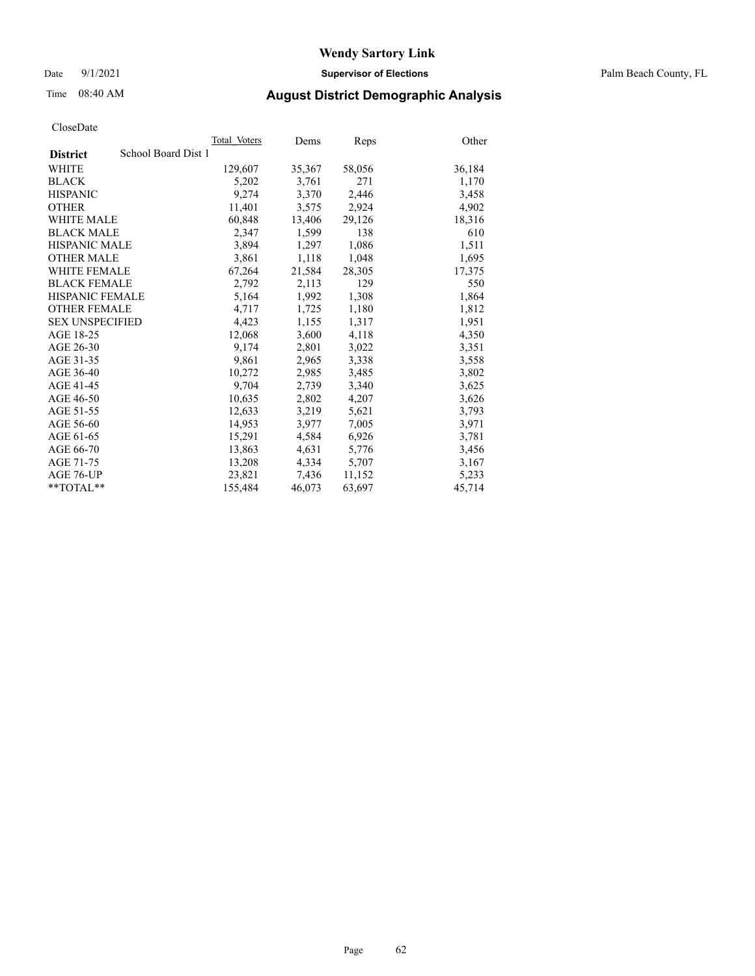Date 9/1/2021 **Supervisor of Elections** Palm Beach County, FL

## Time 08:40 AM **August District Demographic Analysis**

|                                        | Total Voters | Dems   | Reps   | Other  |
|----------------------------------------|--------------|--------|--------|--------|
| School Board Dist 1<br><b>District</b> |              |        |        |        |
| WHITE                                  | 129,607      | 35,367 | 58,056 | 36,184 |
| <b>BLACK</b>                           | 5,202        | 3,761  | 271    | 1,170  |
| <b>HISPANIC</b>                        | 9,274        | 3,370  | 2,446  | 3,458  |
| <b>OTHER</b>                           | 11,401       | 3,575  | 2,924  | 4,902  |
| <b>WHITE MALE</b>                      | 60,848       | 13,406 | 29,126 | 18,316 |
| <b>BLACK MALE</b>                      | 2,347        | 1,599  | 138    | 610    |
| <b>HISPANIC MALE</b>                   | 3,894        | 1,297  | 1,086  | 1,511  |
| <b>OTHER MALE</b>                      | 3,861        | 1,118  | 1,048  | 1,695  |
| <b>WHITE FEMALE</b>                    | 67,264       | 21,584 | 28,305 | 17,375 |
| <b>BLACK FEMALE</b>                    | 2,792        | 2,113  | 129    | 550    |
| HISPANIC FEMALE                        | 5,164        | 1,992  | 1,308  | 1,864  |
| <b>OTHER FEMALE</b>                    | 4,717        | 1,725  | 1,180  | 1,812  |
| <b>SEX UNSPECIFIED</b>                 | 4,423        | 1,155  | 1,317  | 1,951  |
| AGE 18-25                              | 12,068       | 3,600  | 4,118  | 4,350  |
| AGE 26-30                              | 9,174        | 2,801  | 3,022  | 3,351  |
| AGE 31-35                              | 9,861        | 2,965  | 3,338  | 3,558  |
| AGE 36-40                              | 10,272       | 2,985  | 3,485  | 3,802  |
| AGE 41-45                              | 9,704        | 2,739  | 3,340  | 3,625  |
| AGE 46-50                              | 10,635       | 2,802  | 4,207  | 3,626  |
| AGE 51-55                              | 12,633       | 3,219  | 5,621  | 3,793  |
| AGE 56-60                              | 14,953       | 3,977  | 7,005  | 3,971  |
| AGE 61-65                              | 15,291       | 4,584  | 6,926  | 3,781  |
| AGE 66-70                              | 13,863       | 4,631  | 5,776  | 3,456  |
| AGE 71-75                              | 13,208       | 4,334  | 5,707  | 3,167  |
| AGE 76-UP                              | 23.821       | 7,436  | 11,152 | 5,233  |
| $*$ $TOTAL**$                          | 155,484      | 46,073 | 63,697 | 45,714 |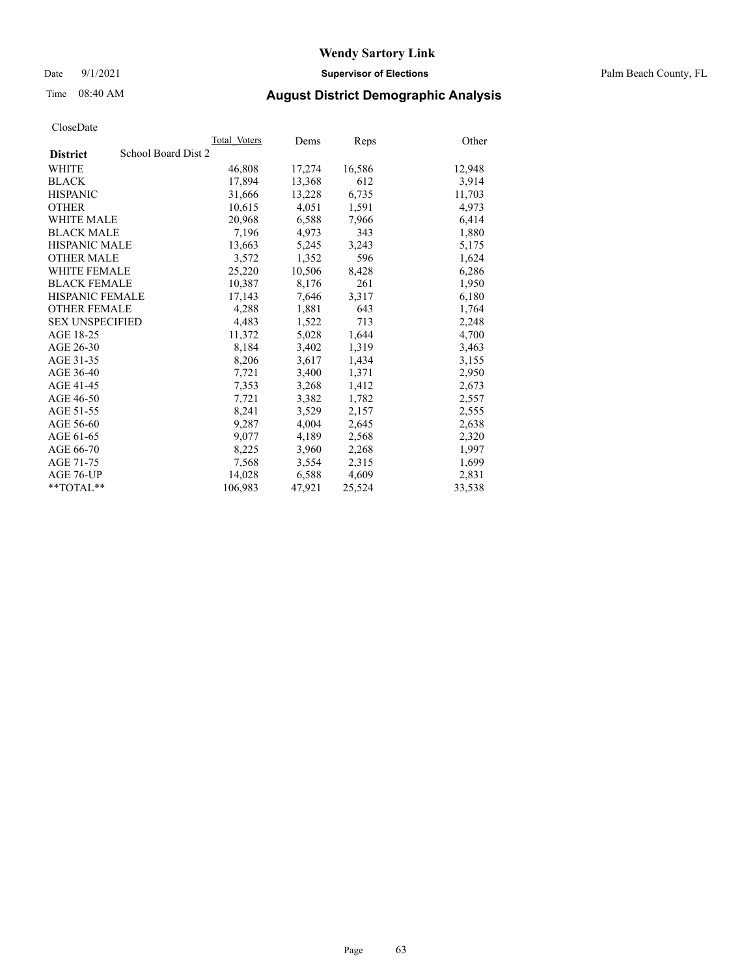Date 9/1/2021 **Supervisor of Elections** Palm Beach County, FL

## Time 08:40 AM **August District Demographic Analysis**

|                        | Total Voters        | Dems   | Reps   | Other  |
|------------------------|---------------------|--------|--------|--------|
| <b>District</b>        | School Board Dist 2 |        |        |        |
| WHITE                  | 46,808              | 17,274 | 16,586 | 12,948 |
| <b>BLACK</b>           | 17,894              | 13,368 | 612    | 3,914  |
| <b>HISPANIC</b>        | 31,666              | 13,228 | 6,735  | 11,703 |
| <b>OTHER</b>           | 10,615              | 4,051  | 1,591  | 4,973  |
| <b>WHITE MALE</b>      | 20,968              | 6,588  | 7,966  | 6,414  |
| <b>BLACK MALE</b>      | 7,196               | 4,973  | 343    | 1,880  |
| <b>HISPANIC MALE</b>   | 13,663              | 5,245  | 3,243  | 5,175  |
| <b>OTHER MALE</b>      | 3,572               | 1,352  | 596    | 1,624  |
| <b>WHITE FEMALE</b>    | 25,220              | 10,506 | 8,428  | 6,286  |
| <b>BLACK FEMALE</b>    | 10,387              | 8,176  | 261    | 1,950  |
| <b>HISPANIC FEMALE</b> | 17,143              | 7,646  | 3,317  | 6,180  |
| <b>OTHER FEMALE</b>    | 4,288               | 1,881  | 643    | 1,764  |
| <b>SEX UNSPECIFIED</b> | 4,483               | 1,522  | 713    | 2,248  |
| AGE 18-25              | 11,372              | 5,028  | 1,644  | 4,700  |
| AGE 26-30              | 8,184               | 3,402  | 1,319  | 3,463  |
| AGE 31-35              | 8,206               | 3,617  | 1,434  | 3,155  |
| AGE 36-40              | 7,721               | 3,400  | 1,371  | 2,950  |
| AGE 41-45              | 7,353               | 3,268  | 1,412  | 2,673  |
| AGE 46-50              | 7,721               | 3,382  | 1,782  | 2,557  |
| AGE 51-55              | 8,241               | 3,529  | 2,157  | 2,555  |
| AGE 56-60              | 9,287               | 4,004  | 2,645  | 2,638  |
| AGE 61-65              | 9.077               | 4,189  | 2,568  | 2,320  |
| AGE 66-70              | 8,225               | 3,960  | 2,268  | 1,997  |
| AGE 71-75              | 7,568               | 3,554  | 2,315  | 1,699  |
| AGE 76-UP              | 14.028              | 6,588  | 4,609  | 2,831  |
| $*$ $TOTAL**$          | 106,983             | 47,921 | 25,524 | 33,538 |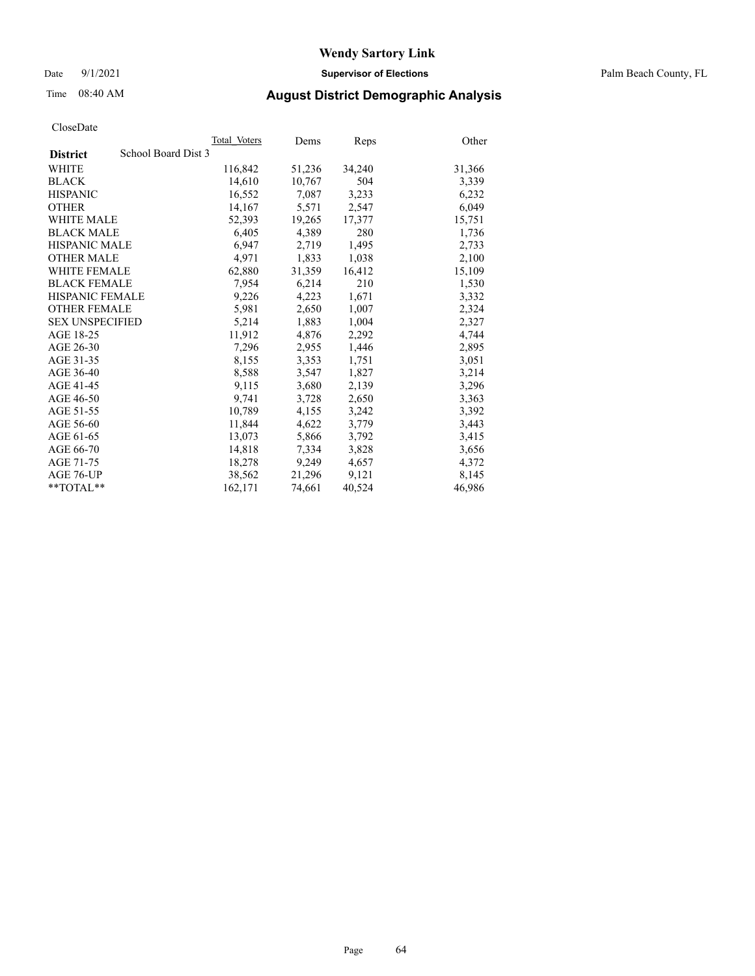Date 9/1/2021 **Supervisor of Elections** Palm Beach County, FL

# Time 08:40 AM **August District Demographic Analysis**

|                                        | Total Voters | Dems   | Reps   | Other  |
|----------------------------------------|--------------|--------|--------|--------|
| School Board Dist 3<br><b>District</b> |              |        |        |        |
| WHITE                                  | 116,842      | 51,236 | 34,240 | 31,366 |
| <b>BLACK</b>                           | 14,610       | 10,767 | 504    | 3,339  |
| <b>HISPANIC</b>                        | 16,552       | 7,087  | 3,233  | 6,232  |
| <b>OTHER</b>                           | 14,167       | 5,571  | 2,547  | 6,049  |
| <b>WHITE MALE</b>                      | 52,393       | 19,265 | 17,377 | 15,751 |
| <b>BLACK MALE</b>                      | 6,405        | 4,389  | 280    | 1,736  |
| <b>HISPANIC MALE</b>                   | 6,947        | 2,719  | 1,495  | 2,733  |
| <b>OTHER MALE</b>                      | 4.971        | 1,833  | 1,038  | 2,100  |
| <b>WHITE FEMALE</b>                    | 62,880       | 31,359 | 16,412 | 15,109 |
| <b>BLACK FEMALE</b>                    | 7,954        | 6,214  | 210    | 1,530  |
| HISPANIC FEMALE                        | 9,226        | 4,223  | 1,671  | 3,332  |
| <b>OTHER FEMALE</b>                    | 5,981        | 2,650  | 1,007  | 2,324  |
| <b>SEX UNSPECIFIED</b>                 | 5,214        | 1,883  | 1,004  | 2,327  |
| AGE 18-25                              | 11,912       | 4,876  | 2,292  | 4,744  |
| AGE 26-30                              | 7,296        | 2,955  | 1,446  | 2,895  |
| AGE 31-35                              | 8,155        | 3,353  | 1,751  | 3,051  |
| AGE 36-40                              | 8,588        | 3,547  | 1,827  | 3,214  |
| AGE 41-45                              | 9,115        | 3,680  | 2,139  | 3,296  |
| AGE 46-50                              | 9,741        | 3,728  | 2,650  | 3,363  |
| AGE 51-55                              | 10,789       | 4,155  | 3,242  | 3,392  |
| AGE 56-60                              | 11,844       | 4,622  | 3,779  | 3,443  |
| AGE 61-65                              | 13.073       | 5,866  | 3,792  | 3,415  |
| AGE 66-70                              | 14,818       | 7,334  | 3,828  | 3,656  |
| AGE 71-75                              | 18,278       | 9,249  | 4,657  | 4,372  |
| AGE 76-UP                              | 38,562       | 21,296 | 9,121  | 8.145  |
| $*$ $TOTAL**$                          | 162,171      | 74,661 | 40,524 | 46,986 |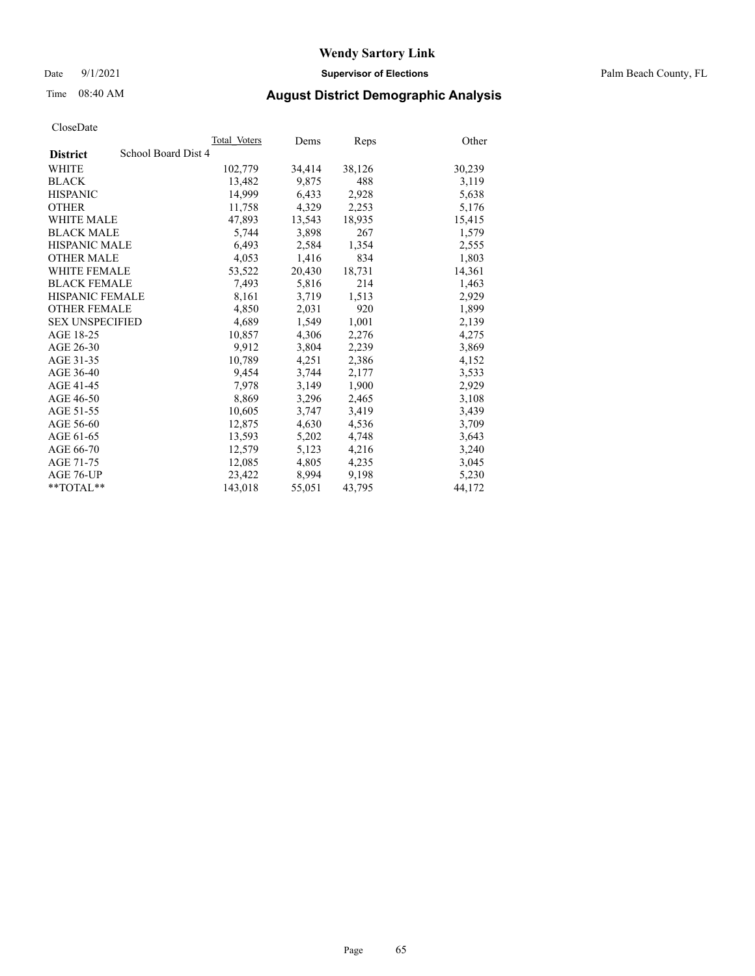Date 9/1/2021 **Supervisor of Elections** Palm Beach County, FL

## Time 08:40 AM **August District Demographic Analysis**

|                                        | Total Voters | Dems   | Reps   | Other  |
|----------------------------------------|--------------|--------|--------|--------|
| School Board Dist 4<br><b>District</b> |              |        |        |        |
| WHITE                                  | 102,779      | 34,414 | 38,126 | 30,239 |
| <b>BLACK</b>                           | 13,482       | 9,875  | 488    | 3,119  |
| <b>HISPANIC</b>                        | 14,999       | 6,433  | 2,928  | 5,638  |
| <b>OTHER</b>                           | 11,758       | 4,329  | 2,253  | 5,176  |
| <b>WHITE MALE</b>                      | 47,893       | 13,543 | 18,935 | 15,415 |
| <b>BLACK MALE</b>                      | 5,744        | 3,898  | 267    | 1,579  |
| <b>HISPANIC MALE</b>                   | 6,493        | 2,584  | 1,354  | 2,555  |
| <b>OTHER MALE</b>                      | 4,053        | 1,416  | 834    | 1,803  |
| <b>WHITE FEMALE</b>                    | 53,522       | 20,430 | 18,731 | 14,361 |
| <b>BLACK FEMALE</b>                    | 7.493        | 5.816  | 214    | 1.463  |
| HISPANIC FEMALE                        | 8,161        | 3,719  | 1,513  | 2,929  |
| <b>OTHER FEMALE</b>                    | 4,850        | 2,031  | 920    | 1,899  |
| <b>SEX UNSPECIFIED</b>                 | 4.689        | 1.549  | 1,001  | 2,139  |
| AGE 18-25                              | 10,857       | 4,306  | 2,276  | 4,275  |
| AGE 26-30                              | 9.912        | 3,804  | 2,239  | 3,869  |
| AGE 31-35                              | 10,789       | 4,251  | 2,386  | 4,152  |
| AGE 36-40                              | 9.454        | 3,744  | 2,177  | 3,533  |
| AGE 41-45                              | 7,978        | 3,149  | 1,900  | 2,929  |
| AGE 46-50                              | 8,869        | 3,296  | 2,465  | 3,108  |
| AGE 51-55                              | 10,605       | 3,747  | 3,419  | 3,439  |
| AGE 56-60                              | 12,875       | 4,630  | 4,536  | 3,709  |
| AGE 61-65                              | 13,593       | 5,202  | 4,748  | 3,643  |
| AGE 66-70                              | 12,579       | 5,123  | 4,216  | 3,240  |
| AGE 71-75                              | 12,085       | 4,805  | 4,235  | 3,045  |
| AGE 76-UP                              | 23,422       | 8,994  | 9,198  | 5,230  |
| $*$ $TOTAL**$                          | 143,018      | 55,051 | 43,795 | 44,172 |
|                                        |              |        |        |        |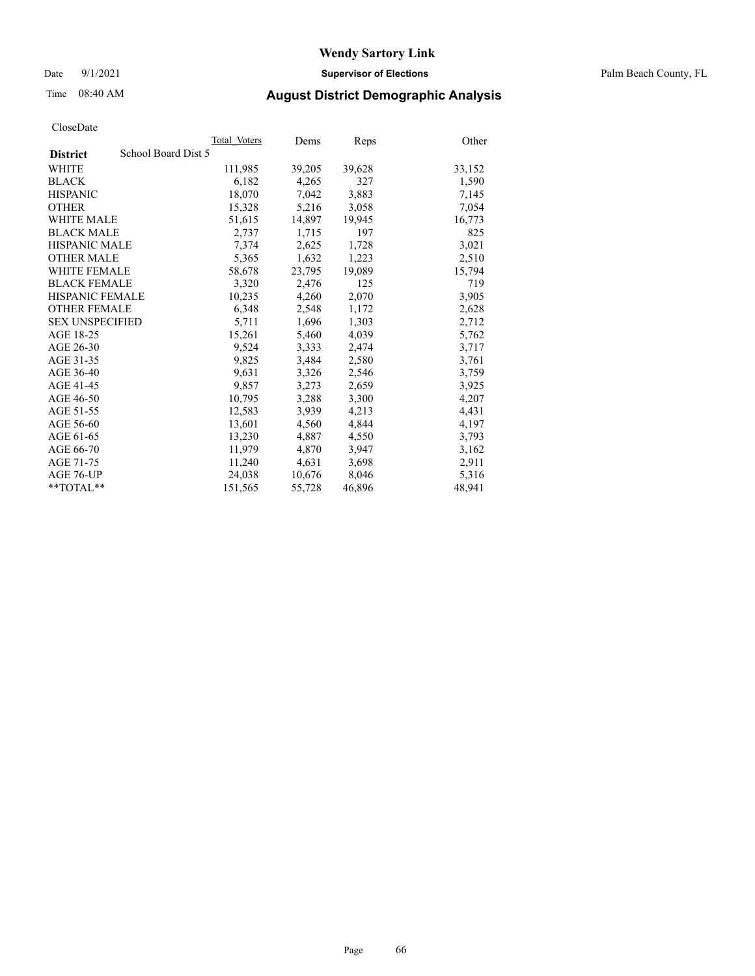Date 9/1/2021 **Supervisor of Elections** Palm Beach County, FL

## Time 08:40 AM **August District Demographic Analysis**

|                                        | Total Voters | Dems   | Reps   | Other  |
|----------------------------------------|--------------|--------|--------|--------|
| School Board Dist 5<br><b>District</b> |              |        |        |        |
| WHITE                                  | 111,985      | 39,205 | 39,628 | 33,152 |
| <b>BLACK</b>                           | 6,182        | 4,265  | 327    | 1,590  |
| <b>HISPANIC</b>                        | 18,070       | 7,042  | 3,883  | 7,145  |
| <b>OTHER</b>                           | 15,328       | 5,216  | 3,058  | 7,054  |
| <b>WHITE MALE</b>                      | 51,615       | 14,897 | 19,945 | 16,773 |
| <b>BLACK MALE</b>                      | 2,737        | 1,715  | 197    | 825    |
| <b>HISPANIC MALE</b>                   | 7,374        | 2,625  | 1,728  | 3,021  |
| <b>OTHER MALE</b>                      | 5,365        | 1,632  | 1,223  | 2,510  |
| <b>WHITE FEMALE</b>                    | 58,678       | 23,795 | 19,089 | 15,794 |
| <b>BLACK FEMALE</b>                    | 3,320        | 2.476  | 125    | 719    |
| <b>HISPANIC FEMALE</b>                 | 10,235       | 4,260  | 2,070  | 3,905  |
| <b>OTHER FEMALE</b>                    | 6,348        | 2,548  | 1,172  | 2,628  |
| <b>SEX UNSPECIFIED</b>                 | 5,711        | 1,696  | 1,303  | 2,712  |
| AGE 18-25                              | 15,261       | 5,460  | 4,039  | 5,762  |
| AGE 26-30                              | 9,524        | 3,333  | 2,474  | 3,717  |
| AGE 31-35                              | 9,825        | 3,484  | 2,580  | 3,761  |
| AGE 36-40                              | 9,631        | 3,326  | 2,546  | 3,759  |
| AGE 41-45                              | 9,857        | 3,273  | 2,659  | 3,925  |
| AGE 46-50                              | 10,795       | 3,288  | 3,300  | 4,207  |
| AGE 51-55                              | 12,583       | 3,939  | 4,213  | 4,431  |
| AGE 56-60                              | 13,601       | 4,560  | 4,844  | 4,197  |
| AGE 61-65                              | 13,230       | 4,887  | 4,550  | 3,793  |
| AGE 66-70                              | 11,979       | 4,870  | 3,947  | 3,162  |
| AGE 71-75                              | 11,240       | 4,631  | 3,698  | 2,911  |
| AGE 76-UP                              | 24,038       | 10,676 | 8,046  | 5,316  |
| $*$ $TOTAL**$                          | 151,565      | 55,728 | 46,896 | 48,941 |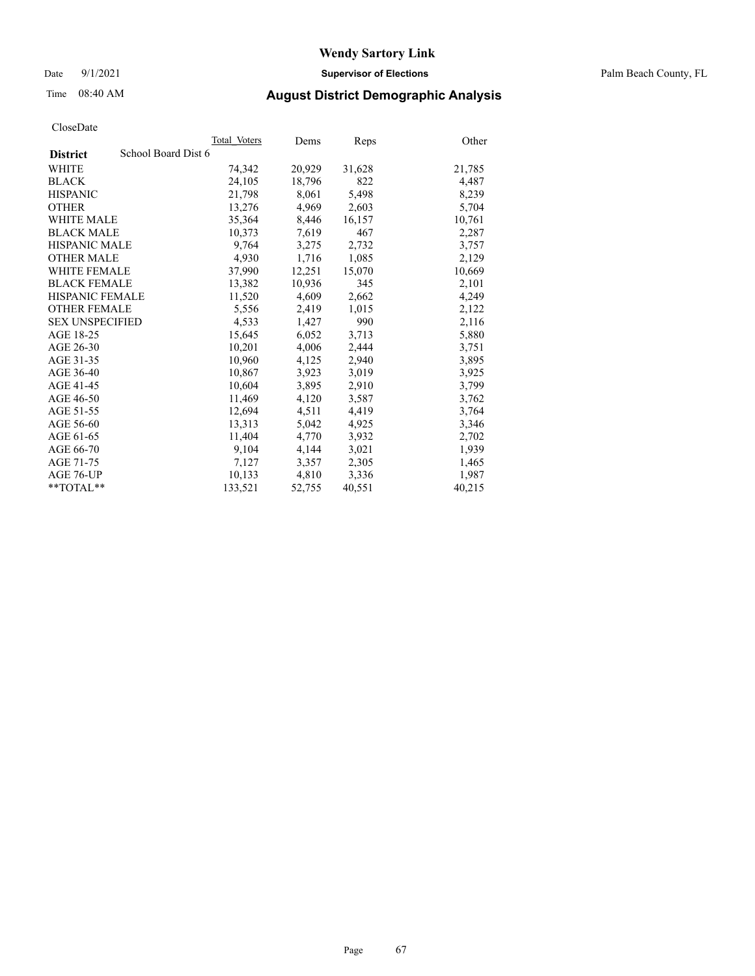Date 9/1/2021 **Supervisor of Elections** Palm Beach County, FL

## Time 08:40 AM **August District Demographic Analysis**

|                        | Total Voters        | Dems   | <b>Reps</b> | Other  |
|------------------------|---------------------|--------|-------------|--------|
| <b>District</b>        | School Board Dist 6 |        |             |        |
| WHITE                  | 74,342              | 20,929 | 31,628      | 21,785 |
| <b>BLACK</b>           | 24,105              | 18,796 | 822         | 4,487  |
| <b>HISPANIC</b>        | 21,798              | 8.061  | 5,498       | 8,239  |
| <b>OTHER</b>           | 13,276              | 4,969  | 2,603       | 5,704  |
| <b>WHITE MALE</b>      | 35,364              | 8,446  | 16,157      | 10,761 |
| <b>BLACK MALE</b>      | 10,373              | 7,619  | 467         | 2,287  |
| <b>HISPANIC MALE</b>   | 9,764               | 3,275  | 2,732       | 3,757  |
| <b>OTHER MALE</b>      | 4.930               | 1,716  | 1,085       | 2,129  |
| <b>WHITE FEMALE</b>    | 37,990              | 12,251 | 15,070      | 10,669 |
| <b>BLACK FEMALE</b>    | 13,382              | 10,936 | 345         | 2,101  |
| <b>HISPANIC FEMALE</b> | 11,520              | 4,609  | 2,662       | 4,249  |
| <b>OTHER FEMALE</b>    | 5,556               | 2,419  | 1,015       | 2,122  |
| <b>SEX UNSPECIFIED</b> | 4,533               | 1,427  | 990         | 2,116  |
| AGE 18-25              | 15,645              | 6,052  | 3,713       | 5,880  |
| AGE 26-30              | 10,201              | 4,006  | 2,444       | 3,751  |
| AGE 31-35              | 10,960              | 4,125  | 2,940       | 3,895  |
| AGE 36-40              | 10,867              | 3,923  | 3,019       | 3,925  |
| AGE 41-45              | 10,604              | 3,895  | 2,910       | 3,799  |
| AGE 46-50              | 11,469              | 4,120  | 3,587       | 3,762  |
| AGE 51-55              | 12,694              | 4,511  | 4,419       | 3,764  |
| AGE 56-60              | 13,313              | 5,042  | 4,925       | 3,346  |
| AGE 61-65              | 11,404              | 4,770  | 3,932       | 2,702  |
| AGE 66-70              | 9,104               | 4,144  | 3,021       | 1,939  |
| AGE 71-75              | 7,127               | 3,357  | 2,305       | 1,465  |
| AGE 76-UP              | 10.133              | 4,810  | 3,336       | 1,987  |
| **TOTAL**              | 133,521             | 52,755 | 40,551      | 40,215 |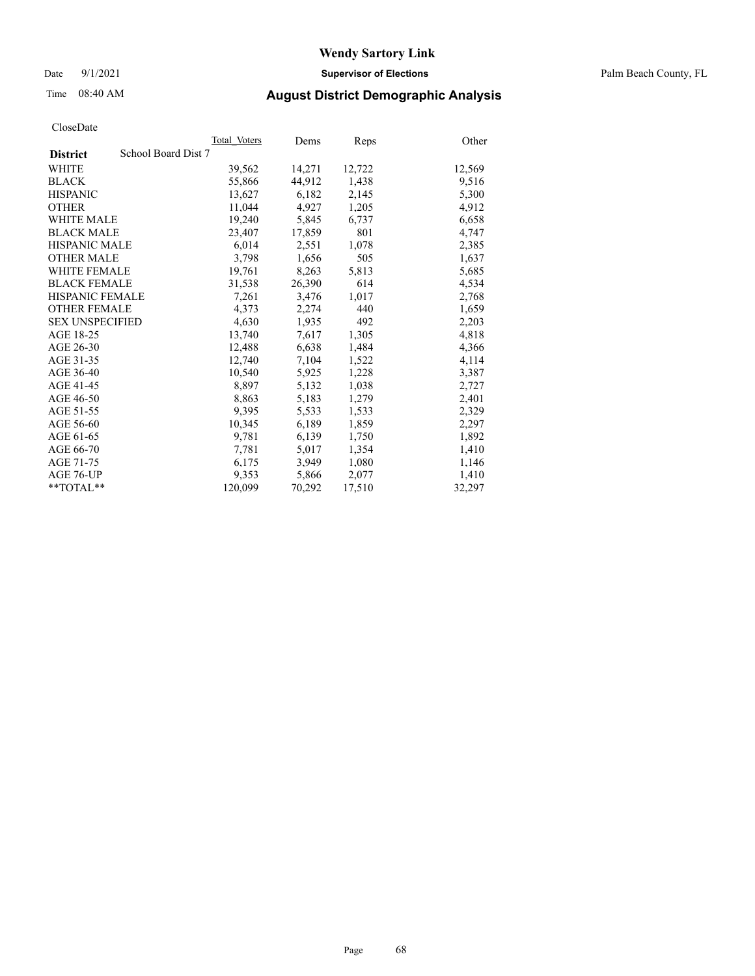Date 9/1/2021 **Supervisor of Elections** Palm Beach County, FL

## Time 08:40 AM **August District Demographic Analysis**

|                                        | Total Voters | Dems   | <b>Reps</b> | Other  |
|----------------------------------------|--------------|--------|-------------|--------|
| School Board Dist 7<br><b>District</b> |              |        |             |        |
| WHITE                                  | 39,562       | 14,271 | 12,722      | 12,569 |
| <b>BLACK</b>                           | 55,866       | 44,912 | 1,438       | 9,516  |
| <b>HISPANIC</b>                        | 13,627       | 6,182  | 2,145       | 5,300  |
| <b>OTHER</b>                           | 11,044       | 4,927  | 1,205       | 4,912  |
| <b>WHITE MALE</b>                      | 19,240       | 5,845  | 6,737       | 6,658  |
| <b>BLACK MALE</b>                      | 23,407       | 17,859 | 801         | 4,747  |
| <b>HISPANIC MALE</b>                   | 6,014        | 2,551  | 1,078       | 2,385  |
| <b>OTHER MALE</b>                      | 3,798        | 1,656  | 505         | 1,637  |
| <b>WHITE FEMALE</b>                    | 19,761       | 8,263  | 5,813       | 5,685  |
| <b>BLACK FEMALE</b>                    | 31,538       | 26,390 | 614         | 4,534  |
| <b>HISPANIC FEMALE</b>                 | 7,261        | 3,476  | 1,017       | 2,768  |
| <b>OTHER FEMALE</b>                    | 4,373        | 2,274  | 440         | 1,659  |
| <b>SEX UNSPECIFIED</b>                 | 4,630        | 1,935  | 492         | 2,203  |
| AGE 18-25                              | 13,740       | 7,617  | 1,305       | 4,818  |
| AGE 26-30                              | 12,488       | 6,638  | 1,484       | 4,366  |
| AGE 31-35                              | 12,740       | 7,104  | 1,522       | 4,114  |
| AGE 36-40                              | 10,540       | 5,925  | 1,228       | 3,387  |
| AGE 41-45                              | 8,897        | 5,132  | 1,038       | 2,727  |
| AGE 46-50                              | 8,863        | 5,183  | 1,279       | 2,401  |
| AGE 51-55                              | 9,395        | 5,533  | 1,533       | 2,329  |
| AGE 56-60                              | 10,345       | 6,189  | 1,859       | 2,297  |
| AGE 61-65                              | 9,781        | 6,139  | 1,750       | 1,892  |
| AGE 66-70                              | 7,781        | 5,017  | 1,354       | 1,410  |
| AGE 71-75                              | 6,175        | 3,949  | 1,080       | 1,146  |
| AGE 76-UP                              | 9.353        | 5,866  | 2,077       | 1,410  |
| **TOTAL**                              | 120,099      | 70,292 | 17,510      | 32,297 |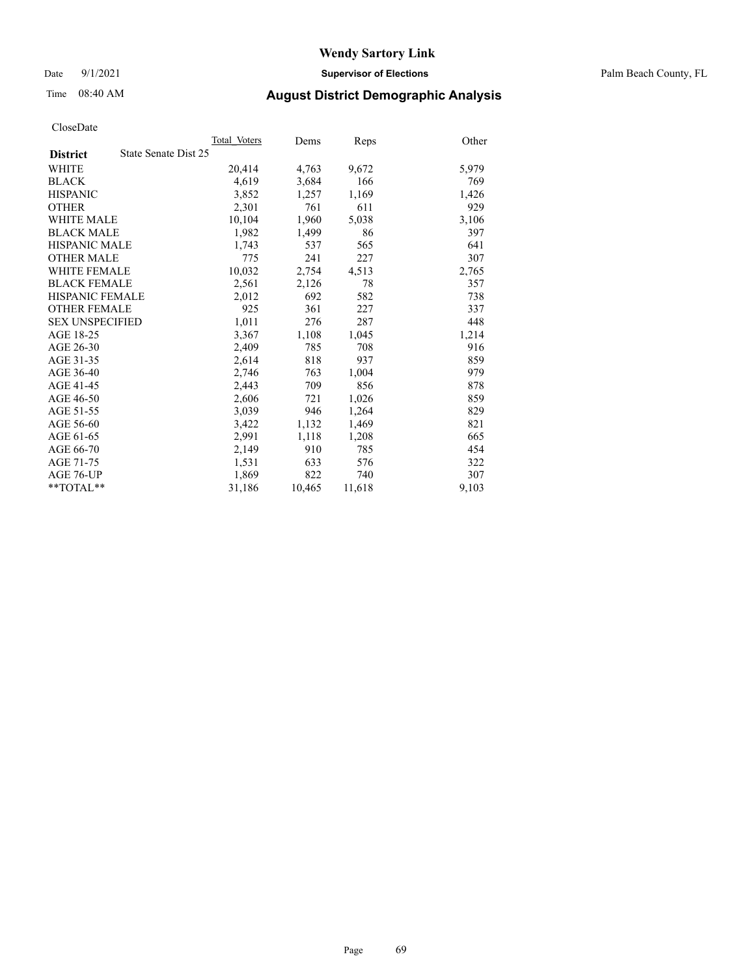Date 9/1/2021 **Supervisor of Elections** Palm Beach County, FL

## Time 08:40 AM **August District Demographic Analysis**

|                        |                      | Total Voters | Dems   | <b>Reps</b> | Other |
|------------------------|----------------------|--------------|--------|-------------|-------|
| <b>District</b>        | State Senate Dist 25 |              |        |             |       |
| WHITE                  |                      | 20,414       | 4,763  | 9,672       | 5,979 |
| <b>BLACK</b>           |                      | 4,619        | 3,684  | 166         | 769   |
| <b>HISPANIC</b>        |                      | 3,852        | 1,257  | 1,169       | 1,426 |
| <b>OTHER</b>           |                      | 2,301        | 761    | 611         | 929   |
| <b>WHITE MALE</b>      |                      | 10,104       | 1,960  | 5,038       | 3,106 |
| <b>BLACK MALE</b>      |                      | 1,982        | 1,499  | 86          | 397   |
| <b>HISPANIC MALE</b>   |                      | 1,743        | 537    | 565         | 641   |
| <b>OTHER MALE</b>      |                      | 775          | 241    | 227         | 307   |
| <b>WHITE FEMALE</b>    |                      | 10,032       | 2,754  | 4,513       | 2,765 |
| <b>BLACK FEMALE</b>    |                      | 2,561        | 2,126  | 78          | 357   |
| <b>HISPANIC FEMALE</b> |                      | 2,012        | 692    | 582         | 738   |
| <b>OTHER FEMALE</b>    |                      | 925          | 361    | 227         | 337   |
| <b>SEX UNSPECIFIED</b> |                      | 1,011        | 276    | 287         | 448   |
| AGE 18-25              |                      | 3,367        | 1,108  | 1,045       | 1,214 |
| AGE 26-30              |                      | 2,409        | 785    | 708         | 916   |
| AGE 31-35              |                      | 2,614        | 818    | 937         | 859   |
| AGE 36-40              |                      | 2,746        | 763    | 1,004       | 979   |
| AGE 41-45              |                      | 2,443        | 709    | 856         | 878   |
| AGE 46-50              |                      | 2,606        | 721    | 1,026       | 859   |
| AGE 51-55              |                      | 3,039        | 946    | 1,264       | 829   |
| AGE 56-60              |                      | 3,422        | 1,132  | 1,469       | 821   |
| AGE 61-65              |                      | 2,991        | 1,118  | 1,208       | 665   |
| AGE 66-70              |                      | 2,149        | 910    | 785         | 454   |
| AGE 71-75              |                      | 1,531        | 633    | 576         | 322   |
| AGE 76-UP              |                      | 1,869        | 822    | 740         | 307   |
| $*$ $TOTAL**$          |                      | 31,186       | 10,465 | 11,618      | 9,103 |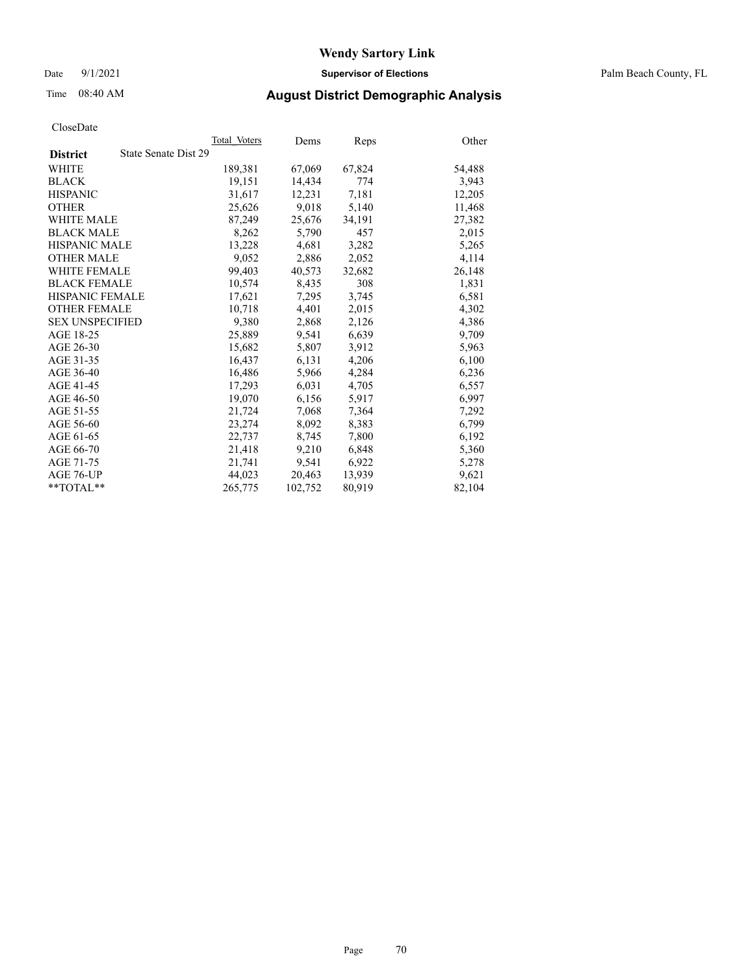Date 9/1/2021 **Supervisor of Elections** Palm Beach County, FL

## Time 08:40 AM **August District Demographic Analysis**

|                                         | Total Voters | Dems    | <b>Reps</b> | Other  |
|-----------------------------------------|--------------|---------|-------------|--------|
| State Senate Dist 29<br><b>District</b> |              |         |             |        |
| WHITE                                   | 189,381      | 67,069  | 67,824      | 54,488 |
| <b>BLACK</b>                            | 19,151       | 14,434  | 774         | 3,943  |
| <b>HISPANIC</b>                         | 31,617       | 12,231  | 7,181       | 12,205 |
| <b>OTHER</b>                            | 25,626       | 9,018   | 5,140       | 11,468 |
| <b>WHITE MALE</b>                       | 87,249       | 25,676  | 34,191      | 27,382 |
| <b>BLACK MALE</b>                       | 8,262        | 5,790   | 457         | 2,015  |
| <b>HISPANIC MALE</b>                    | 13,228       | 4,681   | 3,282       | 5,265  |
| <b>OTHER MALE</b>                       | 9,052        | 2,886   | 2,052       | 4,114  |
| <b>WHITE FEMALE</b>                     | 99,403       | 40,573  | 32,682      | 26,148 |
| <b>BLACK FEMALE</b>                     | 10,574       | 8,435   | 308         | 1,831  |
| <b>HISPANIC FEMALE</b>                  | 17,621       | 7,295   | 3,745       | 6,581  |
| <b>OTHER FEMALE</b>                     | 10,718       | 4,401   | 2,015       | 4,302  |
| <b>SEX UNSPECIFIED</b>                  | 9,380        | 2,868   | 2,126       | 4,386  |
| AGE 18-25                               | 25,889       | 9,541   | 6,639       | 9,709  |
| AGE 26-30                               | 15,682       | 5,807   | 3,912       | 5,963  |
| AGE 31-35                               | 16,437       | 6,131   | 4,206       | 6,100  |
| AGE 36-40                               | 16,486       | 5,966   | 4,284       | 6,236  |
| AGE 41-45                               | 17,293       | 6,031   | 4,705       | 6,557  |
| AGE 46-50                               | 19,070       | 6,156   | 5,917       | 6,997  |
| AGE 51-55                               | 21,724       | 7,068   | 7,364       | 7,292  |
| AGE 56-60                               | 23,274       | 8,092   | 8,383       | 6,799  |
| AGE 61-65                               | 22,737       | 8,745   | 7,800       | 6,192  |
| AGE 66-70                               | 21,418       | 9,210   | 6,848       | 5,360  |
| AGE 71-75                               | 21,741       | 9,541   | 6,922       | 5,278  |
| AGE 76-UP                               | 44,023       | 20,463  | 13,939      | 9,621  |
| $*$ TOTAL $*$                           | 265,775      | 102,752 | 80,919      | 82,104 |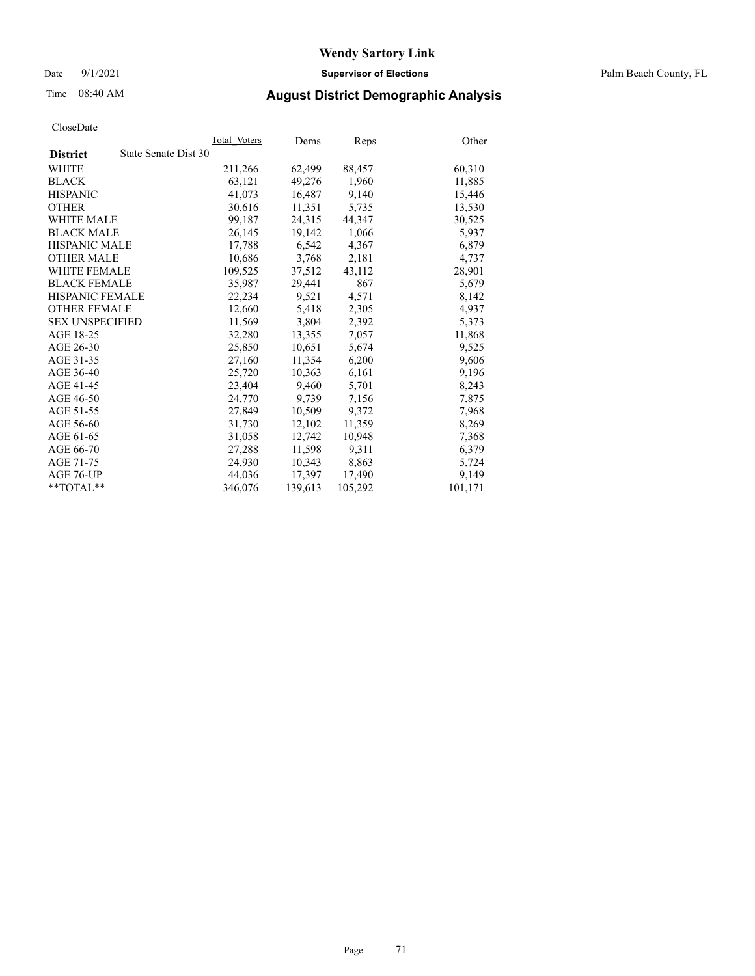Date 9/1/2021 **Supervisor of Elections** Palm Beach County, FL

# Time 08:40 AM **August District Demographic Analysis**

| CloseDate |
|-----------|
|-----------|

|                 |                      | Total Voters | Dems    | Reps    | Other   |
|-----------------|----------------------|--------------|---------|---------|---------|
| <b>District</b> | State Senate Dist 30 |              |         |         |         |
| WHITE           |                      | 211,266      | 62,499  | 88,457  | 60,310  |
| BLACK           |                      | 63,121       | 49,276  | 1,960   | 11,885  |
| HISPANIC        |                      | 41,073       | 16,487  | 9,140   | 15,446  |
| OTHER           |                      | 30,616       | 11,351  | 5,735   | 13,530  |
| WHITE MALE      |                      | 99,187       | 24,315  | 44,347  | 30,525  |
| BLACK MALE      |                      | 26,145       | 19,142  | 1,066   | 5,937   |
| HISPANIC MALE   |                      | 17,788       | 6,542   | 4,367   | 6,879   |
| OTHER MALE      |                      | 10,686       | 3,768   | 2,181   | 4,737   |
| WHITE FEMALE    |                      | 109,525      | 37,512  | 43,112  | 28,901  |
| BLACK FEMALE    |                      | 35,987       | 29,441  | 867     | 5,679   |
| HISPANIC FEMALE |                      | 22,234       | 9,521   | 4,571   | 8,142   |
| OTHER FEMALE    |                      | 12,660       | 5,418   | 2,305   | 4,937   |
| SEX UNSPECIFIED |                      | 11,569       | 3,804   | 2,392   | 5,373   |
| AGE 18-25       |                      | 32,280       | 13,355  | 7,057   | 11,868  |
| AGE 26-30       |                      | 25,850       | 10,651  | 5,674   | 9,525   |
| AGE 31-35       |                      | 27,160       | 11,354  | 6,200   | 9,606   |
| AGE 36-40       |                      | 25,720       | 10,363  | 6,161   | 9,196   |
| AGE 41-45       |                      | 23,404       | 9,460   | 5,701   | 8,243   |
| AGE 46-50       |                      | 24,770       | 9.739   | 7,156   | 7,875   |
| AGE 51-55       |                      | 27,849       | 10,509  | 9,372   | 7,968   |
| AGE 56-60       |                      | 31,730       | 12,102  | 11,359  | 8,269   |
| AGE 61-65       |                      | 31,058       | 12,742  | 10,948  | 7,368   |
| AGE 66-70       |                      | 27,288       | 11,598  | 9,311   | 6,379   |
| AGE 71-75       |                      | 24,930       | 10,343  | 8,863   | 5,724   |
| AGE 76-UP       |                      | 44,036       | 17.397  | 17,490  | 9,149   |
| $*$ $TOTAL**$   |                      | 346,076      | 139,613 | 105,292 | 101,171 |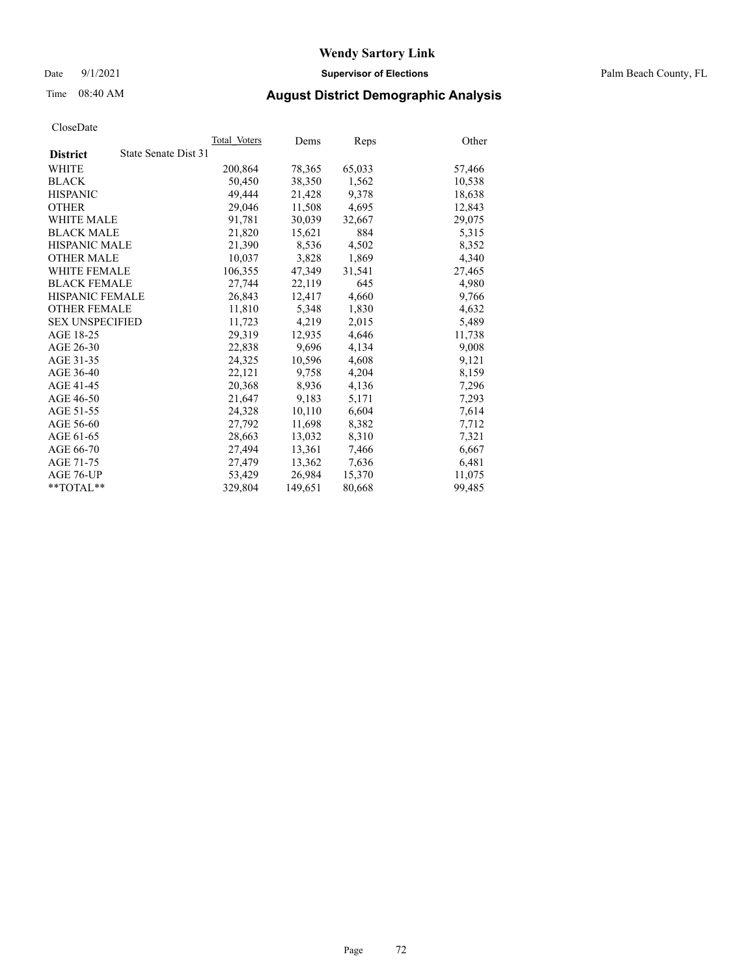Date 9/1/2021 **Supervisor of Elections** Palm Beach County, FL

# Time 08:40 AM **August District Demographic Analysis**

|                                         | Total Voters | Dems    | <b>Reps</b> | Other  |
|-----------------------------------------|--------------|---------|-------------|--------|
| State Senate Dist 31<br><b>District</b> |              |         |             |        |
| <b>WHITE</b>                            | 200,864      | 78,365  | 65,033      | 57,466 |
| <b>BLACK</b>                            | 50,450       | 38,350  | 1,562       | 10,538 |
| <b>HISPANIC</b>                         | 49,444       | 21,428  | 9,378       | 18,638 |
| <b>OTHER</b>                            | 29,046       | 11,508  | 4,695       | 12,843 |
| <b>WHITE MALE</b>                       | 91,781       | 30,039  | 32,667      | 29,075 |
| <b>BLACK MALE</b>                       | 21,820       | 15,621  | 884         | 5,315  |
| <b>HISPANIC MALE</b>                    | 21,390       | 8,536   | 4,502       | 8,352  |
| <b>OTHER MALE</b>                       | 10,037       | 3,828   | 1,869       | 4,340  |
| <b>WHITE FEMALE</b>                     | 106,355      | 47,349  | 31,541      | 27,465 |
| <b>BLACK FEMALE</b>                     | 27.744       | 22,119  | 645         | 4,980  |
| <b>HISPANIC FEMALE</b>                  | 26,843       | 12,417  | 4,660       | 9,766  |
| <b>OTHER FEMALE</b>                     | 11,810       | 5,348   | 1,830       | 4,632  |
| <b>SEX UNSPECIFIED</b>                  | 11,723       | 4,219   | 2,015       | 5,489  |
| AGE 18-25                               | 29,319       | 12,935  | 4,646       | 11,738 |
| AGE 26-30                               | 22,838       | 9,696   | 4,134       | 9,008  |
| AGE 31-35                               | 24,325       | 10,596  | 4,608       | 9,121  |
| AGE 36-40                               | 22,121       | 9,758   | 4,204       | 8,159  |
| AGE 41-45                               | 20,368       | 8,936   | 4,136       | 7,296  |
| AGE 46-50                               | 21,647       | 9,183   | 5,171       | 7,293  |
| AGE 51-55                               | 24,328       | 10,110  | 6,604       | 7,614  |
| AGE 56-60                               | 27,792       | 11,698  | 8,382       | 7,712  |
| AGE 61-65                               | 28,663       | 13,032  | 8,310       | 7,321  |
| AGE 66-70                               | 27,494       | 13,361  | 7,466       | 6,667  |
| AGE 71-75                               | 27,479       | 13,362  | 7,636       | 6,481  |
| AGE 76-UP                               | 53,429       | 26,984  | 15,370      | 11,075 |
| $*$ $TOTAL**$                           | 329,804      | 149,651 | 80,668      | 99,485 |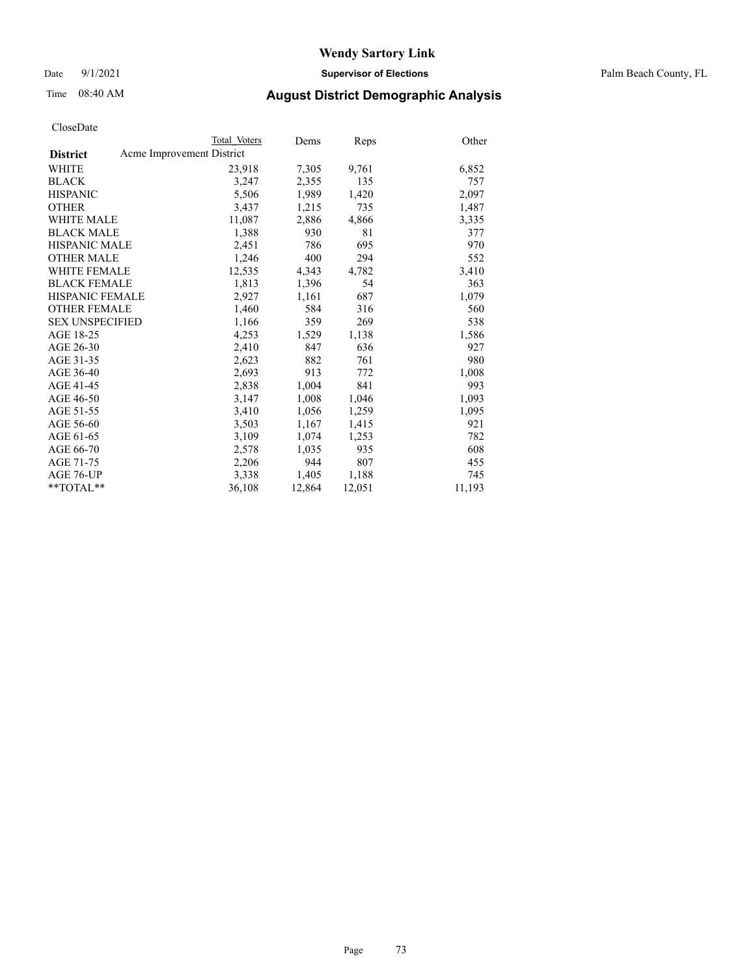Date 9/1/2021 **Supervisor of Elections** Palm Beach County, FL

### Time 08:40 AM **August District Demographic Analysis**

|                                              | Total Voters | Dems   | Reps   | Other  |
|----------------------------------------------|--------------|--------|--------|--------|
| Acme Improvement District<br><b>District</b> |              |        |        |        |
| WHITE                                        | 23,918       | 7,305  | 9,761  | 6,852  |
| <b>BLACK</b>                                 | 3,247        | 2,355  | 135    | 757    |
| <b>HISPANIC</b>                              | 5,506        | 1,989  | 1,420  | 2,097  |
| <b>OTHER</b>                                 | 3,437        | 1,215  | 735    | 1,487  |
| <b>WHITE MALE</b>                            | 11,087       | 2,886  | 4,866  | 3,335  |
| <b>BLACK MALE</b>                            | 1,388        | 930    | 81     | 377    |
| <b>HISPANIC MALE</b>                         | 2,451        | 786    | 695    | 970    |
| <b>OTHER MALE</b>                            | 1,246        | 400    | 294    | 552    |
| <b>WHITE FEMALE</b>                          | 12,535       | 4,343  | 4,782  | 3,410  |
| <b>BLACK FEMALE</b>                          | 1,813        | 1,396  | 54     | 363    |
| HISPANIC FEMALE                              | 2,927        | 1,161  | 687    | 1,079  |
| <b>OTHER FEMALE</b>                          | 1,460        | 584    | 316    | 560    |
| <b>SEX UNSPECIFIED</b>                       | 1,166        | 359    | 269    | 538    |
| AGE 18-25                                    | 4,253        | 1,529  | 1,138  | 1,586  |
| AGE 26-30                                    | 2,410        | 847    | 636    | 927    |
| AGE 31-35                                    | 2,623        | 882    | 761    | 980    |
| AGE 36-40                                    | 2,693        | 913    | 772    | 1,008  |
| AGE 41-45                                    | 2,838        | 1,004  | 841    | 993    |
| AGE 46-50                                    | 3,147        | 1,008  | 1,046  | 1,093  |
| AGE 51-55                                    | 3,410        | 1,056  | 1,259  | 1,095  |
| AGE 56-60                                    | 3,503        | 1,167  | 1,415  | 921    |
| AGE 61-65                                    | 3,109        | 1,074  | 1,253  | 782    |
| AGE 66-70                                    | 2,578        | 1,035  | 935    | 608    |
| AGE 71-75                                    | 2,206        | 944    | 807    | 455    |
| AGE 76-UP                                    | 3,338        | 1,405  | 1,188  | 745    |
| **TOTAL**                                    | 36,108       | 12,864 | 12,051 | 11,193 |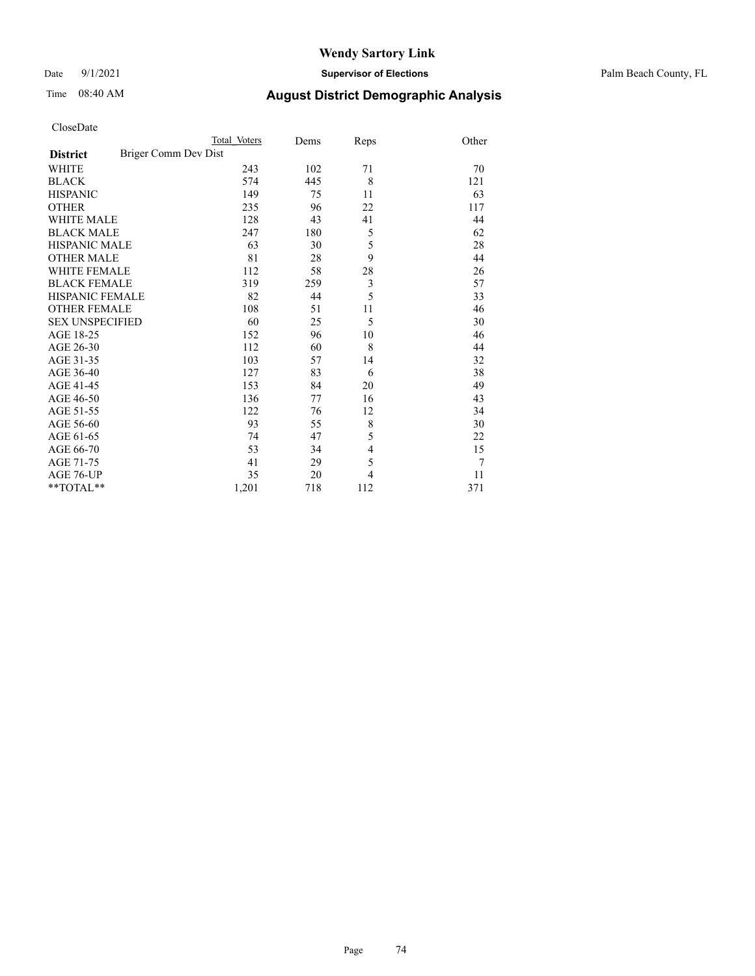Date 9/1/2021 **Supervisor of Elections** Palm Beach County, FL

# Time 08:40 AM **August District Demographic Analysis**

|                                         | Total Voters | Dems | Reps           | Other |
|-----------------------------------------|--------------|------|----------------|-------|
| Briger Comm Dev Dist<br><b>District</b> |              |      |                |       |
| WHITE                                   | 243          | 102  | 71             | 70    |
| <b>BLACK</b>                            | 574          | 445  | 8              | 121   |
| <b>HISPANIC</b>                         | 149          | 75   | 11             | 63    |
| <b>OTHER</b>                            | 235          | 96   | 22             | 117   |
| <b>WHITE MALE</b>                       | 128          | 43   | 41             | 44    |
| <b>BLACK MALE</b>                       | 247          | 180  | 5              | 62    |
| <b>HISPANIC MALE</b>                    | 63           | 30   | 5              | 28    |
| <b>OTHER MALE</b>                       | 81           | 28   | 9              | 44    |
| <b>WHITE FEMALE</b>                     | 112          | 58   | 28             | 26    |
| <b>BLACK FEMALE</b>                     | 319          | 259  | $\mathfrak{Z}$ | 57    |
| HISPANIC FEMALE                         | 82           | 44   | 5              | 33    |
| <b>OTHER FEMALE</b>                     | 108          | 51   | 11             | 46    |
| <b>SEX UNSPECIFIED</b>                  | 60           | 25   | 5              | 30    |
| AGE 18-25                               | 152          | 96   | 10             | 46    |
| AGE 26-30                               | 112          | 60   | 8              | 44    |
| AGE 31-35                               | 103          | 57   | 14             | 32    |
| AGE 36-40                               | 127          | 83   | 6              | 38    |
| AGE 41-45                               | 153          | 84   | 20             | 49    |
| AGE 46-50                               | 136          | 77   | 16             | 43    |
| AGE 51-55                               | 122          | 76   | 12             | 34    |
| AGE 56-60                               | 93           | 55   | 8              | 30    |
| AGE 61-65                               | 74           | 47   | 5              | 22    |
| AGE 66-70                               | 53           | 34   | 4              | 15    |
| AGE 71-75                               | 41           | 29   | 5              | 7     |
| AGE 76-UP                               | 35           | 20   | 4              | 11    |
| **TOTAL**                               | 1,201        | 718  | 112            | 371   |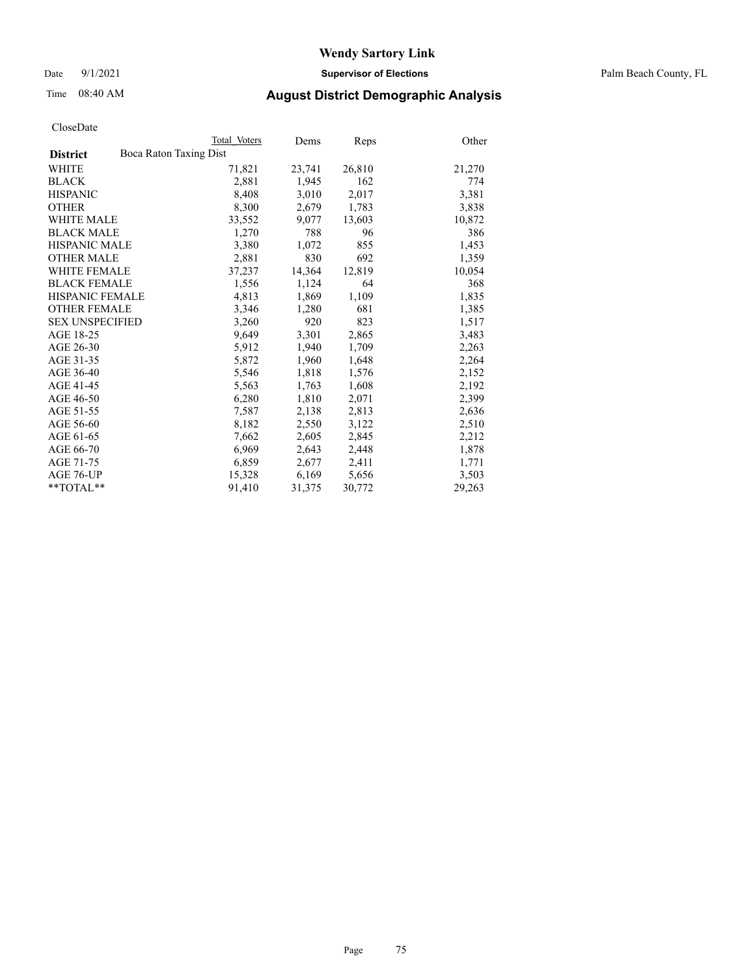Date 9/1/2021 **Supervisor of Elections** Palm Beach County, FL

### Time 08:40 AM **August District Demographic Analysis**

|                                           | Total Voters | Dems   | <b>Reps</b> | Other  |
|-------------------------------------------|--------------|--------|-------------|--------|
| Boca Raton Taxing Dist<br><b>District</b> |              |        |             |        |
| WHITE                                     | 71,821       | 23,741 | 26,810      | 21,270 |
| <b>BLACK</b>                              | 2,881        | 1,945  | 162         | 774    |
| <b>HISPANIC</b>                           | 8,408        | 3,010  | 2,017       | 3,381  |
| <b>OTHER</b>                              | 8,300        | 2,679  | 1,783       | 3,838  |
| <b>WHITE MALE</b>                         | 33,552       | 9,077  | 13,603      | 10,872 |
| <b>BLACK MALE</b>                         | 1,270        | 788    | 96          | 386    |
| <b>HISPANIC MALE</b>                      | 3,380        | 1,072  | 855         | 1,453  |
| <b>OTHER MALE</b>                         | 2,881        | 830    | 692         | 1,359  |
| <b>WHITE FEMALE</b>                       | 37,237       | 14,364 | 12,819      | 10,054 |
| <b>BLACK FEMALE</b>                       | 1,556        | 1,124  | 64          | 368    |
| <b>HISPANIC FEMALE</b>                    | 4,813        | 1,869  | 1,109       | 1,835  |
| <b>OTHER FEMALE</b>                       | 3,346        | 1,280  | 681         | 1,385  |
| <b>SEX UNSPECIFIED</b>                    | 3,260        | 920    | 823         | 1,517  |
| AGE 18-25                                 | 9,649        | 3,301  | 2,865       | 3,483  |
| AGE 26-30                                 | 5,912        | 1,940  | 1,709       | 2,263  |
| AGE 31-35                                 | 5,872        | 1,960  | 1,648       | 2,264  |
| AGE 36-40                                 | 5,546        | 1,818  | 1,576       | 2,152  |
| AGE 41-45                                 | 5,563        | 1,763  | 1,608       | 2,192  |
| AGE 46-50                                 | 6,280        | 1,810  | 2,071       | 2,399  |
| AGE 51-55                                 | 7,587        | 2,138  | 2,813       | 2,636  |
| AGE 56-60                                 | 8,182        | 2,550  | 3,122       | 2,510  |
| AGE 61-65                                 | 7,662        | 2,605  | 2,845       | 2,212  |
| AGE 66-70                                 | 6,969        | 2,643  | 2,448       | 1,878  |
| AGE 71-75                                 | 6,859        | 2,677  | 2,411       | 1,771  |
| AGE 76-UP                                 | 15,328       | 6,169  | 5,656       | 3,503  |
| **TOTAL**                                 | 91,410       | 31,375 | 30,772      | 29,263 |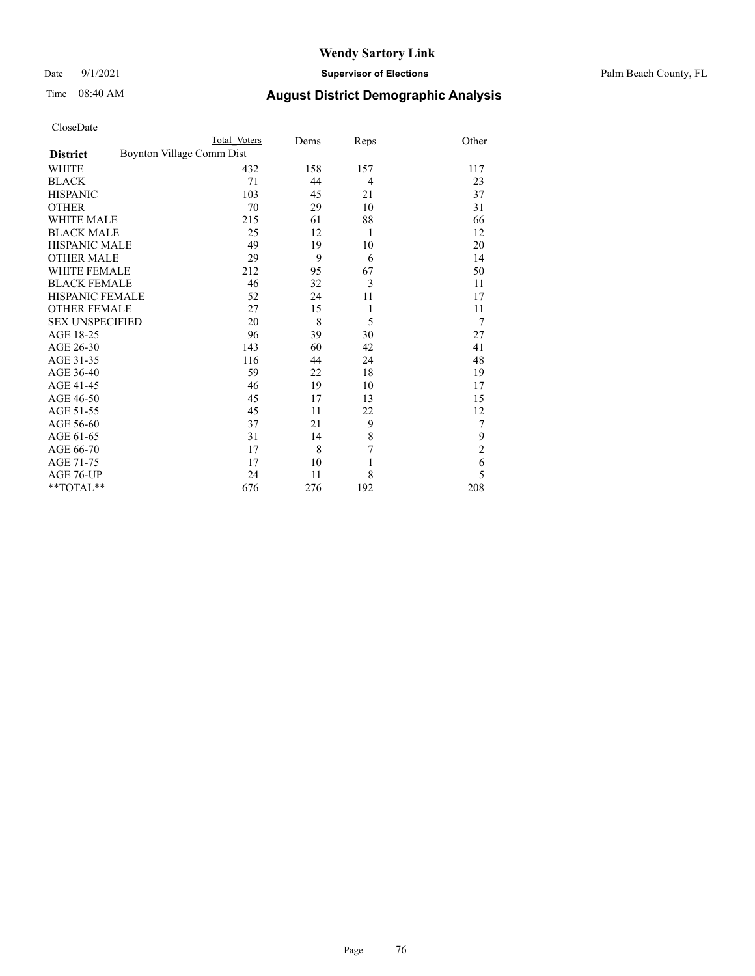Date 9/1/2021 **Supervisor of Elections** Palm Beach County, FL

# Time 08:40 AM **August District Demographic Analysis**

| CloseDate |
|-----------|
|-----------|

| CloseDate              |                           |              |      |      |                |
|------------------------|---------------------------|--------------|------|------|----------------|
|                        |                           | Total Voters | Dems | Reps | Other          |
| <b>District</b>        | Boynton Village Comm Dist |              |      |      |                |
| WHITE                  |                           | 432          | 158  | 157  | 117            |
| <b>BLACK</b>           |                           | 71           | 44   | 4    | 23             |
| <b>HISPANIC</b>        |                           | 103          | 45   | 21   | 37             |
| <b>OTHER</b>           |                           | 70           | 29   | 10   | 31             |
| <b>WHITE MALE</b>      |                           | 215          | 61   | 88   | 66             |
| <b>BLACK MALE</b>      |                           | 25           | 12   | 1    | 12             |
| <b>HISPANIC MALE</b>   |                           | 49           | 19   | 10   | 20             |
| <b>OTHER MALE</b>      |                           | 29           | 9    | 6    | 14             |
| <b>WHITE FEMALE</b>    |                           | 212          | 95   | 67   | 50             |
| <b>BLACK FEMALE</b>    |                           | 46           | 32   | 3    | 11             |
| <b>HISPANIC FEMALE</b> |                           | 52           | 24   | 11   | 17             |
| <b>OTHER FEMALE</b>    |                           | 27           | 15   | 1    | 11             |
| <b>SEX UNSPECIFIED</b> |                           | 20           | 8    | 5    | 7              |
| AGE 18-25              |                           | 96           | 39   | 30   | 27             |
| AGE 26-30              |                           | 143          | 60   | 42   | 41             |
| AGE 31-35              |                           | 116          | 44   | 24   | 48             |
| AGE 36-40              |                           | 59           | 22   | 18   | 19             |
| AGE 41-45              |                           | 46           | 19   | 10   | 17             |
| AGE 46-50              |                           | 45           | 17   | 13   | 15             |
| AGE 51-55              |                           | 45           | 11   | 22   | 12             |
| AGE 56-60              |                           | 37           | 21   | 9    | 7              |
| AGE 61-65              |                           | 31           | 14   | 8    | 9              |
| AGE 66-70              |                           | 17           | 8    | 7    | $\overline{c}$ |
| AGE 71-75              |                           | 17           | 10   | 1    | 6              |
| AGE 76-UP              |                           | 24           | 11   | 8    | 5              |

\*\*TOTAL\*\* 676 276 192 208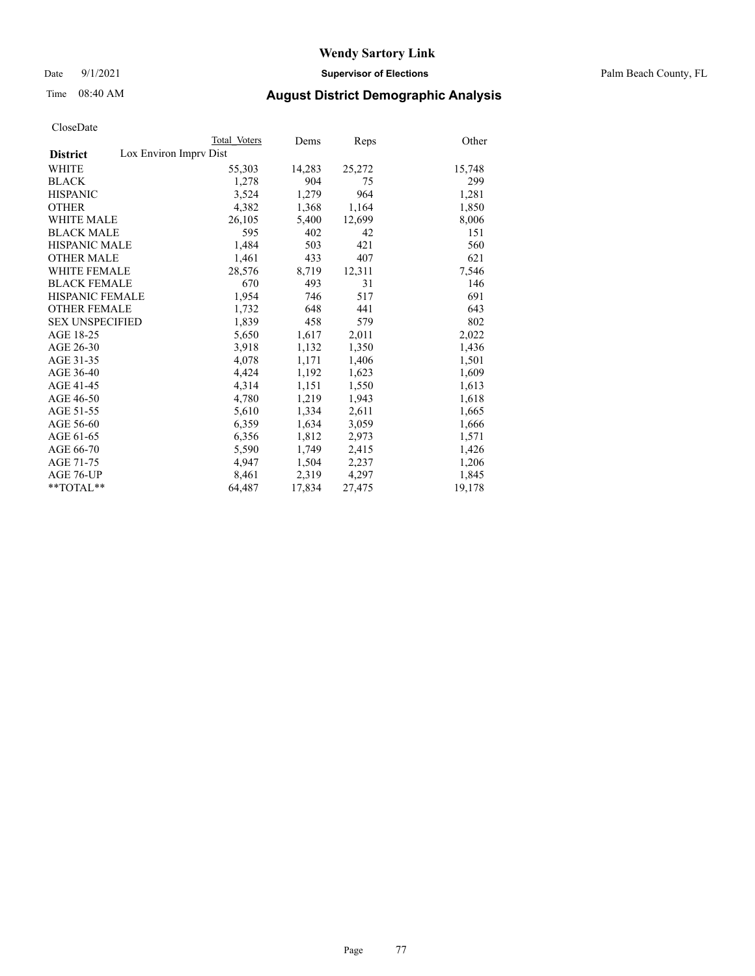Date 9/1/2021 **Supervisor of Elections** Palm Beach County, FL

## Time 08:40 AM **August District Demographic Analysis**

|                                           | Total Voters | Dems   | Reps   | Other  |
|-------------------------------------------|--------------|--------|--------|--------|
| Lox Environ Imprv Dist<br><b>District</b> |              |        |        |        |
| <b>WHITE</b>                              | 55,303       | 14,283 | 25,272 | 15,748 |
| <b>BLACK</b>                              | 1,278        | 904    | 75     | 299    |
| <b>HISPANIC</b>                           | 3,524        | 1,279  | 964    | 1,281  |
| <b>OTHER</b>                              | 4,382        | 1,368  | 1,164  | 1,850  |
| WHITE MALE                                | 26,105       | 5,400  | 12,699 | 8,006  |
| <b>BLACK MALE</b>                         | 595          | 402    | 42     | 151    |
| <b>HISPANIC MALE</b>                      | 1,484        | 503    | 421    | 560    |
| <b>OTHER MALE</b>                         | 1,461        | 433    | 407    | 621    |
| WHITE FEMALE                              | 28,576       | 8,719  | 12,311 | 7,546  |
| <b>BLACK FEMALE</b>                       | 670          | 493    | 31     | 146    |
| HISPANIC FEMALE                           | 1,954        | 746    | 517    | 691    |
| <b>OTHER FEMALE</b>                       | 1,732        | 648    | 441    | 643    |
| <b>SEX UNSPECIFIED</b>                    | 1,839        | 458    | 579    | 802    |
| AGE 18-25                                 | 5,650        | 1,617  | 2,011  | 2,022  |
| AGE 26-30                                 | 3,918        | 1,132  | 1,350  | 1,436  |
| AGE 31-35                                 | 4,078        | 1,171  | 1,406  | 1,501  |
| AGE 36-40                                 | 4,424        | 1,192  | 1,623  | 1,609  |
| AGE 41-45                                 | 4,314        | 1,151  | 1,550  | 1,613  |
| AGE 46-50                                 | 4,780        | 1,219  | 1,943  | 1,618  |
| AGE 51-55                                 | 5,610        | 1,334  | 2,611  | 1,665  |
| AGE 56-60                                 | 6,359        | 1,634  | 3,059  | 1,666  |
| AGE 61-65                                 | 6,356        | 1,812  | 2,973  | 1,571  |
| AGE 66-70                                 | 5,590        | 1,749  | 2,415  | 1,426  |
| AGE 71-75                                 | 4,947        | 1,504  | 2,237  | 1,206  |
| AGE 76-UP                                 | 8,461        | 2,319  | 4,297  | 1,845  |
| $*$ $TOTAL**$                             | 64,487       | 17,834 | 27,475 | 19,178 |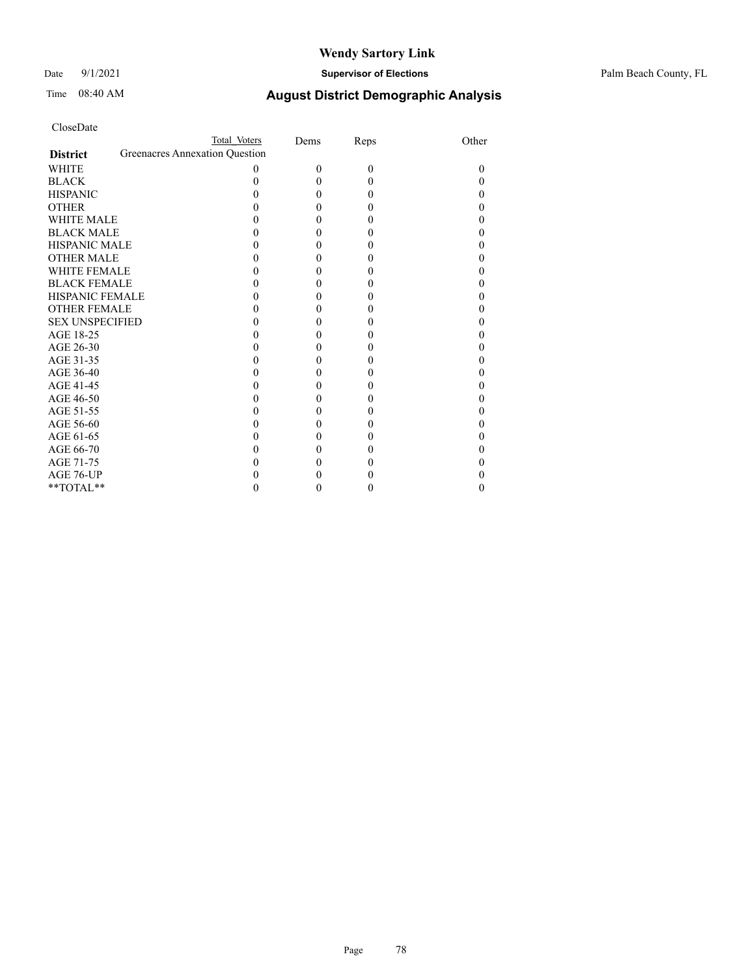### Date 9/1/2021 **Supervisor of Elections** Palm Beach County, FL

| CloseDate |
|-----------|
|-----------|

|                     |                                | Total Voters | Dems     | Reps     | Other |
|---------------------|--------------------------------|--------------|----------|----------|-------|
| <b>District</b>     | Greenacres Annexation Question |              |          |          |       |
| WHITE               |                                | 0            | $\Omega$ | $\theta$ | 0     |
| BLACK               |                                |              | 0        | $\theta$ |       |
| <b>HISPANIC</b>     |                                |              |          | 0        |       |
| <b>OTHER</b>        |                                |              | 0        | 0        |       |
| <b>WHITE MALE</b>   |                                |              |          |          |       |
| <b>BLACK MALE</b>   |                                |              |          |          |       |
| HISPANIC MALE       |                                |              | 0        | 0        |       |
| OTHER MALE          |                                |              |          |          |       |
| WHITE FEMALE        |                                |              |          |          |       |
| BLACK FEMALE        |                                |              | 0        | 0        |       |
| HISPANIC FEMALE     |                                |              |          |          |       |
| <b>OTHER FEMALE</b> |                                |              |          |          |       |
| SEX UNSPECIFIED     |                                |              | 0        | 0        |       |
| AGE 18-25           |                                |              |          |          |       |
| AGE 26-30           |                                |              |          |          |       |
| AGE 31-35           |                                |              |          | 0        |       |
| AGE 36-40           |                                |              |          |          |       |
| AGE 41-45           |                                |              |          |          |       |
| AGE 46-50           |                                |              |          | 0        |       |
| AGE 51-55           |                                |              |          | 0        |       |
| AGE 56-60           |                                |              |          | 0        |       |
| AGE 61-65           |                                |              |          | 0        |       |
| AGE 66-70           |                                |              |          |          |       |
| AGE 71-75           |                                |              |          |          |       |
| AGE 76-UP           |                                |              |          |          |       |
| $*$ TOTAL $*$       |                                |              |          |          |       |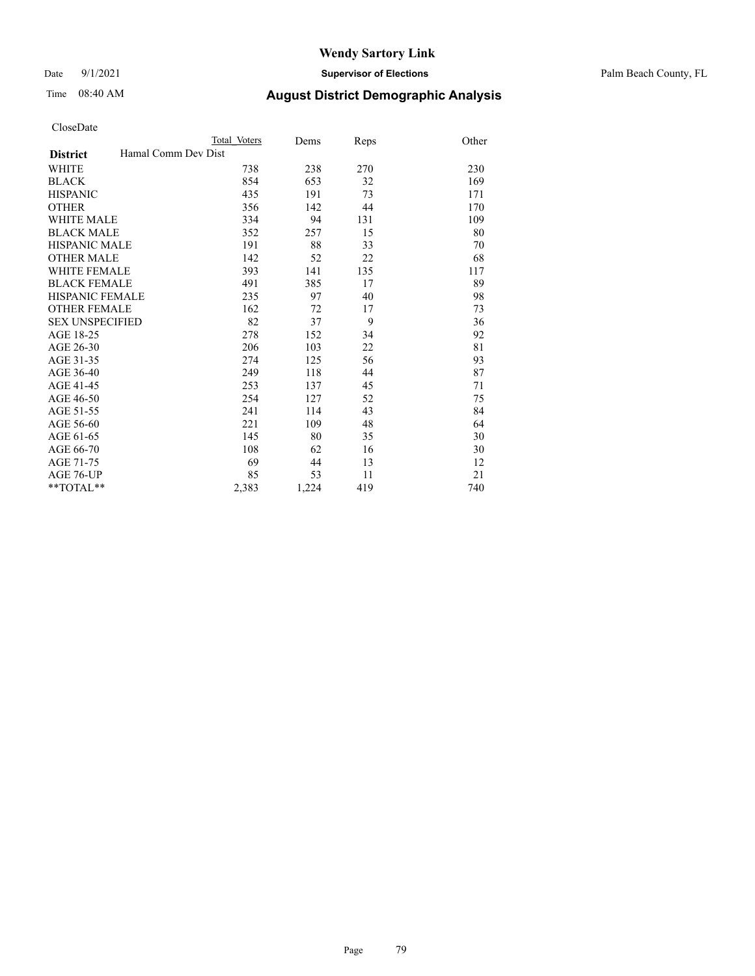Date 9/1/2021 **Supervisor of Elections** Palm Beach County, FL

### Time 08:40 AM **August District Demographic Analysis**

|                                        | Total Voters | Dems  | Reps | Other |
|----------------------------------------|--------------|-------|------|-------|
| Hamal Comm Dev Dist<br><b>District</b> |              |       |      |       |
| <b>WHITE</b>                           | 738          | 238   | 270  | 230   |
| <b>BLACK</b>                           | 854          | 653   | 32   | 169   |
| <b>HISPANIC</b>                        | 435          | 191   | 73   | 171   |
| <b>OTHER</b>                           | 356          | 142   | 44   | 170   |
| WHITE MALE                             | 334          | 94    | 131  | 109   |
| <b>BLACK MALE</b>                      | 352          | 257   | 15   | 80    |
| <b>HISPANIC MALE</b>                   | 191          | 88    | 33   | 70    |
| <b>OTHER MALE</b>                      | 142          | 52    | 22   | 68    |
| <b>WHITE FEMALE</b>                    | 393          | 141   | 135  | 117   |
| <b>BLACK FEMALE</b>                    | 491          | 385   | 17   | 89    |
| <b>HISPANIC FEMALE</b>                 | 235          | 97    | 40   | 98    |
| <b>OTHER FEMALE</b>                    | 162          | 72    | 17   | 73    |
| <b>SEX UNSPECIFIED</b>                 | 82           | 37    | 9    | 36    |
| AGE 18-25                              | 278          | 152   | 34   | 92    |
| AGE 26-30                              | 206          | 103   | 22   | 81    |
| AGE 31-35                              | 274          | 125   | 56   | 93    |
| AGE 36-40                              | 249          | 118   | 44   | 87    |
| AGE 41-45                              | 253          | 137   | 45   | 71    |
| AGE 46-50                              | 254          | 127   | 52   | 75    |
| AGE 51-55                              | 241          | 114   | 43   | 84    |
| AGE 56-60                              | 221          | 109   | 48   | 64    |
| AGE 61-65                              | 145          | 80    | 35   | 30    |
| AGE 66-70                              | 108          | 62    | 16   | 30    |
| AGE 71-75                              | 69           | 44    | 13   | 12    |
| AGE 76-UP                              | 85           | 53    | 11   | 21    |
| $*$ $TOTAL**$                          | 2,383        | 1,224 | 419  | 740   |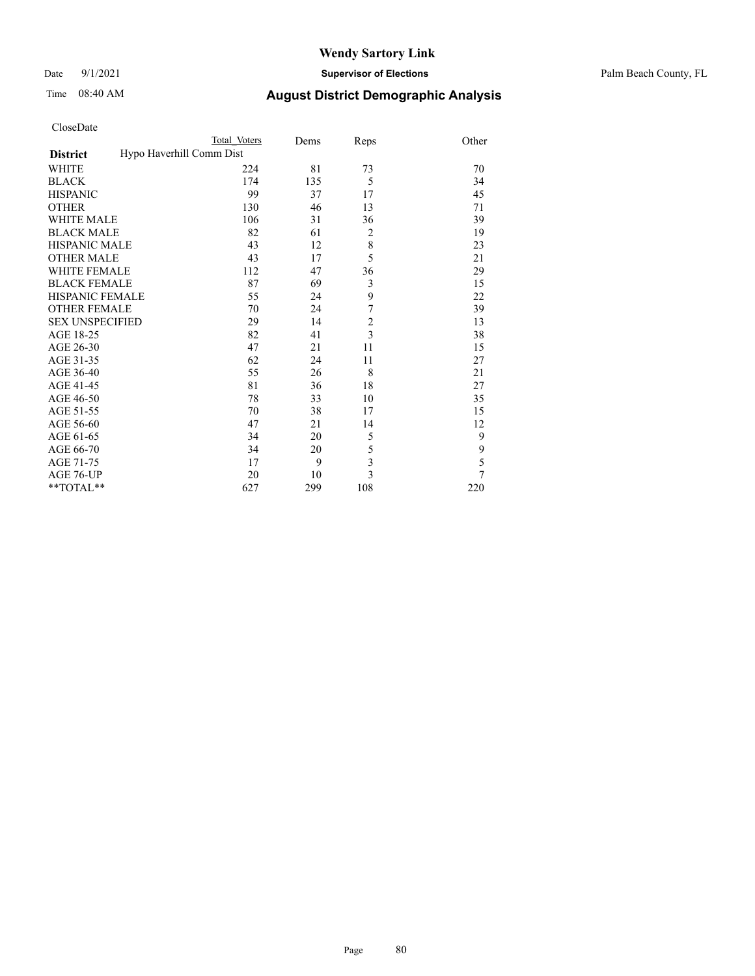Date 9/1/2021 **Supervisor of Elections** Palm Beach County, FL

| CloseDate |
|-----------|
|-----------|

|                        | Total Voters             | Dems | Reps                    | Other |
|------------------------|--------------------------|------|-------------------------|-------|
| <b>District</b>        | Hypo Haverhill Comm Dist |      |                         |       |
| WHITE                  | 224                      | 81   | 73                      | 70    |
| BLACK                  | 174                      | 135  | 5                       | 34    |
| <b>HISPANIC</b>        | 99                       | 37   | 17                      | 45    |
| OTHER                  | 130                      | 46   | 13                      | 71    |
| WHITE MALE             | 106                      | 31   | 36                      | 39    |
| <b>BLACK MALE</b>      | 82                       | 61   | $\overline{2}$          | 19    |
| HISPANIC MALE          | 43                       | 12   | 8                       | 23    |
| <b>OTHER MALE</b>      | 43                       | 17   | 5                       | 21    |
| WHITE FEMALE           | 112                      | 47   | 36                      | 29    |
| <b>BLACK FEMALE</b>    | 87                       | 69   | $\mathfrak{Z}$          | 15    |
| HISPANIC FEMALE        | 55                       | 24   | 9                       | 22    |
| OTHER FEMALE           | 70                       | 24   | 7                       | 39    |
| <b>SEX UNSPECIFIED</b> | 29                       | 14   | $\overline{c}$          | 13    |
| AGE 18-25              | 82                       | 41   | $\overline{\mathbf{3}}$ | 38    |
| AGE 26-30              | 47                       | 21   | 11                      | 15    |
| AGE 31-35              | 62                       | 24   | 11                      | 27    |
| AGE 36-40              | 55                       | 26   | 8                       | 21    |
| AGE 41-45              | 81                       | 36   | 18                      | 27    |
| AGE 46-50              | 78                       | 33   | 10                      | 35    |
| AGE 51-55              | 70                       | 38   | 17                      | 15    |
| AGE 56-60              | 47                       | 21   | 14                      | 12    |
| AGE 61-65              | 34                       | 20   | 5                       | 9     |
| AGE 66-70              | 34                       | 20   | 5                       | 9     |
| AGE 71-75              | 17                       | 9    | 3                       | 5     |
| AGE 76-UP              | 20                       | 10   | 3                       | 7     |
| **TOTAL**              | 627                      | 299  | 108                     | 220   |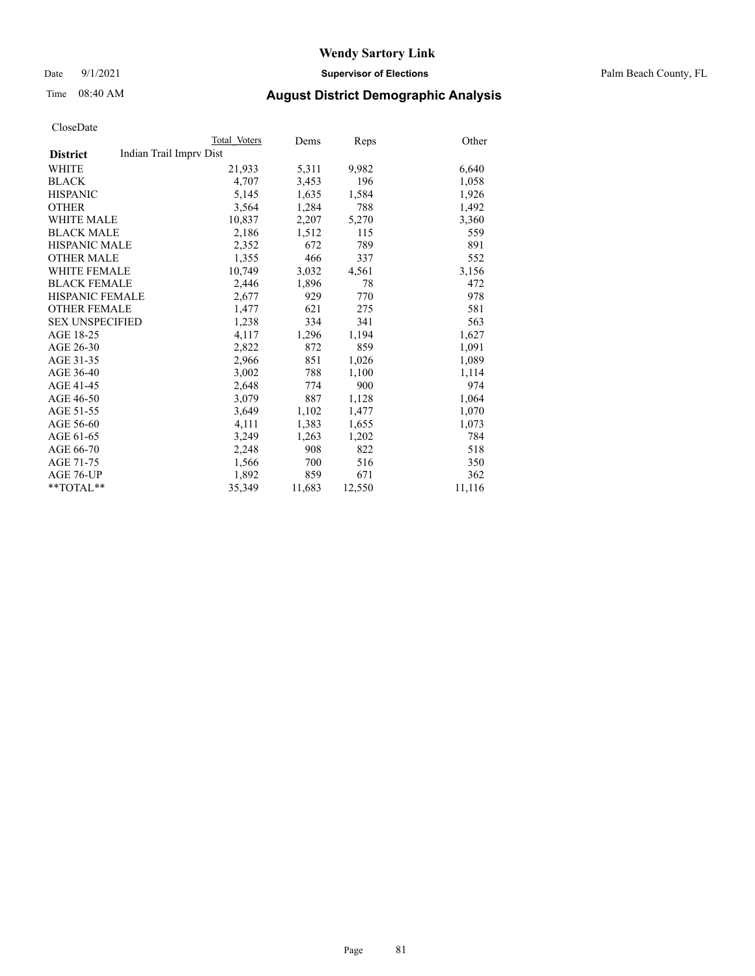Date 9/1/2021 **Supervisor of Elections** Palm Beach County, FL

### Time 08:40 AM **August District Demographic Analysis**

| Total Voters            | Dems   | Reps   | Other  |
|-------------------------|--------|--------|--------|
| Indian Trail Imprv Dist |        |        |        |
| 21,933                  | 5,311  | 9,982  | 6,640  |
| 4.707                   | 3,453  | 196    | 1,058  |
| 5,145                   | 1,635  | 1,584  | 1,926  |
| 3,564                   | 1,284  | 788    | 1,492  |
| 10,837                  | 2,207  | 5,270  | 3,360  |
| 2,186                   | 1,512  | 115    | 559    |
| 2,352                   | 672    | 789    | 891    |
| 1,355                   | 466    | 337    | 552    |
| 10,749                  | 3,032  | 4,561  | 3,156  |
| 2,446                   | 1,896  | 78     | 472    |
| 2,677                   | 929    | 770    | 978    |
| 1,477                   | 621    | 275    | 581    |
| 1,238                   | 334    | 341    | 563    |
| 4,117                   | 1,296  | 1,194  | 1,627  |
| 2,822                   | 872    | 859    | 1,091  |
| 2,966                   | 851    | 1,026  | 1,089  |
| 3,002                   | 788    | 1,100  | 1,114  |
| 2,648                   | 774    | 900    | 974    |
| 3,079                   | 887    | 1,128  | 1,064  |
| 3.649                   | 1,102  | 1,477  | 1,070  |
| 4,111                   | 1,383  | 1,655  | 1,073  |
| 3,249                   | 1,263  | 1,202  | 784    |
| 2,248                   | 908    | 822    | 518    |
| 1,566                   | 700    | 516    | 350    |
| 1,892                   | 859    | 671    | 362    |
| 35,349                  | 11,683 | 12,550 | 11,116 |
|                         |        |        |        |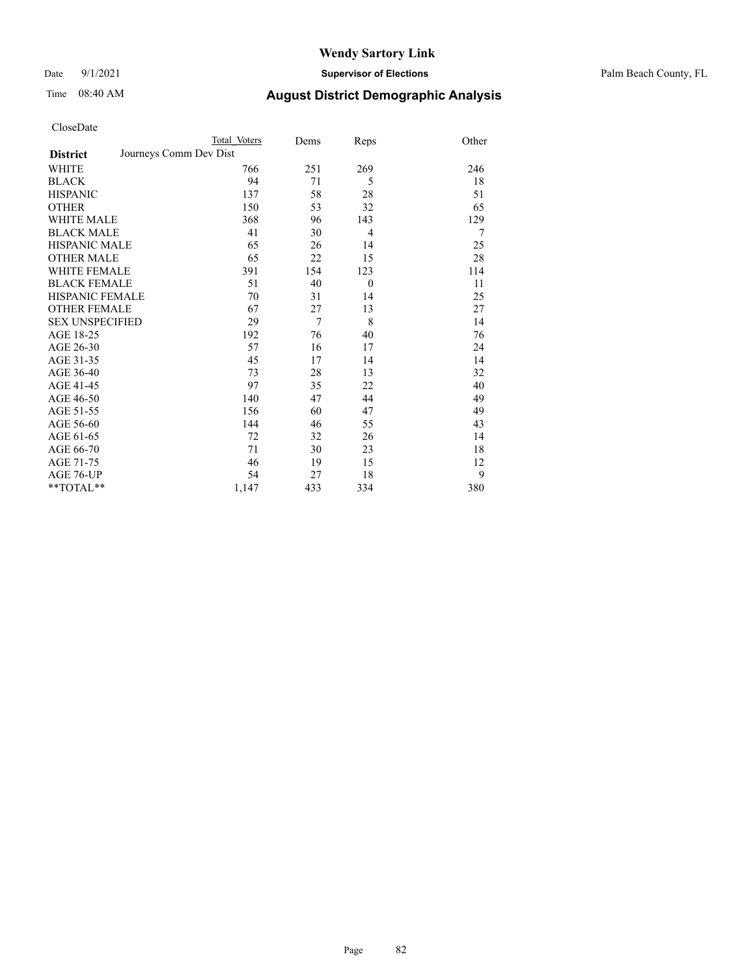Date 9/1/2021 **Supervisor of Elections** Palm Beach County, FL

| CloseDate |
|-----------|
|-----------|

|                        | Total Voters           | Dems           | Reps           | Other |
|------------------------|------------------------|----------------|----------------|-------|
| <b>District</b>        | Journeys Comm Dev Dist |                |                |       |
| WHITE                  | 766                    | 251            | 269            | 246   |
| BLACK                  | 94                     | 71             | 5              | 18    |
| HISPANIC               | 137                    | 58             | 28             | 51    |
| OTHER                  | 150                    | 53             | 32             | 65    |
| <b>WHITE MALE</b>      | 368                    | 96             | 143            | 129   |
| <b>BLACK MALE</b>      | 41                     | 30             | $\overline{4}$ | 7     |
| HISPANIC MALE          | 65                     | 26             | 14             | 25    |
| OTHER MALE             | 65                     | 22             | 15             | 28    |
| WHITE FEMALE           | 391                    | 154            | 123            | 114   |
| BLACK FEMALE           | 51                     | 40             | $\theta$       | 11    |
| HISPANIC FEMALE        | 70                     | 31             | 14             | 25    |
| <b>OTHER FEMALE</b>    | 67                     | 27             | 13             | 27    |
| <b>SEX UNSPECIFIED</b> | 29                     | $\overline{7}$ | 8              | 14    |
| AGE 18-25              | 192                    | 76             | 40             | 76    |
| AGE 26-30              | 57                     | 16             | 17             | 24    |
| AGE 31-35              | 45                     | 17             | 14             | 14    |
| AGE 36-40              | 73                     | 28             | 13             | 32    |
| AGE 41-45              | 97                     | 35             | 22             | 40    |
| AGE 46-50              | 140                    | 47             | 44             | 49    |
| AGE 51-55              | 156                    | 60             | 47             | 49    |
| AGE 56-60              | 144                    | 46             | 55             | 43    |
| AGE 61-65              | 72                     | 32             | 26             | 14    |
| AGE 66-70              | 71                     | 30             | 23             | 18    |
| AGE 71-75              | 46                     | 19             | 15             | 12    |
| AGE 76-UP              | 54                     | 27             | 18             | 9     |
| $*$ $TOTAL**$          | 1,147                  | 433            | 334            | 380   |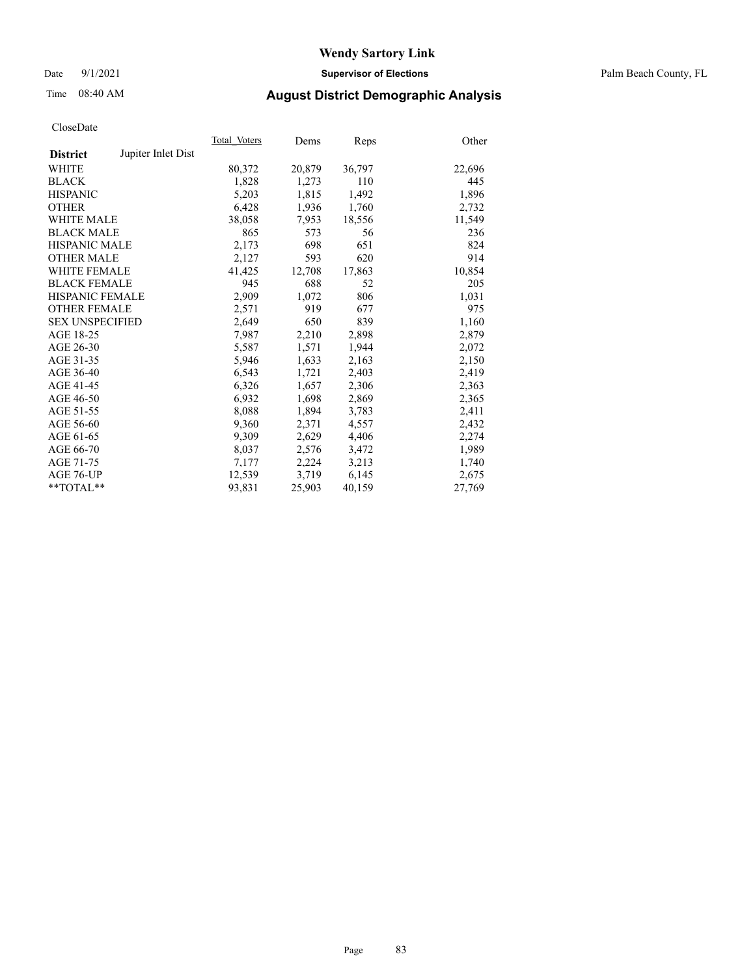Date 9/1/2021 **Supervisor of Elections** Palm Beach County, FL

### Time 08:40 AM **August District Demographic Analysis**

|                        |                    | Total Voters | Dems   | Reps   | Other  |
|------------------------|--------------------|--------------|--------|--------|--------|
| <b>District</b>        | Jupiter Inlet Dist |              |        |        |        |
| WHITE                  |                    | 80,372       | 20,879 | 36,797 | 22,696 |
| <b>BLACK</b>           |                    | 1,828        | 1,273  | 110    | 445    |
| <b>HISPANIC</b>        |                    | 5,203        | 1,815  | 1,492  | 1,896  |
| <b>OTHER</b>           |                    | 6,428        | 1,936  | 1,760  | 2,732  |
| <b>WHITE MALE</b>      |                    | 38,058       | 7,953  | 18,556 | 11,549 |
| <b>BLACK MALE</b>      |                    | 865          | 573    | 56     | 236    |
| <b>HISPANIC MALE</b>   |                    | 2,173        | 698    | 651    | 824    |
| <b>OTHER MALE</b>      |                    | 2,127        | 593    | 620    | 914    |
| <b>WHITE FEMALE</b>    |                    | 41,425       | 12,708 | 17,863 | 10,854 |
| <b>BLACK FEMALE</b>    |                    | 945          | 688    | 52     | 205    |
| HISPANIC FEMALE        |                    | 2.909        | 1,072  | 806    | 1,031  |
| <b>OTHER FEMALE</b>    |                    | 2,571        | 919    | 677    | 975    |
| <b>SEX UNSPECIFIED</b> |                    | 2.649        | 650    | 839    | 1,160  |
| AGE 18-25              |                    | 7,987        | 2,210  | 2,898  | 2,879  |
| AGE 26-30              |                    | 5,587        | 1,571  | 1,944  | 2,072  |
| AGE 31-35              |                    | 5,946        | 1,633  | 2,163  | 2,150  |
| AGE 36-40              |                    | 6,543        | 1,721  | 2,403  | 2,419  |
| AGE 41-45              |                    | 6,326        | 1,657  | 2,306  | 2,363  |
| AGE 46-50              |                    | 6,932        | 1,698  | 2,869  | 2,365  |
| AGE 51-55              |                    | 8,088        | 1,894  | 3,783  | 2,411  |
| AGE 56-60              |                    | 9,360        | 2,371  | 4,557  | 2,432  |
| AGE 61-65              |                    | 9,309        | 2,629  | 4,406  | 2,274  |
| AGE 66-70              |                    | 8,037        | 2,576  | 3,472  | 1,989  |
| AGE 71-75              |                    | 7,177        | 2,224  | 3,213  | 1,740  |
| AGE 76-UP              |                    | 12,539       | 3,719  | 6,145  | 2,675  |
| $*$ $TOTAL**$          |                    | 93,831       | 25,903 | 40,159 | 27,769 |
|                        |                    |              |        |        |        |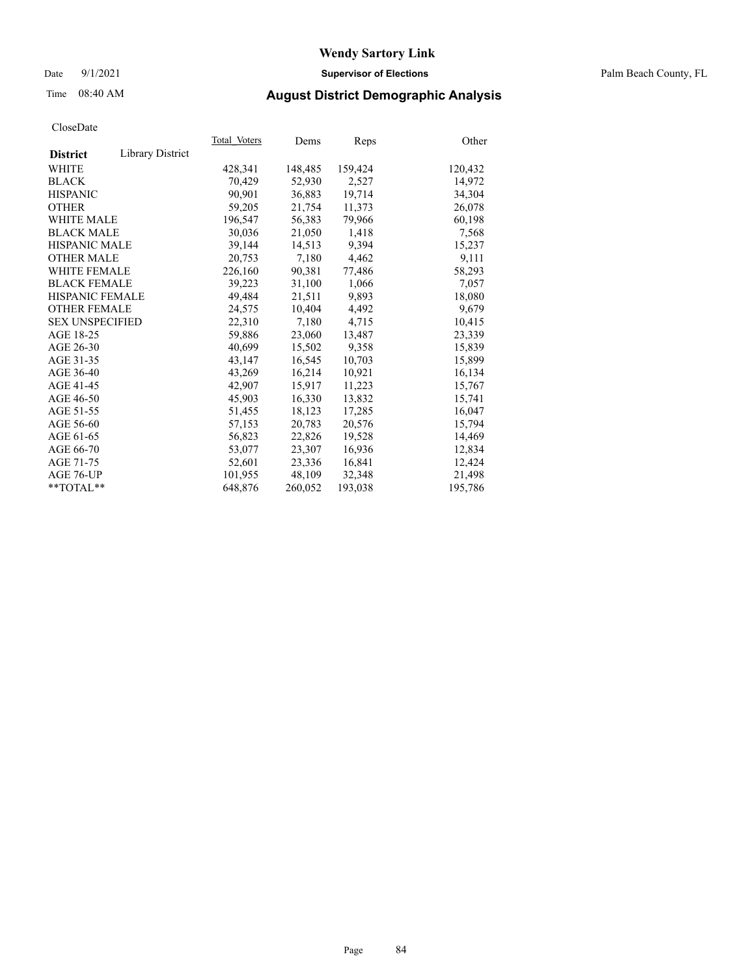### Date 9/1/2021 **Supervisor of Elections** Palm Beach County, FL

# Time 08:40 AM **August District Demographic Analysis**

| Cioscizate             |                         |              |         |         |         |
|------------------------|-------------------------|--------------|---------|---------|---------|
|                        |                         | Total Voters | Dems    | Reps    | Other   |
| <b>District</b>        | <b>Library District</b> |              |         |         |         |
| WHITE                  |                         | 428,341      | 148,485 | 159,424 | 120,432 |
| <b>BLACK</b>           |                         | 70,429       | 52,930  | 2,527   | 14,972  |
| <b>HISPANIC</b>        |                         | 90.901       | 36,883  | 19,714  | 34,304  |
| <b>OTHER</b>           |                         | 59,205       | 21,754  | 11,373  | 26,078  |
| <b>WHITE MALE</b>      |                         | 196,547      | 56,383  | 79,966  | 60,198  |
| <b>BLACK MALE</b>      |                         | 30,036       | 21,050  | 1,418   | 7,568   |
| <b>HISPANIC MALE</b>   |                         | 39,144       | 14,513  | 9,394   | 15,237  |
| <b>OTHER MALE</b>      |                         | 20,753       | 7,180   | 4,462   | 9,111   |
| <b>WHITE FEMALE</b>    |                         | 226,160      | 90,381  | 77,486  | 58,293  |
| <b>BLACK FEMALE</b>    |                         | 39,223       | 31,100  | 1,066   | 7,057   |
| <b>HISPANIC FEMALE</b> |                         | 49,484       | 21,511  | 9,893   | 18,080  |
| <b>OTHER FEMALE</b>    |                         | 24,575       | 10.404  | 4,492   | 9,679   |
| <b>SEX UNSPECIFIED</b> |                         | 22,310       | 7,180   | 4,715   | 10,415  |
| AGE 18-25              |                         | 59,886       | 23,060  | 13,487  | 23,339  |
| AGE 26-30              |                         | 40,699       | 15,502  | 9,358   | 15,839  |
| AGE 31-35              |                         | 43,147       | 16,545  | 10,703  | 15,899  |
| AGE 36-40              |                         | 43.269       | 16,214  | 10.921  | 16,134  |
| AGE 41-45              |                         | 42,907       | 15,917  | 11,223  | 15,767  |
| AGE 46-50              |                         | 45,903       | 16,330  | 13,832  | 15,741  |
| AGE 51-55              |                         | 51,455       | 18,123  | 17,285  | 16,047  |
| AGE 56-60              |                         | 57,153       | 20,783  | 20,576  | 15,794  |
| AGE 61-65              |                         | 56,823       | 22,826  | 19,528  | 14,469  |
| AGE 66-70              |                         | 53,077       | 23,307  | 16,936  | 12,834  |
| AGE 71-75              |                         | 52,601       | 23,336  | 16,841  | 12,424  |
| AGE 76-UP              |                         | 101.955      | 48.109  | 32,348  | 21.498  |
| $*$ $TOTAL**$          |                         | 648,876      | 260,052 | 193,038 | 195,786 |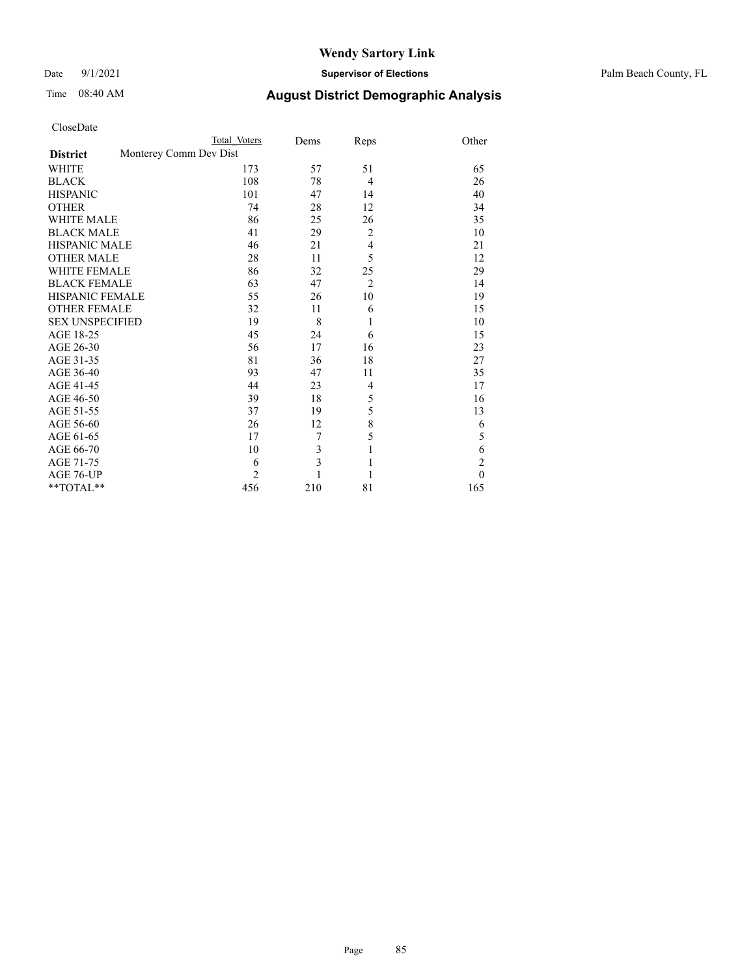#### Date 9/1/2021 **Supervisor of Elections** Palm Beach County, FL

| CloseDate |  |
|-----------|--|
|-----------|--|

|                        | Total Voters           | Dems | Reps           | Other          |
|------------------------|------------------------|------|----------------|----------------|
| <b>District</b>        | Monterey Comm Dev Dist |      |                |                |
| <b>WHITE</b>           | 173                    | 57   | 51             | 65             |
| <b>BLACK</b>           | 108                    | 78   | $\overline{4}$ | 26             |
| <b>HISPANIC</b>        | 101                    | 47   | 14             | 40             |
| <b>OTHER</b>           | 74                     | 28   | 12             | 34             |
| <b>WHITE MALE</b>      | 86                     | 25   | 26             | 35             |
| <b>BLACK MALE</b>      | 41                     | 29   | $\overline{2}$ | 10             |
| <b>HISPANIC MALE</b>   | 46                     | 21   | $\overline{4}$ | 21             |
| <b>OTHER MALE</b>      | 28                     | 11   | 5              | 12             |
| <b>WHITE FEMALE</b>    | 86                     | 32   | 25             | 29             |
| <b>BLACK FEMALE</b>    | 63                     | 47   | $\overline{2}$ | 14             |
| <b>HISPANIC FEMALE</b> | 55                     | 26   | 10             | 19             |
| <b>OTHER FEMALE</b>    | 32                     | 11   | 6              | 15             |
| <b>SEX UNSPECIFIED</b> | 19                     | 8    | 1              | 10             |
| AGE 18-25              | 45                     | 24   | 6              | 15             |
| AGE 26-30              | 56                     | 17   | 16             | 23             |
| AGE 31-35              | 81                     | 36   | 18             | 27             |
| AGE 36-40              | 93                     | 47   | 11             | 35             |
| AGE 41-45              | 44                     | 23   | $\overline{4}$ | 17             |
| AGE 46-50              | 39                     | 18   | 5              | 16             |
| AGE 51-55              | 37                     | 19   | 5              | 13             |
| AGE 56-60              | 26                     | 12   | 8              | 6              |
| AGE 61-65              | 17                     | 7    | 5              | 5              |
| AGE 66-70              | 10                     | 3    | 1              | 6              |
| AGE 71-75              | 6                      | 3    | $\mathbf{1}$   | $\mathfrak{2}$ |
| AGE 76-UP              | $\overline{2}$         |      | 1              | $\theta$       |
| **TOTAL**              | 456                    | 210  | 81             | 165            |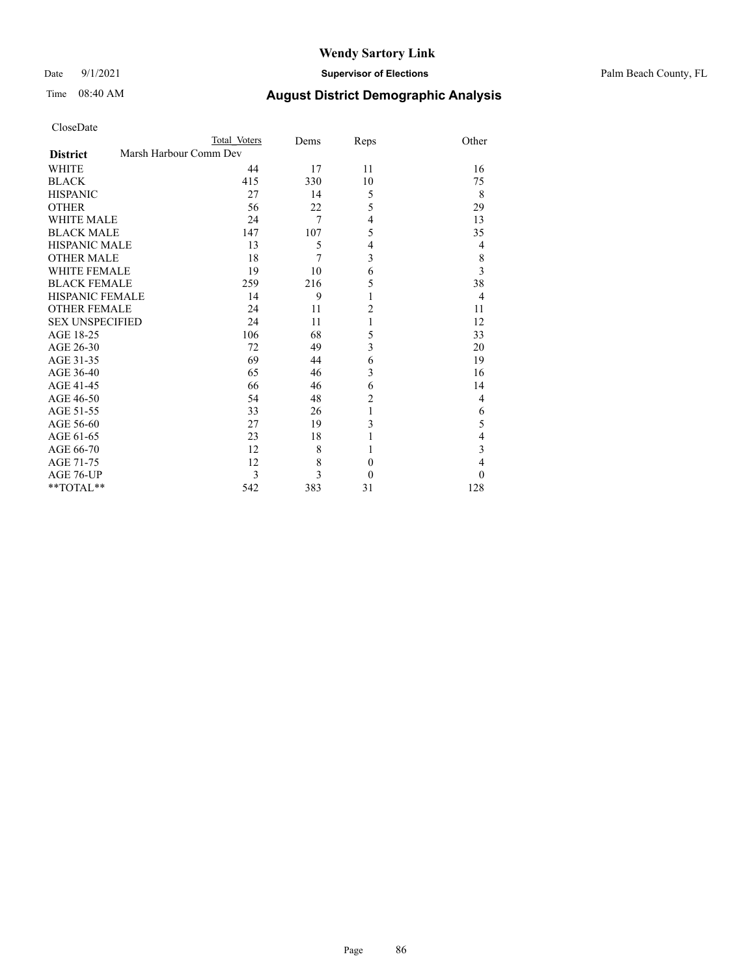Date 9/1/2021 **Supervisor of Elections** Palm Beach County, FL

# Time 08:40 AM **August District Demographic Analysis**

| CloseDate |
|-----------|
|-----------|

 $\mathrm{*}\ast\mathrm{TOTAL}^{\mathrm{*}\ast}$ 

| Cioscivale             |                        |              |      |      |                |
|------------------------|------------------------|--------------|------|------|----------------|
|                        |                        | Total Voters | Dems | Reps | Other          |
| <b>District</b>        | Marsh Harbour Comm Dev |              |      |      |                |
| WHITE                  |                        | 44           | 17   | 11   | 16             |
| <b>BLACK</b>           |                        | 415          | 330  | 10   | 75             |
| <b>HISPANIC</b>        |                        | 27           | 14   | 5    | 8              |
| <b>OTHER</b>           |                        | 56           | 22   | 5    | 29             |
| <b>WHITE MALE</b>      |                        | 24           | 7    | 4    | 13             |
| <b>BLACK MALE</b>      |                        | 147          | 107  | 5    | 35             |
| <b>HISPANIC MALE</b>   |                        | 13           | 5    | 4    | 4              |
| <b>OTHER MALE</b>      |                        | 18           | 7    | 3    | $\,$ $\,$      |
| <b>WHITE FEMALE</b>    |                        | 19           | 10   | 6    | $\overline{3}$ |
| <b>BLACK FEMALE</b>    |                        | 259          | 216  | 5    | 38             |
| HISPANIC FEMALE        |                        | 14           | 9    |      | $\overline{4}$ |
| <b>OTHER FEMALE</b>    |                        | 24           | 11   | 2    | 11             |
| <b>SEX UNSPECIFIED</b> |                        | 24           | 11   |      | 12             |
| AGE 18-25              |                        | 106          | 68   | 5    | 33             |
| AGE 26-30              |                        | 72           | 49   | 3    | 20             |
| AGE 31-35              |                        | 69           | 44   | 6    | 19             |
| AGE 36-40              |                        | 65           | 46   | 3    | 16             |
| AGE 41-45              |                        | 66           | 46   | 6    | 14             |
| AGE 46-50              |                        | 54           | 48   | 2    | 4              |
| AGE 51-55              |                        | 33           | 26   |      | 6              |
| AGE 56-60              |                        | 27           | 19   | 3    | 5              |
| AGE 61-65              |                        | 23           | 18   |      | $\overline{4}$ |
| AGE 66-70              |                        | 12           | 8    |      | 3              |

AGE 71-75 12 8 0 4<br>AGE 76-UP 3 3 0 0  $\begin{array}{cccccccccc} \text{AGE 76-UP} & & & & 3 & & 3 & & 0 & & & 0 \\ \text{**TOTAL*} & & & & & 542 & & 383 & & 31 & & & 128 \\ \end{array}$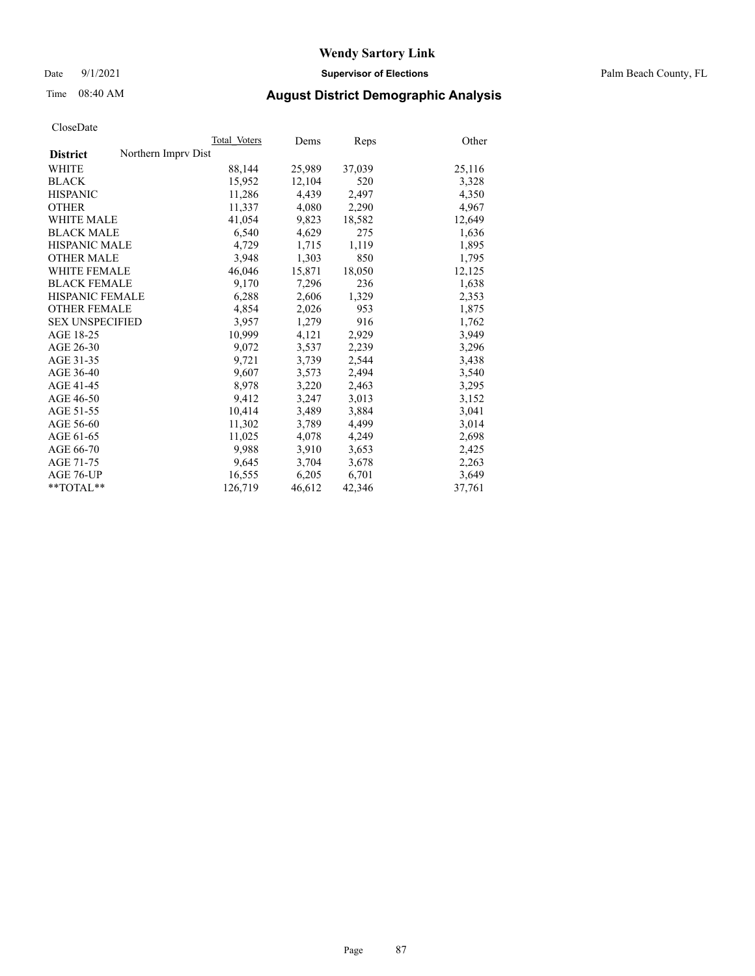Date 9/1/2021 **Supervisor of Elections** Palm Beach County, FL

### Time 08:40 AM **August District Demographic Analysis**

|                                        | Total Voters | Dems   | Reps   | Other  |
|----------------------------------------|--------------|--------|--------|--------|
| Northern Imprv Dist<br><b>District</b> |              |        |        |        |
| WHITE                                  | 88,144       | 25,989 | 37,039 | 25,116 |
| <b>BLACK</b>                           | 15,952       | 12,104 | 520    | 3,328  |
| <b>HISPANIC</b>                        | 11,286       | 4,439  | 2,497  | 4,350  |
| <b>OTHER</b>                           | 11,337       | 4,080  | 2,290  | 4,967  |
| <b>WHITE MALE</b>                      | 41,054       | 9,823  | 18,582 | 12,649 |
| <b>BLACK MALE</b>                      | 6,540        | 4,629  | 275    | 1,636  |
| <b>HISPANIC MALE</b>                   | 4,729        | 1,715  | 1,119  | 1,895  |
| <b>OTHER MALE</b>                      | 3,948        | 1,303  | 850    | 1,795  |
| <b>WHITE FEMALE</b>                    | 46,046       | 15,871 | 18,050 | 12,125 |
| <b>BLACK FEMALE</b>                    | 9,170        | 7,296  | 236    | 1,638  |
| HISPANIC FEMALE                        | 6,288        | 2,606  | 1,329  | 2,353  |
| <b>OTHER FEMALE</b>                    | 4,854        | 2,026  | 953    | 1,875  |
| <b>SEX UNSPECIFIED</b>                 | 3.957        | 1,279  | 916    | 1,762  |
| AGE 18-25                              | 10,999       | 4,121  | 2,929  | 3,949  |
| AGE 26-30                              | 9,072        | 3,537  | 2,239  | 3,296  |
| AGE 31-35                              | 9,721        | 3,739  | 2,544  | 3,438  |
| AGE 36-40                              | 9.607        | 3,573  | 2,494  | 3,540  |
| AGE 41-45                              | 8,978        | 3,220  | 2,463  | 3,295  |
| AGE 46-50                              | 9,412        | 3,247  | 3,013  | 3,152  |
| AGE 51-55                              | 10,414       | 3,489  | 3,884  | 3,041  |
| AGE 56-60                              | 11,302       | 3,789  | 4,499  | 3,014  |
| AGE 61-65                              | 11,025       | 4,078  | 4,249  | 2,698  |
| AGE 66-70                              | 9.988        | 3,910  | 3,653  | 2,425  |
| AGE 71-75                              | 9,645        | 3,704  | 3,678  | 2,263  |
| AGE 76-UP                              | 16,555       | 6,205  | 6,701  | 3,649  |
| $*$ $TOTAL**$                          | 126,719      | 46,612 | 42,346 | 37,761 |
|                                        |              |        |        |        |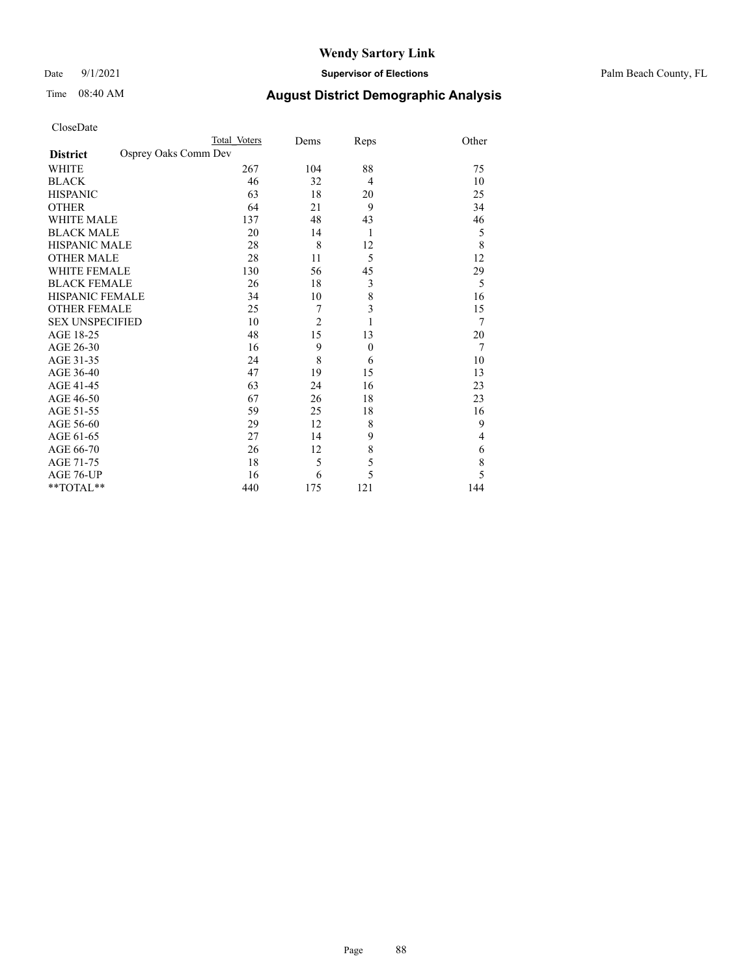Date 9/1/2021 **Supervisor of Elections** Palm Beach County, FL

| CloseDate |
|-----------|
|-----------|

|                     | Total Voters         | Dems           | Reps           | Other       |
|---------------------|----------------------|----------------|----------------|-------------|
| <b>District</b>     | Osprey Oaks Comm Dev |                |                |             |
| WHITE               | 267                  | 104            | 88             | 75          |
| BLACK               | 46                   | 32             | $\overline{4}$ | 10          |
| <b>HISPANIC</b>     | 63                   | 18             | 20             | 25          |
| OTHER               | 64                   | 21             | 9              | 34          |
| <b>WHITE MALE</b>   | 137                  | 48             | 43             | 46          |
| <b>BLACK MALE</b>   | 20                   | 14             | 1              | 5           |
| HISPANIC MALE       | 28                   | 8              | 12             | 8           |
| <b>OTHER MALE</b>   | 28                   | 11             | 5              | 12          |
| WHITE FEMALE        | 130                  | 56             | 45             | 29          |
| <b>BLACK FEMALE</b> | 26                   | 18             | $\mathfrak{Z}$ | 5           |
| HISPANIC FEMALE     | 34                   | 10             | 8              | 16          |
| <b>OTHER FEMALE</b> | 25                   | 7              | $\overline{3}$ | 15          |
| SEX UNSPECIFIED     | 10                   | $\overline{c}$ | 1              | 7           |
| AGE 18-25           | 48                   | 15             | 13             | 20          |
| AGE 26-30           | 16                   | 9              | $\mathbf{0}$   | 7           |
| AGE 31-35           | 24                   | 8              | 6              | 10          |
| AGE 36-40           | 47                   | 19             | 15             | 13          |
| AGE 41-45           | 63                   | 24             | 16             | 23          |
| AGE 46-50           | 67                   | 26             | 18             | 23          |
| AGE 51-55           | 59                   | 25             | 18             | 16          |
| AGE 56-60           | 29                   | 12             | 8              | 9           |
| AGE 61-65           | 27                   | 14             | 9              | 4           |
| AGE 66-70           | 26                   | 12             | $\,$ 8 $\,$    | 6           |
| AGE 71-75           | 18                   | 5              | 5              | $\,$ 8 $\,$ |
| AGE 76-UP           | 16                   | 6              | 5              | 5           |
| **TOTAL**           | 440                  | 175            | 121            | 144         |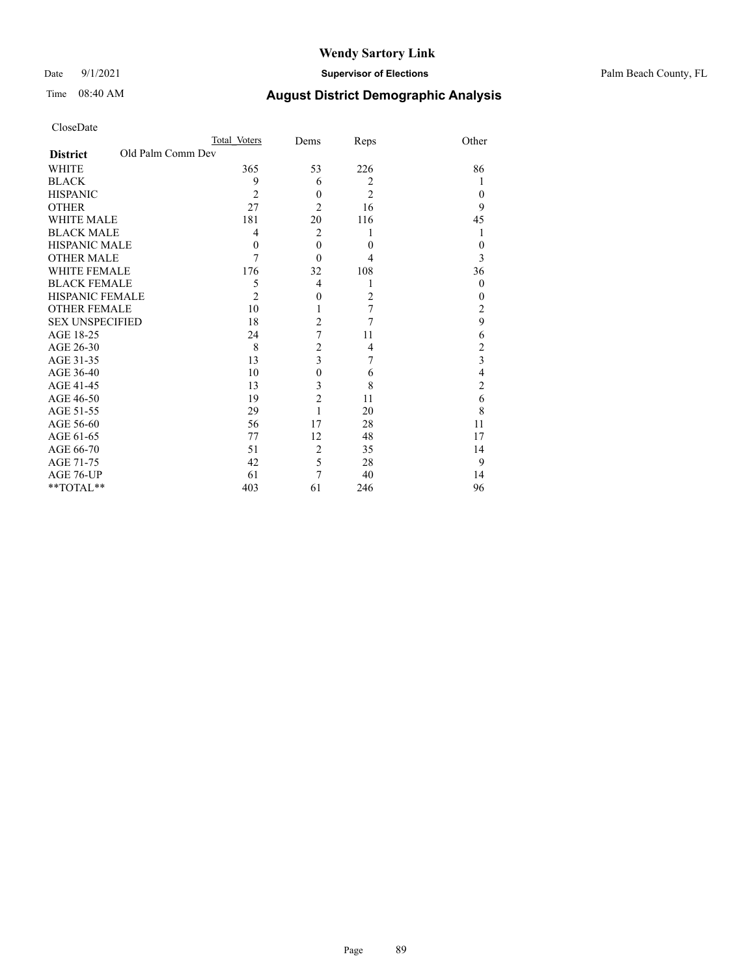### Date 9/1/2021 **Supervisor of Elections** Palm Beach County, FL

|                        |                   | Total Voters   | Dems           | Reps             | Other          |
|------------------------|-------------------|----------------|----------------|------------------|----------------|
| <b>District</b>        | Old Palm Comm Dev |                |                |                  |                |
| WHITE                  |                   | 365            | 53             | 226              | 86             |
| BLACK                  |                   | 9              | 6              | $\overline{2}$   |                |
| HISPANIC               |                   | $\overline{c}$ | $\theta$       | $\overline{2}$   | $\theta$       |
| OTHER                  |                   | 27             | 2              | 16               | 9              |
| WHITE MALE             |                   | 181            | 20             | 116              | 45             |
| <b>BLACK MALE</b>      |                   | 4              | $\overline{2}$ |                  |                |
| HISPANIC MALE          |                   | $\theta$       | $\theta$       | $\mathbf{0}$     | $\Omega$       |
| OTHER MALE             |                   | 7              | $\Omega$       | 4                | 3              |
| WHITE FEMALE           |                   | 176            | 32             | 108              | 36             |
| BLACK FEMALE           |                   | 5              | 4              |                  | $\theta$       |
| HISPANIC FEMALE        |                   | $\overline{c}$ | $\theta$       | $\overline{2}$   | $\theta$       |
| OTHER FEMALE           |                   | 10             | 1              | $\boldsymbol{7}$ | $\overline{c}$ |
| <b>SEX UNSPECIFIED</b> |                   | 18             | 2              | 7                | 9              |
| AGE 18-25              |                   | 24             | 7              | 11               | 6              |
| AGE 26-30              |                   | 8              | 2              | $\overline{4}$   | $\overline{c}$ |
| AGE 31-35              |                   | 13             | 3              | 7                | 3              |
| AGE 36-40              |                   | 10             | $\theta$       | 6                | 4              |
| AGE 41-45              |                   | 13             | 3              | 8                | 2              |
| AGE 46-50              |                   | 19             | $\overline{c}$ | 11               | 6              |
| AGE 51-55              |                   | 29             | 1              | 20               | 8              |
| AGE 56-60              |                   | 56             | 17             | 28               | 11             |
| AGE 61-65              |                   | 77             | 12             | 48               | 17             |
| AGE 66-70              |                   | 51             | 2              | 35               | 14             |
| AGE 71-75              |                   | 42             | 5              | 28               | 9              |
| AGE 76-UP              |                   | 61             |                | 40               | 14             |
| $*$ $TOTAL**$          |                   | 403            | 61             | 246              | 96             |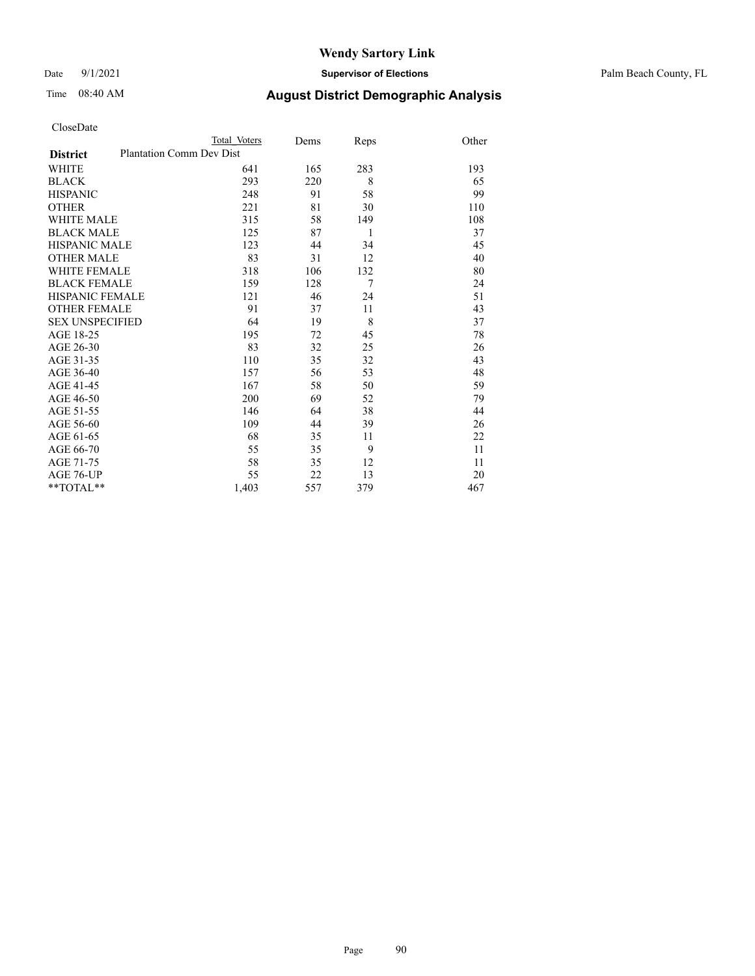Date 9/1/2021 **Supervisor of Elections** Palm Beach County, FL

|                        |                                 | Total Voters | Dems | Reps | Other |
|------------------------|---------------------------------|--------------|------|------|-------|
| <b>District</b>        | <b>Plantation Comm Dev Dist</b> |              |      |      |       |
| WHITE                  |                                 | 641          | 165  | 283  | 193   |
| BLACK                  |                                 | 293          | 220  | 8    | 65    |
| HISPANIC               |                                 | 248          | 91   | 58   | 99    |
| OTHER                  |                                 | 221          | 81   | 30   | 110   |
| WHITE MALE             |                                 | 315          | 58   | 149  | 108   |
| <b>BLACK MALE</b>      |                                 | 125          | 87   | 1    | 37    |
| HISPANIC MALE          |                                 | 123          | 44   | 34   | 45    |
| OTHER MALE             |                                 | 83           | 31   | 12   | 40    |
| WHITE FEMALE           |                                 | 318          | 106  | 132  | 80    |
| BLACK FEMALE           |                                 | 159          | 128  | 7    | 24    |
| HISPANIC FEMALE        |                                 | 121          | 46   | 24   | 51    |
| <b>OTHER FEMALE</b>    |                                 | 91           | 37   | 11   | 43    |
| <b>SEX UNSPECIFIED</b> |                                 | 64           | 19   | 8    | 37    |
| AGE 18-25              |                                 | 195          | 72   | 45   | 78    |
| AGE 26-30              |                                 | 83           | 32   | 25   | 26    |
| AGE 31-35              |                                 | 110          | 35   | 32   | 43    |
| AGE 36-40              |                                 | 157          | 56   | 53   | 48    |
| AGE 41-45              |                                 | 167          | 58   | 50   | 59    |
| AGE 46-50              |                                 | 200          | 69   | 52   | 79    |
| AGE 51-55              |                                 | 146          | 64   | 38   | 44    |
| AGE 56-60              |                                 | 109          | 44   | 39   | 26    |
| AGE 61-65              |                                 | 68           | 35   | 11   | 22    |
| AGE 66-70              |                                 | 55           | 35   | 9    | 11    |
| AGE 71-75              |                                 | 58           | 35   | 12   | 11    |
| AGE 76-UP              |                                 | 55           | 22   | 13   | 20    |
| $*$ $TOTAL**$          |                                 | 1,403        | 557  | 379  | 467   |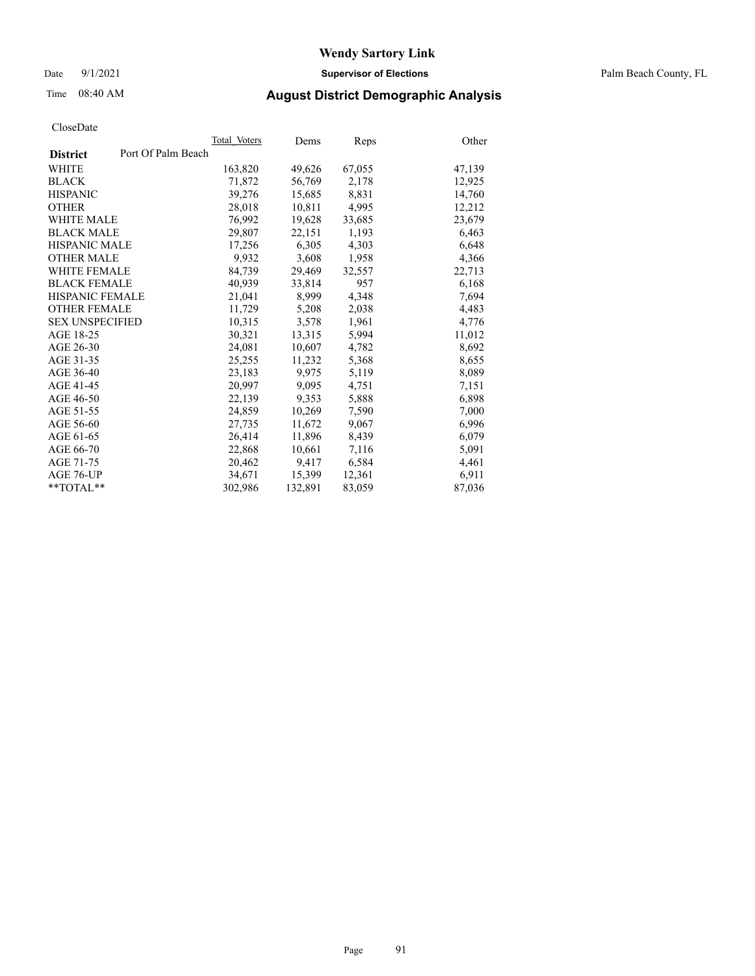Date 9/1/2021 **Supervisor of Elections** Palm Beach County, FL

### Time 08:40 AM **August District Demographic Analysis**

|                                       | Total Voters | Dems    | Reps   | Other  |
|---------------------------------------|--------------|---------|--------|--------|
| Port Of Palm Beach<br><b>District</b> |              |         |        |        |
| WHITE                                 | 163,820      | 49,626  | 67,055 | 47,139 |
| <b>BLACK</b>                          | 71,872       | 56,769  | 2,178  | 12,925 |
| <b>HISPANIC</b>                       | 39,276       | 15.685  | 8,831  | 14,760 |
| <b>OTHER</b>                          | 28,018       | 10,811  | 4,995  | 12,212 |
| <b>WHITE MALE</b>                     | 76,992       | 19,628  | 33,685 | 23,679 |
| <b>BLACK MALE</b>                     | 29,807       | 22,151  | 1,193  | 6,463  |
| <b>HISPANIC MALE</b>                  | 17,256       | 6,305   | 4,303  | 6,648  |
| <b>OTHER MALE</b>                     | 9,932        | 3,608   | 1,958  | 4,366  |
| <b>WHITE FEMALE</b>                   | 84,739       | 29,469  | 32,557 | 22,713 |
| <b>BLACK FEMALE</b>                   | 40,939       | 33,814  | 957    | 6,168  |
| <b>HISPANIC FEMALE</b>                | 21,041       | 8,999   | 4,348  | 7,694  |
| <b>OTHER FEMALE</b>                   | 11,729       | 5,208   | 2,038  | 4,483  |
| <b>SEX UNSPECIFIED</b>                | 10,315       | 3,578   | 1,961  | 4,776  |
| AGE 18-25                             | 30,321       | 13,315  | 5,994  | 11,012 |
| AGE 26-30                             | 24.081       | 10,607  | 4,782  | 8,692  |
| AGE 31-35                             | 25,255       | 11,232  | 5,368  | 8,655  |
| AGE 36-40                             | 23,183       | 9,975   | 5,119  | 8,089  |
| AGE 41-45                             | 20.997       | 9,095   | 4,751  | 7,151  |
| AGE 46-50                             | 22,139       | 9,353   | 5,888  | 6,898  |
| AGE 51-55                             | 24,859       | 10,269  | 7,590  | 7,000  |
| AGE 56-60                             | 27,735       | 11,672  | 9,067  | 6,996  |
| AGE 61-65                             | 26,414       | 11,896  | 8,439  | 6,079  |
| AGE 66-70                             | 22,868       | 10,661  | 7,116  | 5,091  |
| AGE 71-75                             | 20,462       | 9,417   | 6,584  | 4,461  |
| AGE 76-UP                             | 34,671       | 15,399  | 12,361 | 6,911  |
| $*$ $TOTAL**$                         | 302,986      | 132,891 | 83,059 | 87,036 |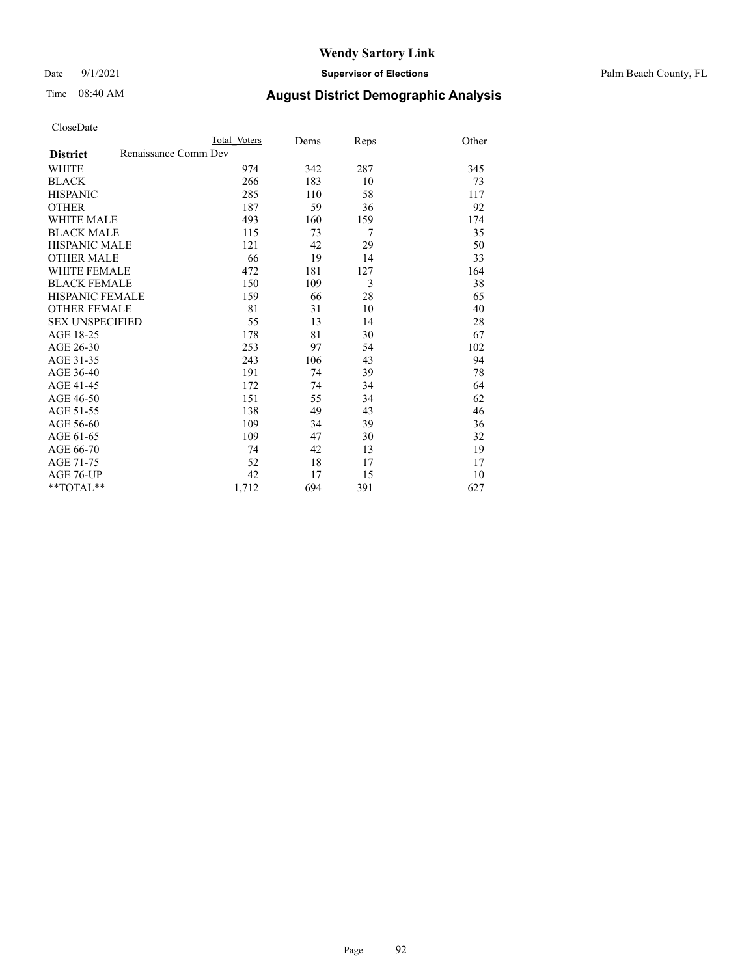### Date 9/1/2021 **Supervisor of Elections** Palm Beach County, FL

## Time 08:40 AM **August District Demographic Analysis**

|                                         | Total Voters | Dems | Reps | Other |
|-----------------------------------------|--------------|------|------|-------|
| Renaissance Comm Dev<br><b>District</b> |              |      |      |       |
| <b>WHITE</b>                            | 974          | 342  | 287  | 345   |
| <b>BLACK</b>                            | 266          | 183  | 10   | 73    |
| <b>HISPANIC</b>                         | 285          | 110  | 58   | 117   |
| <b>OTHER</b>                            | 187          | 59   | 36   | 92    |
| <b>WHITE MALE</b>                       | 493          | 160  | 159  | 174   |
| <b>BLACK MALE</b>                       | 115          | 73   | 7    | 35    |
| <b>HISPANIC MALE</b>                    | 121          | 42   | 29   | 50    |
| <b>OTHER MALE</b>                       | 66           | 19   | 14   | 33    |
| <b>WHITE FEMALE</b>                     | 472          | 181  | 127  | 164   |
| <b>BLACK FEMALE</b>                     | 150          | 109  | 3    | 38    |
| <b>HISPANIC FEMALE</b>                  | 159          | 66   | 28   | 65    |
| <b>OTHER FEMALE</b>                     | 81           | 31   | 10   | 40    |
| <b>SEX UNSPECIFIED</b>                  | 55           | 13   | 14   | 28    |
| AGE 18-25                               | 178          | 81   | 30   | 67    |
| AGE 26-30                               | 253          | 97   | 54   | 102   |
| AGE 31-35                               | 243          | 106  | 43   | 94    |
| AGE 36-40                               | 191          | 74   | 39   | 78    |
| AGE 41-45                               | 172          | 74   | 34   | 64    |
| AGE 46-50                               | 151          | 55   | 34   | 62    |
| AGE 51-55                               | 138          | 49   | 43   | 46    |
| AGE 56-60                               | 109          | 34   | 39   | 36    |
| AGE 61-65                               | 109          | 47   | 30   | 32    |
| AGE 66-70                               | 74           | 42   | 13   | 19    |
| AGE 71-75                               | 52           | 18   | 17   | 17    |
| <b>AGE 76-UP</b>                        | 42           | 17   | 15   | 10    |
| **TOTAL**                               | 1,712        | 694  | 391  | 627   |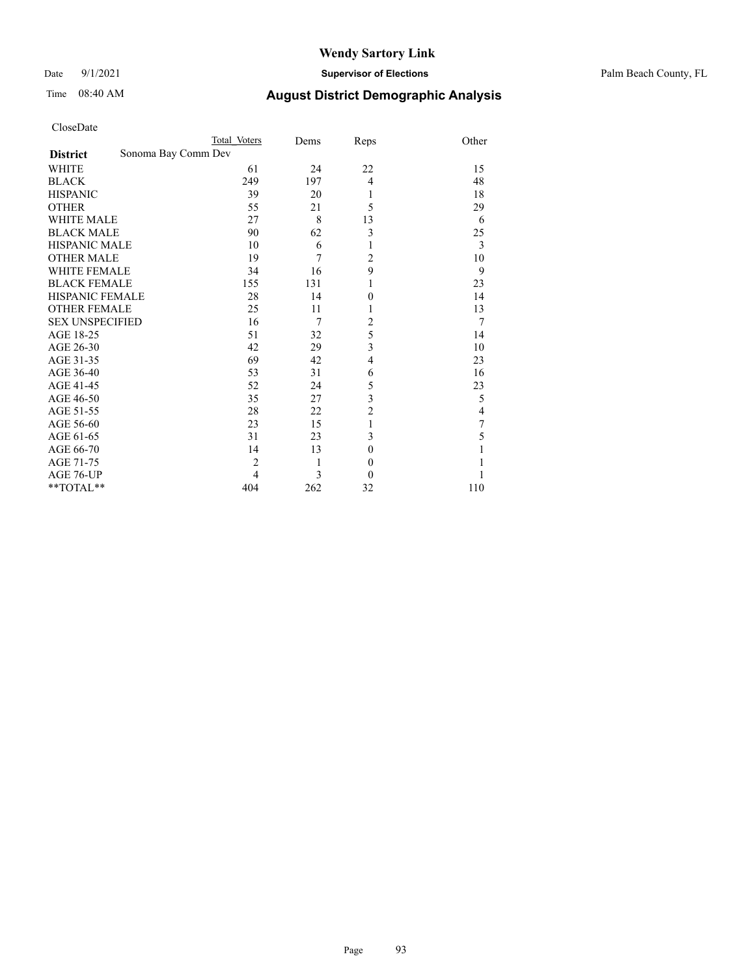Date 9/1/2021 **Supervisor of Elections** Palm Beach County, FL

|                        |                     | Total Voters   | Dems | Reps             | Other |
|------------------------|---------------------|----------------|------|------------------|-------|
| <b>District</b>        | Sonoma Bay Comm Dev |                |      |                  |       |
| <b>WHITE</b>           |                     | 61             | 24   | 22               | 15    |
| <b>BLACK</b>           |                     | 249            | 197  | $\overline{4}$   | 48    |
| <b>HISPANIC</b>        |                     | 39             | 20   | 1                | 18    |
| <b>OTHER</b>           |                     | 55             | 21   | 5                | 29    |
| <b>WHITE MALE</b>      |                     | 27             | 8    | 13               | 6     |
| <b>BLACK MALE</b>      |                     | 90             | 62   | 3                | 25    |
| <b>HISPANIC MALE</b>   |                     | 10             | 6    | 1                | 3     |
| <b>OTHER MALE</b>      |                     | 19             | 7    | 2                | 10    |
| <b>WHITE FEMALE</b>    |                     | 34             | 16   | 9                | 9     |
| <b>BLACK FEMALE</b>    |                     | 155            | 131  | 1                | 23    |
| <b>HISPANIC FEMALE</b> |                     | 28             | 14   | $\theta$         | 14    |
| <b>OTHER FEMALE</b>    |                     | 25             | 11   | 1                | 13    |
| <b>SEX UNSPECIFIED</b> |                     | 16             | 7    | $\overline{c}$   | 7     |
| AGE 18-25              |                     | 51             | 32   | 5                | 14    |
| AGE 26-30              |                     | 42             | 29   | 3                | 10    |
| AGE 31-35              |                     | 69             | 42   | $\overline{4}$   | 23    |
| AGE 36-40              |                     | 53             | 31   | 6                | 16    |
| AGE 41-45              |                     | 52             | 24   | 5                | 23    |
| AGE 46-50              |                     | 35             | 27   | 3                | 5     |
| AGE 51-55              |                     | 28             | 22   | $\overline{2}$   | 4     |
| AGE 56-60              |                     | 23             | 15   | 1                | 7     |
| AGE 61-65              |                     | 31             | 23   | 3                | 5     |
| AGE 66-70              |                     | 14             | 13   | $\theta$         |       |
| AGE 71-75              |                     | $\overline{c}$ | 1    | $\boldsymbol{0}$ |       |
| AGE 76-UP              |                     | 4              | 3    | $\theta$         |       |
| **TOTAL**              |                     | 404            | 262  | 32               | 110   |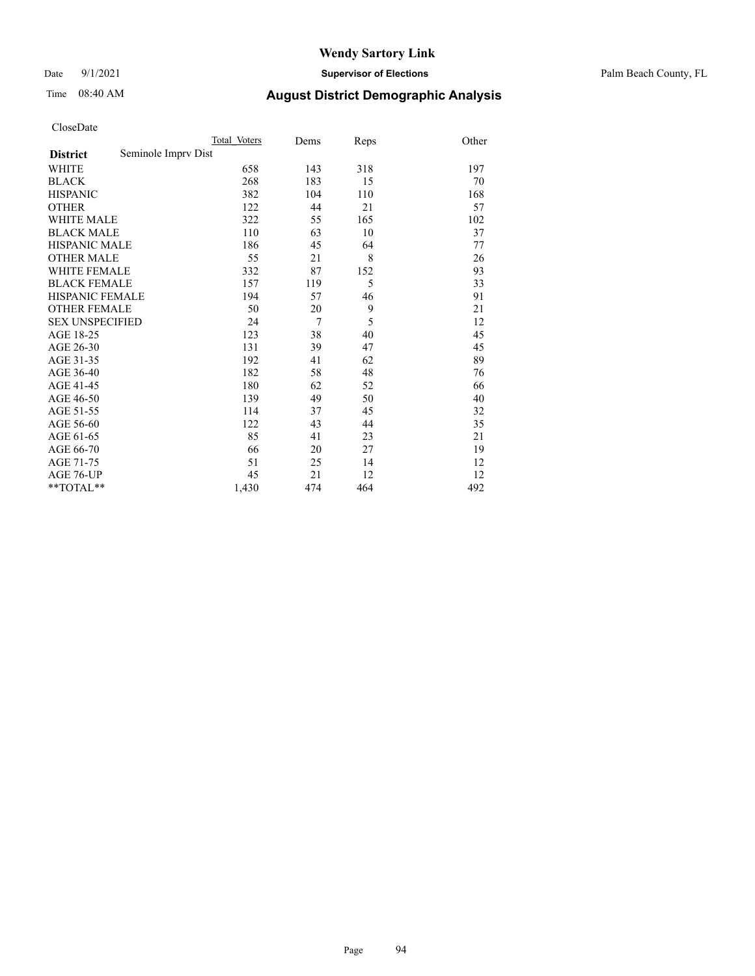Date 9/1/2021 **Supervisor of Elections** Palm Beach County, FL

# Time 08:40 AM **August District Demographic Analysis**

|                                        | Total Voters | Dems           | Reps | Other |
|----------------------------------------|--------------|----------------|------|-------|
| Seminole Impry Dist<br><b>District</b> |              |                |      |       |
| WHITE                                  | 658          | 143            | 318  | 197   |
| <b>BLACK</b>                           | 268          | 183            | 15   | 70    |
| <b>HISPANIC</b>                        | 382          | 104            | 110  | 168   |
| <b>OTHER</b>                           | 122          | 44             | 21   | 57    |
| WHITE MALE                             | 322          | 55             | 165  | 102   |
| <b>BLACK MALE</b>                      | 110          | 63             | 10   | 37    |
| <b>HISPANIC MALE</b>                   | 186          | 45             | 64   | 77    |
| <b>OTHER MALE</b>                      | 55           | 21             | 8    | 26    |
| WHITE FEMALE                           | 332          | 87             | 152  | 93    |
| <b>BLACK FEMALE</b>                    | 157          | 119            | 5    | 33    |
| HISPANIC FEMALE                        | 194          | 57             | 46   | 91    |
| <b>OTHER FEMALE</b>                    | 50           | 20             | 9    | 21    |
| <b>SEX UNSPECIFIED</b>                 | 24           | $\overline{7}$ | 5    | 12    |
| AGE 18-25                              | 123          | 38             | 40   | 45    |
| AGE 26-30                              | 131          | 39             | 47   | 45    |
| AGE 31-35                              | 192          | 41             | 62   | 89    |
| AGE 36-40                              | 182          | 58             | 48   | 76    |
| AGE 41-45                              | 180          | 62             | 52   | 66    |
| AGE 46-50                              | 139          | 49             | 50   | 40    |
| AGE 51-55                              | 114          | 37             | 45   | 32    |
| AGE 56-60                              | 122          | 43             | 44   | 35    |
| AGE 61-65                              | 85           | 41             | 23   | 21    |
| AGE 66-70                              | 66           | 20             | 27   | 19    |
| AGE 71-75                              | 51           | 25             | 14   | 12    |
| AGE 76-UP                              | 45           | 21             | 12   | 12    |
| **TOTAL**                              | 1,430        | 474            | 464  | 492   |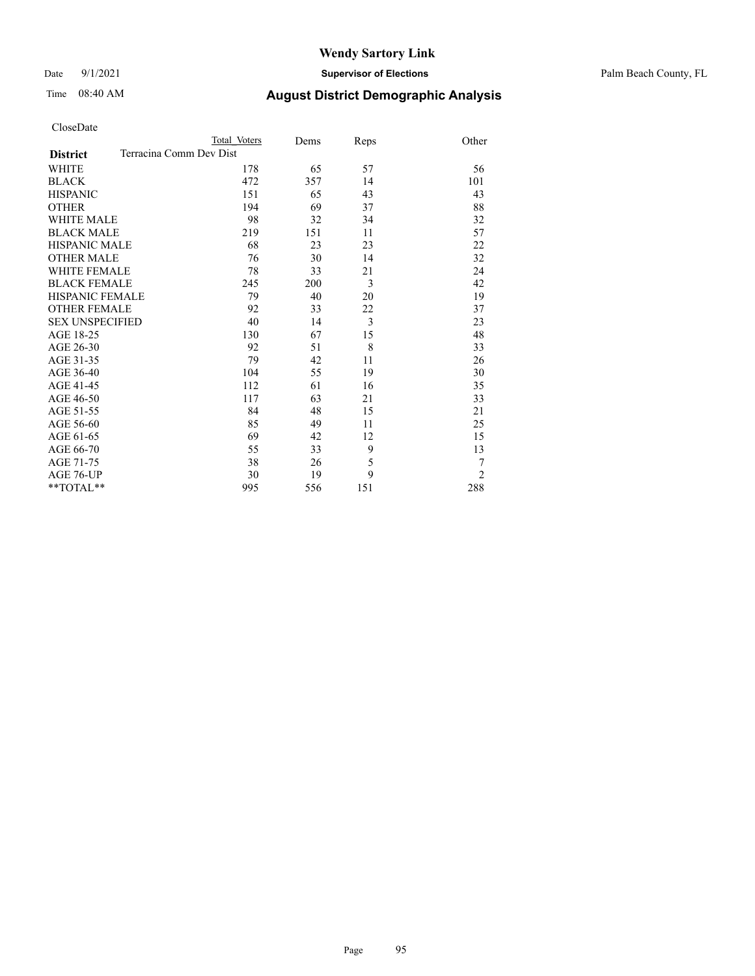Date 9/1/2021 **Supervisor of Elections** Palm Beach County, FL

|                     |                         | Total Voters | Dems | Reps | Other          |
|---------------------|-------------------------|--------------|------|------|----------------|
| <b>District</b>     | Terracina Comm Dev Dist |              |      |      |                |
| WHITE               |                         | 178          | 65   | 57   | 56             |
| BLACK               |                         | 472          | 357  | 14   | 101            |
| HISPANIC            |                         | 151          | 65   | 43   | 43             |
| OTHER               |                         | 194          | 69   | 37   | 88             |
| WHITE MALE          |                         | 98           | 32   | 34   | 32             |
| <b>BLACK MALE</b>   |                         | 219          | 151  | 11   | 57             |
| HISPANIC MALE       |                         | 68           | 23   | 23   | 22             |
| OTHER MALE          |                         | 76           | 30   | 14   | 32             |
| WHITE FEMALE        |                         | 78           | 33   | 21   | 24             |
| <b>BLACK FEMALE</b> |                         | 245          | 200  | 3    | 42             |
| HISPANIC FEMALE     |                         | 79           | 40   | 20   | 19             |
| <b>OTHER FEMALE</b> |                         | 92           | 33   | 22   | 37             |
| SEX UNSPECIFIED     |                         | 40           | 14   | 3    | 23             |
| AGE 18-25           |                         | 130          | 67   | 15   | 48             |
| AGE 26-30           |                         | 92           | 51   | 8    | 33             |
| AGE 31-35           |                         | 79           | 42   | 11   | 26             |
| AGE 36-40           |                         | 104          | 55   | 19   | 30             |
| AGE 41-45           |                         | 112          | 61   | 16   | 35             |
| AGE 46-50           |                         | 117          | 63   | 21   | 33             |
| AGE 51-55           |                         | 84           | 48   | 15   | 21             |
| AGE 56-60           |                         | 85           | 49   | 11   | 25             |
| AGE 61-65           |                         | 69           | 42   | 12   | 15             |
| AGE 66-70           |                         | 55           | 33   | 9    | 13             |
| AGE 71-75           |                         | 38           | 26   | 5    | 7              |
| AGE 76-UP           |                         | 30           | 19   | 9    | $\overline{2}$ |
| **TOTAL**           |                         | 995          | 556  | 151  | 288            |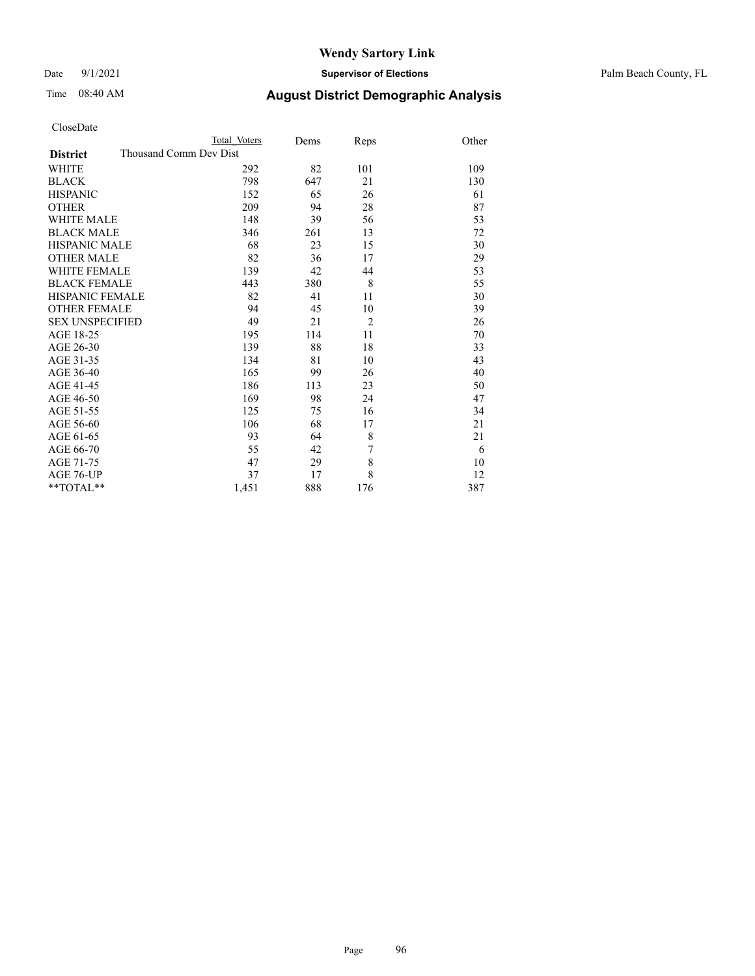Date 9/1/2021 **Supervisor of Elections** Palm Beach County, FL

| CloseDate |
|-----------|
|-----------|

|                     |                        | Total Voters | Dems | Reps           | Other |
|---------------------|------------------------|--------------|------|----------------|-------|
| <b>District</b>     | Thousand Comm Dev Dist |              |      |                |       |
| WHITE               |                        | 292          | 82   | 101            | 109   |
| BLACK               |                        | 798          | 647  | 21             | 130   |
| HISPANIC            |                        | 152          | 65   | 26             | 61    |
| OTHER               |                        | 209          | 94   | 28             | 87    |
| WHITE MALE          |                        | 148          | 39   | 56             | 53    |
| <b>BLACK MALE</b>   |                        | 346          | 261  | 13             | 72    |
| HISPANIC MALE       |                        | 68           | 23   | 15             | 30    |
| OTHER MALE          |                        | 82           | 36   | 17             | 29    |
| WHITE FEMALE        |                        | 139          | 42   | 44             | 53    |
| <b>BLACK FEMALE</b> |                        | 443          | 380  | 8              | 55    |
| HISPANIC FEMALE     |                        | 82           | 41   | 11             | 30    |
| <b>OTHER FEMALE</b> |                        | 94           | 45   | 10             | 39    |
| SEX UNSPECIFIED     |                        | 49           | 21   | $\overline{2}$ | 26    |
| AGE 18-25           |                        | 195          | 114  | 11             | 70    |
| AGE 26-30           |                        | 139          | 88   | 18             | 33    |
| AGE 31-35           |                        | 134          | 81   | 10             | 43    |
| AGE 36-40           |                        | 165          | 99   | 26             | 40    |
| AGE 41-45           |                        | 186          | 113  | 23             | 50    |
| AGE 46-50           |                        | 169          | 98   | 24             | 47    |
| AGE 51-55           |                        | 125          | 75   | 16             | 34    |
| AGE 56-60           |                        | 106          | 68   | 17             | 21    |
| AGE 61-65           |                        | 93           | 64   | 8              | 21    |
| AGE 66-70           |                        | 55           | 42   | 7              | 6     |
| AGE 71-75           |                        | 47           | 29   | 8              | 10    |
| AGE 76-UP           |                        | 37           | 17   | 8              | 12    |
| $*$ $TOTAL**$       |                        | 1,451        | 888  | 176            | 387   |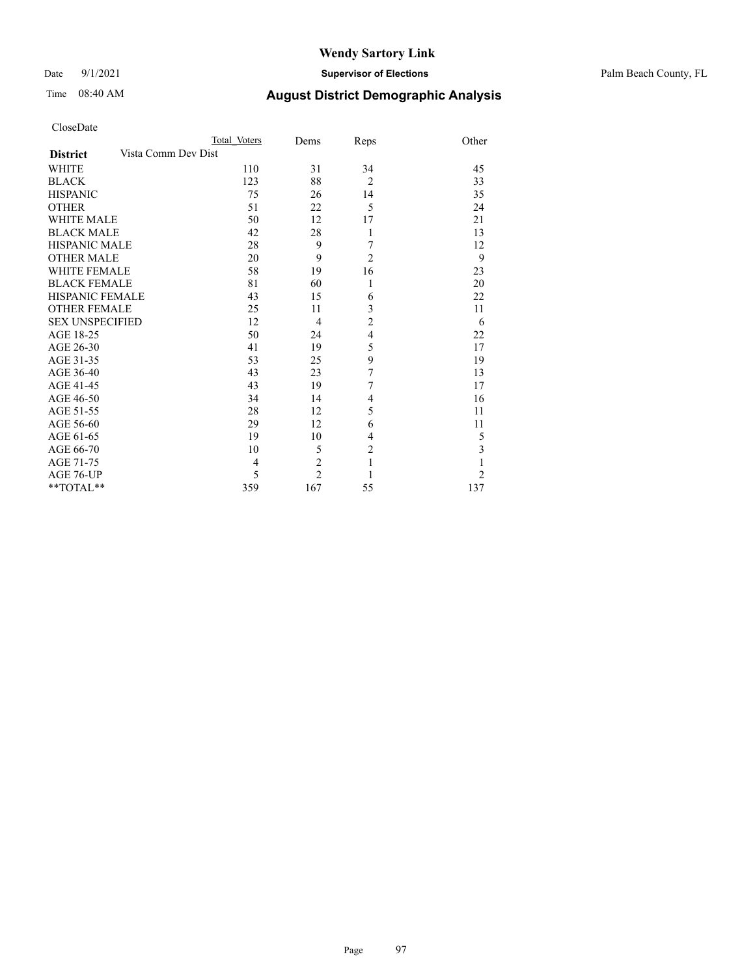Date 9/1/2021 **Supervisor of Elections** Palm Beach County, FL

| CloseDate |
|-----------|
|-----------|

|                     |                     | Total Voters | Dems           | Reps           | Other          |
|---------------------|---------------------|--------------|----------------|----------------|----------------|
| <b>District</b>     | Vista Comm Dev Dist |              |                |                |                |
| WHITE               |                     | 110          | 31             | 34             | 45             |
| BLACK               |                     | 123          | 88             | $\overline{2}$ | 33             |
| <b>HISPANIC</b>     |                     | 75           | 26             | 14             | 35             |
| OTHER               |                     | 51           | 22             | 5              | 24             |
| WHITE MALE          |                     | 50           | 12             | 17             | 21             |
| <b>BLACK MALE</b>   |                     | 42           | 28             | 1              | 13             |
| HISPANIC MALE       |                     | 28           | 9              | 7              | 12             |
| OTHER MALE          |                     | 20           | 9              | $\overline{2}$ | 9              |
| WHITE FEMALE        |                     | 58           | 19             | 16             | 23             |
| BLACK FEMALE        |                     | 81           | 60             | $\mathbf{1}$   | 20             |
| HISPANIC FEMALE     |                     | 43           | 15             | 6              | 22             |
| <b>OTHER FEMALE</b> |                     | 25           | 11             | 3              | 11             |
| SEX UNSPECIFIED     |                     | 12           | $\overline{4}$ | $\overline{c}$ | 6              |
| AGE 18-25           |                     | 50           | 24             | $\overline{4}$ | 22             |
| AGE 26-30           |                     | 41           | 19             | 5              | 17             |
| AGE 31-35           |                     | 53           | 25             | 9              | 19             |
| AGE 36-40           |                     | 43           | 23             | 7              | 13             |
| AGE 41-45           |                     | 43           | 19             | 7              | 17             |
| AGE 46-50           |                     | 34           | 14             | 4              | 16             |
| AGE 51-55           |                     | 28           | 12             | 5              | 11             |
| AGE 56-60           |                     | 29           | 12             | 6              | 11             |
| AGE 61-65           |                     | 19           | 10             | 4              | 5              |
| AGE 66-70           |                     | 10           | 5              | $\overline{c}$ | $\mathfrak{Z}$ |
| AGE 71-75           |                     | 4            | $\overline{c}$ | $\mathbf{1}$   | 1              |
| AGE 76-UP           |                     | 5            | $\mathfrak{D}$ | 1              | $\overline{2}$ |
| $*$ $TOTAL**$       |                     | 359          | 167            | 55             | 137            |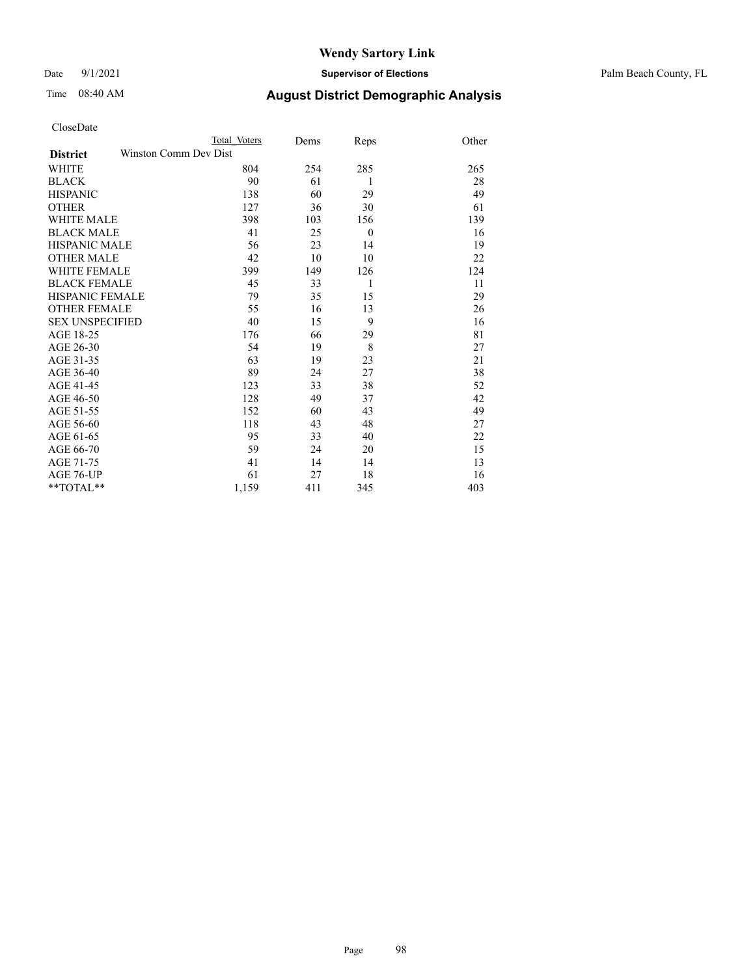Date 9/1/2021 **Supervisor of Elections** Palm Beach County, FL

## Time 08:40 AM **August District Demographic Analysis**

|                                          | Total Voters | Dems | Reps     | Other |
|------------------------------------------|--------------|------|----------|-------|
| Winston Comm Dev Dist<br><b>District</b> |              |      |          |       |
| <b>WHITE</b>                             | 804          | 254  | 285      | 265   |
| <b>BLACK</b>                             | 90           | 61   | 1        | 28    |
| <b>HISPANIC</b>                          | 138          | 60   | 29       | 49    |
| <b>OTHER</b>                             | 127          | 36   | 30       | 61    |
| <b>WHITE MALE</b>                        | 398          | 103  | 156      | 139   |
| <b>BLACK MALE</b>                        | 41           | 25   | $\theta$ | 16    |
| <b>HISPANIC MALE</b>                     | 56           | 23   | 14       | 19    |
| <b>OTHER MALE</b>                        | 42           | 10   | 10       | 22    |
| WHITE FEMALE                             | 399          | 149  | 126      | 124   |
| <b>BLACK FEMALE</b>                      | 45           | 33   | 1        | 11    |
| <b>HISPANIC FEMALE</b>                   | 79           | 35   | 15       | 29    |
| <b>OTHER FEMALE</b>                      | 55           | 16   | 13       | 26    |
| <b>SEX UNSPECIFIED</b>                   | 40           | 15   | 9        | 16    |
| AGE 18-25                                | 176          | 66   | 29       | 81    |
| AGE 26-30                                | 54           | 19   | 8        | 27    |
| AGE 31-35                                | 63           | 19   | 23       | 21    |
| AGE 36-40                                | 89           | 24   | 27       | 38    |
| AGE 41-45                                | 123          | 33   | 38       | 52    |
| AGE 46-50                                | 128          | 49   | 37       | 42    |
| AGE 51-55                                | 152          | 60   | 43       | 49    |
| AGE 56-60                                | 118          | 43   | 48       | 27    |
| AGE 61-65                                | 95           | 33   | 40       | 22    |
| AGE 66-70                                | 59           | 24   | 20       | 15    |
| AGE 71-75                                | 41           | 14   | 14       | 13    |
| AGE 76-UP                                | 61           | 27   | 18       | 16    |
| **TOTAL**                                | 1,159        | 411  | 345      | 403   |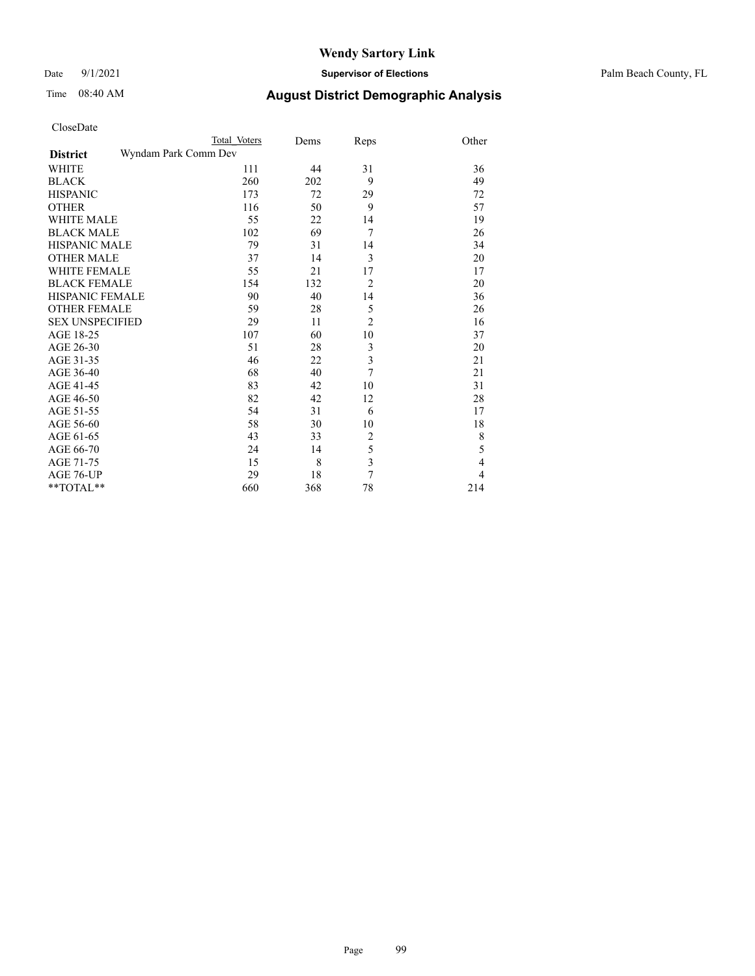| CloseDate |
|-----------|
|-----------|

|                                         | Total Voters | Dems | Reps                    | Other          |
|-----------------------------------------|--------------|------|-------------------------|----------------|
| Wyndam Park Comm Dev<br><b>District</b> |              |      |                         |                |
| <b>WHITE</b>                            | 111          | 44   | 31                      | 36             |
| <b>BLACK</b>                            | 260          | 202  | 9                       | 49             |
| <b>HISPANIC</b>                         | 173          | 72   | 29                      | 72             |
| <b>OTHER</b>                            | 116          | 50   | 9                       | 57             |
| <b>WHITE MALE</b>                       | 55           | 22   | 14                      | 19             |
| <b>BLACK MALE</b>                       | 102          | 69   | 7                       | 26             |
| <b>HISPANIC MALE</b>                    | 79           | 31   | 14                      | 34             |
| <b>OTHER MALE</b>                       | 37           | 14   | 3                       | 20             |
| WHITE FEMALE                            | 55           | 21   | 17                      | 17             |
| <b>BLACK FEMALE</b>                     | 154          | 132  | $\overline{2}$          | 20             |
| HISPANIC FEMALE                         | 90           | 40   | 14                      | 36             |
| <b>OTHER FEMALE</b>                     | 59           | 28   | 5                       | 26             |
| <b>SEX UNSPECIFIED</b>                  | 29           | 11   | $\overline{2}$          | 16             |
| AGE 18-25                               | 107          | 60   | 10                      | 37             |
| AGE 26-30                               | 51           | 28   | $\mathfrak{Z}$          | 20             |
| AGE 31-35                               | 46           | 22   | 3                       | 21             |
| AGE 36-40                               | 68           | 40   | 7                       | 21             |
| AGE 41-45                               | 83           | 42   | 10                      | 31             |
| AGE 46-50                               | 82           | 42   | 12                      | 28             |
| AGE 51-55                               | 54           | 31   | 6                       | 17             |
| AGE 56-60                               | 58           | 30   | 10                      | 18             |
| AGE 61-65                               | 43           | 33   | $\overline{c}$          | 8              |
| AGE 66-70                               | 24           | 14   | 5                       | 5              |
| AGE 71-75                               | 15           | 8    | $\overline{\mathbf{3}}$ | $\overline{4}$ |
| AGE 76-UP                               | 29           | 18   | $\overline{7}$          | $\overline{4}$ |
| **TOTAL**                               | 660          | 368  | 78                      | 214            |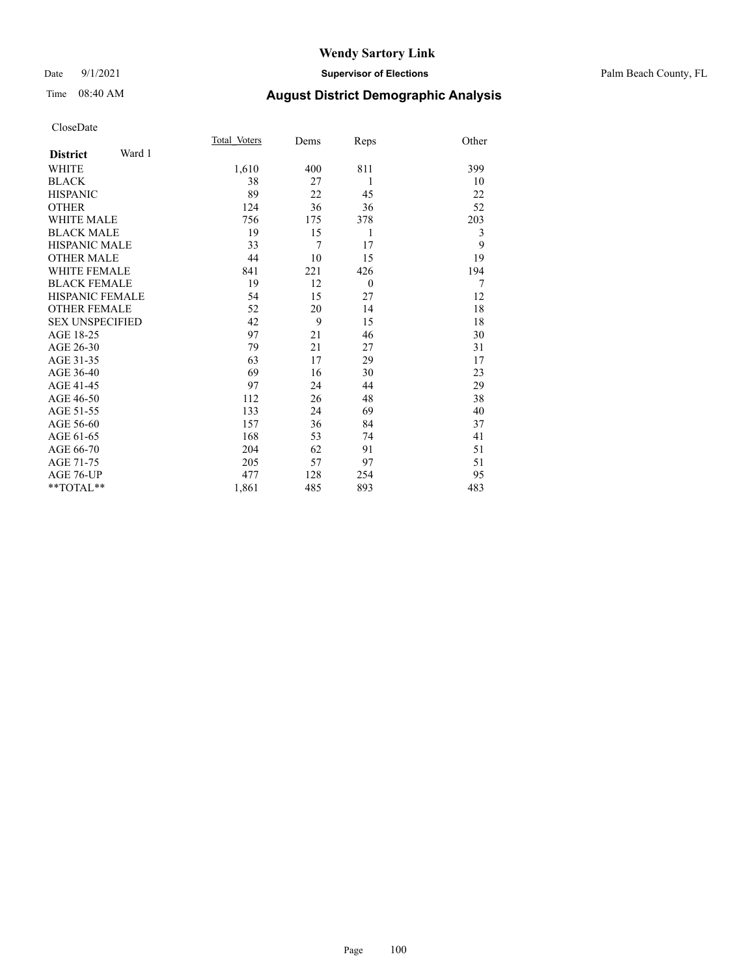### Date 9/1/2021 **Supervisor of Elections** Palm Beach County, FL

### Time 08:40 AM **August District Demographic Analysis**

|                           | Total Voters | Dems | Reps         | Other |
|---------------------------|--------------|------|--------------|-------|
| Ward 1<br><b>District</b> |              |      |              |       |
| WHITE                     | 1,610        | 400  | 811          | 399   |
| <b>BLACK</b>              | 38           | 27   | 1            | 10    |
| <b>HISPANIC</b>           | 89           | 22   | 45           | 22    |
| <b>OTHER</b>              | 124          | 36   | 36           | 52    |
| <b>WHITE MALE</b>         | 756          | 175  | 378          | 203   |
| <b>BLACK MALE</b>         | 19           | 15   | 1            | 3     |
| <b>HISPANIC MALE</b>      | 33           | 7    | 17           | 9     |
| <b>OTHER MALE</b>         | 44           | 10   | 15           | 19    |
| WHITE FEMALE              | 841          | 221  | 426          | 194   |
| <b>BLACK FEMALE</b>       | 19           | 12   | $\mathbf{0}$ | 7     |
| HISPANIC FEMALE           | 54           | 15   | 27           | 12    |
| <b>OTHER FEMALE</b>       | 52           | 20   | 14           | 18    |
| <b>SEX UNSPECIFIED</b>    | 42           | 9    | 15           | 18    |
| AGE 18-25                 | 97           | 21   | 46           | 30    |
| AGE 26-30                 | 79           | 21   | 27           | 31    |
| AGE 31-35                 | 63           | 17   | 29           | 17    |
| AGE 36-40                 | 69           | 16   | 30           | 23    |
| AGE 41-45                 | 97           | 24   | 44           | 29    |
| AGE 46-50                 | 112          | 26   | 48           | 38    |
| AGE 51-55                 | 133          | 24   | 69           | 40    |
| AGE 56-60                 | 157          | 36   | 84           | 37    |
| AGE 61-65                 | 168          | 53   | 74           | 41    |
| AGE 66-70                 | 204          | 62   | 91           | 51    |
| AGE 71-75                 | 205          | 57   | 97           | 51    |
| AGE 76-UP                 | 477          | 128  | 254          | 95    |
| **TOTAL**                 | 1,861        | 485  | 893          | 483   |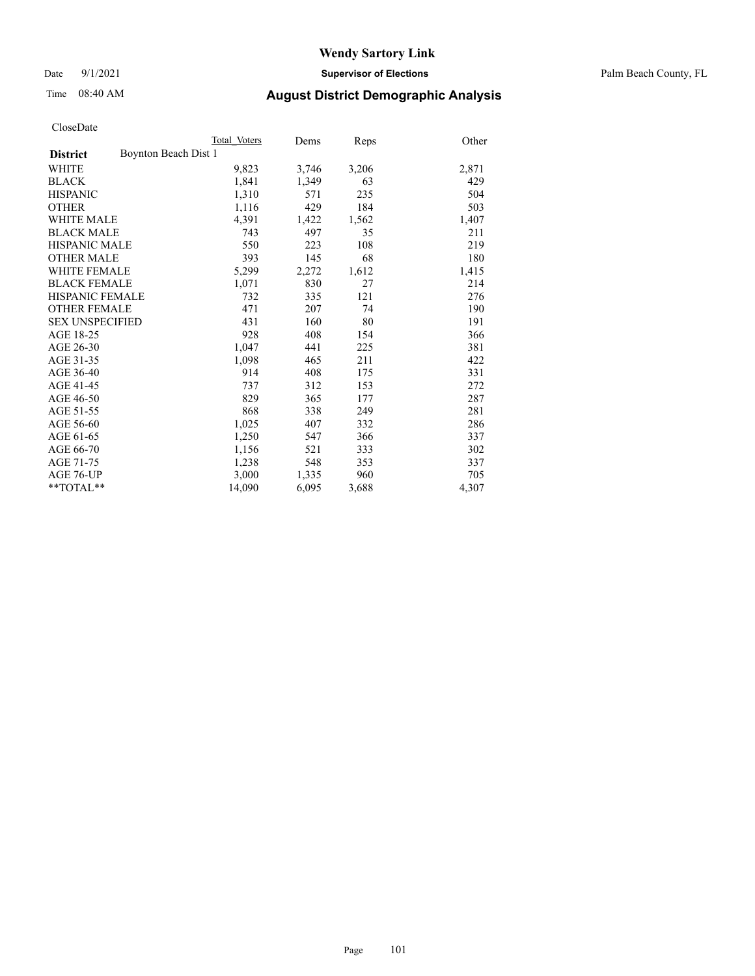Date 9/1/2021 **Supervisor of Elections** Palm Beach County, FL

### Time 08:40 AM **August District Demographic Analysis**

|                                         | Total Voters | Dems  | Reps  | Other |
|-----------------------------------------|--------------|-------|-------|-------|
| Boynton Beach Dist 1<br><b>District</b> |              |       |       |       |
| WHITE                                   | 9,823        | 3,746 | 3,206 | 2,871 |
| <b>BLACK</b>                            | 1,841        | 1,349 | 63    | 429   |
| <b>HISPANIC</b>                         | 1,310        | 571   | 235   | 504   |
| <b>OTHER</b>                            | 1,116        | 429   | 184   | 503   |
| <b>WHITE MALE</b>                       | 4,391        | 1,422 | 1,562 | 1,407 |
| <b>BLACK MALE</b>                       | 743          | 497   | 35    | 211   |
| <b>HISPANIC MALE</b>                    | 550          | 223   | 108   | 219   |
| <b>OTHER MALE</b>                       | 393          | 145   | 68    | 180   |
| <b>WHITE FEMALE</b>                     | 5,299        | 2,272 | 1,612 | 1,415 |
| <b>BLACK FEMALE</b>                     | 1,071        | 830   | 27    | 214   |
| HISPANIC FEMALE                         | 732          | 335   | 121   | 276   |
| <b>OTHER FEMALE</b>                     | 471          | 207   | 74    | 190   |
| <b>SEX UNSPECIFIED</b>                  | 431          | 160   | 80    | 191   |
| AGE 18-25                               | 928          | 408   | 154   | 366   |
| AGE 26-30                               | 1,047        | 441   | 225   | 381   |
| AGE 31-35                               | 1,098        | 465   | 211   | 422   |
| AGE 36-40                               | 914          | 408   | 175   | 331   |
| AGE 41-45                               | 737          | 312   | 153   | 272   |
| AGE 46-50                               | 829          | 365   | 177   | 287   |
| AGE 51-55                               | 868          | 338   | 249   | 281   |
| AGE 56-60                               | 1,025        | 407   | 332   | 286   |
| AGE 61-65                               | 1,250        | 547   | 366   | 337   |
| AGE 66-70                               | 1,156        | 521   | 333   | 302   |
| AGE 71-75                               | 1,238        | 548   | 353   | 337   |
| AGE 76-UP                               | 3,000        | 1,335 | 960   | 705   |
| $*$ $TOTAL**$                           | 14,090       | 6,095 | 3,688 | 4,307 |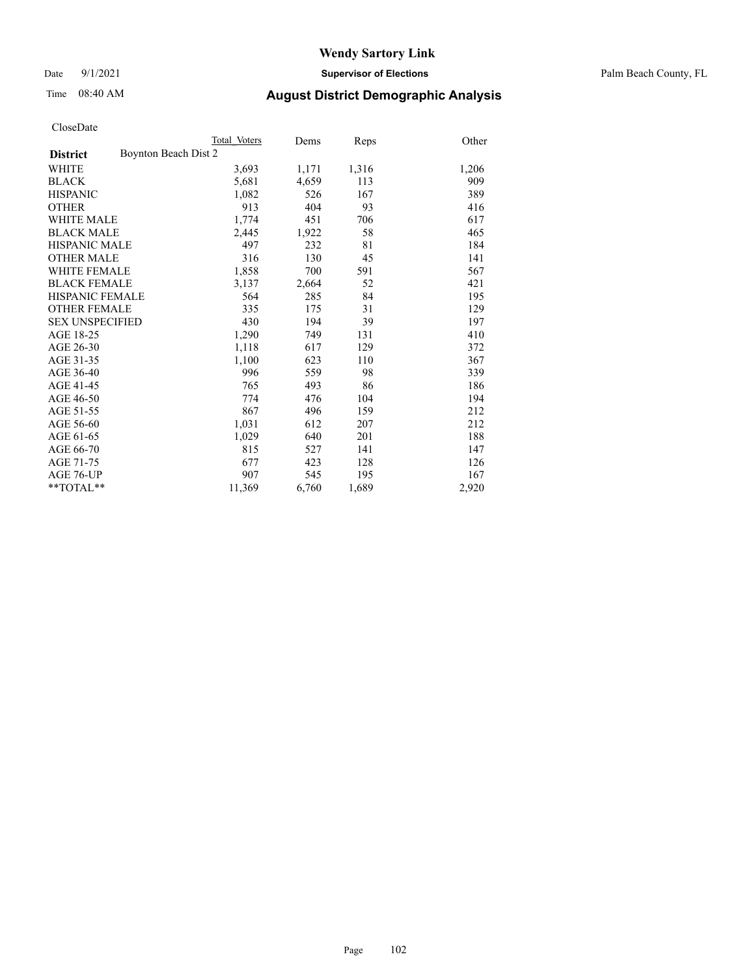Date 9/1/2021 **Supervisor of Elections** Palm Beach County, FL

### Time 08:40 AM **August District Demographic Analysis**

|                                         | Total Voters | Dems  | Reps  | Other |
|-----------------------------------------|--------------|-------|-------|-------|
| Boynton Beach Dist 2<br><b>District</b> |              |       |       |       |
| WHITE                                   | 3,693        | 1,171 | 1,316 | 1,206 |
| <b>BLACK</b>                            | 5,681        | 4,659 | 113   | 909   |
| <b>HISPANIC</b>                         | 1,082        | 526   | 167   | 389   |
| <b>OTHER</b>                            | 913          | 404   | 93    | 416   |
| <b>WHITE MALE</b>                       | 1,774        | 451   | 706   | 617   |
| <b>BLACK MALE</b>                       | 2,445        | 1,922 | 58    | 465   |
| <b>HISPANIC MALE</b>                    | 497          | 232   | 81    | 184   |
| <b>OTHER MALE</b>                       | 316          | 130   | 45    | 141   |
| <b>WHITE FEMALE</b>                     | 1,858        | 700   | 591   | 567   |
| <b>BLACK FEMALE</b>                     | 3,137        | 2,664 | 52    | 421   |
| <b>HISPANIC FEMALE</b>                  | 564          | 285   | 84    | 195   |
| <b>OTHER FEMALE</b>                     | 335          | 175   | 31    | 129   |
| <b>SEX UNSPECIFIED</b>                  | 430          | 194   | 39    | 197   |
| AGE 18-25                               | 1,290        | 749   | 131   | 410   |
| AGE 26-30                               | 1,118        | 617   | 129   | 372   |
| AGE 31-35                               | 1,100        | 623   | 110   | 367   |
| AGE 36-40                               | 996          | 559   | 98    | 339   |
| AGE 41-45                               | 765          | 493   | 86    | 186   |
| AGE 46-50                               | 774          | 476   | 104   | 194   |
| AGE 51-55                               | 867          | 496   | 159   | 212   |
| AGE 56-60                               | 1,031        | 612   | 207   | 212   |
| AGE 61-65                               | 1,029        | 640   | 201   | 188   |
| AGE 66-70                               | 815          | 527   | 141   | 147   |
| AGE 71-75                               | 677          | 423   | 128   | 126   |
| AGE 76-UP                               | 907          | 545   | 195   | 167   |
| $*$ $TOTAL**$                           | 11,369       | 6,760 | 1,689 | 2,920 |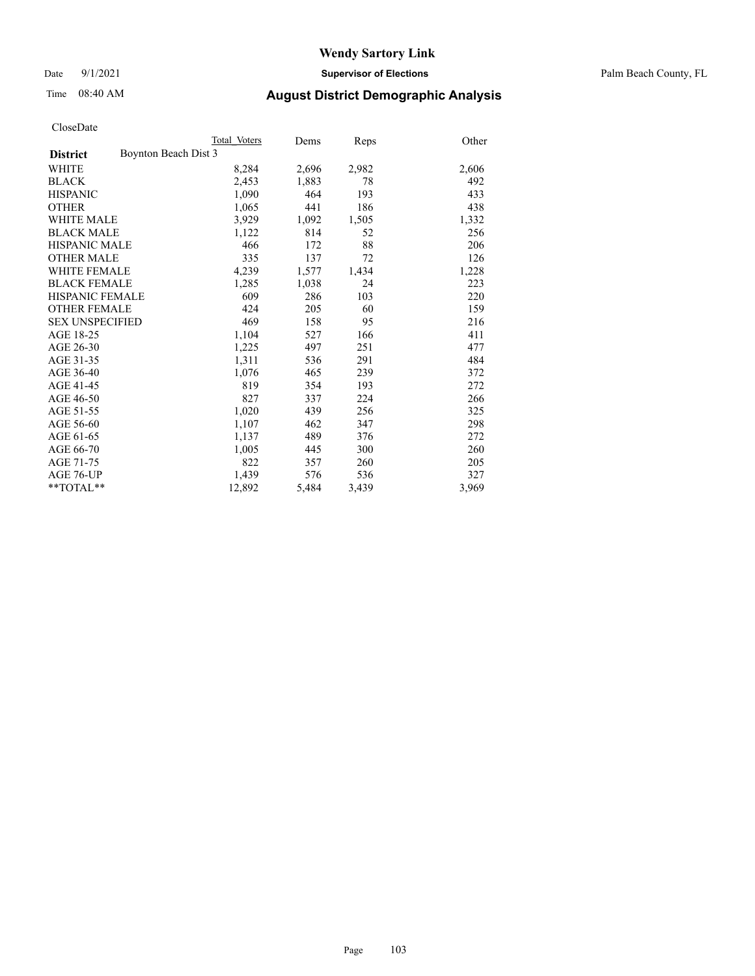Date 9/1/2021 **Supervisor of Elections** Palm Beach County, FL

### Time 08:40 AM **August District Demographic Analysis**

|                                         | Total Voters | Dems  | Reps  | Other |
|-----------------------------------------|--------------|-------|-------|-------|
| Boynton Beach Dist 3<br><b>District</b> |              |       |       |       |
| WHITE                                   | 8,284        | 2,696 | 2,982 | 2,606 |
| <b>BLACK</b>                            | 2,453        | 1,883 | 78    | 492   |
| <b>HISPANIC</b>                         | 1,090        | 464   | 193   | 433   |
| <b>OTHER</b>                            | 1,065        | 441   | 186   | 438   |
| <b>WHITE MALE</b>                       | 3,929        | 1,092 | 1,505 | 1,332 |
| <b>BLACK MALE</b>                       | 1,122        | 814   | 52    | 256   |
| <b>HISPANIC MALE</b>                    | 466          | 172   | 88    | 206   |
| <b>OTHER MALE</b>                       | 335          | 137   | 72    | 126   |
| <b>WHITE FEMALE</b>                     | 4,239        | 1,577 | 1,434 | 1,228 |
| <b>BLACK FEMALE</b>                     | 1,285        | 1,038 | 24    | 223   |
| <b>HISPANIC FEMALE</b>                  | 609          | 286   | 103   | 220   |
| <b>OTHER FEMALE</b>                     | 424          | 205   | 60    | 159   |
| <b>SEX UNSPECIFIED</b>                  | 469          | 158   | 95    | 216   |
| AGE 18-25                               | 1,104        | 527   | 166   | 411   |
| AGE 26-30                               | 1,225        | 497   | 251   | 477   |
| AGE 31-35                               | 1,311        | 536   | 291   | 484   |
| AGE 36-40                               | 1,076        | 465   | 239   | 372   |
| AGE 41-45                               | 819          | 354   | 193   | 272   |
| AGE 46-50                               | 827          | 337   | 224   | 266   |
| AGE 51-55                               | 1,020        | 439   | 256   | 325   |
| AGE 56-60                               | 1,107        | 462   | 347   | 298   |
| AGE 61-65                               | 1,137        | 489   | 376   | 272   |
| AGE 66-70                               | 1,005        | 445   | 300   | 260   |
| AGE 71-75                               | 822          | 357   | 260   | 205   |
| AGE 76-UP                               | 1,439        | 576   | 536   | 327   |
| $*$ $TOTAL**$                           | 12,892       | 5,484 | 3,439 | 3,969 |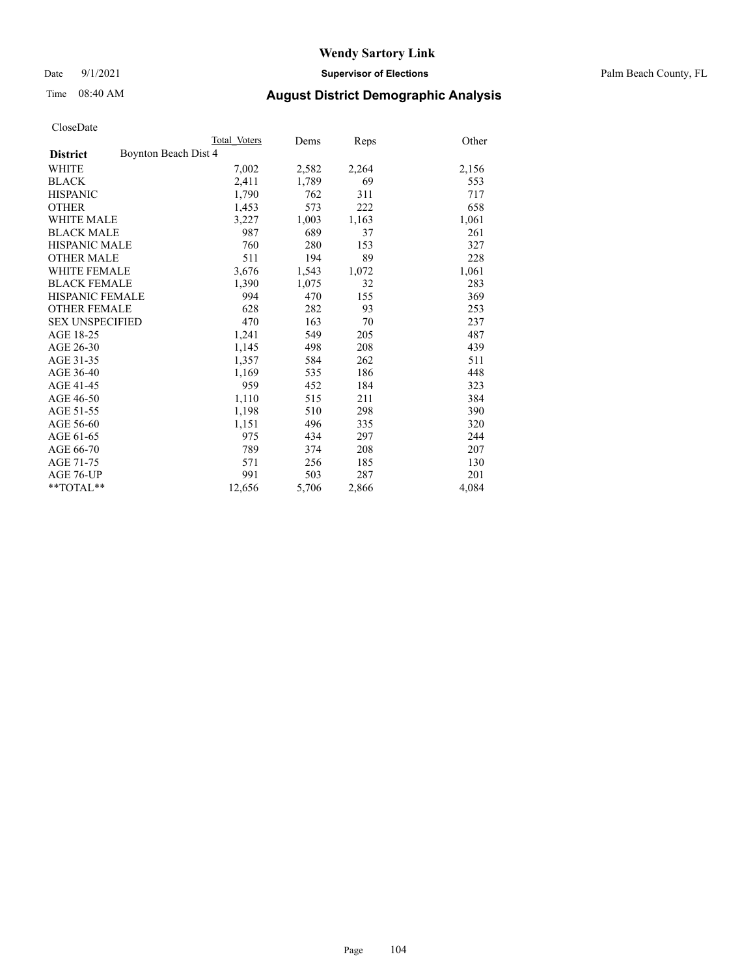Date 9/1/2021 **Supervisor of Elections** Palm Beach County, FL

### Time 08:40 AM **August District Demographic Analysis**

|                                         | Total Voters | Dems  | Reps  | Other |
|-----------------------------------------|--------------|-------|-------|-------|
| Boynton Beach Dist 4<br><b>District</b> |              |       |       |       |
| WHITE                                   | 7,002        | 2,582 | 2,264 | 2,156 |
| <b>BLACK</b>                            | 2,411        | 1,789 | 69    | 553   |
| <b>HISPANIC</b>                         | 1,790        | 762   | 311   | 717   |
| <b>OTHER</b>                            | 1,453        | 573   | 222   | 658   |
| <b>WHITE MALE</b>                       | 3,227        | 1,003 | 1,163 | 1,061 |
| <b>BLACK MALE</b>                       | 987          | 689   | 37    | 261   |
| <b>HISPANIC MALE</b>                    | 760          | 280   | 153   | 327   |
| <b>OTHER MALE</b>                       | 511          | 194   | 89    | 228   |
| <b>WHITE FEMALE</b>                     | 3,676        | 1,543 | 1,072 | 1,061 |
| <b>BLACK FEMALE</b>                     | 1,390        | 1,075 | 32    | 283   |
| <b>HISPANIC FEMALE</b>                  | 994          | 470   | 155   | 369   |
| <b>OTHER FEMALE</b>                     | 628          | 282   | 93    | 253   |
| <b>SEX UNSPECIFIED</b>                  | 470          | 163   | 70    | 237   |
| AGE 18-25                               | 1,241        | 549   | 205   | 487   |
| AGE 26-30                               | 1,145        | 498   | 208   | 439   |
| AGE 31-35                               | 1,357        | 584   | 262   | 511   |
| AGE 36-40                               | 1,169        | 535   | 186   | 448   |
| AGE 41-45                               | 959          | 452   | 184   | 323   |
| AGE 46-50                               | 1,110        | 515   | 211   | 384   |
| AGE 51-55                               | 1,198        | 510   | 298   | 390   |
| AGE 56-60                               | 1,151        | 496   | 335   | 320   |
| AGE 61-65                               | 975          | 434   | 297   | 244   |
| AGE 66-70                               | 789          | 374   | 208   | 207   |
| AGE 71-75                               | 571          | 256   | 185   | 130   |
| AGE 76-UP                               | 991          | 503   | 287   | 201   |
| $*$ $TOTAL**$                           | 12,656       | 5,706 | 2,866 | 4,084 |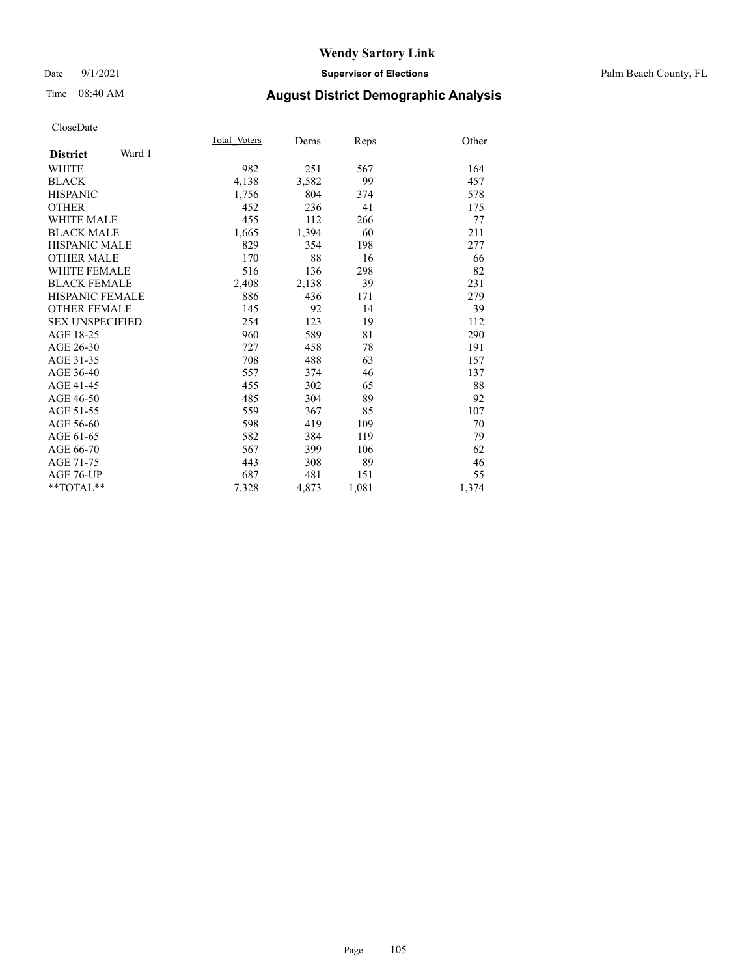### Date 9/1/2021 **Supervisor of Elections** Palm Beach County, FL

### Time 08:40 AM **August District Demographic Analysis**

|                           | Total Voters | Dems  | Reps  | Other |
|---------------------------|--------------|-------|-------|-------|
| Ward 1<br><b>District</b> |              |       |       |       |
| <b>WHITE</b>              | 982          | 251   | 567   | 164   |
| <b>BLACK</b>              | 4,138        | 3,582 | 99    | 457   |
| <b>HISPANIC</b>           | 1,756        | 804   | 374   | 578   |
| <b>OTHER</b>              | 452          | 236   | 41    | 175   |
| <b>WHITE MALE</b>         | 455          | 112   | 266   | 77    |
| <b>BLACK MALE</b>         | 1,665        | 1,394 | 60    | 211   |
| <b>HISPANIC MALE</b>      | 829          | 354   | 198   | 277   |
| <b>OTHER MALE</b>         | 170          | 88    | 16    | 66    |
| <b>WHITE FEMALE</b>       | 516          | 136   | 298   | 82    |
| <b>BLACK FEMALE</b>       | 2,408        | 2,138 | 39    | 231   |
| <b>HISPANIC FEMALE</b>    | 886          | 436   | 171   | 279   |
| <b>OTHER FEMALE</b>       | 145          | 92    | 14    | 39    |
| <b>SEX UNSPECIFIED</b>    | 254          | 123   | 19    | 112   |
| AGE 18-25                 | 960          | 589   | 81    | 290   |
| AGE 26-30                 | 727          | 458   | 78    | 191   |
| AGE 31-35                 | 708          | 488   | 63    | 157   |
| AGE 36-40                 | 557          | 374   | 46    | 137   |
| AGE 41-45                 | 455          | 302   | 65    | 88    |
| AGE 46-50                 | 485          | 304   | 89    | 92    |
| AGE 51-55                 | 559          | 367   | 85    | 107   |
| AGE 56-60                 | 598          | 419   | 109   | 70    |
| AGE 61-65                 | 582          | 384   | 119   | 79    |
| AGE 66-70                 | 567          | 399   | 106   | 62    |
| AGE 71-75                 | 443          | 308   | 89    | 46    |
| AGE 76-UP                 | 687          | 481   | 151   | 55    |
| $*$ $TOTAL**$             | 7,328        | 4,873 | 1,081 | 1,374 |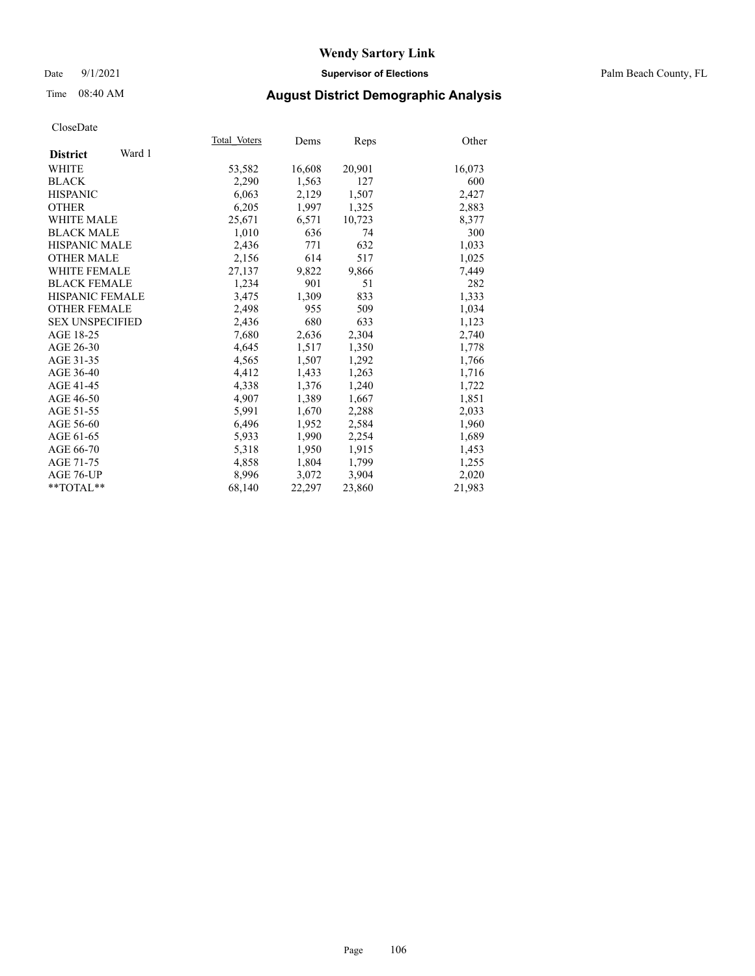### Date 9/1/2021 **Supervisor of Elections** Palm Beach County, FL

### Time 08:40 AM **August District Demographic Analysis**

|                           | Total Voters | Dems   | <b>Reps</b> | Other  |
|---------------------------|--------------|--------|-------------|--------|
| Ward 1<br><b>District</b> |              |        |             |        |
| WHITE                     | 53,582       | 16,608 | 20,901      | 16,073 |
| <b>BLACK</b>              | 2,290        | 1,563  | 127         | 600    |
| <b>HISPANIC</b>           | 6.063        | 2,129  | 1,507       | 2,427  |
| <b>OTHER</b>              | 6,205        | 1,997  | 1,325       | 2,883  |
| <b>WHITE MALE</b>         | 25,671       | 6,571  | 10,723      | 8,377  |
| <b>BLACK MALE</b>         | 1,010        | 636    | 74          | 300    |
| <b>HISPANIC MALE</b>      | 2,436        | 771    | 632         | 1,033  |
| <b>OTHER MALE</b>         | 2,156        | 614    | 517         | 1,025  |
| <b>WHITE FEMALE</b>       | 27,137       | 9,822  | 9,866       | 7,449  |
| <b>BLACK FEMALE</b>       | 1,234        | 901    | 51          | 282    |
| HISPANIC FEMALE           | 3,475        | 1,309  | 833         | 1,333  |
| <b>OTHER FEMALE</b>       | 2,498        | 955    | 509         | 1,034  |
| <b>SEX UNSPECIFIED</b>    | 2,436        | 680    | 633         | 1,123  |
| AGE 18-25                 | 7,680        | 2,636  | 2,304       | 2,740  |
| AGE 26-30                 | 4,645        | 1,517  | 1,350       | 1,778  |
| AGE 31-35                 | 4,565        | 1,507  | 1,292       | 1,766  |
| AGE 36-40                 | 4,412        | 1,433  | 1,263       | 1,716  |
| AGE 41-45                 | 4,338        | 1,376  | 1,240       | 1,722  |
| AGE 46-50                 | 4,907        | 1,389  | 1,667       | 1,851  |
| AGE 51-55                 | 5,991        | 1,670  | 2,288       | 2,033  |
| AGE 56-60                 | 6,496        | 1,952  | 2,584       | 1,960  |
| AGE 61-65                 | 5,933        | 1,990  | 2,254       | 1,689  |
| AGE 66-70                 | 5,318        | 1,950  | 1,915       | 1,453  |
| AGE 71-75                 | 4,858        | 1,804  | 1,799       | 1,255  |
| AGE 76-UP                 | 8,996        | 3,072  | 3,904       | 2,020  |
| $*$ $TOTAL**$             | 68,140       | 22,297 | 23,860      | 21,983 |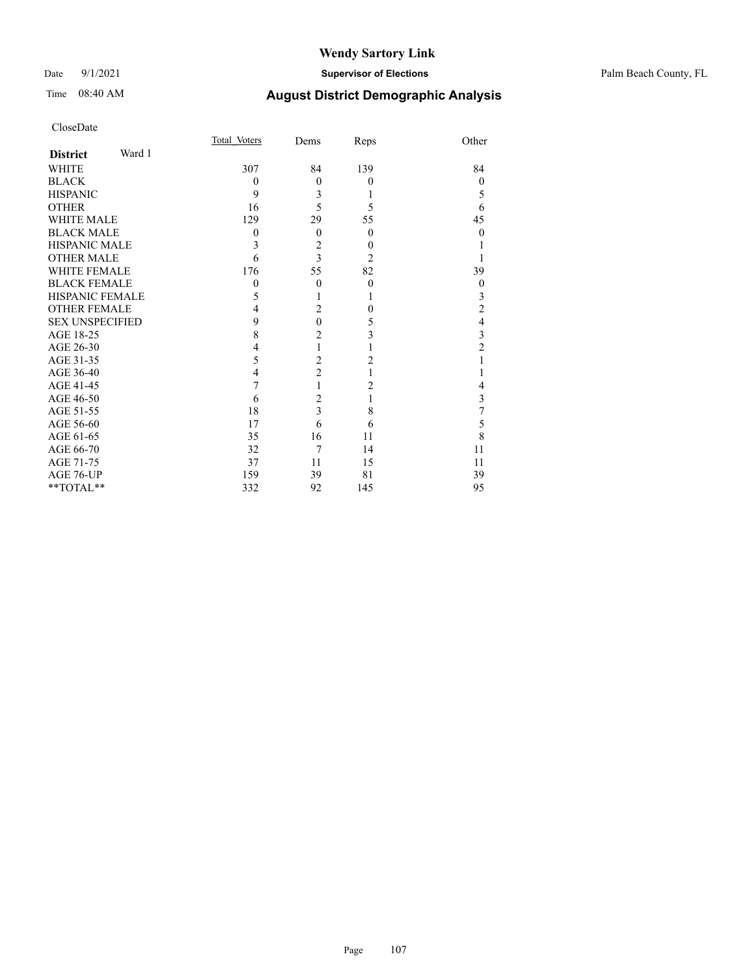### Date 9/1/2021 **Supervisor of Elections** Palm Beach County, FL

| CloseDate |
|-----------|
|-----------|

|                        |        | Total Voters | Dems           | Reps           | Other          |
|------------------------|--------|--------------|----------------|----------------|----------------|
| <b>District</b>        | Ward 1 |              |                |                |                |
| WHITE                  |        | 307          | 84             | 139            | 84             |
| BLACK                  |        | $\Omega$     | $\overline{0}$ | $\theta$       | $\mathbf{0}$   |
| <b>HISPANIC</b>        |        | 9            | 3              | 1              | 5              |
| OTHER                  |        | 16           | 5              | 5              | 6              |
| WHITE MALE             |        | 129          | 29             | 55             | 45             |
| <b>BLACK MALE</b>      |        | $\Omega$     | $\theta$       | $\theta$       | $\theta$       |
| HISPANIC MALE          |        | 3            | $\overline{c}$ | $\theta$       |                |
| OTHER MALE             |        | 6            | 3              | $\overline{2}$ |                |
| WHITE FEMALE           |        | 176          | 55             | 82             | 39             |
| <b>BLACK FEMALE</b>    |        | $\theta$     | $\Omega$       | $\theta$       | $\mathbf{0}$   |
| HISPANIC FEMALE        |        | 5            |                | 1              | 3              |
| <b>OTHER FEMALE</b>    |        | 4            | $\overline{2}$ | $\theta$       | $\overline{c}$ |
| <b>SEX UNSPECIFIED</b> |        | 9            | $\overline{0}$ | 5              | 4              |
| AGE 18-25              |        | 8            | $\overline{c}$ | 3              | 3              |
| AGE 26-30              |        | 4            | 1              |                | 2              |
| AGE 31-35              |        | 5            | $\overline{c}$ | 2              |                |
| AGE 36-40              |        | 4            | $\overline{c}$ |                |                |
| AGE 41-45              |        | 7            | 1              | 2              | 4              |
| AGE 46-50              |        | 6            | $\overline{c}$ | 1              | 3              |
| AGE 51-55              |        | 18           | 3              | 8              | 7              |
| AGE 56-60              |        | 17           | 6              | 6              | 5              |
| AGE 61-65              |        | 35           | 16             | 11             | 8              |
| AGE 66-70              |        | 32           | 7              | 14             | 11             |
| AGE 71-75              |        | 37           | 11             | 15             | 11             |
| AGE 76-UP              |        | 159          | 39             | 81             | 39             |
| $*$ TOTAL $**$         |        | 332          | 92             | 145            | 95             |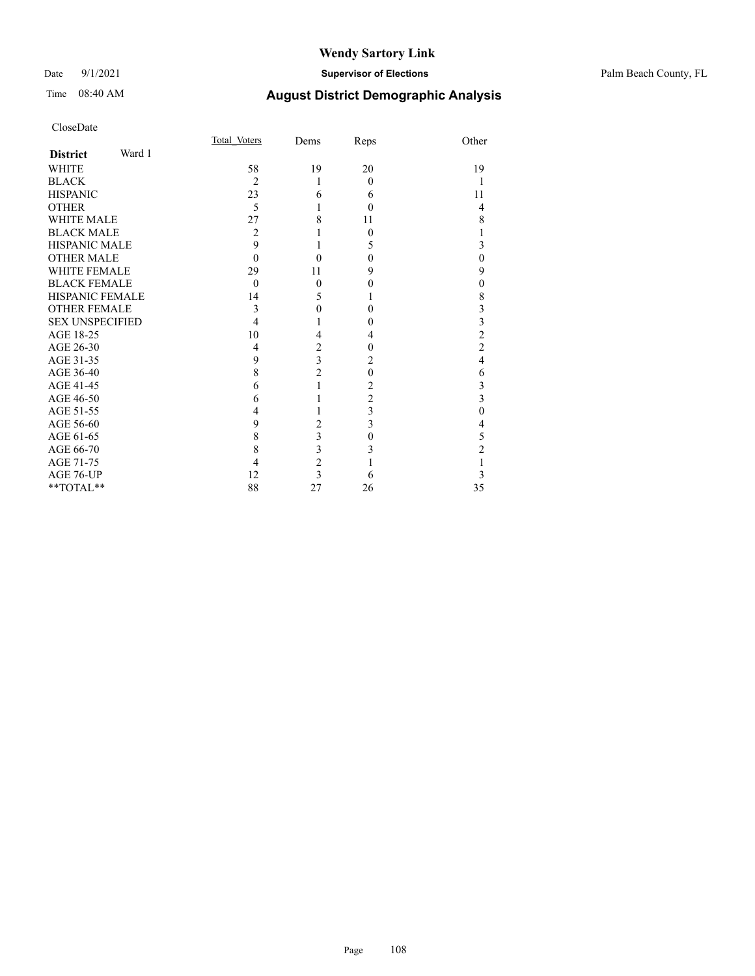### Date 9/1/2021 **Supervisor of Elections** Palm Beach County, FL

| CloseDate              |        |                |                         |                |                         |
|------------------------|--------|----------------|-------------------------|----------------|-------------------------|
|                        |        | Total Voters   | Dems                    | Reps           | Other                   |
| <b>District</b>        | Ward 1 |                |                         |                |                         |
| <b>WHITE</b>           |        | 58             | 19                      | 20             | 19                      |
| <b>BLACK</b>           |        | $\overline{2}$ | 1                       | $\theta$       | 1                       |
| <b>HISPANIC</b>        |        | 23             | 6                       | 6              | 11                      |
| <b>OTHER</b>           |        | 5              |                         | $\theta$       | 4                       |
| <b>WHITE MALE</b>      |        | 27             | 8                       | 11             | 8                       |
| <b>BLACK MALE</b>      |        | 2              |                         | 0              | 1                       |
| <b>HISPANIC MALE</b>   |        | 9              |                         | 5              | 3                       |
| <b>OTHER MALE</b>      |        | $\theta$       | 0                       | 0              | $\mathbf{0}$            |
| <b>WHITE FEMALE</b>    |        | 29             | 11                      | 9              | 9                       |
| <b>BLACK FEMALE</b>    |        | $\theta$       | $\mathbf{0}$            | 0              | $\boldsymbol{0}$        |
| <b>HISPANIC FEMALE</b> |        | 14             | 5                       | 1              | $\,$ 8 $\,$             |
| <b>OTHER FEMALE</b>    |        | 3              | $\mathbf{0}$            | $\theta$       | 3                       |
| <b>SEX UNSPECIFIED</b> |        | 4              |                         | 0              | $\frac{3}{2}$           |
| AGE 18-25              |        | 10             | 4                       | 4              |                         |
| AGE 26-30              |        | 4              | $\overline{c}$          | $\theta$       | $\overline{c}$          |
| AGE 31-35              |        | 9              | $\overline{\mathbf{3}}$ | 2              | $\overline{4}$          |
| AGE 36-40              |        | 8              | $\overline{c}$          | $\theta$       | 6                       |
| AGE 41-45              |        | 6              | 1                       | 2              | 3                       |
| AGE 46-50              |        | 6              |                         | $\overline{c}$ | $\overline{\mathbf{3}}$ |
| AGE 51-55              |        | 4              |                         | 3              | $\mathbf{0}$            |
| AGE 56-60              |        | 9              | $\overline{2}$          | 3              | $\overline{4}$          |
| AGE 61-65              |        | 8              | 3                       | $\theta$       | 5                       |
| AGE 66-70              |        | 8              | 3                       | 3              | $\overline{c}$          |
| AGE 71-75              |        | 4              | $\overline{c}$          |                | $\mathbf{1}$            |
| AGE 76-UP              |        | 12             | 3                       | 6              | 3                       |
| **TOTAL**              |        | 88             | 27                      | 26             | 35                      |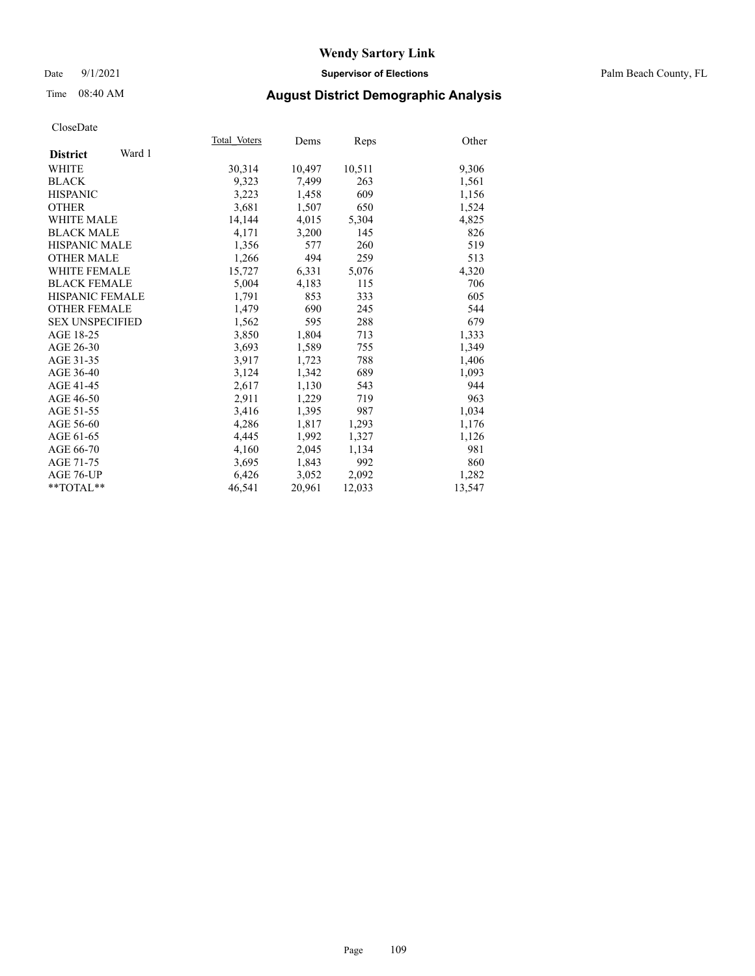#### Date 9/1/2021 **Supervisor of Elections** Palm Beach County, FL

## Time 08:40 AM **August District Demographic Analysis**

|                           | Total Voters | Dems   | Reps   | Other  |
|---------------------------|--------------|--------|--------|--------|
| Ward 1<br><b>District</b> |              |        |        |        |
| WHITE                     | 30,314       | 10,497 | 10,511 | 9,306  |
| <b>BLACK</b>              | 9,323        | 7,499  | 263    | 1,561  |
| <b>HISPANIC</b>           | 3,223        | 1,458  | 609    | 1,156  |
| <b>OTHER</b>              | 3,681        | 1,507  | 650    | 1,524  |
| <b>WHITE MALE</b>         | 14,144       | 4,015  | 5,304  | 4,825  |
| <b>BLACK MALE</b>         | 4,171        | 3,200  | 145    | 826    |
| <b>HISPANIC MALE</b>      | 1,356        | 577    | 260    | 519    |
| <b>OTHER MALE</b>         | 1,266        | 494    | 259    | 513    |
| <b>WHITE FEMALE</b>       | 15,727       | 6,331  | 5,076  | 4,320  |
| <b>BLACK FEMALE</b>       | 5.004        | 4,183  | 115    | 706    |
| HISPANIC FEMALE           | 1,791        | 853    | 333    | 605    |
| <b>OTHER FEMALE</b>       | 1,479        | 690    | 245    | 544    |
| <b>SEX UNSPECIFIED</b>    | 1,562        | 595    | 288    | 679    |
| AGE 18-25                 | 3,850        | 1,804  | 713    | 1,333  |
| AGE 26-30                 | 3,693        | 1,589  | 755    | 1,349  |
| AGE 31-35                 | 3,917        | 1,723  | 788    | 1,406  |
| AGE 36-40                 | 3,124        | 1,342  | 689    | 1,093  |
| AGE 41-45                 | 2,617        | 1,130  | 543    | 944    |
| AGE 46-50                 | 2,911        | 1,229  | 719    | 963    |
| AGE 51-55                 | 3,416        | 1,395  | 987    | 1,034  |
| AGE 56-60                 | 4,286        | 1,817  | 1,293  | 1,176  |
| AGE 61-65                 | 4,445        | 1,992  | 1,327  | 1,126  |
| AGE 66-70                 | 4,160        | 2,045  | 1,134  | 981    |
| AGE 71-75                 | 3,695        | 1,843  | 992    | 860    |
| AGE 76-UP                 | 6,426        | 3,052  | 2,092  | 1,282  |
| $*$ $TOTAL**$             | 46,541       | 20,961 | 12,033 | 13,547 |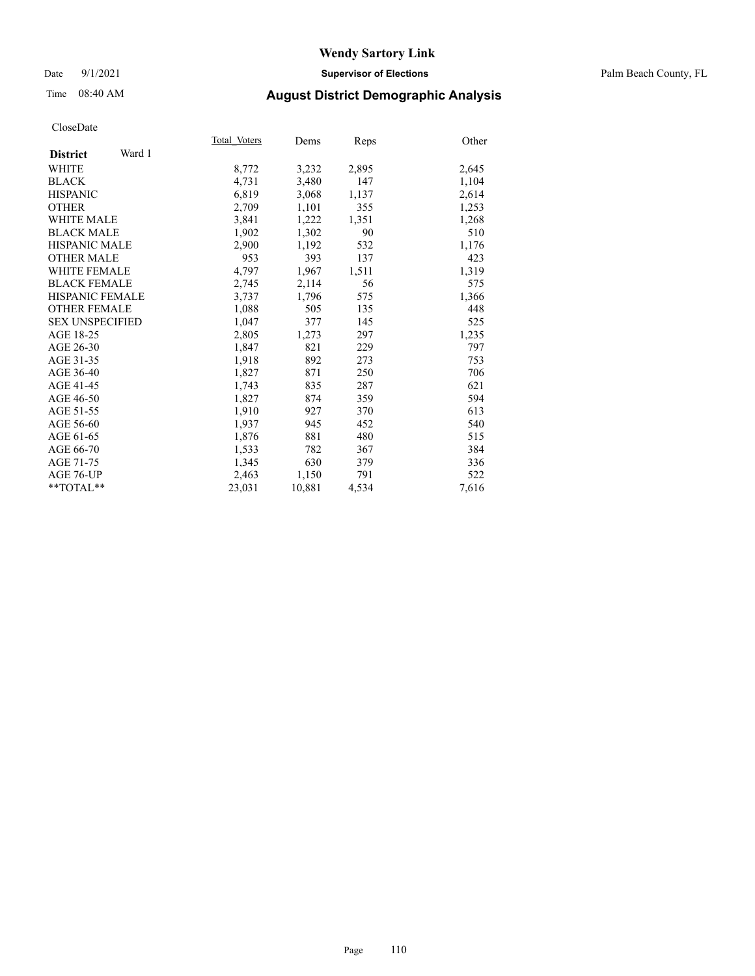#### Date 9/1/2021 **Supervisor of Elections** Palm Beach County, FL

## Time 08:40 AM **August District Demographic Analysis**

|                           | Total Voters | Dems   | <b>Reps</b> | Other |
|---------------------------|--------------|--------|-------------|-------|
| Ward 1<br><b>District</b> |              |        |             |       |
| WHITE                     | 8,772        | 3,232  | 2,895       | 2,645 |
| <b>BLACK</b>              | 4,731        | 3,480  | 147         | 1,104 |
| <b>HISPANIC</b>           | 6,819        | 3,068  | 1,137       | 2,614 |
| <b>OTHER</b>              | 2,709        | 1,101  | 355         | 1,253 |
| <b>WHITE MALE</b>         | 3,841        | 1,222  | 1,351       | 1,268 |
| <b>BLACK MALE</b>         | 1,902        | 1,302  | 90          | 510   |
| <b>HISPANIC MALE</b>      | 2,900        | 1,192  | 532         | 1,176 |
| <b>OTHER MALE</b>         | 953          | 393    | 137         | 423   |
| <b>WHITE FEMALE</b>       | 4,797        | 1,967  | 1,511       | 1,319 |
| <b>BLACK FEMALE</b>       | 2,745        | 2,114  | 56          | 575   |
| <b>HISPANIC FEMALE</b>    | 3,737        | 1,796  | 575         | 1,366 |
| <b>OTHER FEMALE</b>       | 1,088        | 505    | 135         | 448   |
| <b>SEX UNSPECIFIED</b>    | 1,047        | 377    | 145         | 525   |
| AGE 18-25                 | 2,805        | 1,273  | 297         | 1,235 |
| AGE 26-30                 | 1,847        | 821    | 229         | 797   |
| AGE 31-35                 | 1,918        | 892    | 273         | 753   |
| AGE 36-40                 | 1,827        | 871    | 250         | 706   |
| AGE 41-45                 | 1,743        | 835    | 287         | 621   |
| AGE 46-50                 | 1,827        | 874    | 359         | 594   |
| AGE 51-55                 | 1,910        | 927    | 370         | 613   |
| AGE 56-60                 | 1,937        | 945    | 452         | 540   |
| AGE 61-65                 | 1,876        | 881    | 480         | 515   |
| AGE 66-70                 | 1,533        | 782    | 367         | 384   |
| AGE 71-75                 | 1,345        | 630    | 379         | 336   |
| AGE 76-UP                 | 2,463        | 1,150  | 791         | 522   |
| $*$ $TOTAL**$             | 23,031       | 10,881 | 4,534       | 7,616 |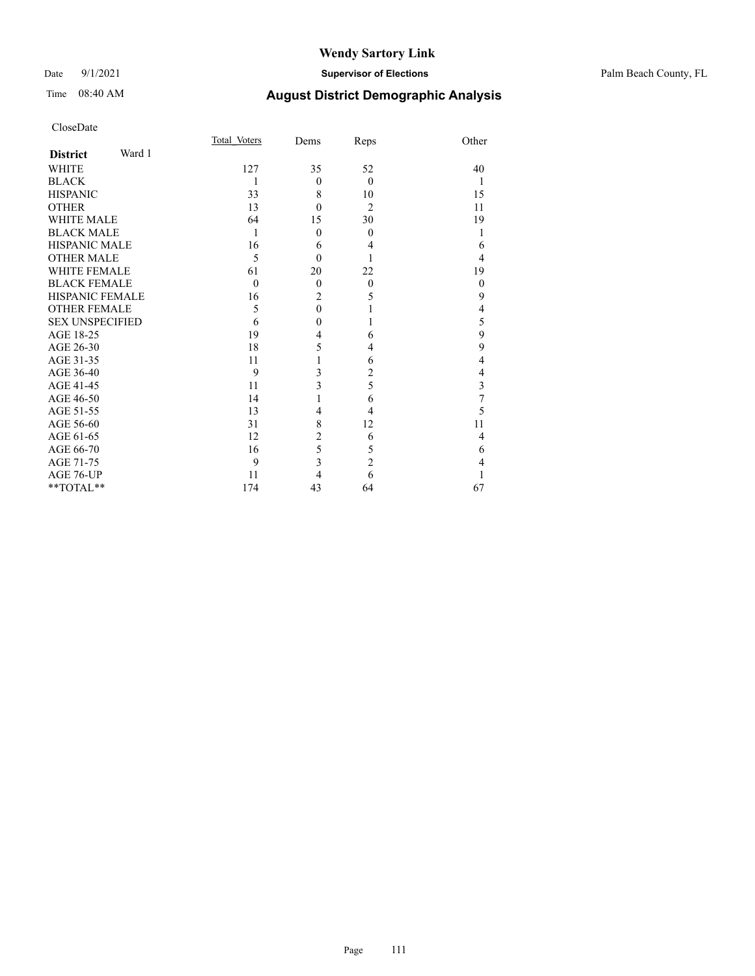#### Date 9/1/2021 **Supervisor of Elections** Palm Beach County, FL

| CloseDate              |        |                |                  |                |                         |
|------------------------|--------|----------------|------------------|----------------|-------------------------|
|                        |        | Total Voters   | Dems             | Reps           | Other                   |
| <b>District</b>        | Ward 1 |                |                  |                |                         |
| WHITE                  |        | 127            | 35               | 52             | 40                      |
| <b>BLACK</b>           |        | 1              | $\theta$         | $\Omega$       | 1                       |
| <b>HISPANIC</b>        |        | 33             | 8                | 10             | 15                      |
| <b>OTHER</b>           |        | 13             | $\theta$         | $\overline{2}$ | 11                      |
| <b>WHITE MALE</b>      |        | 64             | 15               | 30             | 19                      |
| <b>BLACK MALE</b>      |        | 1              | $\theta$         | $\theta$       | 1                       |
| <b>HISPANIC MALE</b>   |        | 16             | 6                | 4              | 6                       |
| <b>OTHER MALE</b>      |        | 5              | $\theta$         |                | 4                       |
| <b>WHITE FEMALE</b>    |        | 61             | 20               | 22             | 19                      |
| <b>BLACK FEMALE</b>    |        | $\overline{0}$ | $\theta$         | $\theta$       | $\boldsymbol{0}$        |
| <b>HISPANIC FEMALE</b> |        | 16             | $\overline{2}$   | 5              | 9                       |
| <b>OTHER FEMALE</b>    |        | 5              | $\boldsymbol{0}$ |                | $\overline{\mathbf{4}}$ |
| <b>SEX UNSPECIFIED</b> |        | 6              | $\mathbf{0}$     |                | 5                       |
| AGE 18-25              |        | 19             | 4                | 6              | 9                       |
| AGE 26-30              |        | 18             | 5                | 4              | 9                       |
| AGE 31-35              |        | 11             | 1                | 6              | $\overline{4}$          |
| AGE 36-40              |        | 9              | 3                | 2              | 4                       |
| AGE 41-45              |        | 11             | 3                | 5              | $\overline{\mathbf{3}}$ |
| AGE 46-50              |        | 14             | 1                | 6              | $\overline{7}$          |
| AGE 51-55              |        | 13             | 4                | 4              | 5                       |
| AGE 56-60              |        | 31             | 8                | 12             | 11                      |
| AGE 61-65              |        | 12             | $\overline{c}$   | 6              | 4                       |
| AGE 66-70              |        | 16             | 5                | 5              | 6                       |
| AGE 71-75              |        | 9              | $\overline{3}$   | $\overline{c}$ | 4                       |
| AGE 76-UP              |        | 11             | $\overline{4}$   | 6              | 1                       |
| **TOTAL**              |        | 174            | 43               | 64             | 67                      |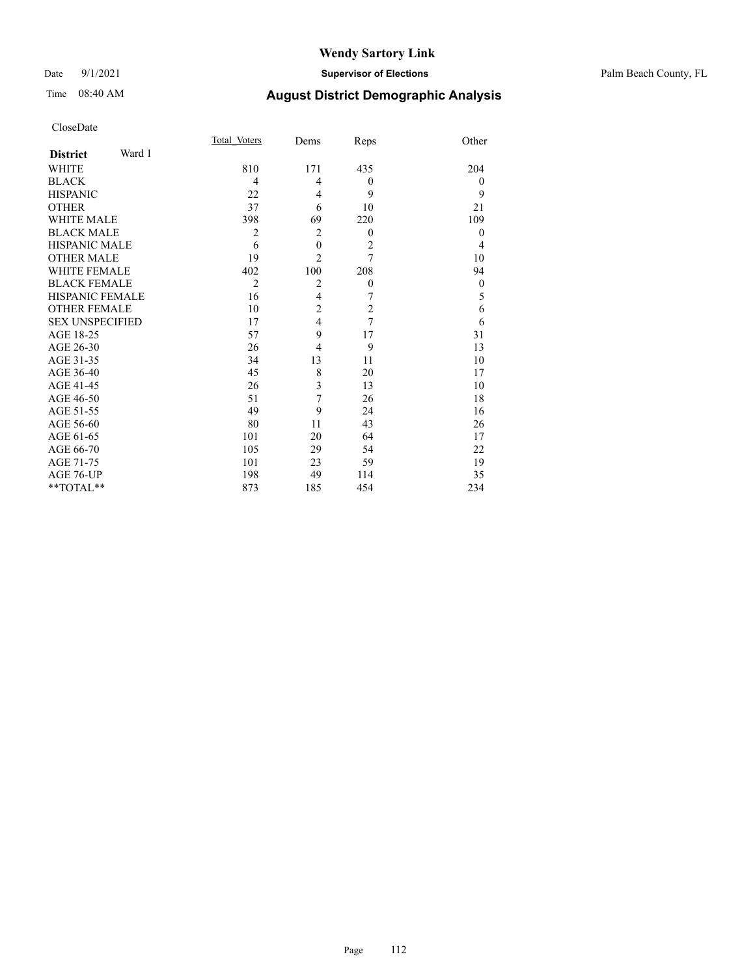#### Date 9/1/2021 **Supervisor of Elections** Palm Beach County, FL

| CloseDate |
|-----------|
|-----------|

|                        |        | Total Voters   | Dems           | Reps             | Other            |
|------------------------|--------|----------------|----------------|------------------|------------------|
| <b>District</b>        | Ward 1 |                |                |                  |                  |
| <b>WHITE</b>           |        | 810            | 171            | 435              | 204              |
| <b>BLACK</b>           |        | 4              | 4              | $\theta$         | $\overline{0}$   |
| <b>HISPANIC</b>        |        | 22             | 4              | 9                | 9                |
| <b>OTHER</b>           |        | 37             | 6              | 10               | 21               |
| <b>WHITE MALE</b>      |        | 398            | 69             | 220              | 109              |
| <b>BLACK MALE</b>      |        | 2              | $\overline{2}$ | $\theta$         | $\theta$         |
| <b>HISPANIC MALE</b>   |        | 6              | $\mathbf{0}$   | $\overline{2}$   | 4                |
| <b>OTHER MALE</b>      |        | 19             | $\overline{2}$ | $\overline{7}$   | 10               |
| <b>WHITE FEMALE</b>    |        | 402            | 100            | 208              | 94               |
| <b>BLACK FEMALE</b>    |        | $\overline{2}$ | $\overline{2}$ | $\boldsymbol{0}$ | $\boldsymbol{0}$ |
| HISPANIC FEMALE        |        | 16             | 4              | 7                | 5                |
| <b>OTHER FEMALE</b>    |        | 10             | $\overline{c}$ | $\overline{c}$   | 6                |
| <b>SEX UNSPECIFIED</b> |        | 17             | $\overline{4}$ | $\overline{7}$   | 6                |
| AGE 18-25              |        | 57             | 9              | 17               | 31               |
| AGE 26-30              |        | 26             | $\overline{4}$ | 9                | 13               |
| AGE 31-35              |        | 34             | 13             | 11               | 10               |
| AGE 36-40              |        | 45             | 8              | 20               | 17               |
| AGE 41-45              |        | 26             | 3              | 13               | 10               |
| AGE 46-50              |        | 51             | 7              | 26               | 18               |
| AGE 51-55              |        | 49             | 9              | 24               | 16               |
| AGE 56-60              |        | 80             | 11             | 43               | 26               |
| AGE 61-65              |        | 101            | 20             | 64               | 17               |
| AGE 66-70              |        | 105            | 29             | 54               | 22               |
| AGE 71-75              |        | 101            | 23             | 59               | 19               |
| AGE 76-UP              |        | 198            | 49             | 114              | 35               |
| **TOTAL**              |        | 873            | 185            | 454              | 234              |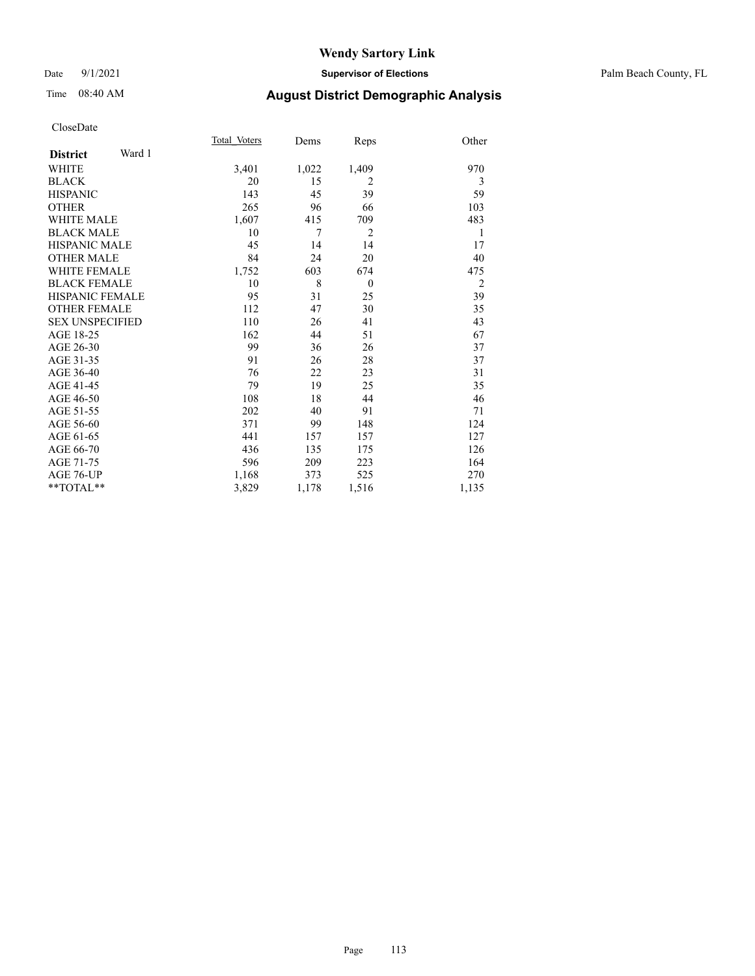#### Date 9/1/2021 **Supervisor of Elections** Palm Beach County, FL

# Time 08:40 AM **August District Demographic Analysis**

|                        |        | Total Voters | Dems  | Reps           | Other          |
|------------------------|--------|--------------|-------|----------------|----------------|
| <b>District</b>        | Ward 1 |              |       |                |                |
| <b>WHITE</b>           |        | 3,401        | 1,022 | 1,409          | 970            |
| <b>BLACK</b>           |        | 20           | 15    | $\overline{2}$ | 3              |
| <b>HISPANIC</b>        |        | 143          | 45    | 39             | 59             |
| <b>OTHER</b>           |        | 265          | 96    | 66             | 103            |
| <b>WHITE MALE</b>      |        | 1,607        | 415   | 709            | 483            |
| <b>BLACK MALE</b>      |        | 10           | 7     | $\overline{2}$ | 1              |
| <b>HISPANIC MALE</b>   |        | 45           | 14    | 14             | 17             |
| <b>OTHER MALE</b>      |        | 84           | 24    | 20             | 40             |
| <b>WHITE FEMALE</b>    |        | 1,752        | 603   | 674            | 475            |
| <b>BLACK FEMALE</b>    |        | 10           | 8     | $\theta$       | $\overline{2}$ |
| <b>HISPANIC FEMALE</b> |        | 95           | 31    | 25             | 39             |
| <b>OTHER FEMALE</b>    |        | 112          | 47    | 30             | 35             |
| <b>SEX UNSPECIFIED</b> |        | 110          | 26    | 41             | 43             |
| AGE 18-25              |        | 162          | 44    | 51             | 67             |
| AGE 26-30              |        | 99           | 36    | 26             | 37             |
| AGE 31-35              |        | 91           | 26    | 28             | 37             |
| AGE 36-40              |        | 76           | 22    | 23             | 31             |
| AGE 41-45              |        | 79           | 19    | 25             | 35             |
| AGE 46-50              |        | 108          | 18    | 44             | 46             |
| AGE 51-55              |        | 202          | 40    | 91             | 71             |
| AGE 56-60              |        | 371          | 99    | 148            | 124            |
| AGE 61-65              |        | 441          | 157   | 157            | 127            |
| AGE 66-70              |        | 436          | 135   | 175            | 126            |
| AGE 71-75              |        | 596          | 209   | 223            | 164            |
| AGE 76-UP              |        | 1,168        | 373   | 525            | 270            |
| **TOTAL**              |        | 3,829        | 1,178 | 1,516          | 1,135          |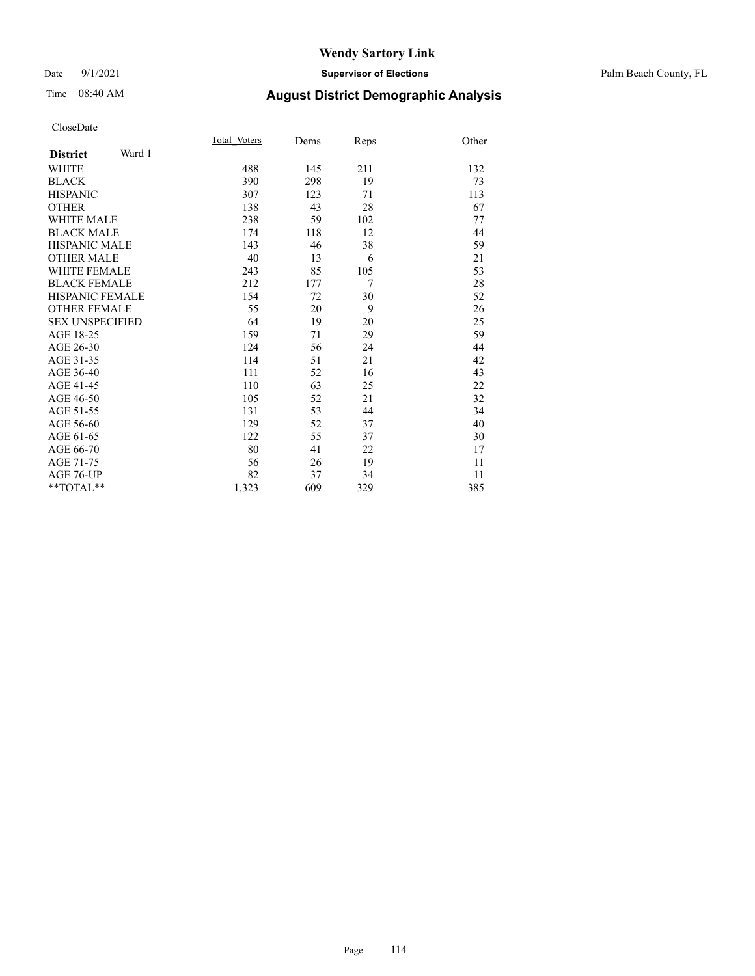#### Date 9/1/2021 **Supervisor of Elections** Palm Beach County, FL

# Time 08:40 AM **August District Demographic Analysis**

|                           | Total Voters | Dems | Reps | Other |
|---------------------------|--------------|------|------|-------|
| Ward 1<br><b>District</b> |              |      |      |       |
| <b>WHITE</b>              | 488          | 145  | 211  | 132   |
| <b>BLACK</b>              | 390          | 298  | 19   | 73    |
| <b>HISPANIC</b>           | 307          | 123  | 71   | 113   |
| <b>OTHER</b>              | 138          | 43   | 28   | 67    |
| <b>WHITE MALE</b>         | 238          | 59   | 102  | 77    |
| <b>BLACK MALE</b>         | 174          | 118  | 12   | 44    |
| <b>HISPANIC MALE</b>      | 143          | 46   | 38   | 59    |
| <b>OTHER MALE</b>         | 40           | 13   | 6    | 21    |
| <b>WHITE FEMALE</b>       | 243          | 85   | 105  | 53    |
| <b>BLACK FEMALE</b>       | 212          | 177  | 7    | 28    |
| HISPANIC FEMALE           | 154          | 72   | 30   | 52    |
| <b>OTHER FEMALE</b>       | 55           | 20   | 9    | 26    |
| <b>SEX UNSPECIFIED</b>    | 64           | 19   | 20   | 25    |
| AGE 18-25                 | 159          | 71   | 29   | 59    |
| AGE 26-30                 | 124          | 56   | 24   | 44    |
| AGE 31-35                 | 114          | 51   | 21   | 42    |
| AGE 36-40                 | 111          | 52   | 16   | 43    |
| AGE 41-45                 | 110          | 63   | 25   | 22    |
| AGE 46-50                 | 105          | 52   | 21   | 32    |
| AGE 51-55                 | 131          | 53   | 44   | 34    |
| AGE 56-60                 | 129          | 52   | 37   | 40    |
| AGE 61-65                 | 122          | 55   | 37   | 30    |
| AGE 66-70                 | 80           | 41   | 22   | 17    |
| AGE 71-75                 | 56           | 26   | 19   | 11    |
| AGE 76-UP                 | 82           | 37   | 34   | 11    |
| $*$ $TOTAL**$             | 1,323        | 609  | 329  | 385   |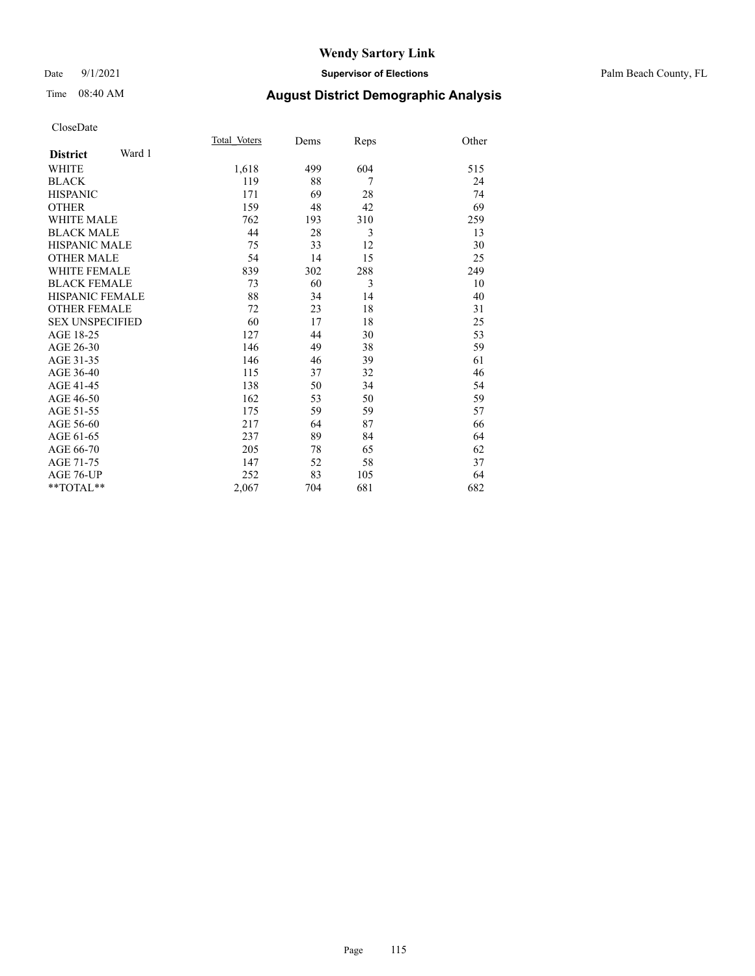#### Date 9/1/2021 **Supervisor of Elections** Palm Beach County, FL

# Time 08:40 AM **August District Demographic Analysis**

|                        |        | Total Voters | Dems | Reps           | Other |
|------------------------|--------|--------------|------|----------------|-------|
| <b>District</b>        | Ward 1 |              |      |                |       |
| WHITE                  |        | 1,618        | 499  | 604            | 515   |
| <b>BLACK</b>           |        | 119          | 88   | $\overline{7}$ | 24    |
| <b>HISPANIC</b>        |        | 171          | 69   | 28             | 74    |
| <b>OTHER</b>           |        | 159          | 48   | 42             | 69    |
| <b>WHITE MALE</b>      |        | 762          | 193  | 310            | 259   |
| <b>BLACK MALE</b>      |        | 44           | 28   | 3              | 13    |
| <b>HISPANIC MALE</b>   |        | 75           | 33   | 12             | 30    |
| <b>OTHER MALE</b>      |        | 54           | 14   | 15             | 25    |
| <b>WHITE FEMALE</b>    |        | 839          | 302  | 288            | 249   |
| <b>BLACK FEMALE</b>    |        | 73           | 60   | 3              | 10    |
| <b>HISPANIC FEMALE</b> |        | 88           | 34   | 14             | 40    |
| <b>OTHER FEMALE</b>    |        | 72           | 23   | 18             | 31    |
| <b>SEX UNSPECIFIED</b> |        | 60           | 17   | 18             | 25    |
| AGE 18-25              |        | 127          | 44   | 30             | 53    |
| AGE 26-30              |        | 146          | 49   | 38             | 59    |
| AGE 31-35              |        | 146          | 46   | 39             | 61    |
| AGE 36-40              |        | 115          | 37   | 32             | 46    |
| AGE 41-45              |        | 138          | 50   | 34             | 54    |
| AGE 46-50              |        | 162          | 53   | 50             | 59    |
| AGE 51-55              |        | 175          | 59   | 59             | 57    |
| AGE 56-60              |        | 217          | 64   | 87             | 66    |
| AGE 61-65              |        | 237          | 89   | 84             | 64    |
| AGE 66-70              |        | 205          | 78   | 65             | 62    |
| AGE 71-75              |        | 147          | 52   | 58             | 37    |
| AGE 76-UP              |        | 252          | 83   | 105            | 64    |
| $*$ $TOTAL**$          |        | 2,067        | 704  | 681            | 682   |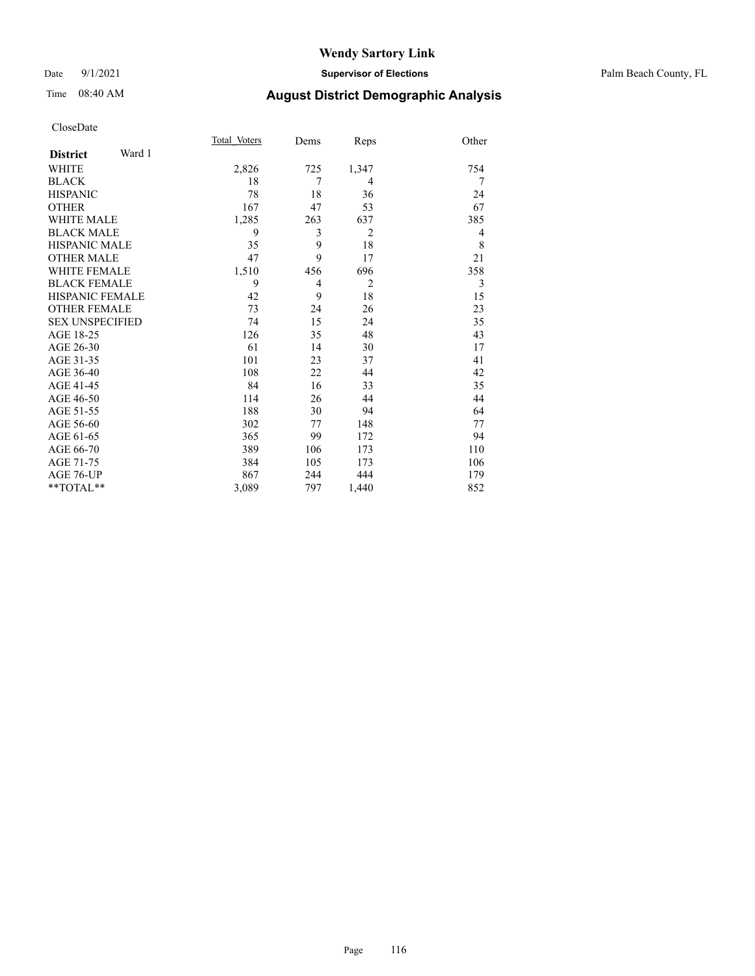#### Date 9/1/2021 **Supervisor of Elections** Palm Beach County, FL

# Time 08:40 AM **August District Demographic Analysis**

|                        |        | Total Voters | Dems | Reps           | Other |
|------------------------|--------|--------------|------|----------------|-------|
| <b>District</b>        | Ward 1 |              |      |                |       |
| WHITE                  |        | 2,826        | 725  | 1,347          | 754   |
| <b>BLACK</b>           |        | 18           | 7    | 4              | 7     |
| <b>HISPANIC</b>        |        | 78           | 18   | 36             | 24    |
| <b>OTHER</b>           |        | 167          | 47   | 53             | 67    |
| <b>WHITE MALE</b>      |        | 1,285        | 263  | 637            | 385   |
| <b>BLACK MALE</b>      |        | 9            | 3    | $\overline{2}$ | 4     |
| <b>HISPANIC MALE</b>   |        | 35           | 9    | 18             | 8     |
| <b>OTHER MALE</b>      |        | 47           | 9    | 17             | 21    |
| <b>WHITE FEMALE</b>    |        | 1,510        | 456  | 696            | 358   |
| <b>BLACK FEMALE</b>    |        | 9            | 4    | $\overline{2}$ | 3     |
| HISPANIC FEMALE        |        | 42           | 9    | 18             | 15    |
| <b>OTHER FEMALE</b>    |        | 73           | 24   | 26             | 23    |
| <b>SEX UNSPECIFIED</b> |        | 74           | 15   | 24             | 35    |
| AGE 18-25              |        | 126          | 35   | 48             | 43    |
| AGE 26-30              |        | 61           | 14   | 30             | 17    |
| AGE 31-35              |        | 101          | 23   | 37             | 41    |
| AGE 36-40              |        | 108          | 22   | 44             | 42    |
| AGE 41-45              |        | 84           | 16   | 33             | 35    |
| AGE 46-50              |        | 114          | 26   | 44             | 44    |
| AGE 51-55              |        | 188          | 30   | 94             | 64    |
| AGE 56-60              |        | 302          | 77   | 148            | 77    |
| AGE 61-65              |        | 365          | 99   | 172            | 94    |
| AGE 66-70              |        | 389          | 106  | 173            | 110   |
| AGE 71-75              |        | 384          | 105  | 173            | 106   |
| AGE 76-UP              |        | 867          | 244  | 444            | 179   |
| $*$ $TOTAL**$          |        | 3,089        | 797  | 1,440          | 852   |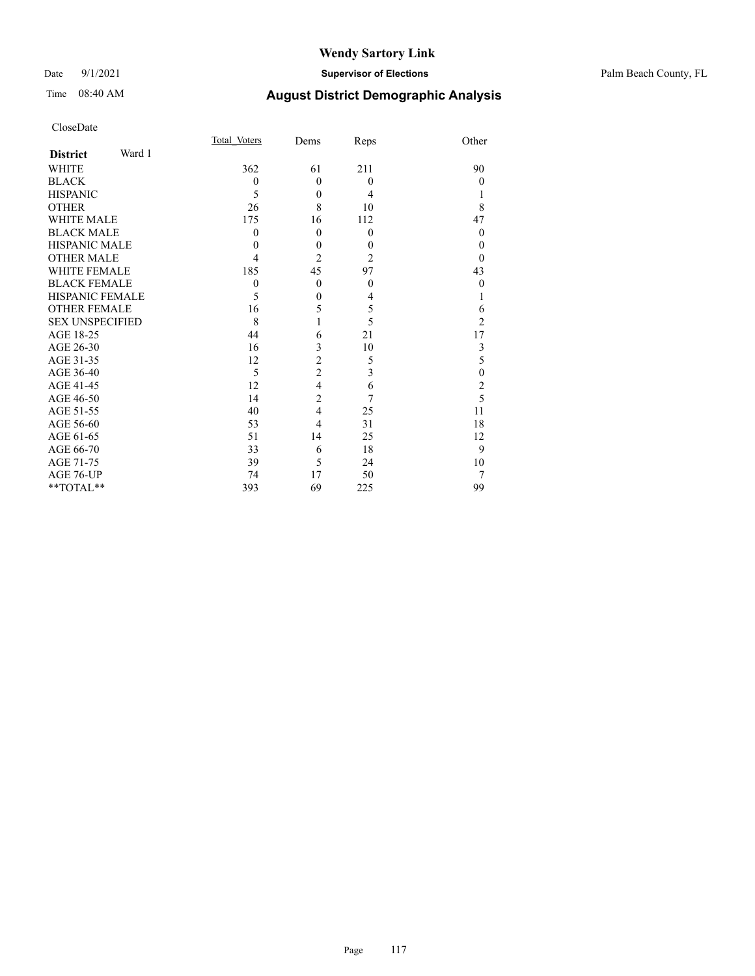#### Date 9/1/2021 **Supervisor of Elections** Palm Beach County, FL

| CloseDate |
|-----------|
|-----------|

|                        |        | Total Voters | Dems             | Reps           | Other            |
|------------------------|--------|--------------|------------------|----------------|------------------|
| <b>District</b>        | Ward 1 |              |                  |                |                  |
| WHITE                  |        | 362          | 61               | 211            | 90               |
| BLACK                  |        | $\mathbf{0}$ | $\theta$         | $\mathbf{0}$   | $\Omega$         |
| HISPANIC               |        | 5            | $\mathbf{0}$     | $\overline{4}$ |                  |
| OTHER                  |        | 26           | 8                | 10             | 8                |
| WHITE MALE             |        | 175          | 16               | 112            | 47               |
| <b>BLACK MALE</b>      |        | $\theta$     | $\theta$         | $\mathbf{0}$   | $\Omega$         |
| HISPANIC MALE          |        | $\theta$     | $\mathbf{0}$     | $\mathbf{0}$   | $\theta$         |
| <b>OTHER MALE</b>      |        | 4            | $\overline{2}$   | $\overline{2}$ | $\theta$         |
| WHITE FEMALE           |        | 185          | 45               | 97             | 43               |
| <b>BLACK FEMALE</b>    |        | $\mathbf{0}$ | $\mathbf{0}$     | $\mathbf{0}$   | $\theta$         |
| HISPANIC FEMALE        |        | 5            | $\boldsymbol{0}$ | 4              |                  |
| <b>OTHER FEMALE</b>    |        | 16           | 5                | 5              | 6                |
| <b>SEX UNSPECIFIED</b> |        | 8            |                  | 5              | $\overline{2}$   |
| AGE 18-25              |        | 44           | 6                | 21             | 17               |
| AGE 26-30              |        | 16           | 3                | 10             | 3                |
| AGE 31-35              |        | 12           | $\overline{c}$   | 5              | 5                |
| AGE 36-40              |        | 5            | $\overline{2}$   | 3              | $\boldsymbol{0}$ |
| AGE 41-45              |        | 12           | $\overline{4}$   | 6              | $\overline{2}$   |
| AGE 46-50              |        | 14           | 2                | 7              | 5                |
| AGE 51-55              |        | 40           | 4                | 25             | 11               |
| AGE 56-60              |        | 53           | 4                | 31             | 18               |
| AGE 61-65              |        | 51           | 14               | 25             | 12               |
| AGE 66-70              |        | 33           | 6                | 18             | 9                |
| AGE 71-75              |        | 39           | 5                | 24             | 10               |
| AGE 76-UP              |        | 74           | 17               | 50             |                  |
| $*$ $TOTAL**$          |        | 393          | 69               | 225            | 99               |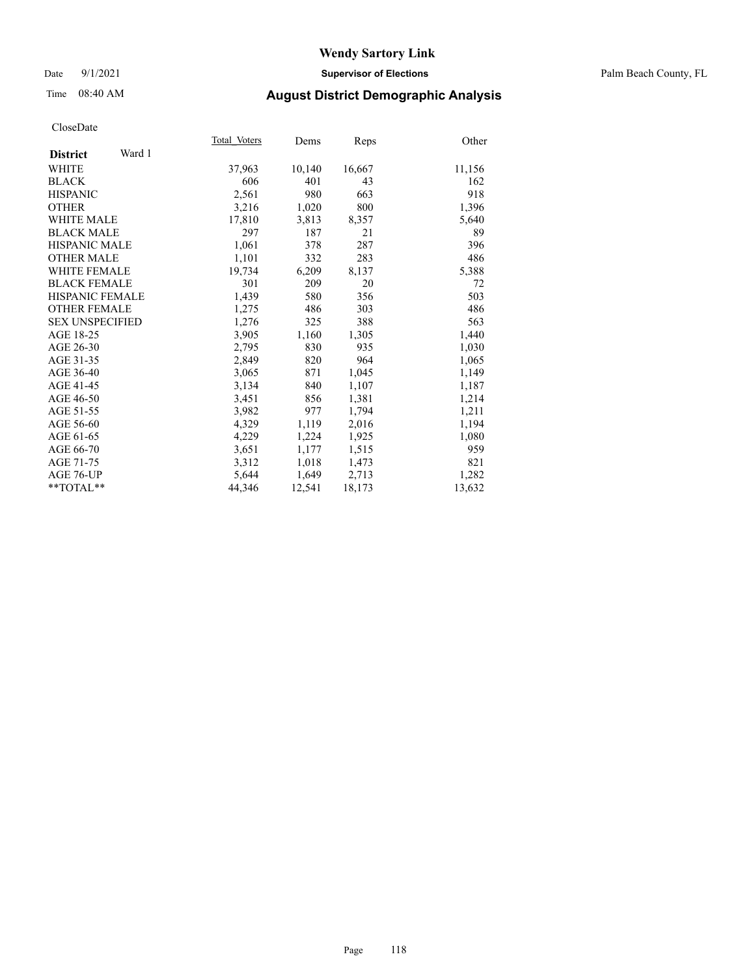#### Date 9/1/2021 **Supervisor of Elections** Palm Beach County, FL

## Time 08:40 AM **August District Demographic Analysis**

|                           | Total Voters | Dems   | <b>Reps</b> | Other  |
|---------------------------|--------------|--------|-------------|--------|
| Ward 1<br><b>District</b> |              |        |             |        |
| WHITE                     | 37,963       | 10,140 | 16,667      | 11,156 |
| <b>BLACK</b>              | 606          | 401    | 43          | 162    |
| <b>HISPANIC</b>           | 2,561        | 980    | 663         | 918    |
| <b>OTHER</b>              | 3,216        | 1,020  | 800         | 1,396  |
| <b>WHITE MALE</b>         | 17,810       | 3,813  | 8,357       | 5,640  |
| <b>BLACK MALE</b>         | 297          | 187    | 21          | 89     |
| <b>HISPANIC MALE</b>      | 1,061        | 378    | 287         | 396    |
| <b>OTHER MALE</b>         | 1,101        | 332    | 283         | 486    |
| <b>WHITE FEMALE</b>       | 19,734       | 6,209  | 8,137       | 5,388  |
| <b>BLACK FEMALE</b>       | 301          | 209    | 20          | 72     |
| <b>HISPANIC FEMALE</b>    | 1,439        | 580    | 356         | 503    |
| <b>OTHER FEMALE</b>       | 1,275        | 486    | 303         | 486    |
| <b>SEX UNSPECIFIED</b>    | 1,276        | 325    | 388         | 563    |
| AGE 18-25                 | 3,905        | 1,160  | 1,305       | 1,440  |
| AGE 26-30                 | 2,795        | 830    | 935         | 1,030  |
| AGE 31-35                 | 2,849        | 820    | 964         | 1,065  |
| AGE 36-40                 | 3,065        | 871    | 1,045       | 1,149  |
| AGE 41-45                 | 3,134        | 840    | 1,107       | 1,187  |
| AGE 46-50                 | 3,451        | 856    | 1,381       | 1,214  |
| AGE 51-55                 | 3,982        | 977    | 1,794       | 1,211  |
| AGE 56-60                 | 4,329        | 1,119  | 2,016       | 1,194  |
| AGE 61-65                 | 4,229        | 1,224  | 1,925       | 1,080  |
| AGE 66-70                 | 3,651        | 1,177  | 1,515       | 959    |
| AGE 71-75                 | 3,312        | 1,018  | 1,473       | 821    |
| AGE 76-UP                 | 5,644        | 1,649  | 2,713       | 1,282  |
| $*$ $TOTAL**$             | 44,346       | 12,541 | 18,173      | 13,632 |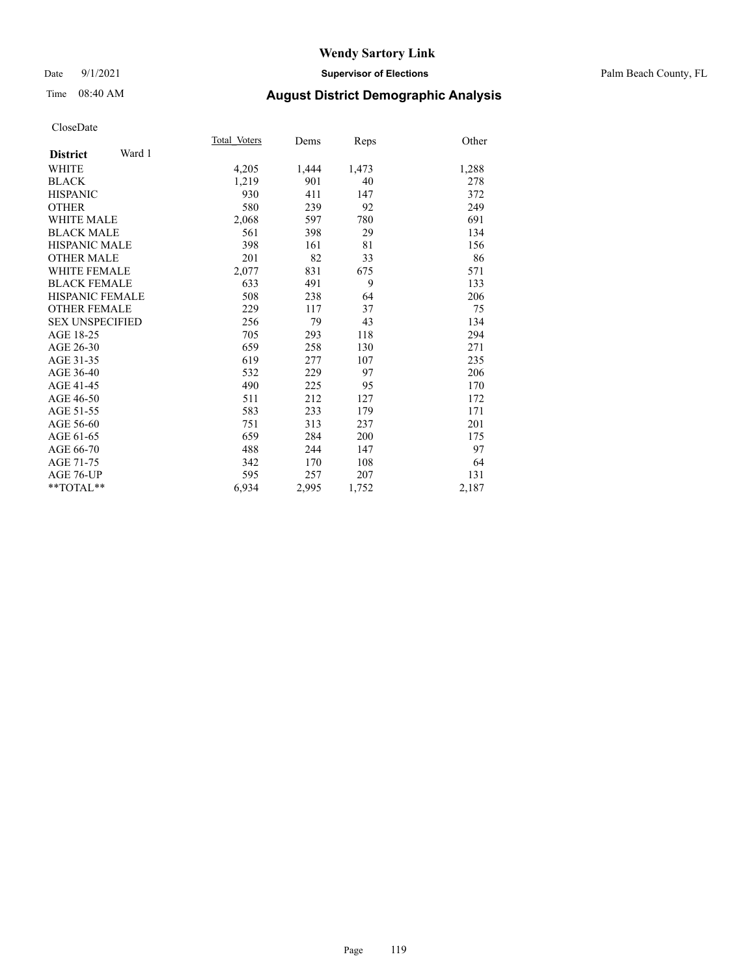#### Date 9/1/2021 **Supervisor of Elections** Palm Beach County, FL

## Time 08:40 AM **August District Demographic Analysis**

|                           | Total Voters | Dems  | Reps  | Other |
|---------------------------|--------------|-------|-------|-------|
| Ward 1<br><b>District</b> |              |       |       |       |
| <b>WHITE</b>              | 4,205        | 1,444 | 1,473 | 1,288 |
| <b>BLACK</b>              | 1,219        | 901   | 40    | 278   |
| <b>HISPANIC</b>           | 930          | 411   | 147   | 372   |
| <b>OTHER</b>              | 580          | 239   | 92    | 249   |
| WHITE MALE                | 2,068        | 597   | 780   | 691   |
| <b>BLACK MALE</b>         | 561          | 398   | 29    | 134   |
| <b>HISPANIC MALE</b>      | 398          | 161   | 81    | 156   |
| <b>OTHER MALE</b>         | 201          | 82    | 33    | 86    |
| <b>WHITE FEMALE</b>       | 2,077        | 831   | 675   | 571   |
| <b>BLACK FEMALE</b>       | 633          | 491   | 9     | 133   |
| <b>HISPANIC FEMALE</b>    | 508          | 238   | 64    | 206   |
| <b>OTHER FEMALE</b>       | 229          | 117   | 37    | 75    |
| <b>SEX UNSPECIFIED</b>    | 256          | 79    | 43    | 134   |
| AGE 18-25                 | 705          | 293   | 118   | 294   |
| AGE 26-30                 | 659          | 258   | 130   | 271   |
| AGE 31-35                 | 619          | 277   | 107   | 235   |
| AGE 36-40                 | 532          | 229   | 97    | 206   |
| AGE 41-45                 | 490          | 225   | 95    | 170   |
| AGE 46-50                 | 511          | 212   | 127   | 172   |
| AGE 51-55                 | 583          | 233   | 179   | 171   |
| AGE 56-60                 | 751          | 313   | 237   | 201   |
| AGE 61-65                 | 659          | 284   | 200   | 175   |
| AGE 66-70                 | 488          | 244   | 147   | 97    |
| AGE 71-75                 | 342          | 170   | 108   | 64    |
| AGE 76-UP                 | 595          | 257   | 207   | 131   |
| $*$ $TOTAL**$             | 6,934        | 2,995 | 1,752 | 2,187 |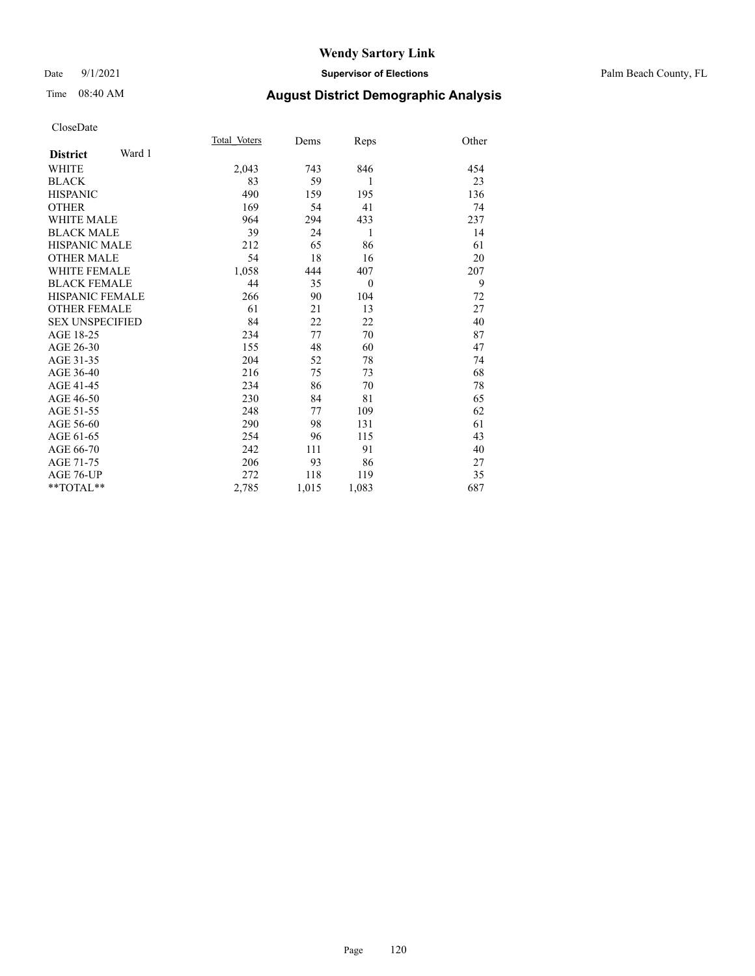#### Date 9/1/2021 **Supervisor of Elections** Palm Beach County, FL

# Time 08:40 AM **August District Demographic Analysis**

|                           | Total Voters | Dems  | Reps     | Other |
|---------------------------|--------------|-------|----------|-------|
| Ward 1<br><b>District</b> |              |       |          |       |
| <b>WHITE</b>              | 2,043        | 743   | 846      | 454   |
| <b>BLACK</b>              | 83           | 59    | 1        | 23    |
| <b>HISPANIC</b>           | 490          | 159   | 195      | 136   |
| <b>OTHER</b>              | 169          | 54    | 41       | 74    |
| <b>WHITE MALE</b>         | 964          | 294   | 433      | 237   |
| <b>BLACK MALE</b>         | 39           | 24    | 1        | 14    |
| <b>HISPANIC MALE</b>      | 212          | 65    | 86       | 61    |
| <b>OTHER MALE</b>         | 54           | 18    | 16       | 20    |
| <b>WHITE FEMALE</b>       | 1,058        | 444   | 407      | 207   |
| <b>BLACK FEMALE</b>       | 44           | 35    | $\theta$ | 9     |
| HISPANIC FEMALE           | 266          | 90    | 104      | 72    |
| <b>OTHER FEMALE</b>       | 61           | 21    | 13       | 27    |
| <b>SEX UNSPECIFIED</b>    | 84           | 22    | 22       | 40    |
| AGE 18-25                 | 234          | 77    | 70       | 87    |
| AGE 26-30                 | 155          | 48    | 60       | 47    |
| AGE 31-35                 | 204          | 52    | 78       | 74    |
| AGE 36-40                 | 216          | 75    | 73       | 68    |
| AGE 41-45                 | 234          | 86    | 70       | 78    |
| AGE 46-50                 | 230          | 84    | 81       | 65    |
| AGE 51-55                 | 248          | 77    | 109      | 62    |
| AGE 56-60                 | 290          | 98    | 131      | 61    |
| AGE 61-65                 | 254          | 96    | 115      | 43    |
| AGE 66-70                 | 242          | 111   | 91       | 40    |
| AGE 71-75                 | 206          | 93    | 86       | 27    |
| AGE 76-UP                 | 272          | 118   | 119      | 35    |
| $*$ $TOTAL**$             | 2,785        | 1,015 | 1,083    | 687   |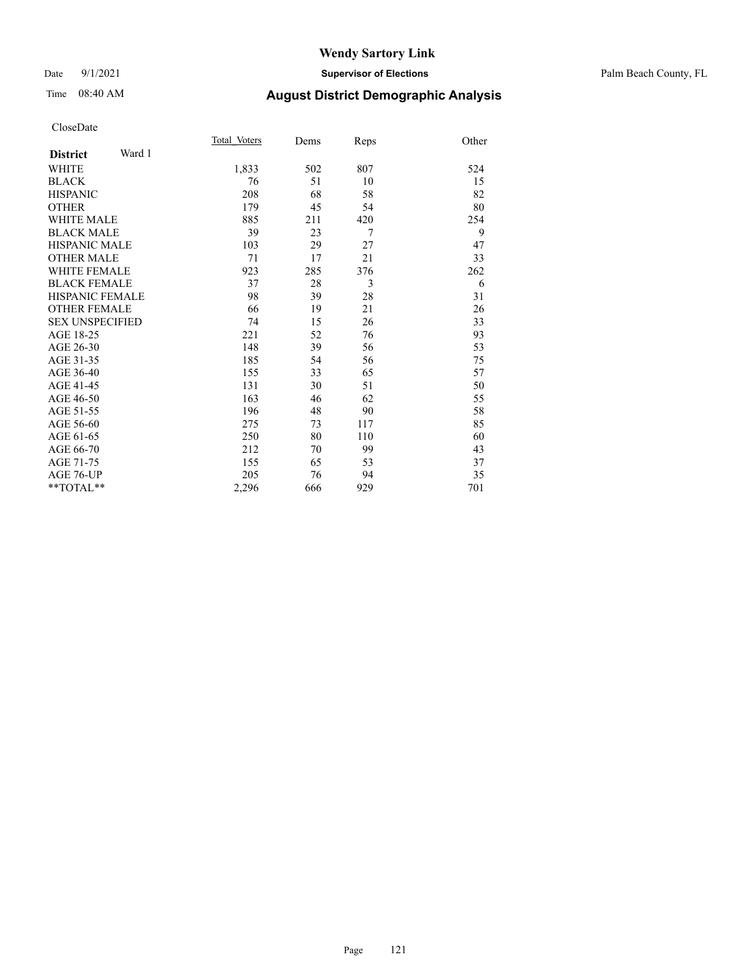#### Date 9/1/2021 **Supervisor of Elections** Palm Beach County, FL

# Time 08:40 AM **August District Demographic Analysis**

|                        |        | Total Voters | Dems | Reps | Other |
|------------------------|--------|--------------|------|------|-------|
| <b>District</b>        | Ward 1 |              |      |      |       |
| <b>WHITE</b>           |        | 1,833        | 502  | 807  | 524   |
| <b>BLACK</b>           |        | 76           | 51   | 10   | 15    |
| <b>HISPANIC</b>        |        | 208          | 68   | 58   | 82    |
| <b>OTHER</b>           |        | 179          | 45   | 54   | 80    |
| <b>WHITE MALE</b>      |        | 885          | 211  | 420  | 254   |
| <b>BLACK MALE</b>      |        | 39           | 23   | 7    | 9     |
| <b>HISPANIC MALE</b>   |        | 103          | 29   | 27   | 47    |
| <b>OTHER MALE</b>      |        | 71           | 17   | 21   | 33    |
| <b>WHITE FEMALE</b>    |        | 923          | 285  | 376  | 262   |
| <b>BLACK FEMALE</b>    |        | 37           | 28   | 3    | 6     |
| HISPANIC FEMALE        |        | 98           | 39   | 28   | 31    |
| <b>OTHER FEMALE</b>    |        | 66           | 19   | 21   | 26    |
| <b>SEX UNSPECIFIED</b> |        | 74           | 15   | 26   | 33    |
| AGE 18-25              |        | 221          | 52   | 76   | 93    |
| AGE 26-30              |        | 148          | 39   | 56   | 53    |
| AGE 31-35              |        | 185          | 54   | 56   | 75    |
| AGE 36-40              |        | 155          | 33   | 65   | 57    |
| AGE 41-45              |        | 131          | 30   | 51   | 50    |
| AGE 46-50              |        | 163          | 46   | 62   | 55    |
| AGE 51-55              |        | 196          | 48   | 90   | 58    |
| AGE 56-60              |        | 275          | 73   | 117  | 85    |
| AGE 61-65              |        | 250          | 80   | 110  | 60    |
| AGE 66-70              |        | 212          | 70   | 99   | 43    |
| AGE 71-75              |        | 155          | 65   | 53   | 37    |
| AGE 76-UP              |        | 205          | 76   | 94   | 35    |
| $*$ $TOTAL**$          |        | 2,296        | 666  | 929  | 701   |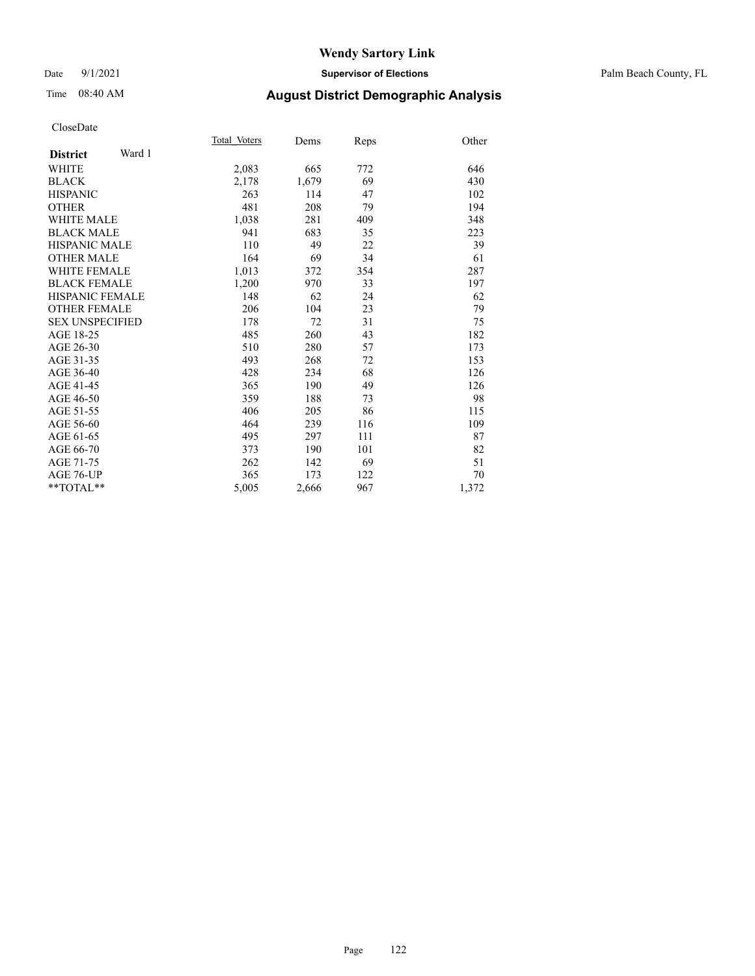#### Date 9/1/2021 **Supervisor of Elections** Palm Beach County, FL

# Time 08:40 AM **August District Demographic Analysis**

|                           | Total Voters | Dems  | Reps | Other |
|---------------------------|--------------|-------|------|-------|
| Ward 1<br><b>District</b> |              |       |      |       |
| WHITE                     | 2,083        | 665   | 772  | 646   |
| <b>BLACK</b>              | 2,178        | 1,679 | 69   | 430   |
| <b>HISPANIC</b>           | 263          | 114   | 47   | 102   |
| <b>OTHER</b>              | 481          | 208   | 79   | 194   |
| <b>WHITE MALE</b>         | 1,038        | 281   | 409  | 348   |
| <b>BLACK MALE</b>         | 941          | 683   | 35   | 223   |
| <b>HISPANIC MALE</b>      | 110          | 49    | 22   | 39    |
| <b>OTHER MALE</b>         | 164          | 69    | 34   | 61    |
| <b>WHITE FEMALE</b>       | 1,013        | 372   | 354  | 287   |
| <b>BLACK FEMALE</b>       | 1,200        | 970   | 33   | 197   |
| <b>HISPANIC FEMALE</b>    | 148          | 62    | 24   | 62    |
| <b>OTHER FEMALE</b>       | 206          | 104   | 23   | 79    |
| <b>SEX UNSPECIFIED</b>    | 178          | 72    | 31   | 75    |
| AGE 18-25                 | 485          | 260   | 43   | 182   |
| AGE 26-30                 | 510          | 280   | 57   | 173   |
| AGE 31-35                 | 493          | 268   | 72   | 153   |
| AGE 36-40                 | 428          | 234   | 68   | 126   |
| AGE 41-45                 | 365          | 190   | 49   | 126   |
| AGE 46-50                 | 359          | 188   | 73   | 98    |
| AGE 51-55                 | 406          | 205   | 86   | 115   |
| AGE 56-60                 | 464          | 239   | 116  | 109   |
| AGE 61-65                 | 495          | 297   | 111  | 87    |
| AGE 66-70                 | 373          | 190   | 101  | 82    |
| AGE 71-75                 | 262          | 142   | 69   | 51    |
| AGE 76-UP                 | 365          | 173   | 122  | 70    |
| $*$ $TOTAL**$             | 5,005        | 2,666 | 967  | 1,372 |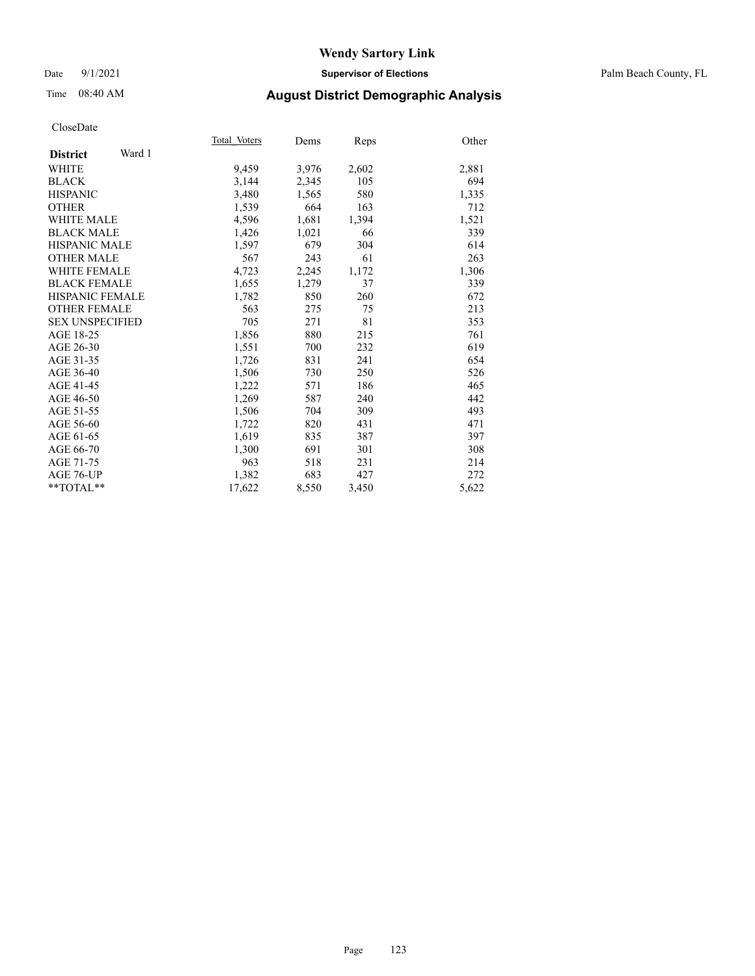#### Date 9/1/2021 **Supervisor of Elections** Palm Beach County, FL

## Time 08:40 AM **August District Demographic Analysis**

|                           | Total Voters | Dems  | <b>Reps</b> | Other |
|---------------------------|--------------|-------|-------------|-------|
| Ward 1<br><b>District</b> |              |       |             |       |
| <b>WHITE</b>              | 9,459        | 3,976 | 2,602       | 2,881 |
| <b>BLACK</b>              | 3,144        | 2,345 | 105         | 694   |
| <b>HISPANIC</b>           | 3,480        | 1,565 | 580         | 1,335 |
| <b>OTHER</b>              | 1,539        | 664   | 163         | 712   |
| WHITE MALE                | 4,596        | 1,681 | 1,394       | 1,521 |
| <b>BLACK MALE</b>         | 1,426        | 1,021 | 66          | 339   |
| <b>HISPANIC MALE</b>      | 1,597        | 679   | 304         | 614   |
| <b>OTHER MALE</b>         | 567          | 243   | 61          | 263   |
| <b>WHITE FEMALE</b>       | 4,723        | 2,245 | 1,172       | 1,306 |
| <b>BLACK FEMALE</b>       | 1,655        | 1,279 | 37          | 339   |
| <b>HISPANIC FEMALE</b>    | 1,782        | 850   | 260         | 672   |
| <b>OTHER FEMALE</b>       | 563          | 275   | 75          | 213   |
| <b>SEX UNSPECIFIED</b>    | 705          | 271   | 81          | 353   |
| AGE 18-25                 | 1,856        | 880   | 215         | 761   |
| AGE 26-30                 | 1,551        | 700   | 232         | 619   |
| AGE 31-35                 | 1,726        | 831   | 241         | 654   |
| AGE 36-40                 | 1,506        | 730   | 250         | 526   |
| AGE 41-45                 | 1,222        | 571   | 186         | 465   |
| AGE 46-50                 | 1,269        | 587   | 240         | 442   |
| AGE 51-55                 | 1,506        | 704   | 309         | 493   |
| AGE 56-60                 | 1,722        | 820   | 431         | 471   |
| AGE 61-65                 | 1,619        | 835   | 387         | 397   |
| AGE 66-70                 | 1,300        | 691   | 301         | 308   |
| AGE 71-75                 | 963          | 518   | 231         | 214   |
| AGE 76-UP                 | 1,382        | 683   | 427         | 272   |
| $*$ $TOTAL**$             | 17,622       | 8,550 | 3,450       | 5,622 |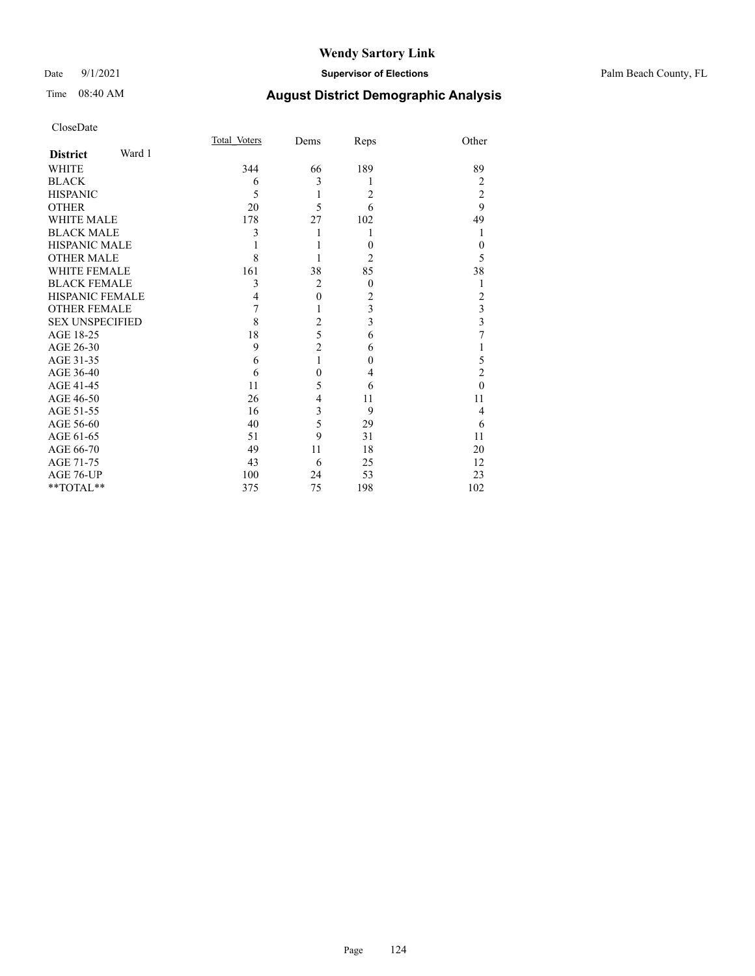#### Date 9/1/2021 **Supervisor of Elections** Palm Beach County, FL

| CloseDate                                                   |        |              |                |          |                         |
|-------------------------------------------------------------|--------|--------------|----------------|----------|-------------------------|
|                                                             |        | Total Voters | Dems           | Reps     | Other                   |
| <b>District</b>                                             | Ward 1 |              |                |          |                         |
| WHITE                                                       |        | 344          | 66             | 189      | 89                      |
| <b>BLACK</b>                                                |        | 6            | 3              | 1        | $\overline{2}$          |
| <b>HISPANIC</b>                                             |        | 5            | 1              | 2        | $\sqrt{2}$              |
| <b>OTHER</b>                                                |        | 20           | 5              | 6        | 9                       |
| <b>WHITE MALE</b>                                           |        | 178          | 27             | 102      | 49                      |
| <b>BLACK MALE</b>                                           |        | 3            | 1              | 1        | 1                       |
| <b>HISPANIC MALE</b>                                        |        |              | 1              | $\theta$ | $\theta$                |
| <b>OTHER MALE</b>                                           |        | 8            | 1              | 2        | 5                       |
| <b>WHITE FEMALE</b>                                         |        | 161          | 38             | 85       | 38                      |
| <b>BLACK FEMALE</b>                                         |        | 3            | $\overline{c}$ | $\theta$ | $\mathbf{1}$            |
| <b>HISPANIC FEMALE</b>                                      |        | 4            | $\mathbf{0}$   | 2        | $\overline{c}$          |
| <b>OTHER FEMALE</b>                                         |        | 7            | 1              | 3        | $\overline{\mathbf{3}}$ |
| <b>SEX UNSPECIFIED</b>                                      |        | 8            | $\overline{c}$ | 3        | $\overline{\mathbf{3}}$ |
| AGE 18-25                                                   |        | 18           | 5              | 6        | $\overline{7}$          |
| AGE 26-30                                                   |        | 9            | $\overline{c}$ | 6        | 1                       |
| AGE 31-35                                                   |        | 6            | 1              | 0        | 5                       |
| AGE 36-40                                                   |        | 6            | $\theta$       | 4        | $\overline{2}$          |
| AGE 41-45                                                   |        | 11           | 5              | 6        | $\theta$                |
| AGE 46-50                                                   |        | 26           | 4              | 11       | 11                      |
| AGE 51-55                                                   |        | 16           | 3              | 9        | $\overline{4}$          |
| AGE 56-60                                                   |        | 40           | 5              | 29       | 6                       |
| AGE 61-65                                                   |        | 51           | 9              | 31       | 11                      |
| AGE 66-70                                                   |        | 49           | 11             | 18       | 20                      |
| AGE 71-75                                                   |        | 43           | 6              | 25       | 12                      |
| AGE 76-UP                                                   |        | 100          | 24             | 53       | 23                      |
| $\mathrm{*}\mathrm{*} \mathrm{TOTAL} \mathrm{*} \mathrm{*}$ |        | 375          | 75             | 198      | 102                     |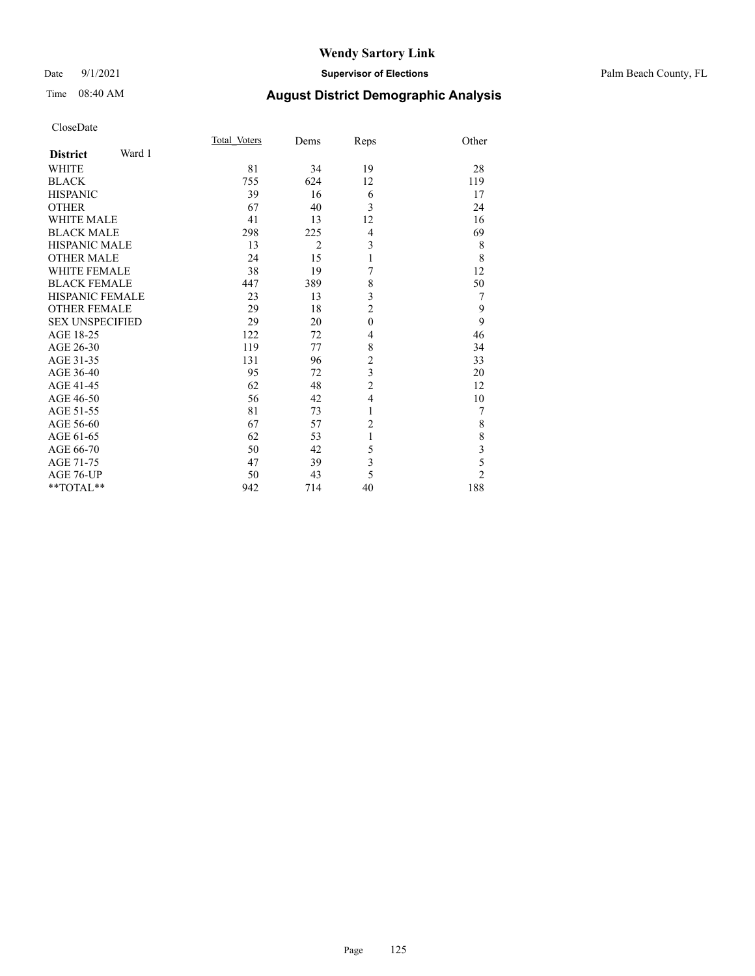#### Date 9/1/2021 **Supervisor of Elections** Palm Beach County, FL

Total\_Voters Dems Reps Other

| CloseDate |
|-----------|
|-----------|

| Ward 1<br><b>District</b> |     |                |                  |                                            |
|---------------------------|-----|----------------|------------------|--------------------------------------------|
| <b>WHITE</b>              | 81  | 34             | 19               | 28                                         |
| <b>BLACK</b>              | 755 | 624            | 12               | 119                                        |
| <b>HISPANIC</b>           | 39  | 16             | 6                | 17                                         |
| <b>OTHER</b>              | 67  | 40             | 3                | 24                                         |
| <b>WHITE MALE</b>         | 41  | 13             | 12               | 16                                         |
| <b>BLACK MALE</b>         | 298 | 225            | $\overline{4}$   | 69                                         |
| <b>HISPANIC MALE</b>      | 13  | $\overline{2}$ | 3                | 8                                          |
| <b>OTHER MALE</b>         | 24  | 15             | 1                | 8                                          |
| <b>WHITE FEMALE</b>       | 38  | 19             | 7                | 12                                         |
| <b>BLACK FEMALE</b>       | 447 | 389            | 8                | 50                                         |
| <b>HISPANIC FEMALE</b>    | 23  | 13             | 3                | 7                                          |
| <b>OTHER FEMALE</b>       | 29  | 18             | $\overline{2}$   | 9                                          |
| <b>SEX UNSPECIFIED</b>    | 29  | 20             | $\boldsymbol{0}$ | $\overline{9}$                             |
| AGE 18-25                 | 122 | 72             | 4                | 46                                         |
| AGE 26-30                 | 119 | 77             | 8                | 34                                         |
| AGE 31-35                 | 131 | 96             | $\overline{c}$   | 33                                         |
| AGE 36-40                 | 95  | 72             | $\overline{3}$   | 20                                         |
| AGE 41-45                 | 62  | 48             | $\overline{c}$   | 12                                         |
| AGE 46-50                 | 56  | 42             | $\overline{4}$   | 10                                         |
| AGE 51-55                 | 81  | 73             | $\mathbf{1}$     | 7                                          |
| AGE 56-60                 | 67  | 57             | $\overline{2}$   | 8                                          |
| AGE 61-65                 | 62  | 53             | $\mathbf{1}$     | $\begin{array}{c} 8 \\ 3 \\ 5 \end{array}$ |
| AGE 66-70                 | 50  | 42             | 5                |                                            |
| AGE 71-75                 | 47  | 39             | 3                |                                            |
| AGE 76-UP                 | 50  | 43             | 5                | $\overline{2}$                             |
| **TOTAL**                 | 942 | 714            | 40               | 188                                        |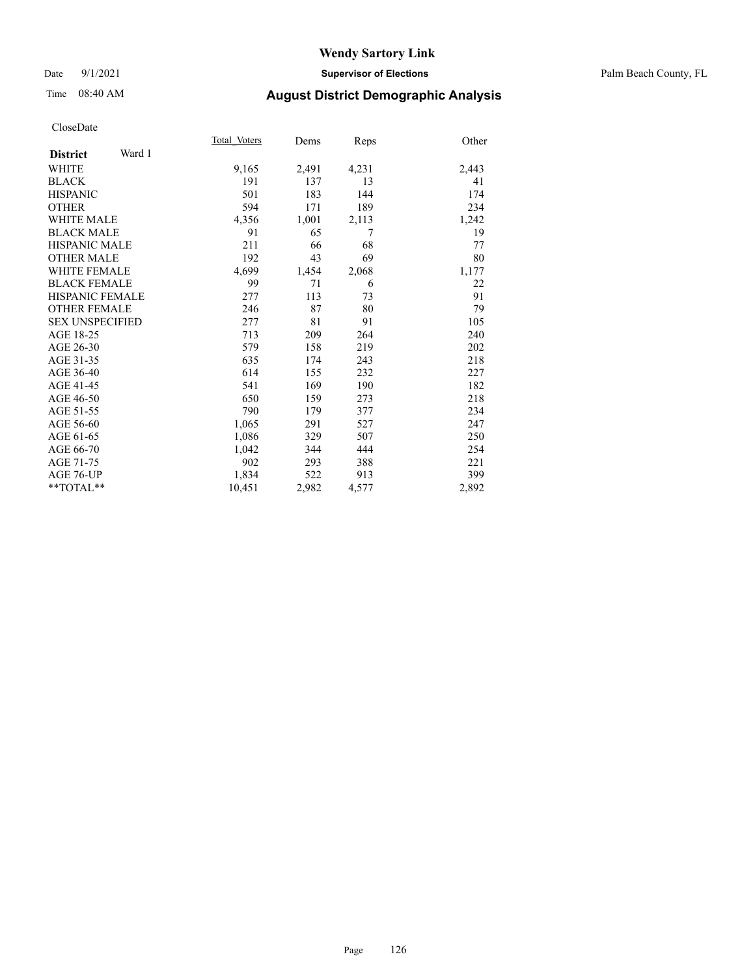#### Date 9/1/2021 **Supervisor of Elections** Palm Beach County, FL

## Time 08:40 AM **August District Demographic Analysis**

|                        |        | Total Voters | Dems  | <b>Reps</b> | Other |
|------------------------|--------|--------------|-------|-------------|-------|
| <b>District</b>        | Ward 1 |              |       |             |       |
| <b>WHITE</b>           |        | 9,165        | 2,491 | 4,231       | 2,443 |
| <b>BLACK</b>           |        | 191          | 137   | 13          | 41    |
| <b>HISPANIC</b>        |        | 501          | 183   | 144         | 174   |
| <b>OTHER</b>           |        | 594          | 171   | 189         | 234   |
| <b>WHITE MALE</b>      |        | 4,356        | 1,001 | 2,113       | 1,242 |
| <b>BLACK MALE</b>      |        | 91           | 65    | 7           | 19    |
| <b>HISPANIC MALE</b>   |        | 211          | 66    | 68          | 77    |
| <b>OTHER MALE</b>      |        | 192          | 43    | 69          | 80    |
| <b>WHITE FEMALE</b>    |        | 4,699        | 1,454 | 2,068       | 1,177 |
| <b>BLACK FEMALE</b>    |        | 99           | 71    | 6           | 22    |
| HISPANIC FEMALE        |        | 277          | 113   | 73          | 91    |
| <b>OTHER FEMALE</b>    |        | 246          | 87    | 80          | 79    |
| <b>SEX UNSPECIFIED</b> |        | 277          | 81    | 91          | 105   |
| AGE 18-25              |        | 713          | 209   | 264         | 240   |
| AGE 26-30              |        | 579          | 158   | 219         | 202   |
| AGE 31-35              |        | 635          | 174   | 243         | 218   |
| AGE 36-40              |        | 614          | 155   | 232         | 227   |
| AGE 41-45              |        | 541          | 169   | 190         | 182   |
| AGE 46-50              |        | 650          | 159   | 273         | 218   |
| AGE 51-55              |        | 790          | 179   | 377         | 234   |
| AGE 56-60              |        | 1,065        | 291   | 527         | 247   |
| AGE 61-65              |        | 1,086        | 329   | 507         | 250   |
| AGE 66-70              |        | 1,042        | 344   | 444         | 254   |
| AGE 71-75              |        | 902          | 293   | 388         | 221   |
| AGE 76-UP              |        | 1,834        | 522   | 913         | 399   |
| $*$ $TOTAL**$          |        | 10,451       | 2,982 | 4,577       | 2,892 |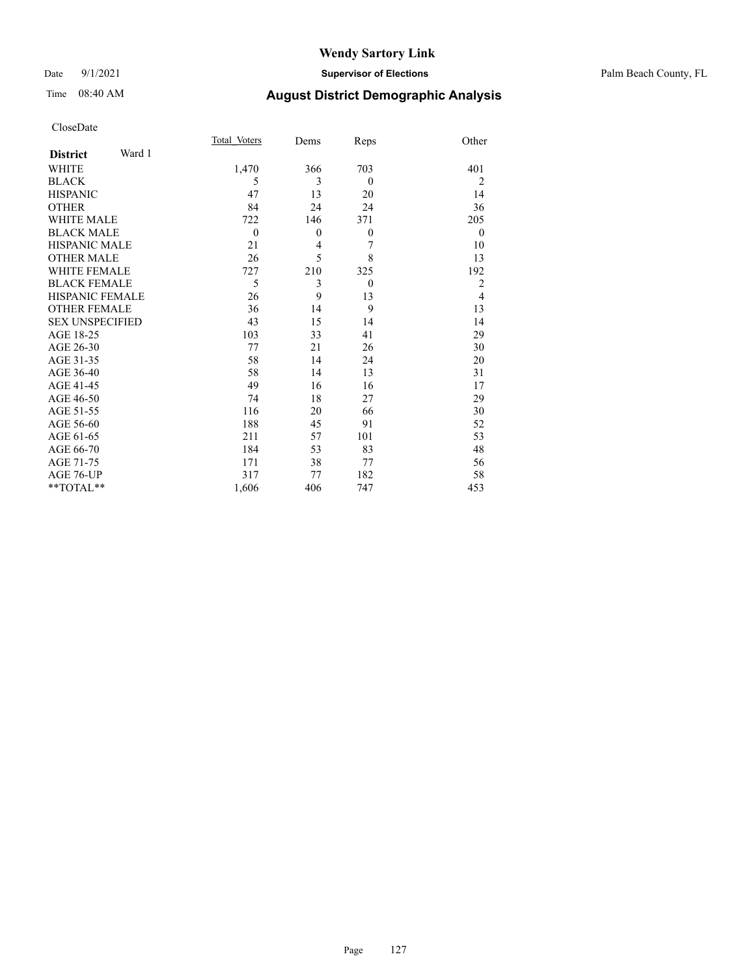#### Date 9/1/2021 **Supervisor of Elections** Palm Beach County, FL

# Time 08:40 AM **August District Demographic Analysis**

|                           | Total Voters     | Dems             | Reps             | Other          |
|---------------------------|------------------|------------------|------------------|----------------|
| Ward 1<br><b>District</b> |                  |                  |                  |                |
| <b>WHITE</b>              | 1,470            | 366              | 703              | 401            |
| <b>BLACK</b>              | 5                | 3                | $\overline{0}$   | $\overline{2}$ |
| <b>HISPANIC</b>           | 47               | 13               | 20               | 14             |
| <b>OTHER</b>              | 84               | 24               | 24               | 36             |
| <b>WHITE MALE</b>         | 722              | 146              | 371              | 205            |
| <b>BLACK MALE</b>         | $\boldsymbol{0}$ | $\boldsymbol{0}$ | $\boldsymbol{0}$ | $\theta$       |
| <b>HISPANIC MALE</b>      | 21               | 4                | 7                | 10             |
| <b>OTHER MALE</b>         | 26               | 5                | 8                | 13             |
| <b>WHITE FEMALE</b>       | 727              | 210              | 325              | 192            |
| <b>BLACK FEMALE</b>       | 5                | 3                | $\theta$         | $\overline{2}$ |
| <b>HISPANIC FEMALE</b>    | 26               | 9                | 13               | $\overline{4}$ |
| <b>OTHER FEMALE</b>       | 36               | 14               | 9                | 13             |
| <b>SEX UNSPECIFIED</b>    | 43               | 15               | 14               | 14             |
| AGE 18-25                 | 103              | 33               | 41               | 29             |
| AGE 26-30                 | 77               | 21               | 26               | 30             |
| AGE 31-35                 | 58               | 14               | 24               | 20             |
| AGE 36-40                 | 58               | 14               | 13               | 31             |
| AGE 41-45                 | 49               | 16               | 16               | 17             |
| AGE 46-50                 | 74               | 18               | 27               | 29             |
| AGE 51-55                 | 116              | 20               | 66               | 30             |
| AGE 56-60                 | 188              | 45               | 91               | 52             |
| AGE 61-65                 | 211              | 57               | 101              | 53             |
| AGE 66-70                 | 184              | 53               | 83               | 48             |
| AGE 71-75                 | 171              | 38               | 77               | 56             |
| AGE 76-UP                 | 317              | 77               | 182              | 58             |
| $*$ TOTAL $*$             | 1,606            | 406              | 747              | 453            |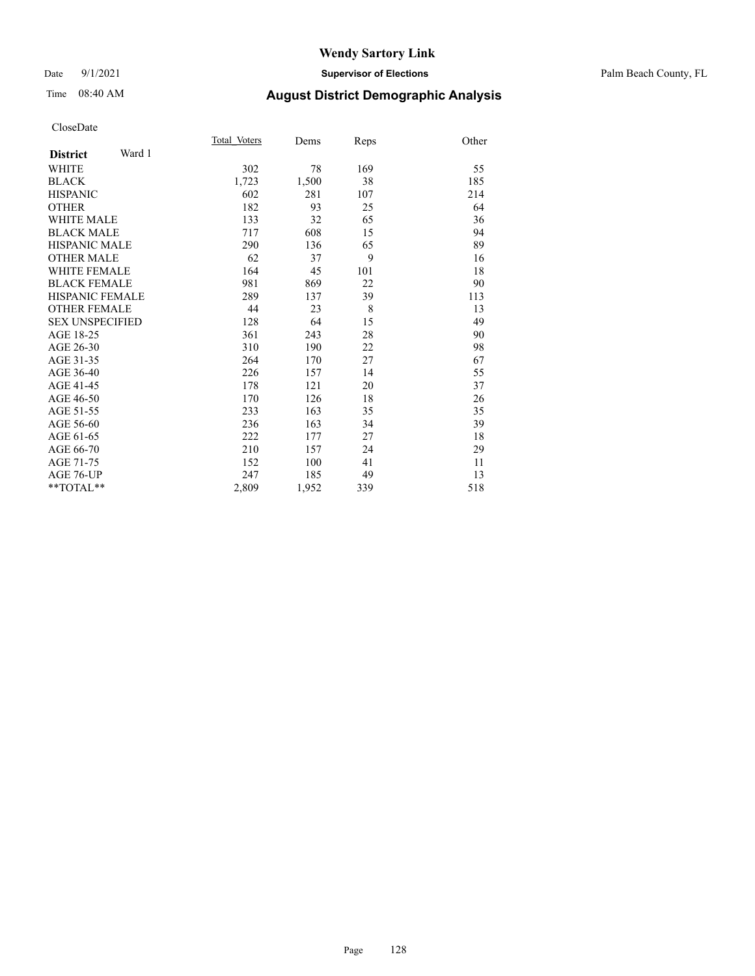#### Date 9/1/2021 **Supervisor of Elections** Palm Beach County, FL

# Time 08:40 AM **August District Demographic Analysis**

|                           | Total Voters | Dems  | Reps | Other |
|---------------------------|--------------|-------|------|-------|
| Ward 1<br><b>District</b> |              |       |      |       |
| <b>WHITE</b>              | 302          | 78    | 169  | 55    |
| <b>BLACK</b>              | 1,723        | 1,500 | 38   | 185   |
| <b>HISPANIC</b>           | 602          | 281   | 107  | 214   |
| <b>OTHER</b>              | 182          | 93    | 25   | 64    |
| WHITE MALE                | 133          | 32    | 65   | 36    |
| <b>BLACK MALE</b>         | 717          | 608   | 15   | 94    |
| <b>HISPANIC MALE</b>      | 290          | 136   | 65   | 89    |
| <b>OTHER MALE</b>         | 62           | 37    | 9    | 16    |
| <b>WHITE FEMALE</b>       | 164          | 45    | 101  | 18    |
| <b>BLACK FEMALE</b>       | 981          | 869   | 22   | 90    |
| <b>HISPANIC FEMALE</b>    | 289          | 137   | 39   | 113   |
| <b>OTHER FEMALE</b>       | 44           | 23    | 8    | 13    |
| <b>SEX UNSPECIFIED</b>    | 128          | 64    | 15   | 49    |
| AGE 18-25                 | 361          | 243   | 28   | 90    |
| AGE 26-30                 | 310          | 190   | 22   | 98    |
| AGE 31-35                 | 264          | 170   | 27   | 67    |
| AGE 36-40                 | 226          | 157   | 14   | 55    |
| AGE 41-45                 | 178          | 121   | 20   | 37    |
| AGE 46-50                 | 170          | 126   | 18   | 26    |
| AGE 51-55                 | 233          | 163   | 35   | 35    |
| AGE 56-60                 | 236          | 163   | 34   | 39    |
| AGE 61-65                 | 222          | 177   | 27   | 18    |
| AGE 66-70                 | 210          | 157   | 24   | 29    |
| AGE 71-75                 | 152          | 100   | 41   | 11    |
| AGE 76-UP                 | 247          | 185   | 49   | 13    |
| $*$ $TOTAL**$             | 2,809        | 1,952 | 339  | 518   |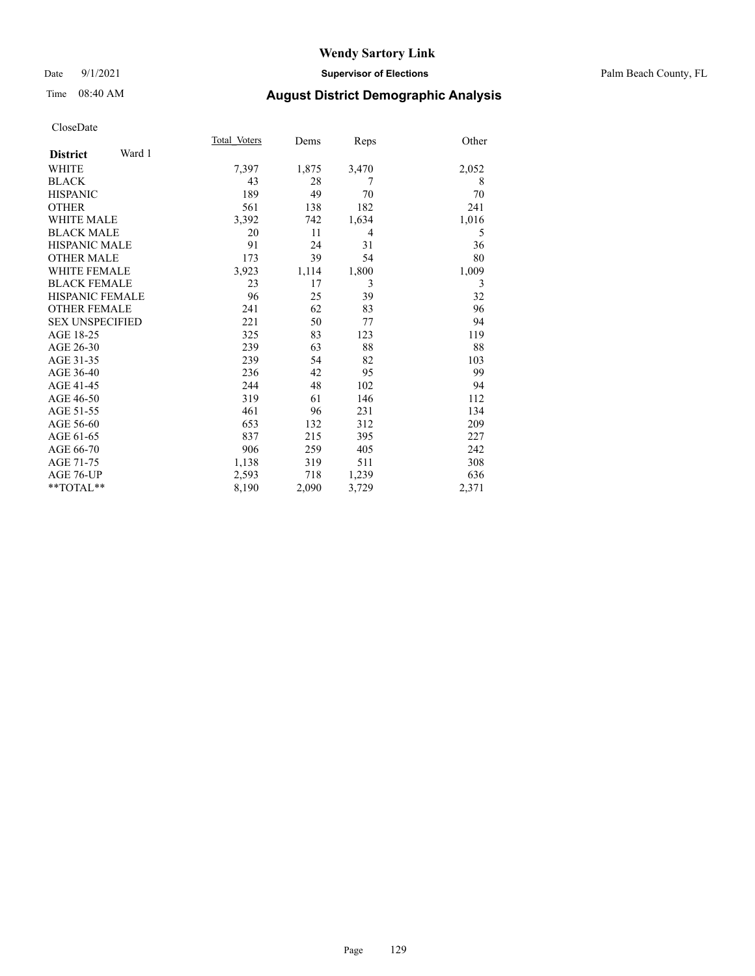#### Date 9/1/2021 **Supervisor of Elections** Palm Beach County, FL

# Time 08:40 AM **August District Demographic Analysis**

|                           | Total Voters | Dems  | Reps  | Other |
|---------------------------|--------------|-------|-------|-------|
| Ward 1<br><b>District</b> |              |       |       |       |
| <b>WHITE</b>              | 7,397        | 1,875 | 3,470 | 2,052 |
| <b>BLACK</b>              | 43           | 28    | 7     | 8     |
| <b>HISPANIC</b>           | 189          | 49    | 70    | 70    |
| <b>OTHER</b>              | 561          | 138   | 182   | 241   |
| <b>WHITE MALE</b>         | 3,392        | 742   | 1,634 | 1,016 |
| <b>BLACK MALE</b>         | 20           | 11    | 4     | 5     |
| <b>HISPANIC MALE</b>      | 91           | 24    | 31    | 36    |
| <b>OTHER MALE</b>         | 173          | 39    | 54    | 80    |
| <b>WHITE FEMALE</b>       | 3,923        | 1,114 | 1,800 | 1,009 |
| <b>BLACK FEMALE</b>       | 23           | 17    | 3     | 3     |
| <b>HISPANIC FEMALE</b>    | 96           | 25    | 39    | 32    |
| <b>OTHER FEMALE</b>       | 241          | 62    | 83    | 96    |
| <b>SEX UNSPECIFIED</b>    | 221          | 50    | 77    | 94    |
| AGE 18-25                 | 325          | 83    | 123   | 119   |
| AGE 26-30                 | 239          | 63    | 88    | 88    |
| AGE 31-35                 | 239          | 54    | 82    | 103   |
| AGE 36-40                 | 236          | 42    | 95    | 99    |
| AGE 41-45                 | 244          | 48    | 102   | 94    |
| AGE 46-50                 | 319          | 61    | 146   | 112   |
| AGE 51-55                 | 461          | 96    | 231   | 134   |
| AGE 56-60                 | 653          | 132   | 312   | 209   |
| AGE 61-65                 | 837          | 215   | 395   | 227   |
| AGE 66-70                 | 906          | 259   | 405   | 242   |
| AGE 71-75                 | 1,138        | 319   | 511   | 308   |
| AGE 76-UP                 | 2,593        | 718   | 1,239 | 636   |
| $*$ $TOTAL**$             | 8,190        | 2,090 | 3,729 | 2,371 |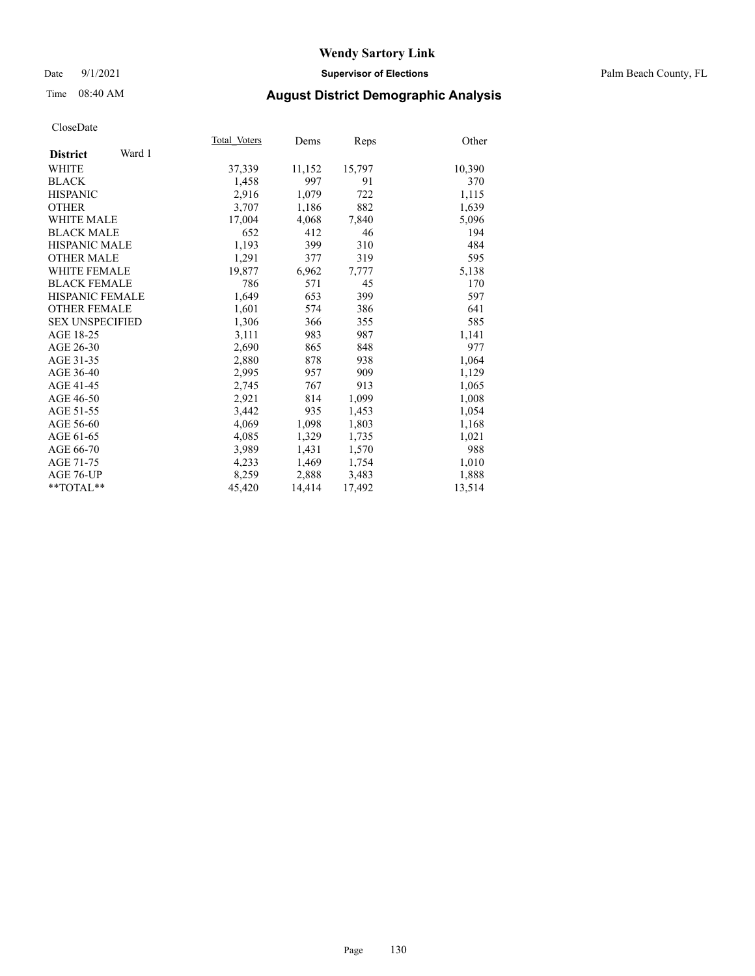#### Date 9/1/2021 **Supervisor of Elections** Palm Beach County, FL

## Time 08:40 AM **August District Demographic Analysis**

|                           | Total Voters | Dems   | Reps   | Other  |
|---------------------------|--------------|--------|--------|--------|
| Ward 1<br><b>District</b> |              |        |        |        |
| WHITE                     | 37,339       | 11,152 | 15,797 | 10,390 |
| <b>BLACK</b>              | 1,458        | 997    | 91     | 370    |
| <b>HISPANIC</b>           | 2,916        | 1,079  | 722    | 1,115  |
| <b>OTHER</b>              | 3,707        | 1,186  | 882    | 1,639  |
| <b>WHITE MALE</b>         | 17,004       | 4,068  | 7,840  | 5,096  |
| <b>BLACK MALE</b>         | 652          | 412    | 46     | 194    |
| <b>HISPANIC MALE</b>      | 1,193        | 399    | 310    | 484    |
| <b>OTHER MALE</b>         | 1,291        | 377    | 319    | 595    |
| WHITE FEMALE              | 19,877       | 6,962  | 7,777  | 5,138  |
| <b>BLACK FEMALE</b>       | 786          | 571    | 45     | 170    |
| <b>HISPANIC FEMALE</b>    | 1,649        | 653    | 399    | 597    |
| <b>OTHER FEMALE</b>       | 1,601        | 574    | 386    | 641    |
| <b>SEX UNSPECIFIED</b>    | 1,306        | 366    | 355    | 585    |
| AGE 18-25                 | 3,111        | 983    | 987    | 1,141  |
| AGE 26-30                 | 2,690        | 865    | 848    | 977    |
| AGE 31-35                 | 2,880        | 878    | 938    | 1,064  |
| AGE 36-40                 | 2,995        | 957    | 909    | 1,129  |
| AGE 41-45                 | 2,745        | 767    | 913    | 1,065  |
| AGE 46-50                 | 2,921        | 814    | 1,099  | 1,008  |
| AGE 51-55                 | 3.442        | 935    | 1,453  | 1,054  |
| AGE 56-60                 | 4,069        | 1,098  | 1,803  | 1,168  |
| AGE 61-65                 | 4,085        | 1,329  | 1,735  | 1,021  |
| AGE 66-70                 | 3,989        | 1,431  | 1,570  | 988    |
| AGE 71-75                 | 4,233        | 1,469  | 1,754  | 1,010  |
| AGE 76-UP                 | 8,259        | 2,888  | 3,483  | 1,888  |
| $*$ $TOTAL**$             | 45,420       | 14,414 | 17,492 | 13,514 |
|                           |              |        |        |        |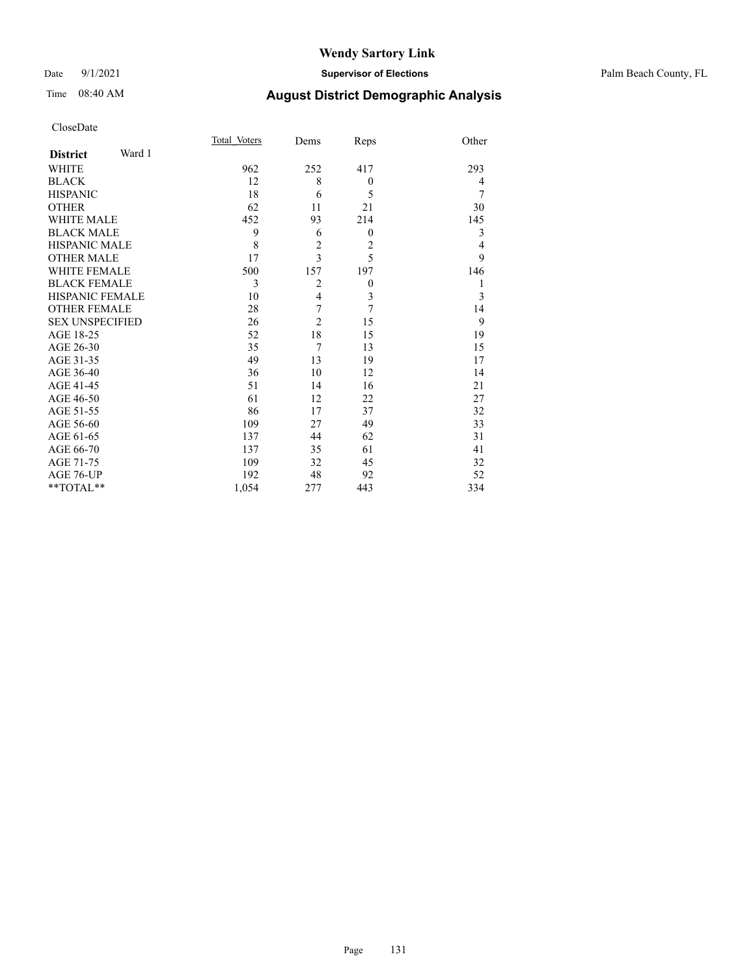#### Date 9/1/2021 **Supervisor of Elections** Palm Beach County, FL

| CloseDate |
|-----------|
|-----------|

|                        | Total Voters | Dems           |                  | Other |
|------------------------|--------------|----------------|------------------|-------|
| Ward 1                 |              |                |                  |       |
|                        | 962          | 252            | 417              | 293   |
|                        | 12           | 8              | $\overline{0}$   | 4     |
|                        | 18           | 6              | 5                | 7     |
|                        | 62           | 11             | 21               | 30    |
| WHITE MALE             | 452          | 93             | 214              | 145   |
| <b>BLACK MALE</b>      | 9            | 6              | $\mathbf{0}$     | 3     |
| HISPANIC MALE          | 8            | $\overline{c}$ | $\overline{2}$   | 4     |
| <b>OTHER MALE</b>      | 17           | 3              | 5                | 9     |
| WHITE FEMALE           | 500          | 157            | 197              | 146   |
| <b>BLACK FEMALE</b>    | 3            | $\overline{2}$ | $\boldsymbol{0}$ | 1     |
| HISPANIC FEMALE        | 10           | $\overline{4}$ | 3                | 3     |
| OTHER FEMALE           | 28           | 7              | $\overline{7}$   | 14    |
| <b>SEX UNSPECIFIED</b> | 26           | $\overline{2}$ | 15               | 9     |
|                        | 52           | 18             | 15               | 19    |
|                        | 35           | $\overline{7}$ | 13               | 15    |
|                        | 49           | 13             | 19               | 17    |
|                        | 36           | 10             | 12               | 14    |
|                        | 51           | 14             | 16               | 21    |
|                        | 61           | 12             | 22               | 27    |
|                        | 86           | 17             | 37               | 32    |
|                        | 109          | 27             | 49               | 33    |
|                        | 137          | 44             | 62               | 31    |
|                        | 137          | 35             | 61               | 41    |
|                        | 109          | 32             | 45               | 32    |
|                        | 192          | 48             | 92               | 52    |
| $*$ $TOTAL**$          | 1,054        | 277            | 443              | 334   |
|                        |              |                |                  | Reps  |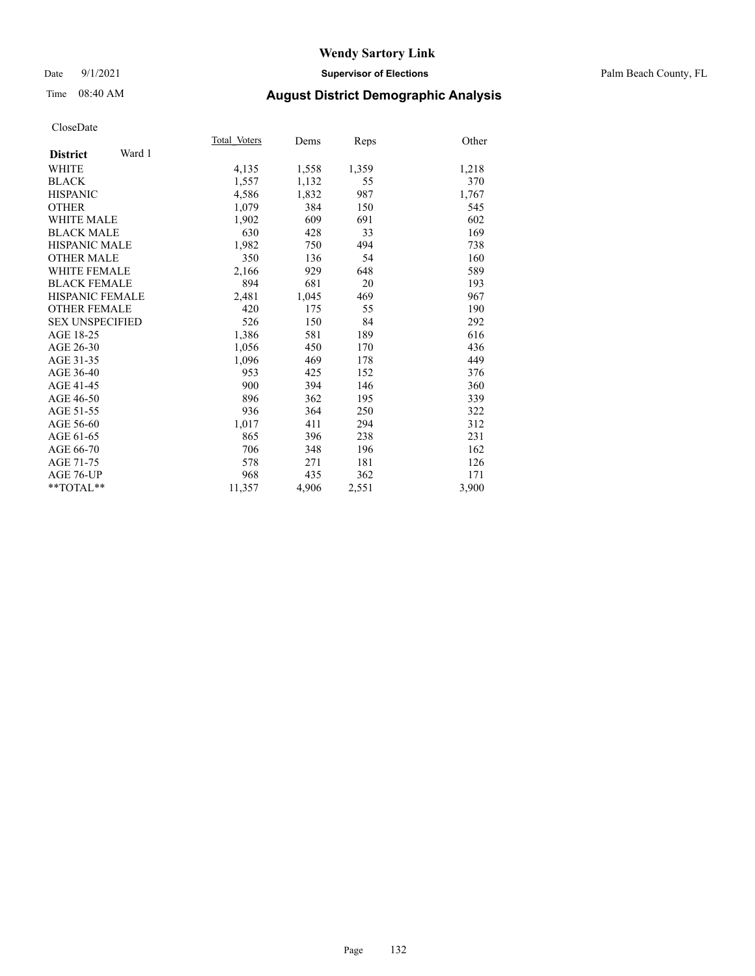#### Date 9/1/2021 **Supervisor of Elections** Palm Beach County, FL

## Time 08:40 AM **August District Demographic Analysis**

|                           | Total Voters | Dems  | Reps  | Other |
|---------------------------|--------------|-------|-------|-------|
| Ward 1<br><b>District</b> |              |       |       |       |
| <b>WHITE</b>              | 4,135        | 1,558 | 1,359 | 1,218 |
| <b>BLACK</b>              | 1,557        | 1,132 | 55    | 370   |
| <b>HISPANIC</b>           | 4,586        | 1,832 | 987   | 1,767 |
| <b>OTHER</b>              | 1,079        | 384   | 150   | 545   |
| <b>WHITE MALE</b>         | 1,902        | 609   | 691   | 602   |
| <b>BLACK MALE</b>         | 630          | 428   | 33    | 169   |
| <b>HISPANIC MALE</b>      | 1,982        | 750   | 494   | 738   |
| <b>OTHER MALE</b>         | 350          | 136   | 54    | 160   |
| <b>WHITE FEMALE</b>       | 2,166        | 929   | 648   | 589   |
| <b>BLACK FEMALE</b>       | 894          | 681   | 20    | 193   |
| <b>HISPANIC FEMALE</b>    | 2,481        | 1,045 | 469   | 967   |
| <b>OTHER FEMALE</b>       | 420          | 175   | 55    | 190   |
| <b>SEX UNSPECIFIED</b>    | 526          | 150   | 84    | 292   |
| AGE 18-25                 | 1,386        | 581   | 189   | 616   |
| AGE 26-30                 | 1,056        | 450   | 170   | 436   |
| AGE 31-35                 | 1,096        | 469   | 178   | 449   |
| AGE 36-40                 | 953          | 425   | 152   | 376   |
| AGE 41-45                 | 900          | 394   | 146   | 360   |
| AGE 46-50                 | 896          | 362   | 195   | 339   |
| AGE 51-55                 | 936          | 364   | 250   | 322   |
| AGE 56-60                 | 1,017        | 411   | 294   | 312   |
| AGE 61-65                 | 865          | 396   | 238   | 231   |
| AGE 66-70                 | 706          | 348   | 196   | 162   |
| AGE 71-75                 | 578          | 271   | 181   | 126   |
| AGE 76-UP                 | 968          | 435   | 362   | 171   |
| $*$ $TOTAL**$             | 11,357       | 4,906 | 2,551 | 3,900 |
|                           |              |       |       |       |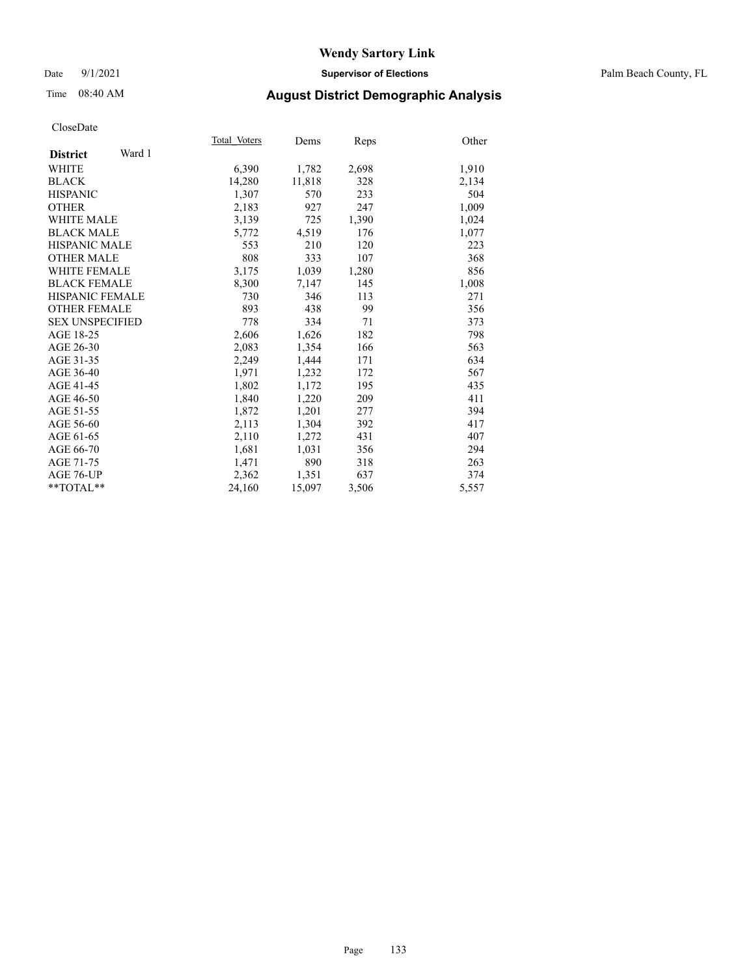#### Date 9/1/2021 **Supervisor of Elections** Palm Beach County, FL

# Time 08:40 AM **August District Demographic Analysis**

|                           | Total Voters | Dems   | Reps  | Other |
|---------------------------|--------------|--------|-------|-------|
| Ward 1<br><b>District</b> |              |        |       |       |
| WHITE                     | 6,390        | 1,782  | 2,698 | 1,910 |
| <b>BLACK</b>              | 14,280       | 11,818 | 328   | 2,134 |
| <b>HISPANIC</b>           | 1,307        | 570    | 233   | 504   |
| <b>OTHER</b>              | 2,183        | 927    | 247   | 1,009 |
| WHITE MALE                | 3,139        | 725    | 1,390 | 1,024 |
| <b>BLACK MALE</b>         | 5,772        | 4,519  | 176   | 1,077 |
| <b>HISPANIC MALE</b>      | 553          | 210    | 120   | 223   |
| <b>OTHER MALE</b>         | 808          | 333    | 107   | 368   |
| <b>WHITE FEMALE</b>       | 3,175        | 1,039  | 1,280 | 856   |
| <b>BLACK FEMALE</b>       | 8,300        | 7,147  | 145   | 1,008 |
| <b>HISPANIC FEMALE</b>    | 730          | 346    | 113   | 271   |
| <b>OTHER FEMALE</b>       | 893          | 438    | 99    | 356   |
| <b>SEX UNSPECIFIED</b>    | 778          | 334    | 71    | 373   |
| AGE 18-25                 | 2,606        | 1,626  | 182   | 798   |
| AGE 26-30                 | 2,083        | 1,354  | 166   | 563   |
| AGE 31-35                 | 2,249        | 1,444  | 171   | 634   |
| AGE 36-40                 | 1,971        | 1,232  | 172   | 567   |
| AGE 41-45                 | 1,802        | 1,172  | 195   | 435   |
| AGE 46-50                 | 1,840        | 1,220  | 209   | 411   |
| AGE 51-55                 | 1,872        | 1,201  | 277   | 394   |
| AGE 56-60                 | 2,113        | 1,304  | 392   | 417   |
| AGE 61-65                 | 2,110        | 1,272  | 431   | 407   |
| AGE 66-70                 | 1,681        | 1,031  | 356   | 294   |
| AGE 71-75                 | 1,471        | 890    | 318   | 263   |
| AGE 76-UP                 | 2.362        | 1,351  | 637   | 374   |
| **TOTAL**                 | 24,160       | 15,097 | 3,506 | 5,557 |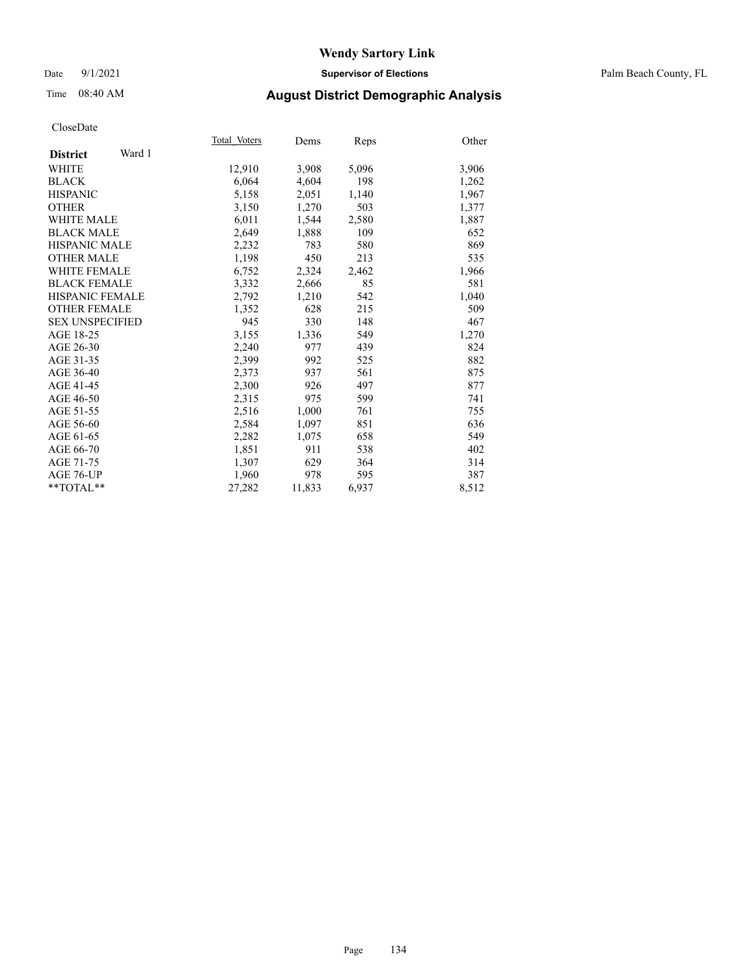#### Date 9/1/2021 **Supervisor of Elections** Palm Beach County, FL

## Time 08:40 AM **August District Demographic Analysis**

| Total Voters | Dems   | Reps  | Other |
|--------------|--------|-------|-------|
|              |        |       |       |
| 12,910       | 3,908  | 5,096 | 3,906 |
| 6,064        | 4,604  | 198   | 1,262 |
| 5,158        | 2,051  | 1,140 | 1,967 |
| 3,150        | 1,270  | 503   | 1,377 |
| 6,011        | 1,544  | 2,580 | 1,887 |
| 2,649        | 1,888  | 109   | 652   |
| 2,232        | 783    | 580   | 869   |
| 1,198        | 450    | 213   | 535   |
| 6,752        | 2,324  | 2,462 | 1,966 |
| 3.332        | 2,666  | 85    | 581   |
| 2,792        | 1,210  | 542   | 1,040 |
| 1,352        | 628    | 215   | 509   |
| 945          | 330    | 148   | 467   |
| 3,155        | 1,336  | 549   | 1,270 |
| 2,240        | 977    | 439   | 824   |
| 2,399        | 992    | 525   | 882   |
| 2,373        | 937    | 561   | 875   |
| 2,300        | 926    | 497   | 877   |
| 2,315        | 975    | 599   | 741   |
| 2,516        | 1,000  | 761   | 755   |
| 2,584        | 1,097  | 851   | 636   |
| 2,282        | 1,075  | 658   | 549   |
| 1,851        | 911    | 538   | 402   |
| 1,307        | 629    | 364   | 314   |
| 1,960        | 978    | 595   | 387   |
| 27,282       | 11,833 | 6,937 | 8,512 |
|              |        |       |       |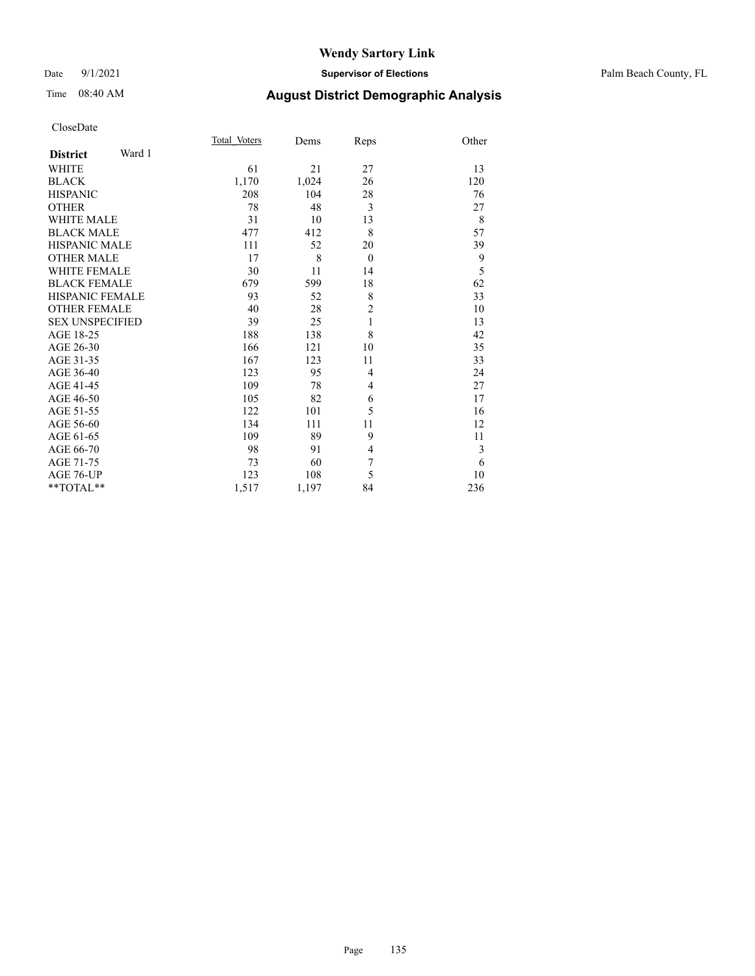#### Date 9/1/2021 **Supervisor of Elections** Palm Beach County, FL

| CloseDate |
|-----------|
|-----------|

|                        |        | Total Voters | Dems  | Reps           | Other |
|------------------------|--------|--------------|-------|----------------|-------|
| <b>District</b>        | Ward 1 |              |       |                |       |
| <b>WHITE</b>           |        | 61           | 21    | 27             | 13    |
| <b>BLACK</b>           |        | 1,170        | 1,024 | 26             | 120   |
| <b>HISPANIC</b>        |        | 208          | 104   | 28             | 76    |
| <b>OTHER</b>           |        | 78           | 48    | 3              | 27    |
| <b>WHITE MALE</b>      |        | 31           | 10    | 13             | 8     |
| <b>BLACK MALE</b>      |        | 477          | 412   | 8              | 57    |
| <b>HISPANIC MALE</b>   |        | 111          | 52    | 20             | 39    |
| <b>OTHER MALE</b>      |        | 17           | 8     | $\theta$       | 9     |
| <b>WHITE FEMALE</b>    |        | 30           | 11    | 14             | 5     |
| <b>BLACK FEMALE</b>    |        | 679          | 599   | 18             | 62    |
| HISPANIC FEMALE        |        | 93           | 52    | 8              | 33    |
| <b>OTHER FEMALE</b>    |        | 40           | 28    | $\overline{2}$ | 10    |
| <b>SEX UNSPECIFIED</b> |        | 39           | 25    | $\mathbf{1}$   | 13    |
| AGE 18-25              |        | 188          | 138   | 8              | 42    |
| AGE 26-30              |        | 166          | 121   | 10             | 35    |
| AGE 31-35              |        | 167          | 123   | 11             | 33    |
| AGE 36-40              |        | 123          | 95    | 4              | 24    |
| AGE 41-45              |        | 109          | 78    | 4              | 27    |
| AGE 46-50              |        | 105          | 82    | 6              | 17    |
| AGE 51-55              |        | 122          | 101   | 5              | 16    |
| AGE 56-60              |        | 134          | 111   | 11             | 12    |
| AGE 61-65              |        | 109          | 89    | 9              | 11    |
| AGE 66-70              |        | 98           | 91    | $\overline{4}$ | 3     |
| AGE 71-75              |        | 73           | 60    | $\overline{7}$ | 6     |
| AGE 76-UP              |        | 123          | 108   | 5              | 10    |
| **TOTAL**              |        | 1,517        | 1,197 | 84             | 236   |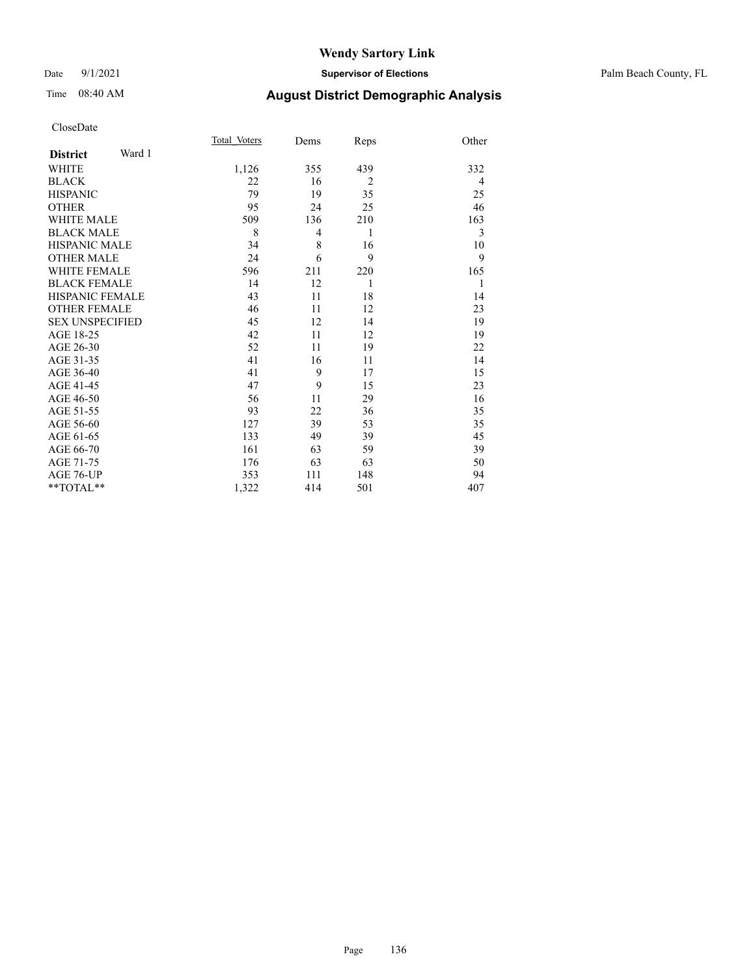#### Date 9/1/2021 **Supervisor of Elections** Palm Beach County, FL

| CloseDate |
|-----------|
|-----------|

|                     |        | Total Voters | Dems           | Reps           | Other |
|---------------------|--------|--------------|----------------|----------------|-------|
| <b>District</b>     | Ward 1 |              |                |                |       |
| WHITE               |        | 1,126        | 355            | 439            | 332   |
| BLACK               |        | 22           | 16             | $\overline{2}$ | 4     |
| HISPANIC            |        | 79           | 19             | 35             | 25    |
| <b>OTHER</b>        |        | 95           | 24             | 25             | 46    |
| <b>WHITE MALE</b>   |        | 509          | 136            | 210            | 163   |
| <b>BLACK MALE</b>   |        | 8            | $\overline{4}$ | 1              | 3     |
| HISPANIC MALE       |        | 34           | 8              | 16             | 10    |
| OTHER MALE          |        | 24           | 6              | 9              | 9     |
| <b>WHITE FEMALE</b> |        | 596          | 211            | 220            | 165   |
| <b>BLACK FEMALE</b> |        | 14           | 12             | 1              | 1     |
| HISPANIC FEMALE     |        | 43           | 11             | 18             | 14    |
| OTHER FEMALE        |        | 46           | 11             | 12             | 23    |
| SEX UNSPECIFIED     |        | 45           | 12             | 14             | 19    |
| AGE 18-25           |        | 42           | 11             | 12             | 19    |
| AGE 26-30           |        | 52           | 11             | 19             | 22    |
| AGE 31-35           |        | 41           | 16             | 11             | 14    |
| AGE 36-40           |        | 41           | 9              | 17             | 15    |
| AGE 41-45           |        | 47           | 9              | 15             | 23    |
| AGE 46-50           |        | 56           | 11             | 29             | 16    |
| AGE 51-55           |        | 93           | 22             | 36             | 35    |
| AGE 56-60           |        | 127          | 39             | 53             | 35    |
| AGE 61-65           |        | 133          | 49             | 39             | 45    |
| AGE 66-70           |        | 161          | 63             | 59             | 39    |
| AGE 71-75           |        | 176          | 63             | 63             | 50    |
| AGE 76-UP           |        | 353          | 111            | 148            | 94    |
| **TOTAL**           |        | 1,322        | 414            | 501            | 407   |
|                     |        |              |                |                |       |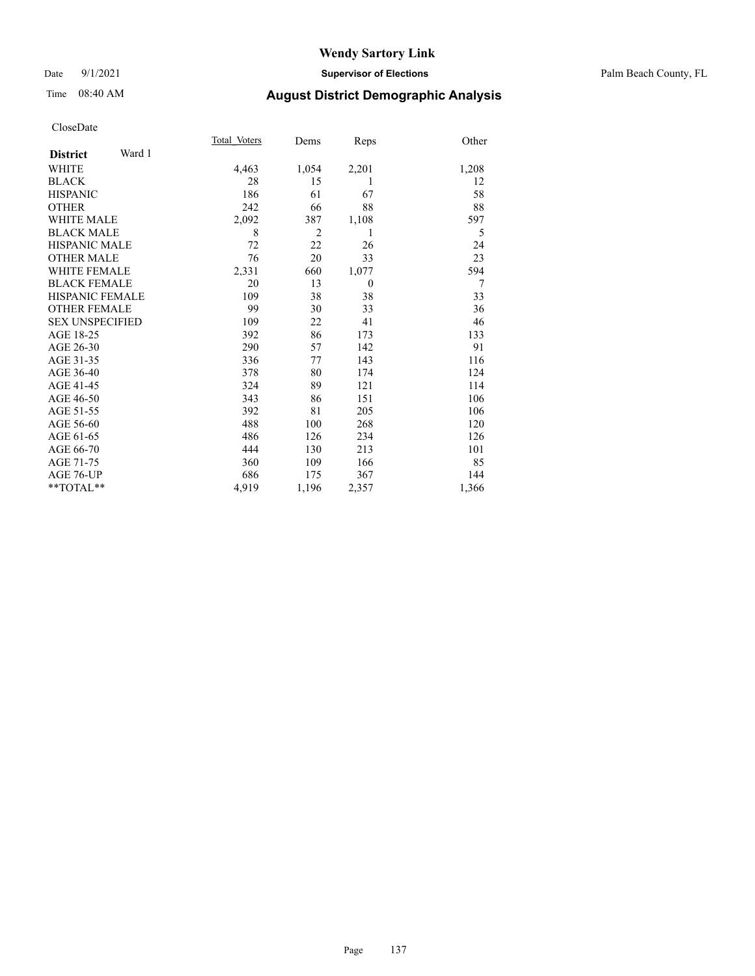#### Date 9/1/2021 **Supervisor of Elections** Palm Beach County, FL

## Time 08:40 AM **August District Demographic Analysis**

|                           | Total Voters | Dems           | Reps           | Other |
|---------------------------|--------------|----------------|----------------|-------|
| Ward 1<br><b>District</b> |              |                |                |       |
| <b>WHITE</b>              | 4,463        | 1,054          | 2,201          | 1,208 |
| <b>BLACK</b>              | 28           | 15             | 1              | 12    |
| <b>HISPANIC</b>           | 186          | 61             | 67             | 58    |
| <b>OTHER</b>              | 242          | 66             | 88             | 88    |
| WHITE MALE                | 2,092        | 387            | 1,108          | 597   |
| <b>BLACK MALE</b>         | 8            | $\overline{2}$ | 1              | 5     |
| <b>HISPANIC MALE</b>      | 72           | 22             | 26             | 24    |
| <b>OTHER MALE</b>         | 76           | 20             | 33             | 23    |
| WHITE FEMALE              | 2,331        | 660            | 1,077          | 594   |
| <b>BLACK FEMALE</b>       | 20           | 13             | $\overline{0}$ | 7     |
| <b>HISPANIC FEMALE</b>    | 109          | 38             | 38             | 33    |
| <b>OTHER FEMALE</b>       | 99           | 30             | 33             | 36    |
| <b>SEX UNSPECIFIED</b>    | 109          | 22             | 41             | 46    |
| AGE 18-25                 | 392          | 86             | 173            | 133   |
| AGE 26-30                 | 290          | 57             | 142            | 91    |
| AGE 31-35                 | 336          | 77             | 143            | 116   |
| AGE 36-40                 | 378          | 80             | 174            | 124   |
| AGE 41-45                 | 324          | 89             | 121            | 114   |
| AGE 46-50                 | 343          | 86             | 151            | 106   |
| AGE 51-55                 | 392          | 81             | 205            | 106   |
| AGE 56-60                 | 488          | 100            | 268            | 120   |
| AGE 61-65                 | 486          | 126            | 234            | 126   |
| AGE 66-70                 | 444          | 130            | 213            | 101   |
| AGE 71-75                 | 360          | 109            | 166            | 85    |
| AGE 76-UP                 | 686          | 175            | 367            | 144   |
| $*$ $TOTAL**$             | 4,919        | 1,196          | 2,357          | 1,366 |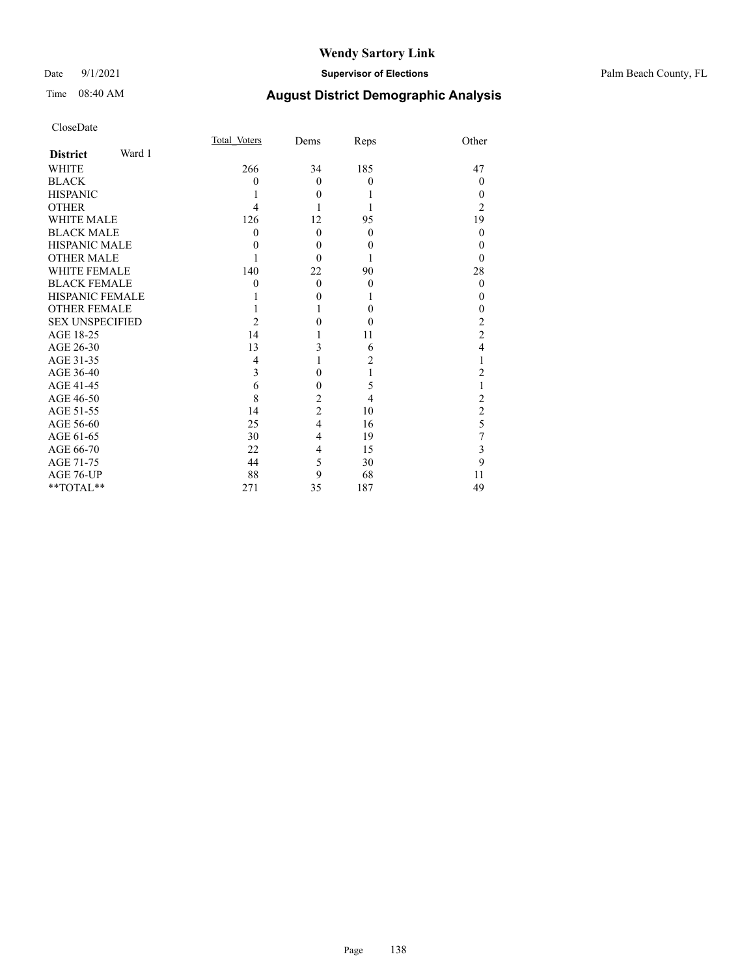#### Date 9/1/2021 **Supervisor of Elections** Palm Beach County, FL

| CloseDate |
|-----------|
|-----------|

|                        |        | Total Voters | Dems           | Reps     | Other          |
|------------------------|--------|--------------|----------------|----------|----------------|
| <b>District</b>        | Ward 1 |              |                |          |                |
| <b>WHITE</b>           |        | 266          | 34             | 185      | 47             |
| <b>BLACK</b>           |        | 0            | $\theta$       | $\theta$ | $\theta$       |
| <b>HISPANIC</b>        |        |              | $\theta$       |          | 0              |
| <b>OTHER</b>           |        | 4            |                |          | 2              |
| <b>WHITE MALE</b>      |        | 126          | 12             | 95       | 19             |
| <b>BLACK MALE</b>      |        | 0            | $\theta$       | $\theta$ | $\theta$       |
| <b>HISPANIC MALE</b>   |        | 0            | $\Omega$       | $\theta$ | 0              |
| <b>OTHER MALE</b>      |        |              | 0              |          | 0              |
| <b>WHITE FEMALE</b>    |        | 140          | 22             | 90       | 28             |
| <b>BLACK FEMALE</b>    |        | 0            | $\theta$       | $\theta$ | $\theta$       |
| <b>HISPANIC FEMALE</b> |        |              | 0              |          | 0              |
| <b>OTHER FEMALE</b>    |        |              |                | $\theta$ | 0              |
| <b>SEX UNSPECIFIED</b> |        | 2            | 0              | $\theta$ | 2              |
| AGE 18-25              |        | 14           |                | 11       | $\overline{c}$ |
| AGE 26-30              |        | 13           | 3              | 6        | 4              |
| AGE 31-35              |        | 4            |                | 2        |                |
| AGE 36-40              |        | 3            | 0              | 1        | 2              |
| AGE 41-45              |        | 6            | 0              | 5        |                |
| AGE 46-50              |        | 8            | $\overline{c}$ | 4        | 2              |
| AGE 51-55              |        | 14           | $\overline{2}$ | 10       | $\overline{c}$ |
| AGE 56-60              |        | 25           | $\overline{4}$ | 16       | 5              |
| AGE 61-65              |        | 30           | 4              | 19       | 7              |
| AGE 66-70              |        | 22           | 4              | 15       | 3              |
| AGE 71-75              |        | 44           | 5              | 30       | 9              |
| AGE 76-UP              |        | 88           | 9              | 68       | 11             |
| **TOTAL**              |        | 271          | 35             | 187      | 49             |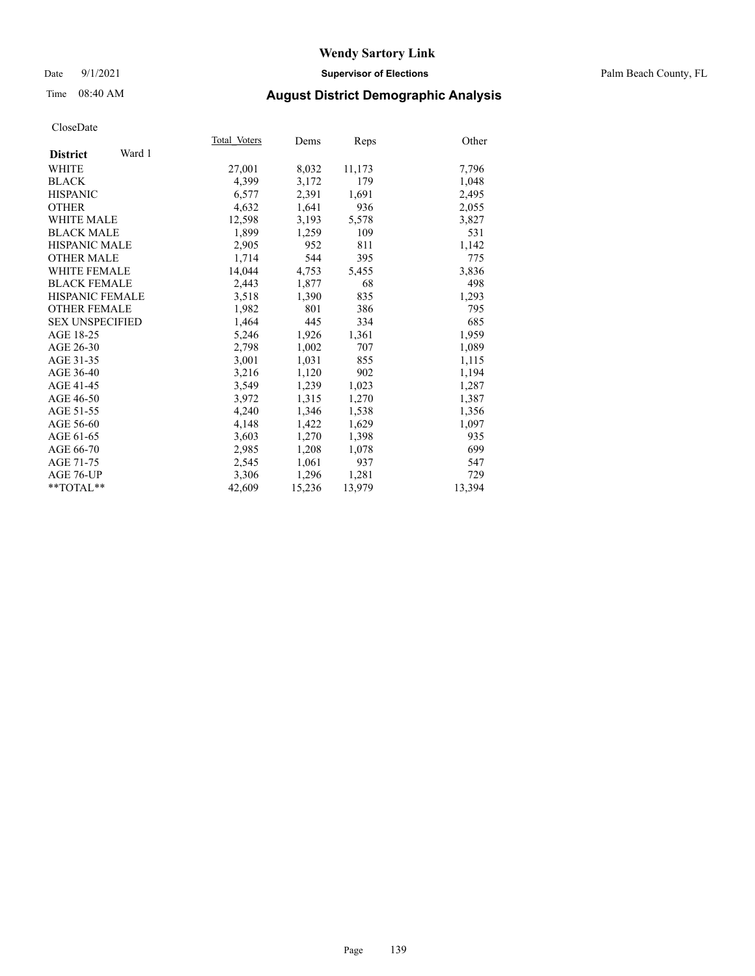#### Date 9/1/2021 **Supervisor of Elections** Palm Beach County, FL

## Time 08:40 AM **August District Demographic Analysis**

|                           | Total Voters | Dems   | <b>Reps</b> | Other  |
|---------------------------|--------------|--------|-------------|--------|
| Ward 1<br><b>District</b> |              |        |             |        |
| WHITE                     | 27,001       | 8,032  | 11,173      | 7,796  |
| <b>BLACK</b>              | 4,399        | 3,172  | 179         | 1,048  |
| <b>HISPANIC</b>           | 6,577        | 2,391  | 1.691       | 2,495  |
| <b>OTHER</b>              | 4,632        | 1,641  | 936         | 2,055  |
| <b>WHITE MALE</b>         | 12,598       | 3,193  | 5,578       | 3,827  |
| <b>BLACK MALE</b>         | 1,899        | 1,259  | 109         | 531    |
| <b>HISPANIC MALE</b>      | 2,905        | 952    | 811         | 1,142  |
| <b>OTHER MALE</b>         | 1,714        | 544    | 395         | 775    |
| <b>WHITE FEMALE</b>       | 14,044       | 4,753  | 5,455       | 3,836  |
| <b>BLACK FEMALE</b>       | 2,443        | 1,877  | 68          | 498    |
| <b>HISPANIC FEMALE</b>    | 3,518        | 1,390  | 835         | 1,293  |
| <b>OTHER FEMALE</b>       | 1,982        | 801    | 386         | 795    |
| <b>SEX UNSPECIFIED</b>    | 1,464        | 445    | 334         | 685    |
| AGE 18-25                 | 5,246        | 1,926  | 1,361       | 1,959  |
| AGE 26-30                 | 2,798        | 1,002  | 707         | 1,089  |
| AGE 31-35                 | 3,001        | 1,031  | 855         | 1,115  |
| AGE 36-40                 | 3,216        | 1,120  | 902         | 1,194  |
| AGE 41-45                 | 3,549        | 1,239  | 1,023       | 1,287  |
| AGE 46-50                 | 3,972        | 1,315  | 1,270       | 1,387  |
| AGE 51-55                 | 4,240        | 1,346  | 1,538       | 1,356  |
| AGE 56-60                 | 4,148        | 1,422  | 1,629       | 1,097  |
| AGE 61-65                 | 3,603        | 1,270  | 1,398       | 935    |
| AGE 66-70                 | 2,985        | 1,208  | 1,078       | 699    |
| AGE 71-75                 | 2,545        | 1,061  | 937         | 547    |
| AGE 76-UP                 | 3,306        | 1,296  | 1,281       | 729    |
| $*$ TOTAL $*$             | 42,609       | 15,236 | 13,979      | 13,394 |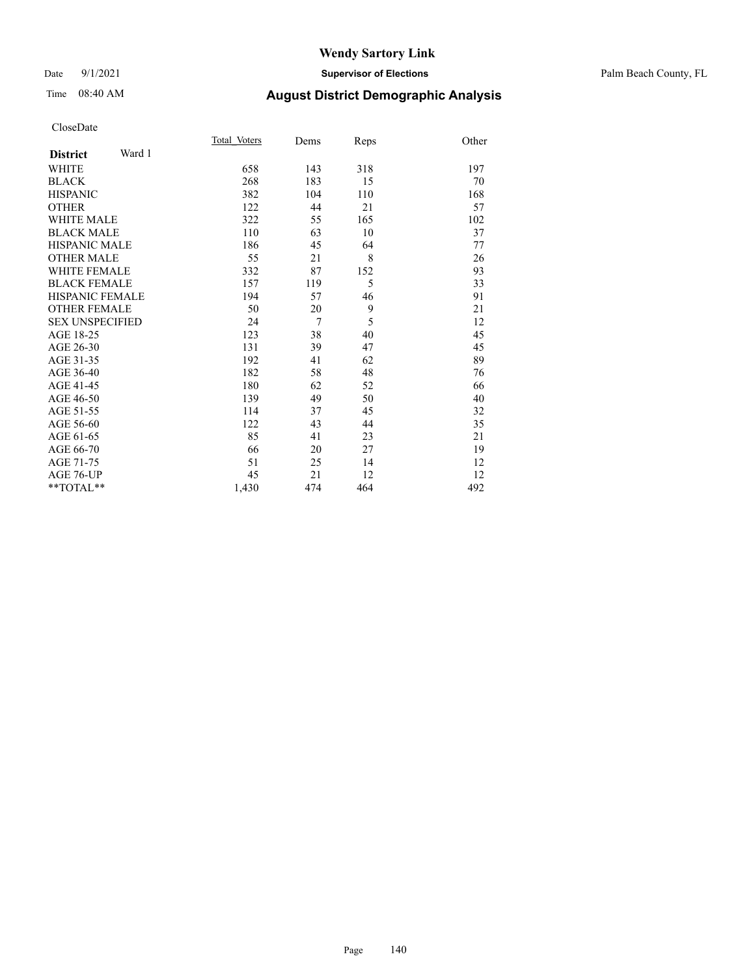#### Date 9/1/2021 **Supervisor of Elections** Palm Beach County, FL

# Time 08:40 AM **August District Demographic Analysis**

|                           | Total Voters | Dems   | Reps | Other |
|---------------------------|--------------|--------|------|-------|
| Ward 1<br><b>District</b> |              |        |      |       |
| WHITE                     | 658          | 143    | 318  | 197   |
| <b>BLACK</b>              | 268          | 183    | 15   | 70    |
| <b>HISPANIC</b>           | 382          | 104    | 110  | 168   |
| <b>OTHER</b>              | 122          | 44     | 21   | 57    |
| <b>WHITE MALE</b>         | 322          | 55     | 165  | 102   |
| <b>BLACK MALE</b>         | 110          | 63     | 10   | 37    |
| HISPANIC MALE             | 186          | 45     | 64   | 77    |
| <b>OTHER MALE</b>         | 55           | 21     | 8    | 26    |
| WHITE FEMALE              | 332          | 87     | 152  | 93    |
| <b>BLACK FEMALE</b>       | 157          | 119    | 5    | 33    |
| <b>HISPANIC FEMALE</b>    | 194          | 57     | 46   | 91    |
| <b>OTHER FEMALE</b>       | 50           | 20     | 9    | 21    |
| <b>SEX UNSPECIFIED</b>    | 24           | $\tau$ | 5    | 12    |
| AGE 18-25                 | 123          | 38     | 40   | 45    |
| AGE 26-30                 | 131          | 39     | 47   | 45    |
| AGE 31-35                 | 192          | 41     | 62   | 89    |
| AGE 36-40                 | 182          | 58     | 48   | 76    |
| AGE 41-45                 | 180          | 62     | 52   | 66    |
| AGE 46-50                 | 139          | 49     | 50   | 40    |
| AGE 51-55                 | 114          | 37     | 45   | 32    |
| AGE 56-60                 | 122          | 43     | 44   | 35    |
| AGE 61-65                 | 85           | 41     | 23   | 21    |
| AGE 66-70                 | 66           | 20     | 27   | 19    |
| AGE 71-75                 | 51           | 25     | 14   | 12    |
| <b>AGE 76-UP</b>          | 45           | 21     | 12   | 12    |
| $*$ $TOTAL**$             | 1,430        | 474    | 464  | 492   |